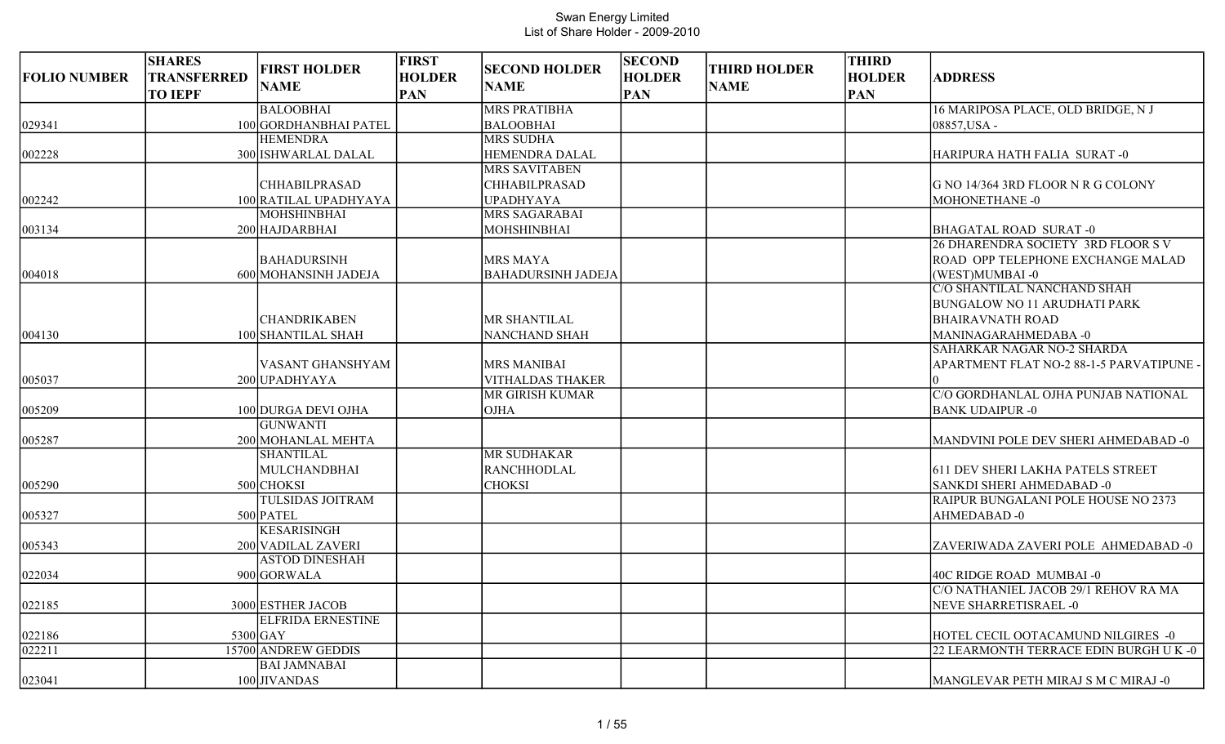| <b>FOLIO NUMBER</b> | <b>SHARES</b><br><b>TRANSFERRED</b><br><b>TO IEPF</b> | <b>FIRST HOLDER</b><br><b>NAME</b>         | <b>FIRST</b><br><b>HOLDER</b><br><b>PAN</b> | <b>SECOND HOLDER</b><br><b>NAME</b>           | <b>SECOND</b><br><b>HOLDER</b><br><b>PAN</b> | <b>THIRD HOLDER</b><br><b>NAME</b> | <b>THIRD</b><br><b>HOLDER</b><br><b>PAN</b> | <b>ADDRESS</b>                                                                                |
|---------------------|-------------------------------------------------------|--------------------------------------------|---------------------------------------------|-----------------------------------------------|----------------------------------------------|------------------------------------|---------------------------------------------|-----------------------------------------------------------------------------------------------|
|                     |                                                       | <b>BALOOBHAI</b>                           |                                             | <b>MRS PRATIBHA</b>                           |                                              |                                    |                                             | 16 MARIPOSA PLACE, OLD BRIDGE, N J                                                            |
| 029341              |                                                       | 100 GORDHANBHAI PATEL                      |                                             | <b>BALOOBHAI</b>                              |                                              |                                    |                                             | 08857, USA -                                                                                  |
|                     |                                                       | <b>HEMENDRA</b>                            |                                             | <b>MRS SUDHA</b>                              |                                              |                                    |                                             |                                                                                               |
| 002228              |                                                       | 300 ISHWARLAL DALAL                        |                                             | <b>HEMENDRA DALAL</b>                         |                                              |                                    |                                             | HARIPURA HATH FALIA SURAT-0                                                                   |
|                     |                                                       |                                            |                                             | <b>MRS SAVITABEN</b>                          |                                              |                                    |                                             |                                                                                               |
|                     |                                                       | <b>CHHABILPRASAD</b>                       |                                             | <b>CHHABILPRASAD</b>                          |                                              |                                    |                                             | G NO 14/364 3RD FLOOR N R G COLONY                                                            |
| 002242              |                                                       | 100 RATILAL UPADHYAYA                      |                                             | <b>UPADHYAYA</b>                              |                                              |                                    |                                             | MOHONETHANE -0                                                                                |
|                     |                                                       | <b>MOHSHINBHAI</b>                         |                                             | MRS SAGARABAI                                 |                                              |                                    |                                             |                                                                                               |
| 003134              |                                                       | 200 HAJDARBHAI                             |                                             | MOHSHINBHAI                                   |                                              |                                    |                                             | <b>BHAGATAL ROAD SURAT-0</b>                                                                  |
| 004018              |                                                       | <b>BAHADURSINH</b><br>600 MOHANSINH JADEJA |                                             | <b>MRS MAYA</b><br><b>BAHADURSINH JADEJA</b>  |                                              |                                    |                                             | 26 DHARENDRA SOCIETY 3RD FLOOR S V<br>ROAD OPP TELEPHONE EXCHANGE MALAD<br>(WEST)MUMBAI-0     |
|                     |                                                       | <b>CHANDRIKABEN</b>                        |                                             | MR SHANTILAL                                  |                                              |                                    |                                             | C/O SHANTILAL NANCHAND SHAH<br><b>BUNGALOW NO 11 ARUDHATI PARK</b><br><b>BHAIRAVNATH ROAD</b> |
| 004130              |                                                       | 100 SHANTILAL SHAH                         |                                             | NANCHAND SHAH                                 |                                              |                                    |                                             | MANINAGARAHMEDABA -0                                                                          |
| 005037              |                                                       | VASANT GHANSHYAM<br>200 UPADHYAYA          |                                             | <b>MRS MANIBAI</b><br><b>VITHALDAS THAKER</b> |                                              |                                    |                                             | SAHARKAR NAGAR NO-2 SHARDA<br>APARTMENT FLAT NO-2 88-1-5 PARVATIPUNE -                        |
|                     |                                                       |                                            |                                             | MR GIRISH KUMAR                               |                                              |                                    |                                             | C/O GORDHANLAL OJHA PUNJAB NATIONAL                                                           |
| 005209              |                                                       | 100 DURGA DEVI OJHA                        |                                             | <b>OJHA</b>                                   |                                              |                                    |                                             | <b>BANK UDAIPUR -0</b>                                                                        |
| 005287              |                                                       | <b>GUNWANTI</b><br>200 MOHANLAL MEHTA      |                                             |                                               |                                              |                                    |                                             | MANDVINI POLE DEV SHERI AHMEDABAD -0                                                          |
|                     |                                                       | <b>SHANTILAL</b>                           |                                             | <b>MR SUDHAKAR</b>                            |                                              |                                    |                                             |                                                                                               |
|                     |                                                       | MULCHANDBHAI                               |                                             | <b>RANCHHODLAL</b>                            |                                              |                                    |                                             | 611 DEV SHERI LAKHA PATELS STREET                                                             |
| 005290              |                                                       | 500 CHOKSI                                 |                                             | <b>CHOKSI</b>                                 |                                              |                                    |                                             | SANKDI SHERI AHMEDABAD -0<br>RAIPUR BUNGALANI POLE HOUSE NO 2373                              |
|                     |                                                       | TULSIDAS JOITRAM                           |                                             |                                               |                                              |                                    |                                             |                                                                                               |
| 005327              |                                                       | 500 PATEL<br><b>KESARISINGH</b>            |                                             |                                               |                                              |                                    |                                             | AHMEDABAD-0                                                                                   |
| 005343              |                                                       | 200 VADILAL ZAVERI                         |                                             |                                               |                                              |                                    |                                             | ZAVERIWADA ZAVERI POLE AHMEDABAD -0                                                           |
|                     |                                                       | <b>ASTOD DINESHAH</b>                      |                                             |                                               |                                              |                                    |                                             |                                                                                               |
| 022034              |                                                       | 900 GORWALA                                |                                             |                                               |                                              |                                    |                                             | 40C RIDGE ROAD MUMBAI -0                                                                      |
|                     |                                                       |                                            |                                             |                                               |                                              |                                    |                                             | C/O NATHANIEL JACOB 29/1 REHOV RA MA                                                          |
| 022185              |                                                       | 3000 ESTHER JACOB                          |                                             |                                               |                                              |                                    |                                             | NEVE SHARRETISRAEL -0                                                                         |
|                     |                                                       | <b>ELFRIDA ERNESTINE</b>                   |                                             |                                               |                                              |                                    |                                             |                                                                                               |
| 022186              |                                                       | $5300$ GAY                                 |                                             |                                               |                                              |                                    |                                             | HOTEL CECIL OOTACAMUND NILGIRES -0                                                            |
| 022211              |                                                       | 15700 ANDREW GEDDIS                        |                                             |                                               |                                              |                                    |                                             | 22 LEARMONTH TERRACE EDIN BURGH U K -0                                                        |
|                     |                                                       | <b>BAI JAMNABAI</b>                        |                                             |                                               |                                              |                                    |                                             |                                                                                               |
| 023041              |                                                       | 100 JIVANDAS                               |                                             |                                               |                                              |                                    |                                             | MANGLEVAR PETH MIRAJ S M C MIRAJ -0                                                           |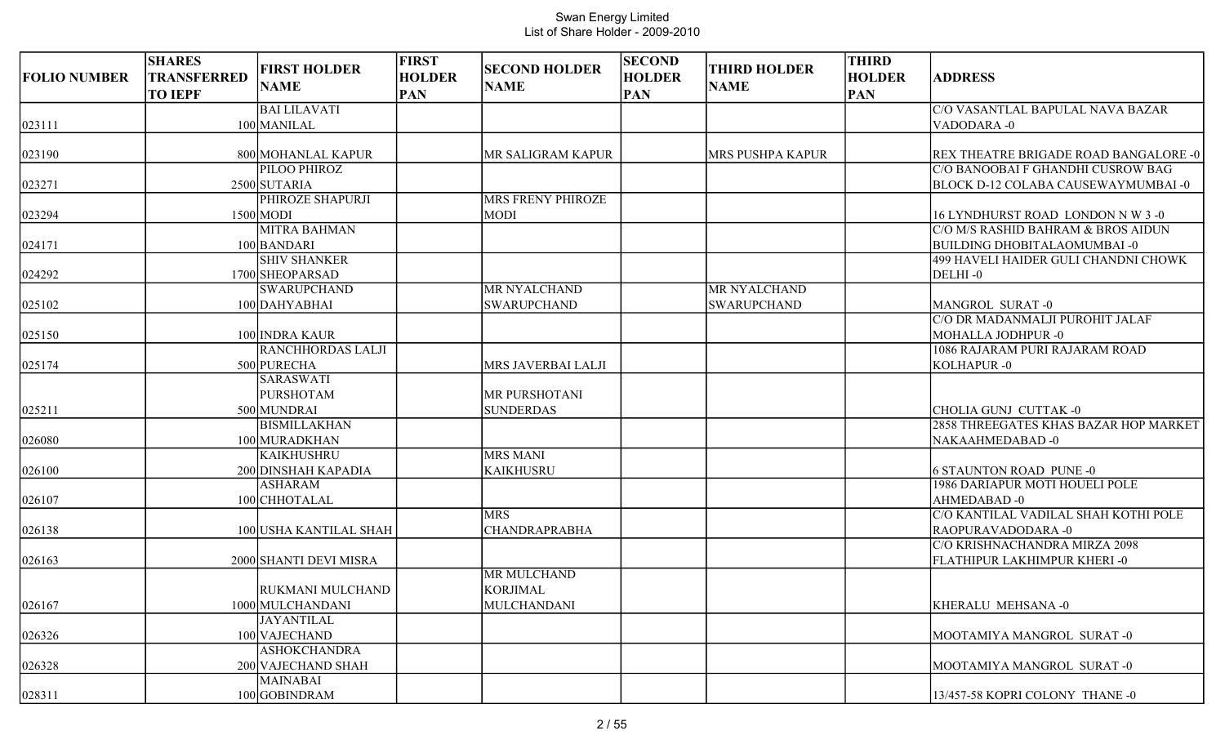| <b>FOLIO NUMBER</b> | <b>SHARES</b><br><b>TRANSFERRED</b><br><b>TO IEPF</b> | <b>FIRST HOLDER</b><br><b>NAME</b>                           | <b>FIRST</b><br><b>HOLDER</b><br><b>PAN</b> | <b>SECOND HOLDER</b><br><b>NAME</b>                  | <b>SECOND</b><br><b>HOLDER</b><br><b>PAN</b> | <b>THIRD HOLDER</b><br><b>NAME</b> | <b>THIRD</b><br><b>HOLDER</b><br><b>PAN</b> | <b>ADDRESS</b>                                                                                 |
|---------------------|-------------------------------------------------------|--------------------------------------------------------------|---------------------------------------------|------------------------------------------------------|----------------------------------------------|------------------------------------|---------------------------------------------|------------------------------------------------------------------------------------------------|
| 023111              |                                                       | <b>BAI LILAVATI</b><br>100 MANILAL                           |                                             |                                                      |                                              |                                    |                                             | C/O VASANTLAL BAPULAL NAVA BAZAR<br>VADODARA-0                                                 |
| 023190              |                                                       | 800 MOHANLAL KAPUR<br>PILOO PHIROZ                           |                                             | MR SALIGRAM KAPUR                                    |                                              | <b>MRS PUSHPA KAPUR</b>            |                                             | <b>REX THEATRE BRIGADE ROAD BANGALORE -0</b><br>C/O BANOOBAI F GHANDHI CUSROW BAG              |
| 023271              |                                                       | 2500 SUTARIA                                                 |                                             |                                                      |                                              |                                    |                                             | BLOCK D-12 COLABA CAUSEWAYMUMBAI -0                                                            |
| 023294              |                                                       | PHIROZE SHAPURJI<br>$1500$ MODI                              |                                             | <b>MRS FRENY PHIROZE</b><br><b>MODI</b>              |                                              |                                    |                                             | 16 LYNDHURST ROAD LONDON N W 3 -0                                                              |
| 024171              |                                                       | <b>MITRA BAHMAN</b><br>100 BANDARI<br><b>SHIV SHANKER</b>    |                                             |                                                      |                                              |                                    |                                             | C/O M/S RASHID BAHRAM & BROS AIDUN<br><b>BUILDING DHOBITALAOMUMBAI-0</b>                       |
| 024292              |                                                       | 1700 SHEOPARSAD                                              |                                             |                                                      |                                              |                                    |                                             | 499 HAVELI HAIDER GULI CHANDNI CHOWK<br>DELHI-0                                                |
| 025102              |                                                       | <b>SWARUPCHAND</b><br>100 DAHYABHAI                          |                                             | MR NYALCHAND<br><b>SWARUPCHAND</b>                   |                                              | MR NYALCHAND<br><b>SWARUPCHAND</b> |                                             | <b>MANGROL SURAT-0</b>                                                                         |
| 025150              |                                                       | 100 INDRA KAUR<br>RANCHHORDAS LALJI                          |                                             |                                                      |                                              |                                    |                                             | C/O DR MADANMALJI PUROHIT JALAF<br><b>MOHALLA JODHPUR -0</b><br>1086 RAJARAM PURI RAJARAM ROAD |
| 025174              |                                                       | 500 PURECHA<br><b>SARASWATI</b>                              |                                             | MRS JAVERBAI LALJI                                   |                                              |                                    |                                             | KOLHAPUR-0                                                                                     |
| 025211              |                                                       | <b>PURSHOTAM</b><br>500 MUNDRAI                              |                                             | MR PURSHOTANI<br><b>SUNDERDAS</b>                    |                                              |                                    |                                             | CHOLIA GUNJ CUTTAK-0                                                                           |
| 026080              |                                                       | <b>BISMILLAKHAN</b><br>100 MURADKHAN                         |                                             |                                                      |                                              |                                    |                                             | 2858 THREEGATES KHAS BAZAR HOP MARKET<br>NAKAAHMEDABAD-0                                       |
| 026100              |                                                       | <b>KAIKHUSHRU</b><br>200 DINSHAH KAPADIA                     |                                             | <b>MRS MANI</b><br><b>KAIKHUSRU</b>                  |                                              |                                    |                                             | <b>6 STAUNTON ROAD PUNE -0</b>                                                                 |
| 026107              |                                                       | <b>ASHARAM</b><br>100 CHHOTALAL                              |                                             |                                                      |                                              |                                    |                                             | 1986 DARIAPUR MOTI HOUELI POLE<br>AHMEDABAD-0                                                  |
| 026138              |                                                       | 100 USHA KANTILAL SHAH                                       |                                             | <b>MRS</b><br><b>CHANDRAPRABHA</b>                   |                                              |                                    |                                             | C/O KANTILAL VADILAL SHAH KOTHI POLE<br>RAOPURAVADODARA -0                                     |
| 026163              |                                                       | 2000 SHANTI DEVI MISRA                                       |                                             |                                                      |                                              |                                    |                                             | C/O KRISHNACHANDRA MIRZA 2098<br>FLATHIPUR LAKHIMPUR KHERI -0                                  |
| 026167              |                                                       | RUKMANI MULCHAND<br>1000 MULCHANDANI                         |                                             | MR MULCHAND<br><b>KORJIMAL</b><br><b>MULCHANDANI</b> |                                              |                                    |                                             | KHERALU MEHSANA-0                                                                              |
| 026326              |                                                       | <b>JAYANTILAL</b><br>100 VAJECHAND                           |                                             |                                                      |                                              |                                    |                                             | MOOTAMIYA MANGROL SURAT-0                                                                      |
| 026328              |                                                       | <b>ASHOKCHANDRA</b><br>200 VAJECHAND SHAH<br><b>MAINABAI</b> |                                             |                                                      |                                              |                                    |                                             | MOOTAMIYA MANGROL SURAT-0                                                                      |
| 028311              |                                                       | 100 GOBINDRAM                                                |                                             |                                                      |                                              |                                    |                                             | 13/457-58 KOPRI COLONY THANE -0                                                                |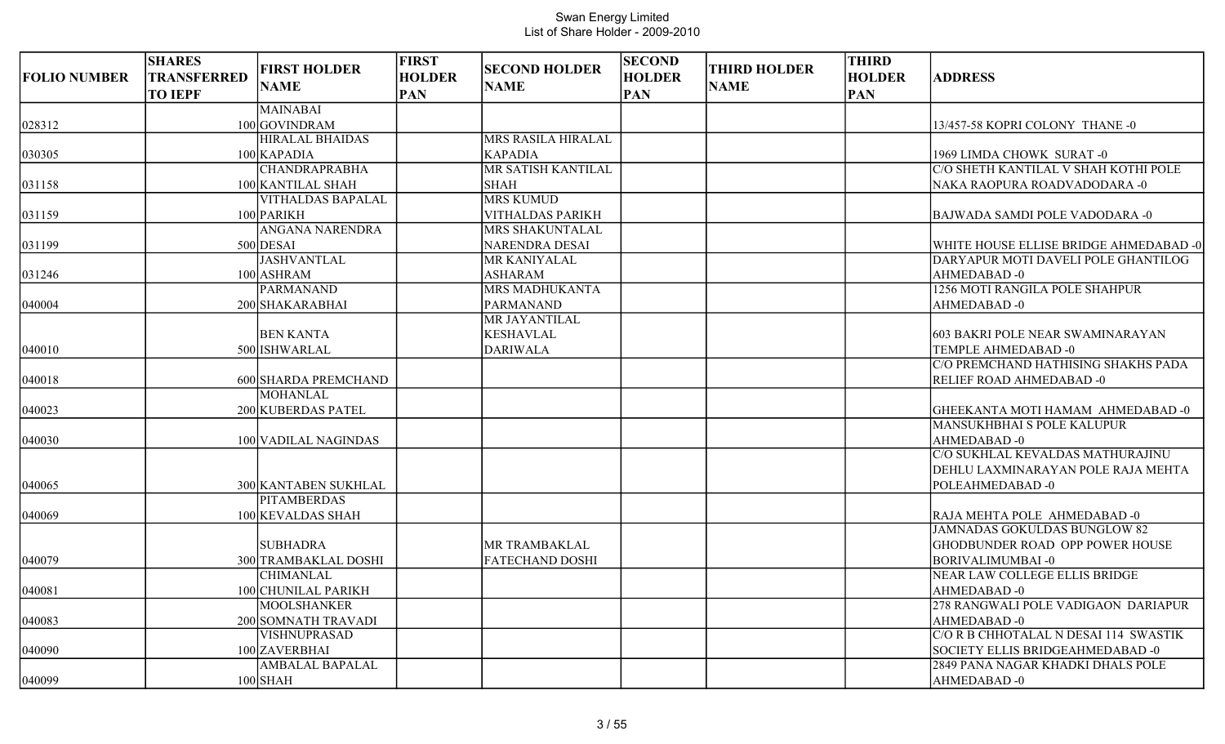| <b>FOLIO NUMBER</b> | <b>SHARES</b><br><b>TRANSFERRED</b> | <b>FIRST HOLDER</b><br><b>NAME</b>      | <b>FIRST</b><br><b>HOLDER</b> | <b>SECOND HOLDER</b><br><b>NAME</b> | <b>SECOND</b><br><b>HOLDER</b> | <b>THIRD HOLDER</b><br><b>NAME</b> | <b>THIRD</b><br><b>HOLDER</b> | <b>ADDRESS</b>                         |
|---------------------|-------------------------------------|-----------------------------------------|-------------------------------|-------------------------------------|--------------------------------|------------------------------------|-------------------------------|----------------------------------------|
|                     | <b>TO IEPF</b>                      | MAINABAI                                | <b>PAN</b>                    |                                     | <b>PAN</b>                     |                                    | <b>PAN</b>                    |                                        |
| 028312              |                                     | 100 GOVINDRAM                           |                               |                                     |                                |                                    |                               | 13/457-58 KOPRI COLONY THANE -0        |
|                     |                                     | <b>HIRALAL BHAIDAS</b>                  |                               | MRS RASILA HIRALAL                  |                                |                                    |                               |                                        |
| 030305              |                                     | $100$ KAPADIA                           |                               | <b>KAPADIA</b>                      |                                |                                    |                               | 1969 LIMDA CHOWK SURAT -0              |
|                     |                                     | <b>CHANDRAPRABHA</b>                    |                               | MR SATISH KANTILAL                  |                                |                                    |                               | C/O SHETH KANTILAL V SHAH KOTHI POLE   |
| 031158              |                                     | 100 KANTILAL SHAH                       |                               | <b>SHAH</b>                         |                                |                                    |                               | NAKA RAOPURA ROADVADODARA -0           |
|                     |                                     | <b>VITHALDAS BAPALAL</b>                |                               | <b>MRS KUMUD</b>                    |                                |                                    |                               |                                        |
| 031159              |                                     | 100 PARIKH                              |                               | <b>VITHALDAS PARIKH</b>             |                                |                                    |                               | BAJWADA SAMDI POLE VADODARA -0         |
|                     |                                     | <b>ANGANA NARENDRA</b>                  |                               | MRS SHAKUNTALAL                     |                                |                                    |                               |                                        |
| 031199              |                                     | 500 DESAI                               |                               | <b>NARENDRA DESAI</b>               |                                |                                    |                               | WHITE HOUSE ELLISE BRIDGE AHMEDABAD -0 |
|                     |                                     | <b>JASHVANTLAL</b>                      |                               | MR KANIYALAL                        |                                |                                    |                               | DARYAPUR MOTI DAVELI POLE GHANTILOG    |
| 031246              |                                     | 100 ASHRAM                              |                               | <b>ASHARAM</b>                      |                                |                                    |                               | AHMEDABAD-0                            |
|                     |                                     | <b>PARMANAND</b>                        |                               | MRS MADHUKANTA                      |                                |                                    |                               | 1256 MOTI RANGILA POLE SHAHPUR         |
| 040004              |                                     | 200 SHAKARABHAI                         |                               | PARMANAND                           |                                |                                    |                               | AHMEDABAD-0                            |
|                     |                                     |                                         |                               | MR JAYANTILAL                       |                                |                                    |                               |                                        |
|                     |                                     | <b>BEN KANTA</b>                        |                               | <b>KESHAVLAL</b>                    |                                |                                    |                               | 603 BAKRI POLE NEAR SWAMINARAYAN       |
| 040010              |                                     | 500 ISHWARLAL                           |                               | <b>DARIWALA</b>                     |                                |                                    |                               | TEMPLE AHMEDABAD -0                    |
|                     |                                     |                                         |                               |                                     |                                |                                    |                               | C/O PREMCHAND HATHISING SHAKHS PADA    |
| 040018              |                                     | 600 SHARDA PREMCHAND<br><b>MOHANLAL</b> |                               |                                     |                                |                                    |                               | RELIEF ROAD AHMEDABAD -0               |
| 040023              |                                     | 200 KUBERDAS PATEL                      |                               |                                     |                                |                                    |                               | GHEEKANTA MOTI HAMAM AHMEDABAD -0      |
|                     |                                     |                                         |                               |                                     |                                |                                    |                               | MANSUKHBHAI S POLE KALUPUR             |
| 040030              |                                     | 100 VADILAL NAGINDAS                    |                               |                                     |                                |                                    |                               | AHMEDABAD-0                            |
|                     |                                     |                                         |                               |                                     |                                |                                    |                               | C/O SUKHLAL KEVALDAS MATHURAJINU       |
|                     |                                     |                                         |                               |                                     |                                |                                    |                               | DEHLU LAXMINARAYAN POLE RAJA MEHTA     |
| 040065              |                                     | 300 KANTABEN SUKHLAL                    |                               |                                     |                                |                                    |                               | POLEAHMEDABAD-0                        |
|                     |                                     | <b>PITAMBERDAS</b>                      |                               |                                     |                                |                                    |                               |                                        |
| 040069              |                                     | 100 KEVALDAS SHAH                       |                               |                                     |                                |                                    |                               | RAJA MEHTA POLE AHMEDABAD -0           |
|                     |                                     |                                         |                               |                                     |                                |                                    |                               | JAMNADAS GOKULDAS BUNGLOW 82           |
|                     |                                     | <b>SUBHADRA</b>                         |                               | MR TRAMBAKLAL                       |                                |                                    |                               | <b>GHODBUNDER ROAD OPP POWER HOUSE</b> |
| 040079              |                                     | 300 TRAMBAKLAL DOSHI                    |                               | <b>FATECHAND DOSHI</b>              |                                |                                    |                               | BORIVALIMUMBAI -0                      |
|                     |                                     | <b>CHIMANLAL</b>                        |                               |                                     |                                |                                    |                               | NEAR LAW COLLEGE ELLIS BRIDGE          |
| 040081              |                                     | 100 CHUNILAL PARIKH                     |                               |                                     |                                |                                    |                               | AHMEDABAD-0                            |
|                     |                                     | MOOLSHANKER                             |                               |                                     |                                |                                    |                               | 278 RANGWALI POLE VADIGAON DARIAPUR    |
| 040083              |                                     | 200 SOMNATH TRAVADI                     |                               |                                     |                                |                                    |                               | AHMEDABAD-0                            |
|                     |                                     | <b>VISHNUPRASAD</b>                     |                               |                                     |                                |                                    |                               | C/O R B CHHOTALAL N DESAI 114 SWASTIK  |
| 040090              |                                     | 100 ZAVERBHAI                           |                               |                                     |                                |                                    |                               | SOCIETY ELLIS BRIDGEAHMEDABAD -0       |
|                     |                                     | <b>AMBALAL BAPALAL</b>                  |                               |                                     |                                |                                    |                               | 2849 PANA NAGAR KHADKI DHALS POLE      |
| 040099              |                                     | $100$ SHAH                              |                               |                                     |                                |                                    |                               | AHMEDABAD-0                            |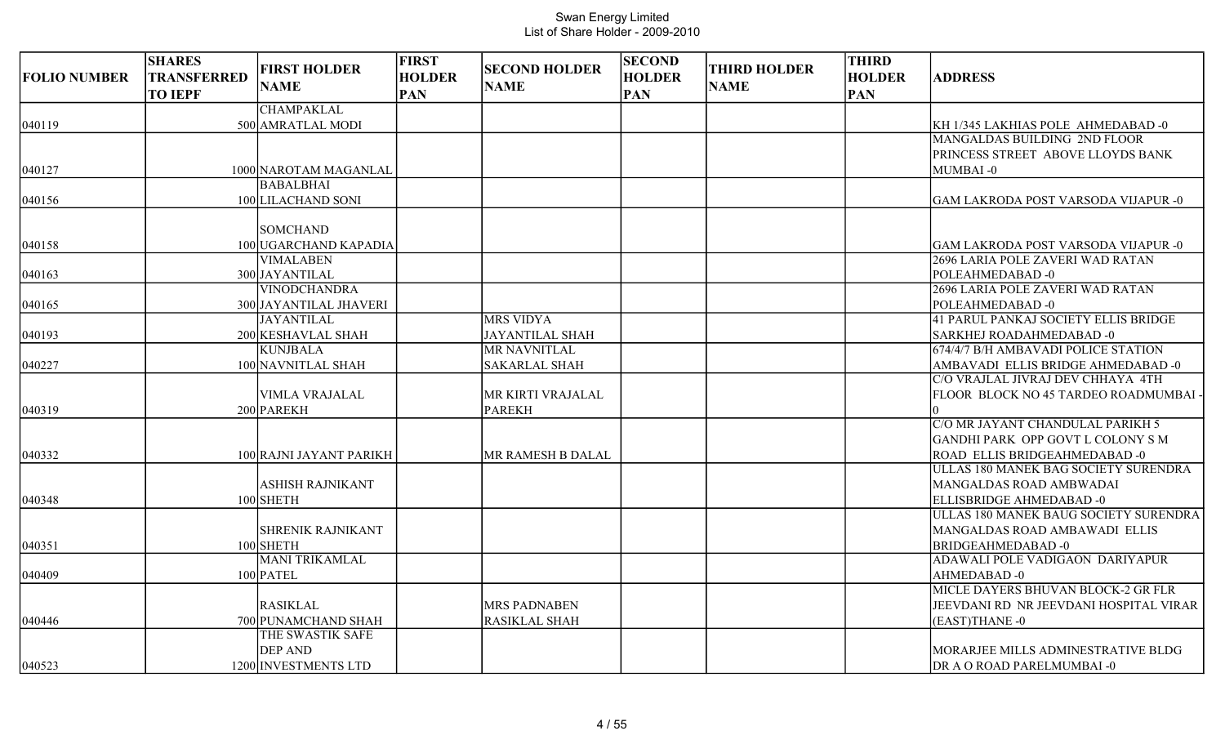| <b>FOLIO NUMBER</b> | <b>SHARES</b><br>TRANSFERRED<br><b>TO IEPF</b> | <b>FIRST HOLDER</b><br><b>NAME</b> | <b>FIRST</b><br><b>HOLDER</b><br><b>PAN</b> | <b>SECOND HOLDER</b><br><b>NAME</b> | <b>SECOND</b><br><b>HOLDER</b><br><b>PAN</b> | <b>THIRD HOLDER</b><br><b>NAME</b> | <b>THIRD</b><br><b>HOLDER</b><br><b>PAN</b> | <b>ADDRESS</b>                                      |
|---------------------|------------------------------------------------|------------------------------------|---------------------------------------------|-------------------------------------|----------------------------------------------|------------------------------------|---------------------------------------------|-----------------------------------------------------|
|                     |                                                | <b>CHAMPAKLAL</b>                  |                                             |                                     |                                              |                                    |                                             |                                                     |
| 040119              |                                                | 500 AMRATLAL MODI                  |                                             |                                     |                                              |                                    |                                             | KH 1/345 LAKHIAS POLE AHMEDABAD -0                  |
|                     |                                                |                                    |                                             |                                     |                                              |                                    |                                             | MANGALDAS BUILDING 2ND FLOOR                        |
|                     |                                                |                                    |                                             |                                     |                                              |                                    |                                             | PRINCESS STREET ABOVE LLOYDS BANK                   |
| 040127              |                                                | 1000 NAROTAM MAGANLAL              |                                             |                                     |                                              |                                    |                                             | MUMBAI-0                                            |
|                     |                                                | <b>BABALBHAI</b>                   |                                             |                                     |                                              |                                    |                                             |                                                     |
| 040156              |                                                | 100 LILACHAND SONI                 |                                             |                                     |                                              |                                    |                                             | <b>GAM LAKRODA POST VARSODA VIJAPUR -0</b>          |
|                     |                                                |                                    |                                             |                                     |                                              |                                    |                                             |                                                     |
|                     |                                                | <b>SOMCHAND</b>                    |                                             |                                     |                                              |                                    |                                             |                                                     |
| 040158              |                                                | 100 UGARCHAND KAPADIA              |                                             |                                     |                                              |                                    |                                             | <b>GAM LAKRODA POST VARSODA VIJAPUR -0</b>          |
|                     |                                                | <b>VIMALABEN</b><br>300 JAYANTILAL |                                             |                                     |                                              |                                    |                                             | 2696 LARIA POLE ZAVERI WAD RATAN<br>POLEAHMEDABAD-0 |
| 040163              |                                                | <b>VINODCHANDRA</b>                |                                             |                                     |                                              |                                    |                                             | 2696 LARIA POLE ZAVERI WAD RATAN                    |
| 040165              |                                                | 300 JAYANTILAL JHAVERI             |                                             |                                     |                                              |                                    |                                             | POLEAHMEDABAD-0                                     |
|                     |                                                | <b>JAYANTILAL</b>                  |                                             | <b>MRS VIDYA</b>                    |                                              |                                    |                                             | 41 PARUL PANKAJ SOCIETY ELLIS BRIDGE                |
| 040193              |                                                | 200 KESHAVLAL SHAH                 |                                             | <b>JAYANTILAL SHAH</b>              |                                              |                                    |                                             | <b>SARKHEJ ROADAHMEDABAD -0</b>                     |
|                     |                                                | <b>KUNJBALA</b>                    |                                             | MR NAVNITLAL                        |                                              |                                    |                                             | 674/4/7 B/H AMBAVADI POLICE STATION                 |
| 040227              |                                                | 100 NAVNITLAL SHAH                 |                                             | <b>SAKARLAL SHAH</b>                |                                              |                                    |                                             | AMBAVADI ELLIS BRIDGE AHMEDABAD -0                  |
|                     |                                                |                                    |                                             |                                     |                                              |                                    |                                             | C/O VRAJLAL JIVRAJ DEV CHHAYA 4TH                   |
|                     |                                                | <b>VIMLA VRAJALAL</b>              |                                             | MR KIRTI VRAJALAL                   |                                              |                                    |                                             | FLOOR BLOCK NO 45 TARDEO ROADMUMBAI -               |
| 040319              |                                                | 200 PAREKH                         |                                             | <b>PAREKH</b>                       |                                              |                                    |                                             |                                                     |
|                     |                                                |                                    |                                             |                                     |                                              |                                    |                                             | C/O MR JAYANT CHANDULAL PARIKH 5                    |
|                     |                                                |                                    |                                             |                                     |                                              |                                    |                                             | GANDHI PARK OPP GOVT L COLONY S M                   |
| 040332              |                                                | 100 RAJNI JAYANT PARIKH            |                                             | <b>MR RAMESH B DALAL</b>            |                                              |                                    |                                             | ROAD ELLIS BRIDGEAHMEDABAD -0                       |
|                     |                                                |                                    |                                             |                                     |                                              |                                    |                                             | ULLAS 180 MANEK BAG SOCIETY SURENDRA                |
|                     |                                                | <b>ASHISH RAJNIKANT</b>            |                                             |                                     |                                              |                                    |                                             | MANGALDAS ROAD AMBWADAI                             |
| 040348              |                                                | 100 SHETH                          |                                             |                                     |                                              |                                    |                                             | ELLISBRIDGE AHMEDABAD -0                            |
|                     |                                                |                                    |                                             |                                     |                                              |                                    |                                             | ULLAS 180 MANEK BAUG SOCIETY SURENDRA               |
|                     |                                                | <b>SHRENIK RAJNIKANT</b>           |                                             |                                     |                                              |                                    |                                             | MANGALDAS ROAD AMBAWADI ELLIS                       |
| 040351              |                                                | 100 SHETH                          |                                             |                                     |                                              |                                    |                                             | <b>BRIDGEAHMEDABAD-0</b>                            |
|                     |                                                | <b>MANI TRIKAMLAL</b>              |                                             |                                     |                                              |                                    |                                             | ADAWALI POLE VADIGAON DARIYAPUR                     |
| 040409              |                                                | 100 PATEL                          |                                             |                                     |                                              |                                    |                                             | AHMEDABAD-0                                         |
|                     |                                                |                                    |                                             |                                     |                                              |                                    |                                             | MICLE DAYERS BHUVAN BLOCK-2 GR FLR                  |
|                     |                                                | <b>RASIKLAL</b>                    |                                             | <b>MRS PADNABEN</b>                 |                                              |                                    |                                             | JEEVDANI RD NR JEEVDANI HOSPITAL VIRAR              |
| 040446              |                                                | 700 PUNAMCHAND SHAH                |                                             | <b>RASIKLAL SHAH</b>                |                                              |                                    |                                             | (EAST)THANE-0                                       |
|                     |                                                | THE SWASTIK SAFE                   |                                             |                                     |                                              |                                    |                                             |                                                     |
|                     |                                                | <b>DEP AND</b>                     |                                             |                                     |                                              |                                    |                                             | MORARJEE MILLS ADMINESTRATIVE BLDG                  |
| 040523              |                                                | 1200 INVESTMENTS LTD               |                                             |                                     |                                              |                                    |                                             | DR A O ROAD PARELMUMBAI -0                          |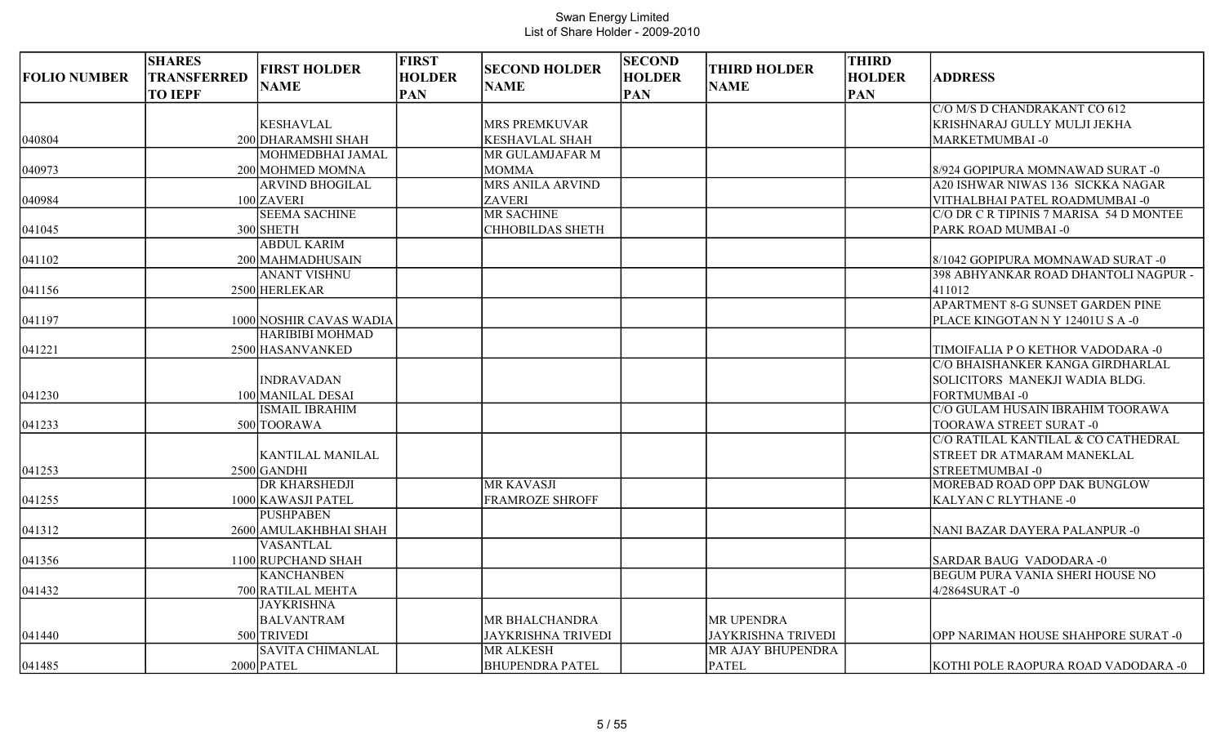| <b>FOLIO NUMBER</b> | <b>SHARES</b><br>TRANSFERRED<br><b>TO IEPF</b> | <b>FIRST HOLDER</b><br><b>NAME</b> | <b>FIRST</b><br><b>HOLDER</b><br><b>PAN</b> | <b>SECOND HOLDER</b><br><b>NAME</b> | <b>SECOND</b><br><b>HOLDER</b><br><b>PAN</b> | <b>THIRD HOLDER</b><br><b>NAME</b> | <b>THIRD</b><br><b>HOLDER</b><br><b>PAN</b> | <b>ADDRESS</b>                          |
|---------------------|------------------------------------------------|------------------------------------|---------------------------------------------|-------------------------------------|----------------------------------------------|------------------------------------|---------------------------------------------|-----------------------------------------|
|                     |                                                |                                    |                                             |                                     |                                              |                                    |                                             | C/O M/S D CHANDRAKANT CO 612            |
|                     |                                                | <b>KESHAVLAL</b>                   |                                             | <b>MRS PREMKUVAR</b>                |                                              |                                    |                                             | KRISHNARAJ GULLY MULJI JEKHA            |
| 040804              |                                                | 200 DHARAMSHI SHAH                 |                                             | <b>KESHAVLAL SHAH</b>               |                                              |                                    |                                             | MARKETMUMBAI-0                          |
|                     |                                                | MOHMEDBHAI JAMAL                   |                                             | MR GULAMJAFAR M                     |                                              |                                    |                                             |                                         |
| 040973              |                                                | 200 MOHMED MOMNA                   |                                             | <b>MOMMA</b>                        |                                              |                                    |                                             | 8/924 GOPIPURA MOMNAWAD SURAT -0        |
|                     |                                                | <b>ARVIND BHOGILAL</b>             |                                             | MRS ANILA ARVIND                    |                                              |                                    |                                             | A20 ISHWAR NIWAS 136 SICKKA NAGAR       |
| 040984              |                                                | 100 ZAVERI                         |                                             | <b>ZAVERI</b>                       |                                              |                                    |                                             | VITHALBHAI PATEL ROADMUMBAI -0          |
|                     |                                                | <b>SEEMA SACHINE</b>               |                                             | MR SACHINE                          |                                              |                                    |                                             | C/O DR C R TIPINIS 7 MARISA 54 D MONTEE |
| 041045              |                                                | 300 SHETH                          |                                             | <b>CHHOBILDAS SHETH</b>             |                                              |                                    |                                             | PARK ROAD MUMBAI -0                     |
|                     |                                                | <b>ABDUL KARIM</b>                 |                                             |                                     |                                              |                                    |                                             |                                         |
| 041102              |                                                | 200 MAHMADHUSAIN                   |                                             |                                     |                                              |                                    |                                             | 8/1042 GOPIPURA MOMNAWAD SURAT -0       |
|                     |                                                | <b>ANANT VISHNU</b>                |                                             |                                     |                                              |                                    |                                             | 398 ABHYANKAR ROAD DHANTOLI NAGPUR -    |
| 041156              |                                                | 2500 HERLEKAR                      |                                             |                                     |                                              |                                    |                                             | 411012                                  |
|                     |                                                |                                    |                                             |                                     |                                              |                                    |                                             | <b>APARTMENT 8-G SUNSET GARDEN PINE</b> |
| 041197              |                                                | 1000 NOSHIR CAVAS WADIA            |                                             |                                     |                                              |                                    |                                             | PLACE KINGOTAN N Y 12401U S A -0        |
|                     |                                                | <b>HARIBIBI MOHMAD</b>             |                                             |                                     |                                              |                                    |                                             |                                         |
| 041221              |                                                | 2500 HASANVANKED                   |                                             |                                     |                                              |                                    |                                             | TIMOIFALIA P O KETHOR VADODARA -0       |
|                     |                                                |                                    |                                             |                                     |                                              |                                    |                                             | C/O BHAISHANKER KANGA GIRDHARLAL        |
|                     |                                                | <b>INDRAVADAN</b>                  |                                             |                                     |                                              |                                    |                                             | SOLICITORS MANEKJI WADIA BLDG.          |
| 041230              |                                                | 100 MANILAL DESAI                  |                                             |                                     |                                              |                                    |                                             | FORTMUMBAI-0                            |
|                     |                                                | <b>ISMAIL IBRAHIM</b>              |                                             |                                     |                                              |                                    |                                             | C/O GULAM HUSAIN IBRAHIM TOORAWA        |
| 041233              |                                                | 500 TOORAWA                        |                                             |                                     |                                              |                                    |                                             | TOORAWA STREET SURAT -0                 |
|                     |                                                |                                    |                                             |                                     |                                              |                                    |                                             | C/O RATILAL KANTILAL & CO CATHEDRAL     |
|                     |                                                | <b>KANTILAL MANILAL</b>            |                                             |                                     |                                              |                                    |                                             | <b>STREET DR ATMARAM MANEKLAL</b>       |
| 041253              |                                                | $2500$ GANDHI                      |                                             |                                     |                                              |                                    |                                             | <b>STREETMUMBAI-0</b>                   |
|                     |                                                | <b>DR KHARSHEDJI</b>               |                                             | <b>MR KAVASJI</b>                   |                                              |                                    |                                             | MOREBAD ROAD OPP DAK BUNGLOW            |
| 041255              |                                                | 1000 KAWASJI PATEL                 |                                             | <b>FRAMROZE SHROFF</b>              |                                              |                                    |                                             | KALYAN C RLYTHANE -0                    |
|                     |                                                | <b>PUSHPABEN</b>                   |                                             |                                     |                                              |                                    |                                             |                                         |
| 041312              |                                                | 2600 AMULAKHBHAI SHAH              |                                             |                                     |                                              |                                    |                                             | NANI BAZAR DAYERA PALANPUR -0           |
|                     |                                                | <b>VASANTLAL</b>                   |                                             |                                     |                                              |                                    |                                             |                                         |
| 041356              |                                                | 1100 RUPCHAND SHAH                 |                                             |                                     |                                              |                                    |                                             | SARDAR BAUG VADODARA -0                 |
|                     |                                                | <b>KANCHANBEN</b>                  |                                             |                                     |                                              |                                    |                                             | <b>BEGUM PURA VANIA SHERI HOUSE NO</b>  |
| 041432              |                                                | 700 RATILAL MEHTA                  |                                             |                                     |                                              |                                    |                                             | 4/2864SURAT-0                           |
|                     |                                                | <b>JAYKRISHNA</b>                  |                                             |                                     |                                              |                                    |                                             |                                         |
|                     |                                                | <b>BALVANTRAM</b>                  |                                             | MR BHALCHANDRA                      |                                              | MR UPENDRA                         |                                             |                                         |
| 041440              |                                                | 500 TRIVEDI                        |                                             | <b>JAYKRISHNA TRIVEDI</b>           |                                              | <b>JAYKRISHNA TRIVEDI</b>          |                                             | OPP NARIMAN HOUSE SHAHPORE SURAT -0     |
|                     |                                                | <b>SAVITA CHIMANLAL</b>            |                                             | <b>MR ALKESH</b>                    |                                              | MR AJAY BHUPENDRA                  |                                             |                                         |
| 041485              |                                                | $2000$ PATEL                       |                                             | <b>BHUPENDRA PATEL</b>              |                                              | <b>PATEL</b>                       |                                             | KOTHI POLE RAOPURA ROAD VADODARA -0     |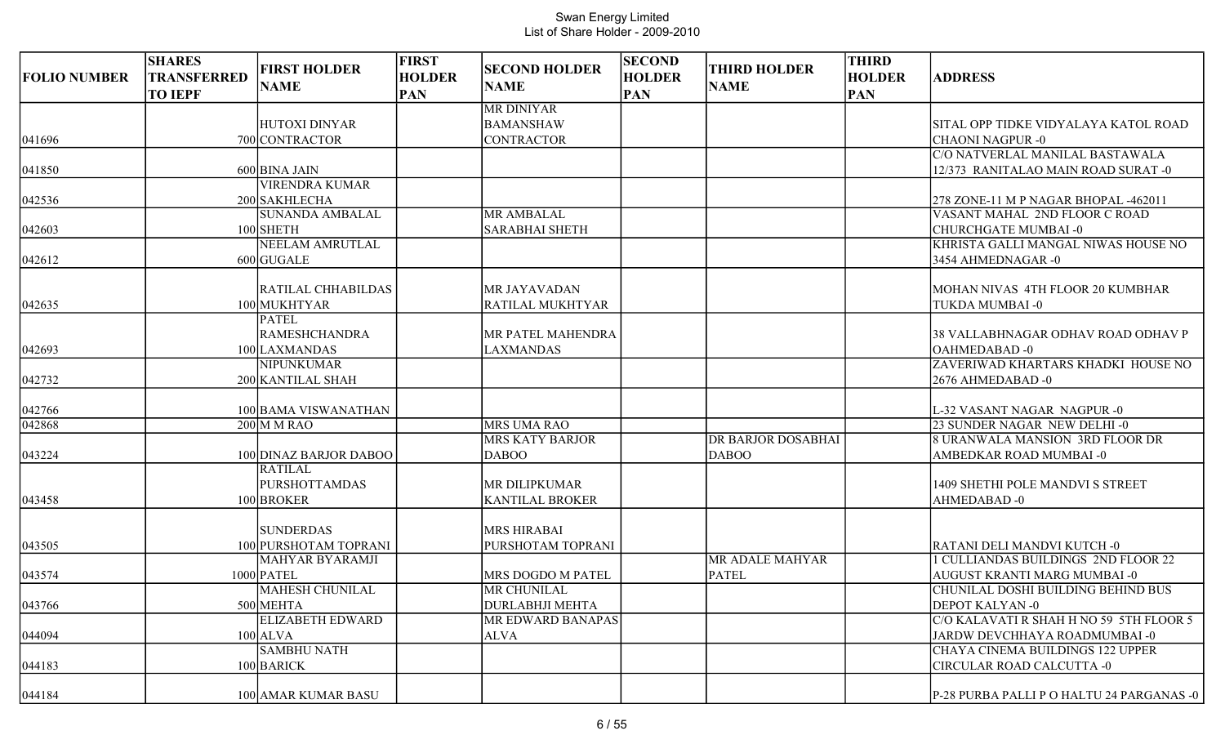| <b>FOLIO NUMBER</b> | <b>SHARES</b><br><b>TRANSFERRED</b><br><b>TO IEPF</b> | <b>FIRST HOLDER</b><br><b>NAME</b>                                         | <b>FIRST</b><br><b>HOLDER</b><br><b>PAN</b> | <b>SECOND HOLDER</b><br><b>NAME</b>                        | <b>SECOND</b><br><b>HOLDER</b><br><b>PAN</b> | <b>THIRD HOLDER</b><br><b>NAME</b>        | <b>THIRD</b><br><b>HOLDER</b><br><b>PAN</b> | <b>ADDRESS</b>                                                                           |
|---------------------|-------------------------------------------------------|----------------------------------------------------------------------------|---------------------------------------------|------------------------------------------------------------|----------------------------------------------|-------------------------------------------|---------------------------------------------|------------------------------------------------------------------------------------------|
| 041696              |                                                       | <b>HUTOXI DINYAR</b><br>700 CONTRACTOR                                     |                                             | <b>MR DINIYAR</b><br><b>BAMANSHAW</b><br><b>CONTRACTOR</b> |                                              |                                           |                                             | SITAL OPP TIDKE VIDYALAYA KATOL ROAD<br>CHAONI NAGPUR -0                                 |
| 041850              |                                                       | 600 BINA JAIN                                                              |                                             |                                                            |                                              |                                           |                                             | C/O NATVERLAL MANILAL BASTAWALA<br>12/373 RANITALAO MAIN ROAD SURAT -0                   |
| 042536              |                                                       | <b>VIRENDRA KUMAR</b><br>200 SAKHLECHA<br><b>SUNANDA AMBALAL</b>           |                                             |                                                            |                                              |                                           |                                             | 278 ZONE-11 M P NAGAR BHOPAL -462011<br>VASANT MAHAL 2ND FLOOR C ROAD                    |
| 042603              |                                                       | 100 SHETH<br><b>NEELAM AMRUTLAL</b>                                        |                                             | <b>MR AMBALAL</b><br><b>SARABHAI SHETH</b>                 |                                              |                                           |                                             | <b>CHURCHGATE MUMBAI-0</b><br>KHRISTA GALLI MANGAL NIWAS HOUSE NO                        |
| 042612              |                                                       | $600$ GUGALE                                                               |                                             |                                                            |                                              |                                           |                                             | 3454 AHMEDNAGAR - 0                                                                      |
| 042635              |                                                       | RATILAL CHHABILDAS<br>100 MUKHTYAR                                         |                                             | MR JAYAVADAN<br>RATILAL MUKHTYAR                           |                                              |                                           |                                             | MOHAN NIVAS 4TH FLOOR 20 KUMBHAR<br>TUKDA MUMBAI -0                                      |
| 042693              |                                                       | <b>PATEL</b><br><b>RAMESHCHANDRA</b><br>100 LAXMANDAS<br><b>NIPUNKUMAR</b> |                                             | MR PATEL MAHENDRA<br>LAXMANDAS                             |                                              |                                           |                                             | 38 VALLABHNAGAR ODHAV ROAD ODHAV P<br>OAHMEDABAD-0<br>ZAVERIWAD KHARTARS KHADKI HOUSE NO |
| 042732              |                                                       | 200 KANTILAL SHAH                                                          |                                             |                                                            |                                              |                                           |                                             | 2676 AHMEDABAD -0                                                                        |
| 042766              |                                                       | 100 BAMA VISWANATHAN                                                       |                                             |                                                            |                                              |                                           |                                             | L-32 VASANT NAGAR NAGPUR -0                                                              |
| 042868              |                                                       | $200$ M M RAO                                                              |                                             | <b>MRS UMA RAO</b>                                         |                                              |                                           |                                             | 23 SUNDER NAGAR NEW DELHI-0                                                              |
| 043224              |                                                       | 100 DINAZ BARJOR DABOO                                                     |                                             | <b>MRS KATY BARJOR</b><br><b>DABOO</b>                     |                                              | <b>DR BARJOR DOSABHAI</b><br><b>DABOO</b> |                                             | 8 URANWALA MANSION 3RD FLOOR DR<br>AMBEDKAR ROAD MUMBAI -0                               |
| 043458              |                                                       | <b>RATILAL</b><br><b>PURSHOTTAMDAS</b><br>100 BROKER                       |                                             | MR DILIPKUMAR<br><b>KANTILAL BROKER</b>                    |                                              |                                           |                                             | 1409 SHETHI POLE MANDVI S STREET<br>AHMEDABAD-0                                          |
| 043505              |                                                       | <b>SUNDERDAS</b><br>100 PURSHOTAM TOPRANI                                  |                                             | <b>MRS HIRABAI</b><br>PURSHOTAM TOPRANI                    |                                              |                                           |                                             | RATANI DELI MANDVI KUTCH -0                                                              |
| 043574              |                                                       | MAHYAR BYARAMJI<br>1000 PATEL                                              |                                             | MRS DOGDO M PATEL                                          |                                              | <b>MR ADALE MAHYAR</b><br><b>PATEL</b>    |                                             | 1 CULLIANDAS BUILDINGS 2ND FLOOR 22<br>AUGUST KRANTI MARG MUMBAI -0                      |
| 043766              |                                                       | <b>MAHESH CHUNILAL</b><br>500 MEHTA                                        |                                             | MR CHUNILAL<br><b>DURLABHJI MEHTA</b>                      |                                              |                                           |                                             | CHUNILAL DOSHI BUILDING BEHIND BUS<br>DEPOT KALYAN-0                                     |
| 044094              |                                                       | <b>ELIZABETH EDWARD</b><br>$100$ ALVA                                      |                                             | MR EDWARD BANAPAS<br><b>ALVA</b>                           |                                              |                                           |                                             | C/O KALAVATI R SHAH H NO 59 5TH FLOOR 5<br>JARDW DEVCHHAYA ROADMUMBAI -0                 |
| 044183              |                                                       | <b>SAMBHU NATH</b><br>100 BARICK                                           |                                             |                                                            |                                              |                                           |                                             | CHAYA CINEMA BUILDINGS 122 UPPER<br><b>CIRCULAR ROAD CALCUTTA -0</b>                     |
| 044184              |                                                       | 100 AMAR KUMAR BASU                                                        |                                             |                                                            |                                              |                                           |                                             | P-28 PURBA PALLI P O HALTU 24 PARGANAS -0                                                |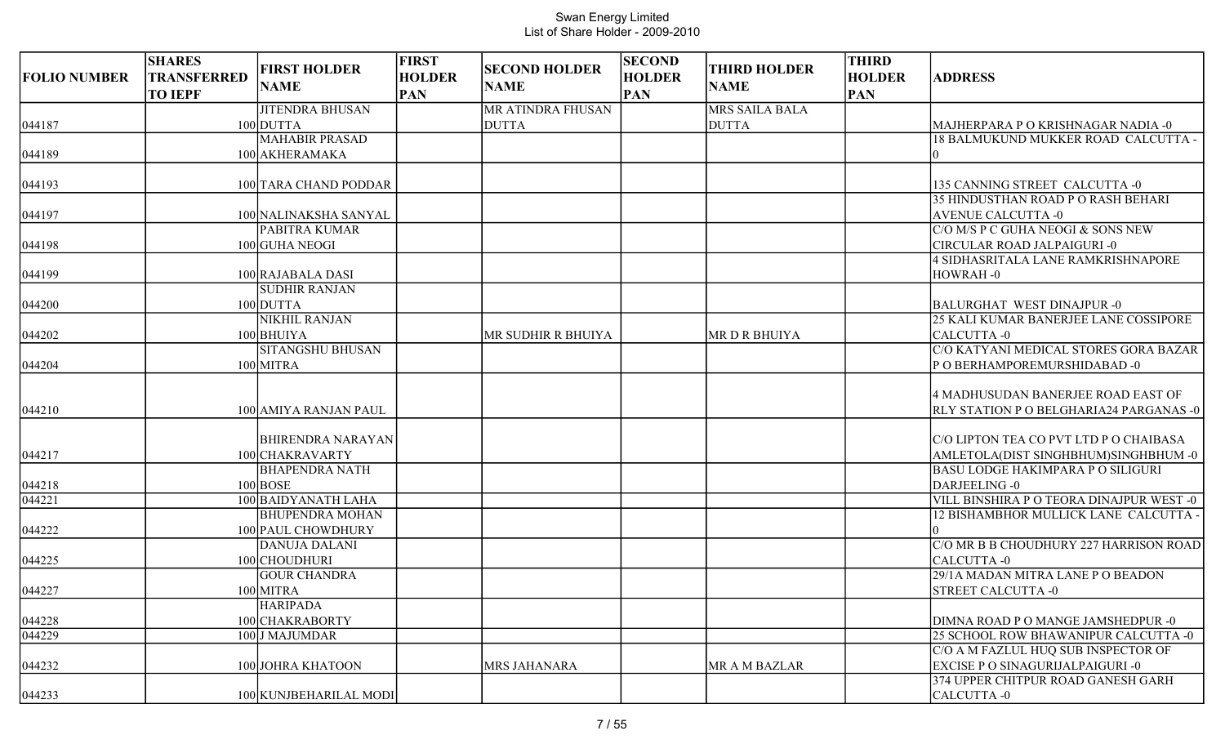| <b>FOLIO NUMBER</b> | <b>SHARES</b><br><b>TRANSFERRED</b><br><b>TO IEPF</b> | <b>FIRST HOLDER</b><br><b>NAME</b>   | <b>FIRST</b><br><b>HOLDER</b><br><b>PAN</b> | <b>SECOND HOLDER</b><br><b>NAME</b> | <b>SECOND</b><br><b>HOLDER</b><br><b>PAN</b> | <b>THIRD HOLDER</b><br><b>NAME</b> | <b>THIRD</b><br><b>HOLDER</b><br><b>PAN</b> | <b>ADDRESS</b>                                                                       |
|---------------------|-------------------------------------------------------|--------------------------------------|---------------------------------------------|-------------------------------------|----------------------------------------------|------------------------------------|---------------------------------------------|--------------------------------------------------------------------------------------|
|                     |                                                       | <b>JITENDRA BHUSAN</b>               |                                             | MR ATINDRA FHUSAN                   |                                              | MRS SAILA BALA                     |                                             |                                                                                      |
| 044187              |                                                       | 100 DUTTA                            |                                             | <b>DUTTA</b>                        |                                              | <b>DUTTA</b>                       |                                             | MAJHERPARA P O KRISHNAGAR NADIA -0                                                   |
|                     |                                                       | <b>MAHABIR PRASAD</b>                |                                             |                                     |                                              |                                    |                                             | 18 BALMUKUND MUKKER ROAD CALCUTTA -                                                  |
| 044189              |                                                       | 100 AKHERAMAKA                       |                                             |                                     |                                              |                                    |                                             |                                                                                      |
| 044193              |                                                       | 100 TARA CHAND PODDAR                |                                             |                                     |                                              |                                    |                                             | 135 CANNING STREET CALCUTTA -0                                                       |
|                     |                                                       |                                      |                                             |                                     |                                              |                                    |                                             | 35 HINDUSTHAN ROAD P O RASH BEHARI                                                   |
| 044197              |                                                       | 100 NALINAKSHA SANYAL                |                                             |                                     |                                              |                                    |                                             | <b>AVENUE CALCUTTA -0</b>                                                            |
|                     |                                                       | PABITRA KUMAR                        |                                             |                                     |                                              |                                    |                                             | C/O M/S P C GUHA NEOGI & SONS NEW                                                    |
| 044198              |                                                       | 100 GUHA NEOGI                       |                                             |                                     |                                              |                                    |                                             | CIRCULAR ROAD JALPAIGURI -0                                                          |
|                     |                                                       |                                      |                                             |                                     |                                              |                                    |                                             | 4 SIDHASRITALA LANE RAMKRISHNAPORE                                                   |
| 044199              |                                                       | 100 RAJABALA DASI                    |                                             |                                     |                                              |                                    |                                             | HOWRAH-0                                                                             |
| 044200              |                                                       | <b>SUDHIR RANJAN</b><br>100 DUTTA    |                                             |                                     |                                              |                                    |                                             | <b>BALURGHAT WEST DINAJPUR -0</b>                                                    |
|                     |                                                       | <b>NIKHIL RANJAN</b>                 |                                             |                                     |                                              |                                    |                                             | 25 KALI KUMAR BANERJEE LANE COSSIPORE                                                |
| 044202              |                                                       | 100 BHUIYA                           |                                             | MR SUDHIR R BHUIYA                  |                                              | <b>MRDRBHUIYA</b>                  |                                             | CALCUTTA -0                                                                          |
|                     |                                                       | <b>SITANGSHU BHUSAN</b>              |                                             |                                     |                                              |                                    |                                             | C/O KATYANI MEDICAL STORES GORA BAZAR                                                |
| 044204              |                                                       | 100 MITRA                            |                                             |                                     |                                              |                                    |                                             | POBERHAMPOREMURSHIDABAD-0                                                            |
| 044210              |                                                       | 100 AMIYA RANJAN PAUL                |                                             |                                     |                                              |                                    |                                             | 4 MADHUSUDAN BANERJEE ROAD EAST OF<br><b>RLY STATION P O BELGHARIA24 PARGANAS -0</b> |
|                     |                                                       | <b>BHIRENDRA NARAYAN</b>             |                                             |                                     |                                              |                                    |                                             | C/O LIPTON TEA CO PVT LTD P O CHAIBASA                                               |
| 044217              |                                                       | 100 CHAKRAVARTY                      |                                             |                                     |                                              |                                    |                                             | AMLETOLA(DIST SINGHBHUM)SINGHBHUM -0                                                 |
|                     |                                                       | <b>BHAPENDRA NATH</b>                |                                             |                                     |                                              |                                    |                                             | <b>BASU LODGE HAKIMPARA P O SILIGURI</b>                                             |
| 044218              |                                                       | $100$ BOSE                           |                                             |                                     |                                              |                                    |                                             | DARJEELING -0                                                                        |
| 044221              |                                                       | 100 BAIDYANATH LAHA                  |                                             |                                     |                                              |                                    |                                             | VILL BINSHIRA P O TEORA DINAJPUR WEST -0                                             |
|                     |                                                       | <b>BHUPENDRA MOHAN</b>               |                                             |                                     |                                              |                                    |                                             | 12 BISHAMBHOR MULLICK LANE CALCUTTA -                                                |
| 044222              |                                                       | 100 PAUL CHOWDHURY                   |                                             |                                     |                                              |                                    |                                             |                                                                                      |
|                     |                                                       | <b>DANUJA DALANI</b>                 |                                             |                                     |                                              |                                    |                                             | C/O MR B B CHOUDHURY 227 HARRISON ROAD                                               |
| 044225              |                                                       | 100 CHOUDHURI<br><b>GOUR CHANDRA</b> |                                             |                                     |                                              |                                    |                                             | <b>CALCUTTA-0</b><br>29/1A MADAN MITRA LANE P O BEADON                               |
| 044227              |                                                       | 100 MITRA                            |                                             |                                     |                                              |                                    |                                             | STREET CALCUTTA -0                                                                   |
|                     |                                                       | <b>HARIPADA</b>                      |                                             |                                     |                                              |                                    |                                             |                                                                                      |
| 044228              |                                                       | 100 CHAKRABORTY                      |                                             |                                     |                                              |                                    |                                             | DIMNA ROAD P O MANGE JAMSHEDPUR -0                                                   |
| 044229              |                                                       | 100 J MAJUMDAR                       |                                             |                                     |                                              |                                    |                                             | 25 SCHOOL ROW BHAWANIPUR CALCUTTA -0                                                 |
|                     |                                                       |                                      |                                             |                                     |                                              |                                    |                                             | C/O A M FAZLUL HUQ SUB INSPECTOR OF                                                  |
| 044232              |                                                       | 100 JOHRA KHATOON                    |                                             | MRS JAHANARA                        |                                              | MR A M BAZLAR                      |                                             | <b>EXCISE P O SINAGURIJALPAIGURI -0</b>                                              |
|                     |                                                       |                                      |                                             |                                     |                                              |                                    |                                             | 374 UPPER CHITPUR ROAD GANESH GARH                                                   |
| 044233              |                                                       | 100 KUNJBEHARILAL MODI               |                                             |                                     |                                              |                                    |                                             | CALCUTTA -0                                                                          |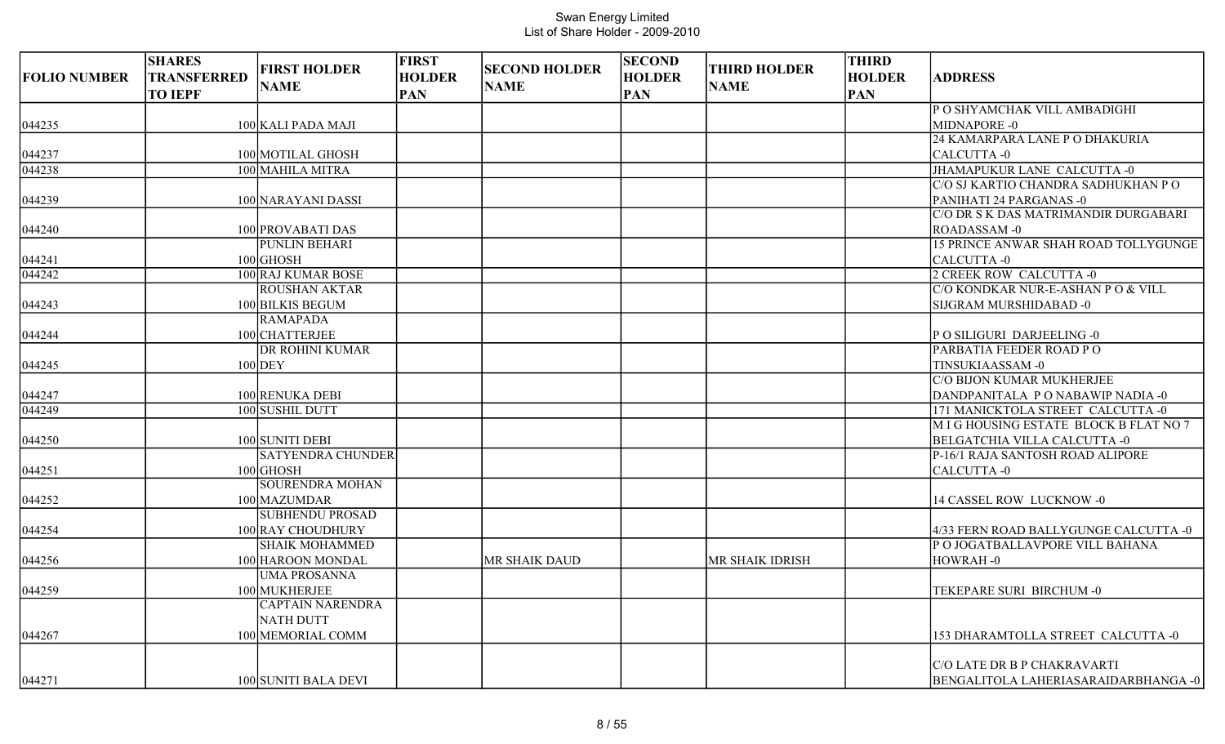| <b>FOLIO NUMBER</b> | <b>SHARES</b><br><b>TRANSFERRED</b><br><b>TO IEPF</b> | <b>FIRST HOLDER</b><br><b>NAME</b> | <b>FIRST</b><br><b>HOLDER</b><br><b>PAN</b> | <b>SECOND HOLDER</b><br><b>NAME</b> | <b>SECOND</b><br><b>HOLDER</b><br><b>PAN</b> | <b>THIRD HOLDER</b><br><b>NAME</b> | <b>THIRD</b><br><b>HOLDER</b><br><b>PAN</b> | <b>ADDRESS</b>                         |
|---------------------|-------------------------------------------------------|------------------------------------|---------------------------------------------|-------------------------------------|----------------------------------------------|------------------------------------|---------------------------------------------|----------------------------------------|
|                     |                                                       |                                    |                                             |                                     |                                              |                                    |                                             | P O SHYAMCHAK VILL AMBADIGHI           |
| 044235              |                                                       | 100 KALI PADA MAJI                 |                                             |                                     |                                              |                                    |                                             | MIDNAPORE -0                           |
|                     |                                                       |                                    |                                             |                                     |                                              |                                    |                                             | 24 KAMARPARA LANE P O DHAKURIA         |
| 044237              |                                                       | 100 MOTILAL GHOSH                  |                                             |                                     |                                              |                                    |                                             | CALCUTTA-0                             |
| 044238              |                                                       | 100 MAHILA MITRA                   |                                             |                                     |                                              |                                    |                                             | JHAMAPUKUR LANE CALCUTTA -0            |
|                     |                                                       |                                    |                                             |                                     |                                              |                                    |                                             | C/O SJ KARTIO CHANDRA SADHUKHAN P O    |
| 044239              |                                                       | 100 NARAYANI DASSI                 |                                             |                                     |                                              |                                    |                                             | PANIHATI 24 PARGANAS -0                |
|                     |                                                       |                                    |                                             |                                     |                                              |                                    |                                             | C/O DR S K DAS MATRIMANDIR DURGABARI   |
| 044240              |                                                       | 100 PROVABATI DAS                  |                                             |                                     |                                              |                                    |                                             | ROADASSAM-0                            |
|                     |                                                       | PUNLIN BEHARI                      |                                             |                                     |                                              |                                    |                                             | 15 PRINCE ANWAR SHAH ROAD TOLLYGUNGE   |
| 044241              |                                                       | $100$ GHOSH                        |                                             |                                     |                                              |                                    |                                             | CALCUTTA -0                            |
| $\sqrt{044}$ 242    |                                                       | 100 RAJ KUMAR BOSE                 |                                             |                                     |                                              |                                    |                                             | 2 CREEK ROW CALCUTTA -0                |
|                     |                                                       | <b>ROUSHAN AKTAR</b>               |                                             |                                     |                                              |                                    |                                             | C/O KONDKAR NUR-E-ASHAN P O & VILL     |
| 044243              |                                                       | 100 BILKIS BEGUM                   |                                             |                                     |                                              |                                    |                                             | SIJGRAM MURSHIDABAD -0                 |
|                     |                                                       | <b>RAMAPADA</b>                    |                                             |                                     |                                              |                                    |                                             |                                        |
| 044244              |                                                       | 100 CHATTERJEE                     |                                             |                                     |                                              |                                    |                                             | PO SILIGURI DARJEELING -0              |
|                     |                                                       | DR ROHINI KUMAR                    |                                             |                                     |                                              |                                    |                                             | PARBATIA FEEDER ROAD PO                |
| 044245              |                                                       | $100$ DEY                          |                                             |                                     |                                              |                                    |                                             | TINSUKIAASSAM-0                        |
|                     |                                                       |                                    |                                             |                                     |                                              |                                    |                                             | C/O BIJON KUMAR MUKHERJEE              |
| 044247              |                                                       | 100 RENUKA DEBI                    |                                             |                                     |                                              |                                    |                                             | DANDPANITALA PONABAWIP NADIA -0        |
| 044249              |                                                       | 100 SUSHIL DUTT                    |                                             |                                     |                                              |                                    |                                             | 171 MANICKTOLA STREET CALCUTTA -0      |
|                     |                                                       |                                    |                                             |                                     |                                              |                                    |                                             | M I G HOUSING ESTATE BLOCK B FLAT NO 7 |
| 044250              |                                                       | 100 SUNITI DEBI                    |                                             |                                     |                                              |                                    |                                             | <b>BELGATCHIA VILLA CALCUTTA -0</b>    |
|                     |                                                       | <b>SATYENDRA CHUNDER</b>           |                                             |                                     |                                              |                                    |                                             | P-16/1 RAJA SANTOSH ROAD ALIPORE       |
| 044251              |                                                       | $100$ GHOSH                        |                                             |                                     |                                              |                                    |                                             | CALCUTTA -0                            |
|                     |                                                       | SOURENDRA MOHAN                    |                                             |                                     |                                              |                                    |                                             |                                        |
| 044252              |                                                       | 100 MAZUMDAR                       |                                             |                                     |                                              |                                    |                                             | 14 CASSEL ROW LUCKNOW -0               |
|                     |                                                       | <b>SUBHENDU PROSAD</b>             |                                             |                                     |                                              |                                    |                                             |                                        |
| 044254              |                                                       | 100 RAY CHOUDHURY                  |                                             |                                     |                                              |                                    |                                             | 4/33 FERN ROAD BALLYGUNGE CALCUTTA -0  |
|                     |                                                       | <b>SHAIK MOHAMMED</b>              |                                             |                                     |                                              |                                    |                                             | P O JOGATBALLAVPORE VILL BAHANA        |
| 044256              |                                                       | 100 HAROON MONDAL                  |                                             | MR SHAIK DAUD                       |                                              | MR SHAIK IDRISH                    |                                             | HOWRAH-0                               |
|                     |                                                       | <b>UMA PROSANNA</b>                |                                             |                                     |                                              |                                    |                                             |                                        |
| 044259              |                                                       | 100 MUKHERJEE                      |                                             |                                     |                                              |                                    |                                             | TEKEPARE SURI BIRCHUM -0               |
|                     |                                                       | <b>CAPTAIN NARENDRA</b>            |                                             |                                     |                                              |                                    |                                             |                                        |
|                     |                                                       | <b>NATH DUTT</b>                   |                                             |                                     |                                              |                                    |                                             |                                        |
| 044267              |                                                       | 100 MEMORIAL COMM                  |                                             |                                     |                                              |                                    |                                             | 153 DHARAMTOLLA STREET CALCUTTA -0     |
|                     |                                                       |                                    |                                             |                                     |                                              |                                    |                                             |                                        |
|                     |                                                       |                                    |                                             |                                     |                                              |                                    |                                             | C/O LATE DR B P CHAKRAVARTI            |
| 044271              |                                                       | 100 SUNITI BALA DEVI               |                                             |                                     |                                              |                                    |                                             | BENGALITOLA LAHERIASARAIDARBHANGA -0   |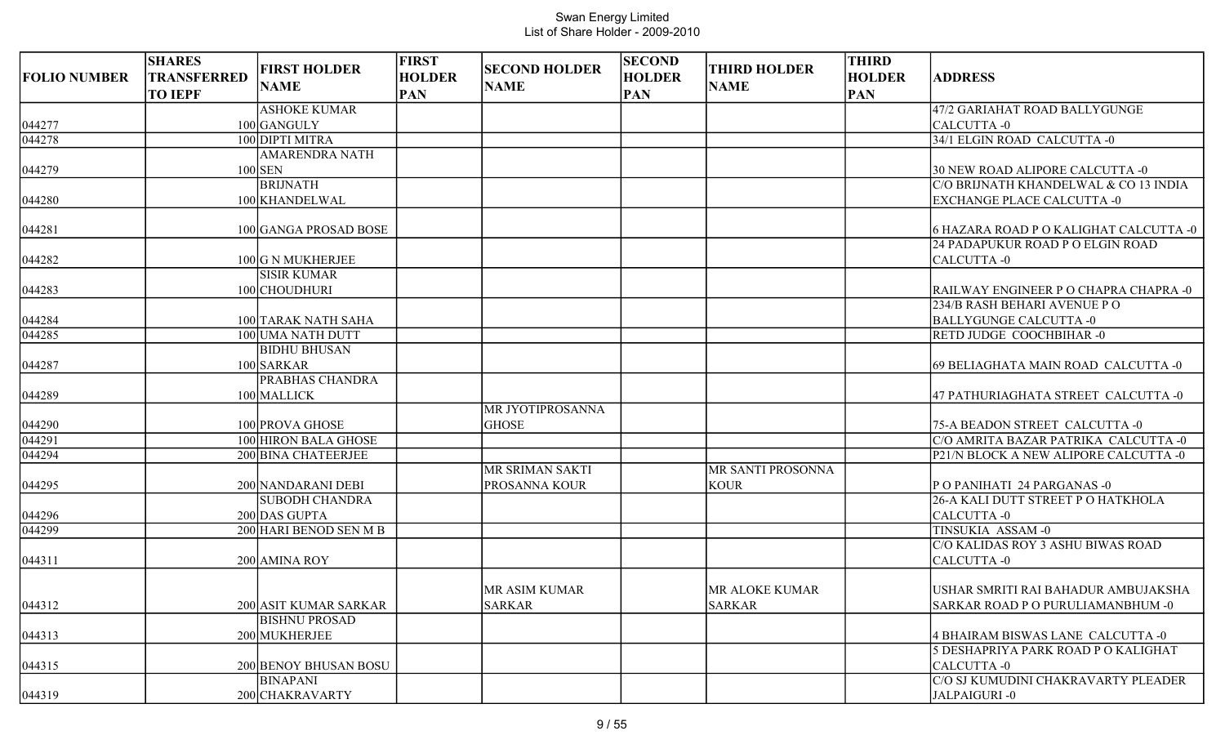|                     | <b>SHARES</b>                        | <b>FIRST HOLDER</b>    | <b>FIRST</b>                | <b>SECOND HOLDER</b> | <b>SECOND</b>               | <b>THIRD HOLDER</b> | <b>THIRD</b>                |                                        |
|---------------------|--------------------------------------|------------------------|-----------------------------|----------------------|-----------------------------|---------------------|-----------------------------|----------------------------------------|
| <b>FOLIO NUMBER</b> | <b>TRANSFERRED</b><br><b>TO IEPF</b> | <b>NAME</b>            | <b>HOLDER</b><br><b>PAN</b> | <b>NAME</b>          | <b>HOLDER</b><br><b>PAN</b> | <b>NAME</b>         | <b>HOLDER</b><br><b>PAN</b> | <b>ADDRESS</b>                         |
|                     |                                      | <b>ASHOKE KUMAR</b>    |                             |                      |                             |                     |                             | 47/2 GARIAHAT ROAD BALLYGUNGE          |
| 044277              |                                      | 100 GANGULY            |                             |                      |                             |                     |                             | CALCUTTA-0                             |
| 044278              |                                      | 100 DIPTI MITRA        |                             |                      |                             |                     |                             | 34/1 ELGIN ROAD CALCUTTA -0            |
|                     |                                      | <b>AMARENDRA NATH</b>  |                             |                      |                             |                     |                             |                                        |
| 044279              |                                      | $100$ SEN              |                             |                      |                             |                     |                             | 30 NEW ROAD ALIPORE CALCUTTA -0        |
|                     |                                      | <b>BRIJNATH</b>        |                             |                      |                             |                     |                             | C/O BRIJNATH KHANDELWAL & CO 13 INDIA  |
| 044280              |                                      | 100 KHANDELWAL         |                             |                      |                             |                     |                             | <b>EXCHANGE PLACE CALCUTTA -0</b>      |
| 044281              |                                      | 100 GANGA PROSAD BOSE  |                             |                      |                             |                     |                             | 6 HAZARA ROAD P O KALIGHAT CALCUTTA -0 |
|                     |                                      |                        |                             |                      |                             |                     |                             | 24 PADAPUKUR ROAD P O ELGIN ROAD       |
| 044282              |                                      | 100 G N MUKHERJEE      |                             |                      |                             |                     |                             | CALCUTTA-0                             |
|                     |                                      | <b>SISIR KUMAR</b>     |                             |                      |                             |                     |                             |                                        |
| 044283              |                                      | 100 CHOUDHURI          |                             |                      |                             |                     |                             | RAILWAY ENGINEER P O CHAPRA CHAPRA -0  |
|                     |                                      |                        |                             |                      |                             |                     |                             | 234/B RASH BEHARI AVENUE PO            |
| 044284              |                                      | 100 TARAK NATH SAHA    |                             |                      |                             |                     |                             | <b>BALLYGUNGE CALCUTTA -0</b>          |
| 044285              |                                      | 100 UMA NATH DUTT      |                             |                      |                             |                     |                             | RETD JUDGE COOCHBIHAR -0               |
|                     |                                      | <b>BIDHU BHUSAN</b>    |                             |                      |                             |                     |                             |                                        |
| 044287              |                                      | 100 SARKAR             |                             |                      |                             |                     |                             | 69 BELIAGHATA MAIN ROAD CALCUTTA -0    |
|                     |                                      | PRABHAS CHANDRA        |                             |                      |                             |                     |                             |                                        |
| 044289              |                                      | 100 MALLICK            |                             |                      |                             |                     |                             | 47 PATHURIAGHATA STREET CALCUTTA -0    |
|                     |                                      |                        |                             | MR JYOTIPROSANNA     |                             |                     |                             |                                        |
| 044290              |                                      | 100 PROVA GHOSE        |                             | <b>GHOSE</b>         |                             |                     |                             | 75-A BEADON STREET CALCUTTA -0         |
| 044291              |                                      | 100 HIRON BALA GHOSE   |                             |                      |                             |                     |                             | C/O AMRITA BAZAR PATRIKA CALCUTTA -0   |
| 044294              |                                      | 200 BINA CHATEERJEE    |                             |                      |                             |                     |                             | P21/N BLOCK A NEW ALIPORE CALCUTTA -0  |
|                     |                                      |                        |                             | MR SRIMAN SAKTI      |                             | MR SANTI PROSONNA   |                             |                                        |
| 044295              |                                      | 200 NANDARANI DEBI     |                             | PROSANNA KOUR        |                             | <b>KOUR</b>         |                             | PO PANIHATI 24 PARGANAS -0             |
|                     |                                      | <b>SUBODH CHANDRA</b>  |                             |                      |                             |                     |                             | 26-A KALI DUTT STREET P O HATKHOLA     |
| 044296              |                                      | 200 DAS GUPTA          |                             |                      |                             |                     |                             | CALCUTTA-0                             |
| 044299              |                                      | 200 HARI BENOD SEN M B |                             |                      |                             |                     |                             | TINSUKIA ASSAM-0                       |
|                     |                                      |                        |                             |                      |                             |                     |                             | C/O KALIDAS ROY 3 ASHU BIWAS ROAD      |
| 044311              |                                      | 200 AMINA ROY          |                             |                      |                             |                     |                             | CALCUTTA-0                             |
|                     |                                      |                        |                             | MR ASIM KUMAR        |                             | MR ALOKE KUMAR      |                             | USHAR SMRITI RAI BAHADUR AMBUJAKSHA    |
| 044312              |                                      | 200 ASIT KUMAR SARKAR  |                             | <b>SARKAR</b>        |                             | <b>SARKAR</b>       |                             | SARKAR ROAD P O PURULIAMANBHUM -0      |
|                     |                                      | <b>BISHNU PROSAD</b>   |                             |                      |                             |                     |                             |                                        |
| 044313              |                                      | 200 MUKHERJEE          |                             |                      |                             |                     |                             | 4 BHAIRAM BISWAS LANE CALCUTTA -0      |
|                     |                                      |                        |                             |                      |                             |                     |                             | 5 DESHAPRIYA PARK ROAD P O KALIGHAT    |
| 044315              |                                      | 200 BENOY BHUSAN BOSU  |                             |                      |                             |                     |                             | CALCUTTA -0                            |
|                     |                                      | <b>BINAPANI</b>        |                             |                      |                             |                     |                             | C/O SJ KUMUDINI CHAKRAVARTY PLEADER    |
| 044319              |                                      | 200 CHAKRAVARTY        |                             |                      |                             |                     |                             | JALPAIGURI-0                           |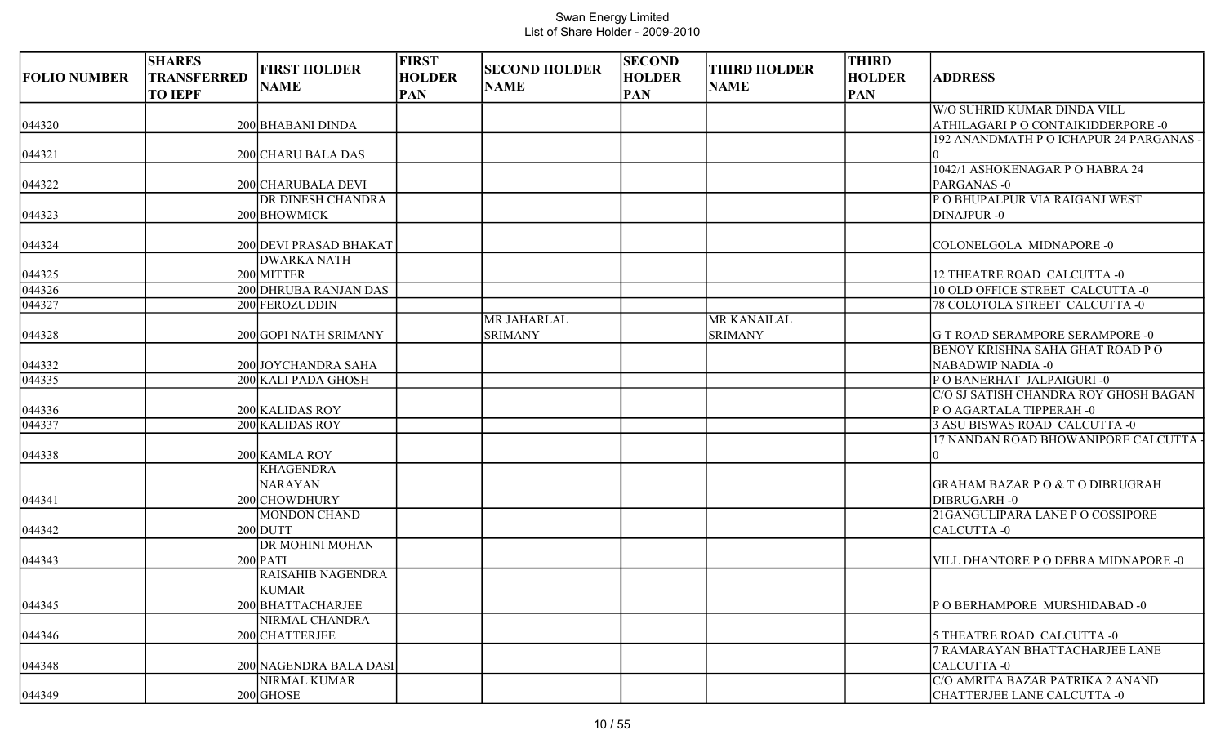| <b>FOLIO NUMBER</b> | <b>SHARES</b><br><b>TRANSFERRED</b><br><b>TO IEPF</b> | <b>FIRST HOLDER</b><br><b>NAME</b>     | <b>FIRST</b><br><b>HOLDER</b><br><b>PAN</b> | <b>SECOND HOLDER</b><br><b>NAME</b> | <b>SECOND</b><br><b>HOLDER</b><br><b>PAN</b> | <b>THIRD HOLDER</b><br><b>NAME</b> | <b>THIRD</b><br><b>HOLDER</b><br><b>PAN</b> | <b>ADDRESS</b>                                                       |
|---------------------|-------------------------------------------------------|----------------------------------------|---------------------------------------------|-------------------------------------|----------------------------------------------|------------------------------------|---------------------------------------------|----------------------------------------------------------------------|
|                     |                                                       |                                        |                                             |                                     |                                              |                                    |                                             | W/O SUHRID KUMAR DINDA VILL                                          |
| 044320              |                                                       | 200 BHABANI DINDA                      |                                             |                                     |                                              |                                    |                                             | ATHILAGARI P O CONTAIKIDDERPORE -0                                   |
| 044321              |                                                       | 200 CHARU BALA DAS                     |                                             |                                     |                                              |                                    |                                             | 192 ANANDMATH P O ICHAPUR 24 PARGANAS -                              |
|                     |                                                       |                                        |                                             |                                     |                                              |                                    |                                             | 1042/1 ASHOKENAGAR P O HABRA 24                                      |
| 044322              |                                                       | 200 CHARUBALA DEVI                     |                                             |                                     |                                              |                                    |                                             | PARGANAS-0                                                           |
|                     |                                                       | DR DINESH CHANDRA                      |                                             |                                     |                                              |                                    |                                             | P O BHUPALPUR VIA RAIGANJ WEST                                       |
| 044323              |                                                       | 200 BHOWMICK                           |                                             |                                     |                                              |                                    |                                             | DINAJPUR-0                                                           |
| 044324              |                                                       | 200 DEVI PRASAD BHAKAT                 |                                             |                                     |                                              |                                    |                                             | COLONELGOLA MIDNAPORE -0                                             |
|                     |                                                       | <b>DWARKA NATH</b>                     |                                             |                                     |                                              |                                    |                                             |                                                                      |
| 044325              |                                                       | 200 MITTER                             |                                             |                                     |                                              |                                    |                                             | 12 THEATRE ROAD CALCUTTA -0                                          |
| 044326              |                                                       | 200 DHRUBA RANJAN DAS                  |                                             |                                     |                                              |                                    |                                             | 10 OLD OFFICE STREET CALCUTTA -0                                     |
| $\sqrt{044327}$     |                                                       | 200 FEROZUDDIN                         |                                             |                                     |                                              |                                    |                                             | 78 COLOTOLA STREET CALCUTTA -0                                       |
|                     |                                                       |                                        |                                             | MR JAHARLAL                         |                                              | MR KANAILAL                        |                                             |                                                                      |
| 044328              |                                                       | 200 GOPI NATH SRIMANY                  |                                             | <b>SRIMANY</b>                      |                                              | <b>SRIMANY</b>                     |                                             | G T ROAD SERAMPORE SERAMPORE -0                                      |
|                     |                                                       |                                        |                                             |                                     |                                              |                                    |                                             | <b>BENOY KRISHNA SAHA GHAT ROAD PO</b>                               |
| 044332              |                                                       | 200 JOYCHANDRA SAHA                    |                                             |                                     |                                              |                                    |                                             | NABADWIP NADIA -0                                                    |
| 044335              |                                                       | 200 KALI PADA GHOSH                    |                                             |                                     |                                              |                                    |                                             | POBANERHAT JALPAIGURI-0                                              |
|                     |                                                       |                                        |                                             |                                     |                                              |                                    |                                             | C/O SJ SATISH CHANDRA ROY GHOSH BAGAN                                |
| 044336              |                                                       | 200 KALIDAS ROY                        |                                             |                                     |                                              |                                    |                                             | P O AGARTALA TIPPERAH -0                                             |
| 044337              |                                                       | 200 KALIDAS ROY                        |                                             |                                     |                                              |                                    |                                             | 3 ASU BISWAS ROAD CALCUTTA -0<br>17 NANDAN ROAD BHOWANIPORE CALCUTTA |
| 044338              |                                                       | 200 KAMLA ROY                          |                                             |                                     |                                              |                                    |                                             |                                                                      |
|                     |                                                       | <b>KHAGENDRA</b>                       |                                             |                                     |                                              |                                    |                                             |                                                                      |
|                     |                                                       | <b>NARAYAN</b>                         |                                             |                                     |                                              |                                    |                                             | GRAHAM BAZAR P O & T O DIBRUGRAH                                     |
| 044341              |                                                       | 200 CHOWDHURY                          |                                             |                                     |                                              |                                    |                                             | DIBRUGARH-0                                                          |
|                     |                                                       | <b>MONDON CHAND</b>                    |                                             |                                     |                                              |                                    |                                             | 21GANGULIPARA LANE P O COSSIPORE                                     |
| 044342              |                                                       | $200$ DUTT                             |                                             |                                     |                                              |                                    |                                             | CALCUTTA -0                                                          |
|                     |                                                       | DR MOHINI MOHAN                        |                                             |                                     |                                              |                                    |                                             |                                                                      |
| 044343              |                                                       | $200$ PATI                             |                                             |                                     |                                              |                                    |                                             | VILL DHANTORE P O DEBRA MIDNAPORE -0                                 |
|                     |                                                       | <b>RAISAHIB NAGENDRA</b>               |                                             |                                     |                                              |                                    |                                             |                                                                      |
|                     |                                                       | <b>KUMAR</b>                           |                                             |                                     |                                              |                                    |                                             |                                                                      |
| 044345              |                                                       | 200 BHATTACHARJEE                      |                                             |                                     |                                              |                                    |                                             | PO BERHAMPORE MURSHIDABAD-0                                          |
|                     |                                                       | NIRMAL CHANDRA                         |                                             |                                     |                                              |                                    |                                             |                                                                      |
| 044346              |                                                       | 200 CHATTERJEE                         |                                             |                                     |                                              |                                    |                                             | 5 THEATRE ROAD CALCUTTA -0<br>7 RAMARAYAN BHATTACHARJEE LANE         |
|                     |                                                       |                                        |                                             |                                     |                                              |                                    |                                             | CALCUTTA -0                                                          |
| 044348              |                                                       | 200 NAGENDRA BALA DASI<br>NIRMAL KUMAR |                                             |                                     |                                              |                                    |                                             | C/O AMRITA BAZAR PATRIKA 2 ANAND                                     |
| 044349              |                                                       | $200$ GHOSE                            |                                             |                                     |                                              |                                    |                                             | CHATTERJEE LANE CALCUTTA -0                                          |
|                     |                                                       |                                        |                                             |                                     |                                              |                                    |                                             |                                                                      |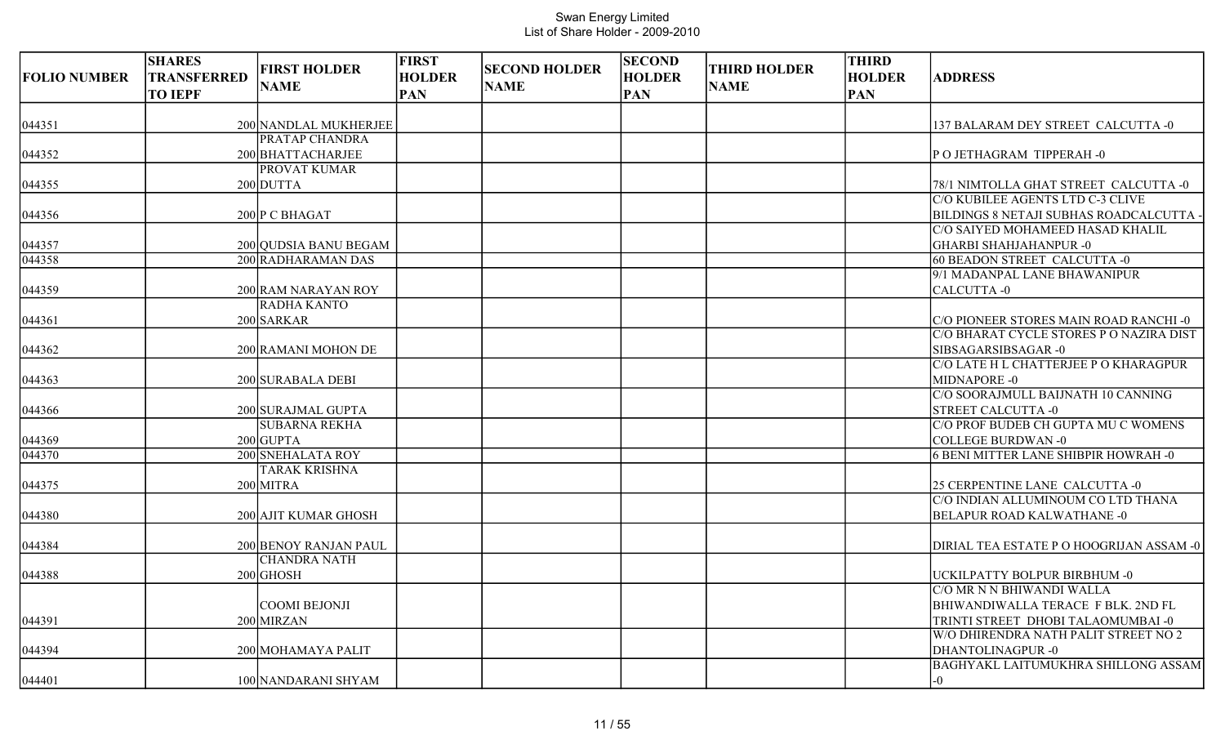| <b>FOLIO NUMBER</b> | <b>SHARES</b><br>TRANSFERRED<br><b>TO IEPF</b> | <b>FIRST HOLDER</b><br><b>NAME</b>               | <b>FIRST</b><br><b>HOLDER</b><br><b>PAN</b> | <b>SECOND HOLDER</b><br><b>NAME</b> | <b>SECOND</b><br><b>HOLDER</b><br><b>PAN</b> | <b>THIRD HOLDER</b><br><b>NAME</b> | <b>THIRD</b><br><b>HOLDER</b><br><b>PAN</b> | <b>ADDRESS</b>                                                                  |
|---------------------|------------------------------------------------|--------------------------------------------------|---------------------------------------------|-------------------------------------|----------------------------------------------|------------------------------------|---------------------------------------------|---------------------------------------------------------------------------------|
| 044351              |                                                | 200 NANDLAL MUKHERJEE                            |                                             |                                     |                                              |                                    |                                             | 137 BALARAM DEY STREET CALCUTTA -0                                              |
| 044352              |                                                | PRATAP CHANDRA<br>200 BHATTACHARJEE              |                                             |                                     |                                              |                                    |                                             | PO JETHAGRAM TIPPERAH-0                                                         |
| 044355              |                                                | PROVAT KUMAR<br>$200$ DUTTA                      |                                             |                                     |                                              |                                    |                                             | 78/1 NIMTOLLA GHAT STREET CALCUTTA -0                                           |
| 044356              |                                                | 200 P C BHAGAT                                   |                                             |                                     |                                              |                                    |                                             | C/O KUBILEE AGENTS LTD C-3 CLIVE<br>BILDINGS 8 NETAJI SUBHAS ROADCALCUTTA       |
| 044357              |                                                | 200 QUDSIA BANU BEGAM                            |                                             |                                     |                                              |                                    |                                             | C/O SAIYED MOHAMEED HASAD KHALIL<br>GHARBI SHAHJAHANPUR -0                      |
| 044358              |                                                | 200 RADHARAMAN DAS                               |                                             |                                     |                                              |                                    |                                             | 60 BEADON STREET CALCUTTA -0<br>9/1 MADANPAL LANE BHAWANIPUR                    |
| 044359<br>044361    |                                                | 200 RAM NARAYAN ROY<br>RADHA KANTO<br>200 SARKAR |                                             |                                     |                                              |                                    |                                             | CALCUTTA -0<br>C/O PIONEER STORES MAIN ROAD RANCHI -0                           |
| 044362              |                                                | 200 RAMANI MOHON DE                              |                                             |                                     |                                              |                                    |                                             | C/O BHARAT CYCLE STORES P O NAZIRA DIST<br>SIBSAGARSIBSAGAR -0                  |
| 044363              |                                                | 200 SURABALA DEBI                                |                                             |                                     |                                              |                                    |                                             | C/O LATE H L CHATTERJEE P O KHARAGPUR<br>MIDNAPORE -0                           |
| 044366              |                                                | 200 SURAJMAL GUPTA                               |                                             |                                     |                                              |                                    |                                             | C/O SOORAJMULL BAIJNATH 10 CANNING<br><b>STREET CALCUTTA -0</b>                 |
| 044369              |                                                | <b>SUBARNA REKHA</b><br>$200$ GUPTA              |                                             |                                     |                                              |                                    |                                             | C/O PROF BUDEB CH GUPTA MU C WOMENS<br><b>COLLEGE BURDWAN-0</b>                 |
| 044370              |                                                | 200 SNEHALATA ROY<br><b>TARAK KRISHNA</b>        |                                             |                                     |                                              |                                    |                                             | <b>6 BENI MITTER LANE SHIBPIR HOWRAH - 0</b>                                    |
| 044375              |                                                | $200$ MITRA                                      |                                             |                                     |                                              |                                    |                                             | 25 CERPENTINE LANE CALCUTTA -0<br>C/O INDIAN ALLUMINOUM CO LTD THANA            |
| 044380              |                                                | 200 AJIT KUMAR GHOSH                             |                                             |                                     |                                              |                                    |                                             | <b>BELAPUR ROAD KALWATHANE -0</b>                                               |
| 044384              |                                                | 200 BENOY RANJAN PAUL<br><b>CHANDRA NATH</b>     |                                             |                                     |                                              |                                    |                                             | DIRIAL TEA ESTATE P O HOOGRIJAN ASSAM -0                                        |
| 044388              |                                                | $200$ GHOSH                                      |                                             |                                     |                                              |                                    |                                             | UCKILPATTY BOLPUR BIRBHUM -0<br>C/O MR N N BHIWANDI WALLA                       |
| 044391              |                                                | COOMI BEJONJI<br>200 MIRZAN                      |                                             |                                     |                                              |                                    |                                             | <b>BHIWANDIWALLA TERACE F BLK. 2ND FL</b><br>TRINTI STREET DHOBI TALAOMUMBAI -0 |
| 044394              |                                                | 200 MOHAMAYA PALIT                               |                                             |                                     |                                              |                                    |                                             | W/O DHIRENDRA NATH PALIT STREET NO 2<br>DHANTOLINAGPUR -0                       |
| 044401              |                                                | 100 NANDARANI SHYAM                              |                                             |                                     |                                              |                                    |                                             | <b>BAGHYAKL LAITUMUKHRA SHILLONG ASSAM</b><br>-0                                |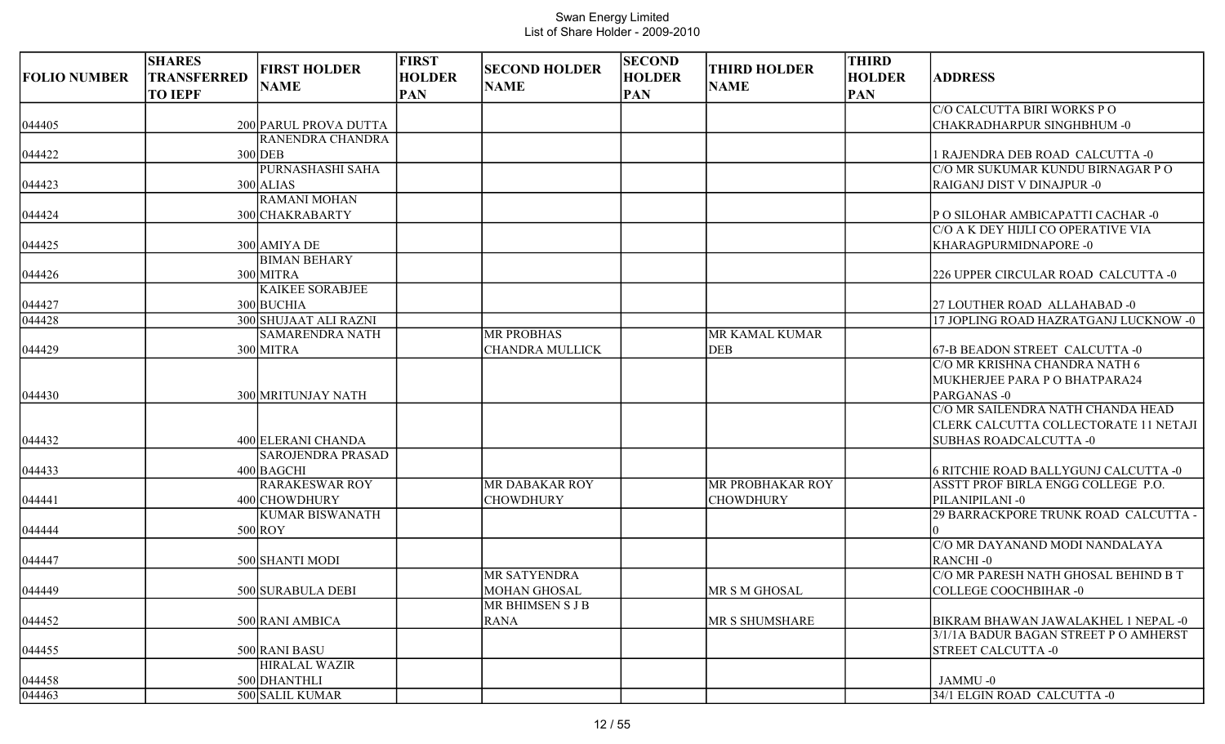| <b>NAME</b><br><b>NAME</b><br><b>NAME</b><br><b>TO IEPF</b><br><b>PAN</b><br><b>PAN</b><br><b>PAN</b><br>C/O CALCUTTA BIRI WORKS PO<br>200 PARUL PROVA DUTTA<br><b>CHAKRADHARPUR SINGHBHUM -0</b><br>RANENDRA CHANDRA<br>$300$ DEB<br>RAJENDRA DEB ROAD CALCUTTA -0<br>PURNASHASHI SAHA<br>C/O MR SUKUMAR KUNDU BIRNAGAR P O<br>$300$ ALIAS<br><b>RAIGANJ DIST V DINAJPUR -0</b><br><b>RAMANI MOHAN</b><br>300 CHAKRABARTY<br>P O SILOHAR AMBICAPATTI CACHAR -0<br>C/O A K DEY HIJLI CO OPERATIVE VIA<br>300 AMIYA DE<br>KHARAGPURMIDNAPORE -0<br>044425<br><b>BIMAN BEHARY</b><br>300 MITRA<br>044426<br>226 UPPER CIRCULAR ROAD CALCUTTA -0<br><b>KAIKEE SORABJEE</b><br>044427<br>300 BUCHIA<br>27 LOUTHER ROAD ALLAHABAD -0<br>$\sqrt{044428}$<br>300 SHUJAAT ALI RAZNI<br>17 JOPLING ROAD HAZRATGANJ LUCKNOW -0<br><b>SAMARENDRA NATH</b><br><b>MR PROBHAS</b><br>MR KAMAL KUMAR<br>044429<br>300 MITRA<br><b>CHANDRA MULLICK</b><br><b>DEB</b><br>67-B BEADON STREET CALCUTTA -0<br>C/O MR KRISHNA CHANDRA NATH 6<br>MUKHERJEE PARA P O BHATPARA24<br>044430<br>300 MRITUNJAY NATH<br>PARGANAS-0<br>C/O MR SAILENDRA NATH CHANDA HEAD<br>CLERK CALCUTTA COLLECTORATE 11 NETAJI<br>400 ELERANI CHANDA<br>SUBHAS ROADCALCUTTA -0<br><b>SAROJENDRA PRASAD</b><br>400 BAGCHI<br><b>6 RITCHIE ROAD BALLYGUNJ CALCUTTA -0</b><br><b>RARAKESWAR ROY</b><br><b>MR DABAKAR ROY</b><br><b>MR PROBHAKAR ROY</b><br>ASSTT PROF BIRLA ENGG COLLEGE P.O.<br>400 CHOWDHURY<br><b>CHOWDHURY</b><br><b>CHOWDHURY</b><br>PILANIPILANI-0<br><b>KUMAR BISWANATH</b><br>29 BARRACKPORE TRUNK ROAD CALCUTTA -<br>$500$ ROY<br>C/O MR DAYANAND MODI NANDALAYA<br>500 SHANTI MODI<br>RANCHI-0<br>044447<br>C/O MR PARESH NATH GHOSAL BEHIND B T<br>MR SATYENDRA<br>$ 044449\rangle$<br>500 SURABULA DEBI<br><b>MOHAN GHOSAL</b><br>COLLEGE COOCHBIHAR -0<br>MR S M GHOSAL<br><b>MR BHIMSEN S J B</b><br>044452<br>500 RANI AMBICA<br><b>RANA</b><br>MR S SHUMSHARE<br>BIKRAM BHAWAN JAWALAKHEL 1 NEPAL -0<br>3/1/1A BADUR BAGAN STREET PO AMHERST<br><b>STREET CALCUTTA -0</b><br>044455<br>500 RANI BASU<br><b>HIRALAL WAZIR</b> |                     | <b>SHARES</b>      | <b>FIRST HOLDER</b> | <b>FIRST</b>  | <b>SECOND HOLDER</b> | <b>SECOND</b> | <b>THIRD HOLDER</b> | <b>THIRD</b>  |                |
|-----------------------------------------------------------------------------------------------------------------------------------------------------------------------------------------------------------------------------------------------------------------------------------------------------------------------------------------------------------------------------------------------------------------------------------------------------------------------------------------------------------------------------------------------------------------------------------------------------------------------------------------------------------------------------------------------------------------------------------------------------------------------------------------------------------------------------------------------------------------------------------------------------------------------------------------------------------------------------------------------------------------------------------------------------------------------------------------------------------------------------------------------------------------------------------------------------------------------------------------------------------------------------------------------------------------------------------------------------------------------------------------------------------------------------------------------------------------------------------------------------------------------------------------------------------------------------------------------------------------------------------------------------------------------------------------------------------------------------------------------------------------------------------------------------------------------------------------------------------------------------------------------------------------------------------------------------------------------------------------------------------------------------------------------------------------------------------------------------------------|---------------------|--------------------|---------------------|---------------|----------------------|---------------|---------------------|---------------|----------------|
|                                                                                                                                                                                                                                                                                                                                                                                                                                                                                                                                                                                                                                                                                                                                                                                                                                                                                                                                                                                                                                                                                                                                                                                                                                                                                                                                                                                                                                                                                                                                                                                                                                                                                                                                                                                                                                                                                                                                                                                                                                                                                                                 | <b>FOLIO NUMBER</b> | <b>TRANSFERRED</b> |                     | <b>HOLDER</b> |                      | <b>HOLDER</b> |                     | <b>HOLDER</b> | <b>ADDRESS</b> |
|                                                                                                                                                                                                                                                                                                                                                                                                                                                                                                                                                                                                                                                                                                                                                                                                                                                                                                                                                                                                                                                                                                                                                                                                                                                                                                                                                                                                                                                                                                                                                                                                                                                                                                                                                                                                                                                                                                                                                                                                                                                                                                                 |                     |                    |                     |               |                      |               |                     |               |                |
|                                                                                                                                                                                                                                                                                                                                                                                                                                                                                                                                                                                                                                                                                                                                                                                                                                                                                                                                                                                                                                                                                                                                                                                                                                                                                                                                                                                                                                                                                                                                                                                                                                                                                                                                                                                                                                                                                                                                                                                                                                                                                                                 | 044405              |                    |                     |               |                      |               |                     |               |                |
|                                                                                                                                                                                                                                                                                                                                                                                                                                                                                                                                                                                                                                                                                                                                                                                                                                                                                                                                                                                                                                                                                                                                                                                                                                                                                                                                                                                                                                                                                                                                                                                                                                                                                                                                                                                                                                                                                                                                                                                                                                                                                                                 |                     |                    |                     |               |                      |               |                     |               |                |
|                                                                                                                                                                                                                                                                                                                                                                                                                                                                                                                                                                                                                                                                                                                                                                                                                                                                                                                                                                                                                                                                                                                                                                                                                                                                                                                                                                                                                                                                                                                                                                                                                                                                                                                                                                                                                                                                                                                                                                                                                                                                                                                 | 044422              |                    |                     |               |                      |               |                     |               |                |
|                                                                                                                                                                                                                                                                                                                                                                                                                                                                                                                                                                                                                                                                                                                                                                                                                                                                                                                                                                                                                                                                                                                                                                                                                                                                                                                                                                                                                                                                                                                                                                                                                                                                                                                                                                                                                                                                                                                                                                                                                                                                                                                 |                     |                    |                     |               |                      |               |                     |               |                |
|                                                                                                                                                                                                                                                                                                                                                                                                                                                                                                                                                                                                                                                                                                                                                                                                                                                                                                                                                                                                                                                                                                                                                                                                                                                                                                                                                                                                                                                                                                                                                                                                                                                                                                                                                                                                                                                                                                                                                                                                                                                                                                                 | 044423              |                    |                     |               |                      |               |                     |               |                |
|                                                                                                                                                                                                                                                                                                                                                                                                                                                                                                                                                                                                                                                                                                                                                                                                                                                                                                                                                                                                                                                                                                                                                                                                                                                                                                                                                                                                                                                                                                                                                                                                                                                                                                                                                                                                                                                                                                                                                                                                                                                                                                                 |                     |                    |                     |               |                      |               |                     |               |                |
|                                                                                                                                                                                                                                                                                                                                                                                                                                                                                                                                                                                                                                                                                                                                                                                                                                                                                                                                                                                                                                                                                                                                                                                                                                                                                                                                                                                                                                                                                                                                                                                                                                                                                                                                                                                                                                                                                                                                                                                                                                                                                                                 | 044424              |                    |                     |               |                      |               |                     |               |                |
|                                                                                                                                                                                                                                                                                                                                                                                                                                                                                                                                                                                                                                                                                                                                                                                                                                                                                                                                                                                                                                                                                                                                                                                                                                                                                                                                                                                                                                                                                                                                                                                                                                                                                                                                                                                                                                                                                                                                                                                                                                                                                                                 |                     |                    |                     |               |                      |               |                     |               |                |
|                                                                                                                                                                                                                                                                                                                                                                                                                                                                                                                                                                                                                                                                                                                                                                                                                                                                                                                                                                                                                                                                                                                                                                                                                                                                                                                                                                                                                                                                                                                                                                                                                                                                                                                                                                                                                                                                                                                                                                                                                                                                                                                 |                     |                    |                     |               |                      |               |                     |               |                |
|                                                                                                                                                                                                                                                                                                                                                                                                                                                                                                                                                                                                                                                                                                                                                                                                                                                                                                                                                                                                                                                                                                                                                                                                                                                                                                                                                                                                                                                                                                                                                                                                                                                                                                                                                                                                                                                                                                                                                                                                                                                                                                                 |                     |                    |                     |               |                      |               |                     |               |                |
|                                                                                                                                                                                                                                                                                                                                                                                                                                                                                                                                                                                                                                                                                                                                                                                                                                                                                                                                                                                                                                                                                                                                                                                                                                                                                                                                                                                                                                                                                                                                                                                                                                                                                                                                                                                                                                                                                                                                                                                                                                                                                                                 |                     |                    |                     |               |                      |               |                     |               |                |
|                                                                                                                                                                                                                                                                                                                                                                                                                                                                                                                                                                                                                                                                                                                                                                                                                                                                                                                                                                                                                                                                                                                                                                                                                                                                                                                                                                                                                                                                                                                                                                                                                                                                                                                                                                                                                                                                                                                                                                                                                                                                                                                 |                     |                    |                     |               |                      |               |                     |               |                |
|                                                                                                                                                                                                                                                                                                                                                                                                                                                                                                                                                                                                                                                                                                                                                                                                                                                                                                                                                                                                                                                                                                                                                                                                                                                                                                                                                                                                                                                                                                                                                                                                                                                                                                                                                                                                                                                                                                                                                                                                                                                                                                                 |                     |                    |                     |               |                      |               |                     |               |                |
|                                                                                                                                                                                                                                                                                                                                                                                                                                                                                                                                                                                                                                                                                                                                                                                                                                                                                                                                                                                                                                                                                                                                                                                                                                                                                                                                                                                                                                                                                                                                                                                                                                                                                                                                                                                                                                                                                                                                                                                                                                                                                                                 |                     |                    |                     |               |                      |               |                     |               |                |
|                                                                                                                                                                                                                                                                                                                                                                                                                                                                                                                                                                                                                                                                                                                                                                                                                                                                                                                                                                                                                                                                                                                                                                                                                                                                                                                                                                                                                                                                                                                                                                                                                                                                                                                                                                                                                                                                                                                                                                                                                                                                                                                 |                     |                    |                     |               |                      |               |                     |               |                |
|                                                                                                                                                                                                                                                                                                                                                                                                                                                                                                                                                                                                                                                                                                                                                                                                                                                                                                                                                                                                                                                                                                                                                                                                                                                                                                                                                                                                                                                                                                                                                                                                                                                                                                                                                                                                                                                                                                                                                                                                                                                                                                                 |                     |                    |                     |               |                      |               |                     |               |                |
|                                                                                                                                                                                                                                                                                                                                                                                                                                                                                                                                                                                                                                                                                                                                                                                                                                                                                                                                                                                                                                                                                                                                                                                                                                                                                                                                                                                                                                                                                                                                                                                                                                                                                                                                                                                                                                                                                                                                                                                                                                                                                                                 |                     |                    |                     |               |                      |               |                     |               |                |
|                                                                                                                                                                                                                                                                                                                                                                                                                                                                                                                                                                                                                                                                                                                                                                                                                                                                                                                                                                                                                                                                                                                                                                                                                                                                                                                                                                                                                                                                                                                                                                                                                                                                                                                                                                                                                                                                                                                                                                                                                                                                                                                 |                     |                    |                     |               |                      |               |                     |               |                |
|                                                                                                                                                                                                                                                                                                                                                                                                                                                                                                                                                                                                                                                                                                                                                                                                                                                                                                                                                                                                                                                                                                                                                                                                                                                                                                                                                                                                                                                                                                                                                                                                                                                                                                                                                                                                                                                                                                                                                                                                                                                                                                                 |                     |                    |                     |               |                      |               |                     |               |                |
|                                                                                                                                                                                                                                                                                                                                                                                                                                                                                                                                                                                                                                                                                                                                                                                                                                                                                                                                                                                                                                                                                                                                                                                                                                                                                                                                                                                                                                                                                                                                                                                                                                                                                                                                                                                                                                                                                                                                                                                                                                                                                                                 |                     |                    |                     |               |                      |               |                     |               |                |
|                                                                                                                                                                                                                                                                                                                                                                                                                                                                                                                                                                                                                                                                                                                                                                                                                                                                                                                                                                                                                                                                                                                                                                                                                                                                                                                                                                                                                                                                                                                                                                                                                                                                                                                                                                                                                                                                                                                                                                                                                                                                                                                 | 044432              |                    |                     |               |                      |               |                     |               |                |
|                                                                                                                                                                                                                                                                                                                                                                                                                                                                                                                                                                                                                                                                                                                                                                                                                                                                                                                                                                                                                                                                                                                                                                                                                                                                                                                                                                                                                                                                                                                                                                                                                                                                                                                                                                                                                                                                                                                                                                                                                                                                                                                 |                     |                    |                     |               |                      |               |                     |               |                |
|                                                                                                                                                                                                                                                                                                                                                                                                                                                                                                                                                                                                                                                                                                                                                                                                                                                                                                                                                                                                                                                                                                                                                                                                                                                                                                                                                                                                                                                                                                                                                                                                                                                                                                                                                                                                                                                                                                                                                                                                                                                                                                                 | 044433              |                    |                     |               |                      |               |                     |               |                |
|                                                                                                                                                                                                                                                                                                                                                                                                                                                                                                                                                                                                                                                                                                                                                                                                                                                                                                                                                                                                                                                                                                                                                                                                                                                                                                                                                                                                                                                                                                                                                                                                                                                                                                                                                                                                                                                                                                                                                                                                                                                                                                                 |                     |                    |                     |               |                      |               |                     |               |                |
|                                                                                                                                                                                                                                                                                                                                                                                                                                                                                                                                                                                                                                                                                                                                                                                                                                                                                                                                                                                                                                                                                                                                                                                                                                                                                                                                                                                                                                                                                                                                                                                                                                                                                                                                                                                                                                                                                                                                                                                                                                                                                                                 | 044441              |                    |                     |               |                      |               |                     |               |                |
|                                                                                                                                                                                                                                                                                                                                                                                                                                                                                                                                                                                                                                                                                                                                                                                                                                                                                                                                                                                                                                                                                                                                                                                                                                                                                                                                                                                                                                                                                                                                                                                                                                                                                                                                                                                                                                                                                                                                                                                                                                                                                                                 |                     |                    |                     |               |                      |               |                     |               |                |
|                                                                                                                                                                                                                                                                                                                                                                                                                                                                                                                                                                                                                                                                                                                                                                                                                                                                                                                                                                                                                                                                                                                                                                                                                                                                                                                                                                                                                                                                                                                                                                                                                                                                                                                                                                                                                                                                                                                                                                                                                                                                                                                 | 044444              |                    |                     |               |                      |               |                     |               |                |
|                                                                                                                                                                                                                                                                                                                                                                                                                                                                                                                                                                                                                                                                                                                                                                                                                                                                                                                                                                                                                                                                                                                                                                                                                                                                                                                                                                                                                                                                                                                                                                                                                                                                                                                                                                                                                                                                                                                                                                                                                                                                                                                 |                     |                    |                     |               |                      |               |                     |               |                |
|                                                                                                                                                                                                                                                                                                                                                                                                                                                                                                                                                                                                                                                                                                                                                                                                                                                                                                                                                                                                                                                                                                                                                                                                                                                                                                                                                                                                                                                                                                                                                                                                                                                                                                                                                                                                                                                                                                                                                                                                                                                                                                                 |                     |                    |                     |               |                      |               |                     |               |                |
|                                                                                                                                                                                                                                                                                                                                                                                                                                                                                                                                                                                                                                                                                                                                                                                                                                                                                                                                                                                                                                                                                                                                                                                                                                                                                                                                                                                                                                                                                                                                                                                                                                                                                                                                                                                                                                                                                                                                                                                                                                                                                                                 |                     |                    |                     |               |                      |               |                     |               |                |
|                                                                                                                                                                                                                                                                                                                                                                                                                                                                                                                                                                                                                                                                                                                                                                                                                                                                                                                                                                                                                                                                                                                                                                                                                                                                                                                                                                                                                                                                                                                                                                                                                                                                                                                                                                                                                                                                                                                                                                                                                                                                                                                 |                     |                    |                     |               |                      |               |                     |               |                |
|                                                                                                                                                                                                                                                                                                                                                                                                                                                                                                                                                                                                                                                                                                                                                                                                                                                                                                                                                                                                                                                                                                                                                                                                                                                                                                                                                                                                                                                                                                                                                                                                                                                                                                                                                                                                                                                                                                                                                                                                                                                                                                                 |                     |                    |                     |               |                      |               |                     |               |                |
|                                                                                                                                                                                                                                                                                                                                                                                                                                                                                                                                                                                                                                                                                                                                                                                                                                                                                                                                                                                                                                                                                                                                                                                                                                                                                                                                                                                                                                                                                                                                                                                                                                                                                                                                                                                                                                                                                                                                                                                                                                                                                                                 |                     |                    |                     |               |                      |               |                     |               |                |
|                                                                                                                                                                                                                                                                                                                                                                                                                                                                                                                                                                                                                                                                                                                                                                                                                                                                                                                                                                                                                                                                                                                                                                                                                                                                                                                                                                                                                                                                                                                                                                                                                                                                                                                                                                                                                                                                                                                                                                                                                                                                                                                 |                     |                    |                     |               |                      |               |                     |               |                |
|                                                                                                                                                                                                                                                                                                                                                                                                                                                                                                                                                                                                                                                                                                                                                                                                                                                                                                                                                                                                                                                                                                                                                                                                                                                                                                                                                                                                                                                                                                                                                                                                                                                                                                                                                                                                                                                                                                                                                                                                                                                                                                                 |                     |                    |                     |               |                      |               |                     |               |                |
| 500 DHANTHLI<br>JAMMU-0                                                                                                                                                                                                                                                                                                                                                                                                                                                                                                                                                                                                                                                                                                                                                                                                                                                                                                                                                                                                                                                                                                                                                                                                                                                                                                                                                                                                                                                                                                                                                                                                                                                                                                                                                                                                                                                                                                                                                                                                                                                                                         | 044458              |                    |                     |               |                      |               |                     |               |                |
| 500 SALIL KUMAR<br>34/1 ELGIN ROAD CALCUTTA -0                                                                                                                                                                                                                                                                                                                                                                                                                                                                                                                                                                                                                                                                                                                                                                                                                                                                                                                                                                                                                                                                                                                                                                                                                                                                                                                                                                                                                                                                                                                                                                                                                                                                                                                                                                                                                                                                                                                                                                                                                                                                  | 044463              |                    |                     |               |                      |               |                     |               |                |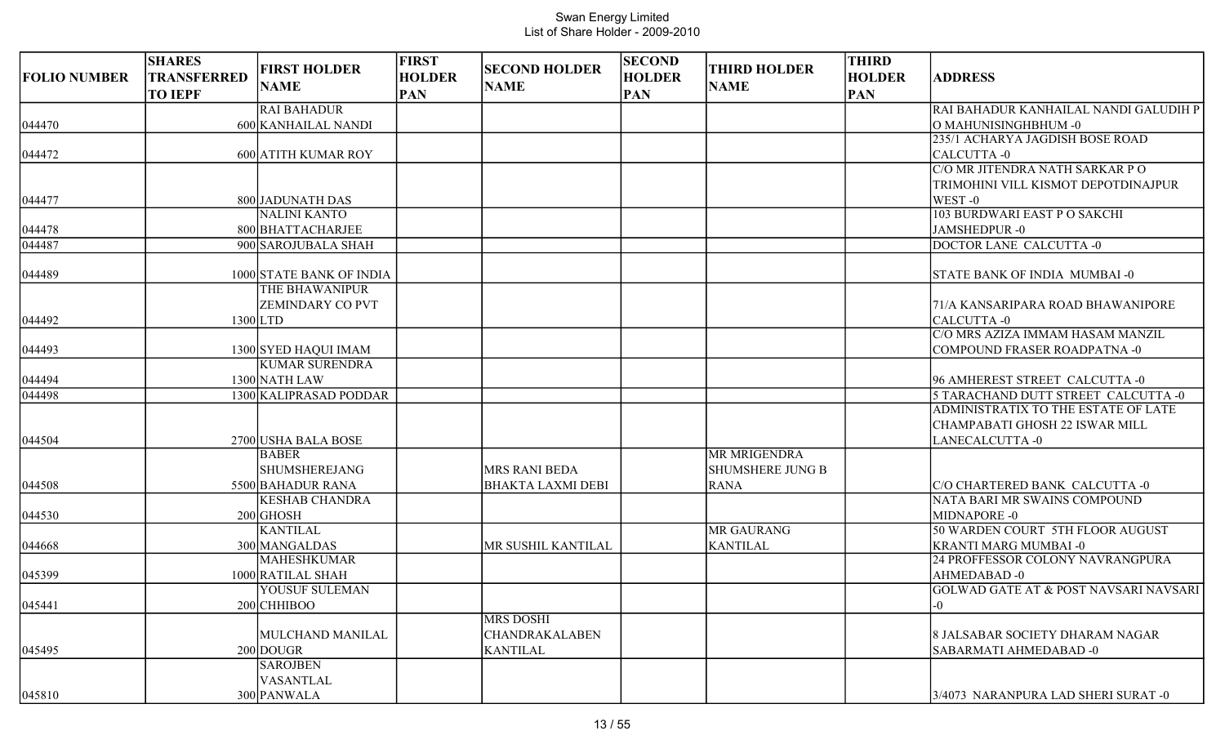| <b>FOLIO NUMBER</b> | <b>SHARES</b><br><b>TRANSFERRED</b> | <b>FIRST HOLDER</b>      | <b>FIRST</b><br><b>HOLDER</b> | <b>SECOND HOLDER</b>     | <b>SECOND</b><br><b>HOLDER</b> | <b>THIRD HOLDER</b>     | <b>THIRD</b><br><b>HOLDER</b> | <b>ADDRESS</b>                                                             |
|---------------------|-------------------------------------|--------------------------|-------------------------------|--------------------------|--------------------------------|-------------------------|-------------------------------|----------------------------------------------------------------------------|
|                     | <b>TO IEPF</b>                      | <b>NAME</b>              | <b>PAN</b>                    | <b>NAME</b>              | <b>PAN</b>                     | <b>NAME</b>             | <b>PAN</b>                    |                                                                            |
|                     |                                     | <b>RAI BAHADUR</b>       |                               |                          |                                |                         |                               | RAI BAHADUR KANHAILAL NANDI GALUDIH P                                      |
| 044470              |                                     | 600 KANHAILAL NANDI      |                               |                          |                                |                         |                               | O MAHUNISINGHBHUM -0                                                       |
|                     |                                     |                          |                               |                          |                                |                         |                               | 235/1 ACHARYA JAGDISH BOSE ROAD                                            |
| 044472              |                                     | 600 ATITH KUMAR ROY      |                               |                          |                                |                         |                               | CALCUTTA -0                                                                |
|                     |                                     |                          |                               |                          |                                |                         |                               | C/O MR JITENDRA NATH SARKAR P O                                            |
|                     |                                     |                          |                               |                          |                                |                         |                               | TRIMOHINI VILL KISMOT DEPOTDINAJPUR                                        |
| 044477              |                                     | 800 JADUNATH DAS         |                               |                          |                                |                         |                               | WEST -0                                                                    |
|                     |                                     | <b>NALINI KANTO</b>      |                               |                          |                                |                         |                               | 103 BURDWARI EAST P O SAKCHI                                               |
| 044478              |                                     | 800 BHATTACHARJEE        |                               |                          |                                |                         |                               | JAMSHEDPUR-0                                                               |
| 044487              |                                     | 900 SAROJUBALA SHAH      |                               |                          |                                |                         |                               | DOCTOR LANE CALCUTTA -0                                                    |
| 044489              |                                     | 1000 STATE BANK OF INDIA |                               |                          |                                |                         |                               | STATE BANK OF INDIA MUMBAI -0                                              |
|                     |                                     | THE BHAWANIPUR           |                               |                          |                                |                         |                               |                                                                            |
|                     |                                     | ZEMINDARY CO PVT         |                               |                          |                                |                         |                               | 71/A KANSARIPARA ROAD BHAWANIPORE                                          |
| 044492              |                                     | $1300$ LTD               |                               |                          |                                |                         |                               | <b>CALCUTTA-0</b>                                                          |
|                     |                                     |                          |                               |                          |                                |                         |                               | C/O MRS AZIZA IMMAM HASAM MANZIL                                           |
| 044493              |                                     | 1300 SYED HAQUI IMAM     |                               |                          |                                |                         |                               | <b>COMPOUND FRASER ROADPATNA -0</b>                                        |
|                     |                                     | <b>KUMAR SURENDRA</b>    |                               |                          |                                |                         |                               |                                                                            |
| 044494              |                                     | 1300 NATH LAW            |                               |                          |                                |                         |                               | 96 AMHEREST STREET CALCUTTA -0                                             |
| 044498              |                                     | 1300 KALIPRASAD PODDAR   |                               |                          |                                |                         |                               | 5 TARACHAND DUTT STREET CALCUTTA -0<br>ADMINISTRATIX TO THE ESTATE OF LATE |
|                     |                                     |                          |                               |                          |                                |                         |                               | CHAMPABATI GHOSH 22 ISWAR MILL                                             |
| 044504              |                                     | 2700 USHA BALA BOSE      |                               |                          |                                |                         |                               | <b>LANECALCUTTA -0</b>                                                     |
|                     |                                     | <b>BABER</b>             |                               |                          |                                | <b>MR MRIGENDRA</b>     |                               |                                                                            |
|                     |                                     | <b>SHUMSHEREJANG</b>     |                               | <b>MRS RANI BEDA</b>     |                                | <b>SHUMSHERE JUNG B</b> |                               |                                                                            |
| 044508              |                                     | 5500 BAHADUR RANA        |                               | <b>BHAKTA LAXMI DEBI</b> |                                | <b>RANA</b>             |                               | C/O CHARTERED BANK CALCUTTA -0                                             |
|                     |                                     | <b>KESHAB CHANDRA</b>    |                               |                          |                                |                         |                               | NATA BARI MR SWAINS COMPOUND                                               |
| 044530              |                                     | $200$ GHOSH              |                               |                          |                                |                         |                               | MIDNAPORE -0                                                               |
|                     |                                     | <b>KANTILAL</b>          |                               |                          |                                | <b>MR GAURANG</b>       |                               | 50 WARDEN COURT 5TH FLOOR AUGUST                                           |
| 044668              |                                     | 300 MANGALDAS            |                               | MR SUSHIL KANTILAL       |                                | <b>KANTILAL</b>         |                               | <b>KRANTI MARG MUMBAI -0</b>                                               |
|                     |                                     | <b>MAHESHKUMAR</b>       |                               |                          |                                |                         |                               | 24 PROFFESSOR COLONY NAVRANGPURA                                           |
| 045399              |                                     | 1000 RATILAL SHAH        |                               |                          |                                |                         |                               | AHMEDABAD-0                                                                |
|                     |                                     | YOUSUF SULEMAN           |                               |                          |                                |                         |                               | GOLWAD GATE AT & POST NAVSARI NAVSARI                                      |
| 045441              |                                     | 200 CHHIBOO              |                               |                          |                                |                         |                               | $-0$                                                                       |
|                     |                                     |                          |                               | <b>MRS DOSHI</b>         |                                |                         |                               |                                                                            |
|                     |                                     | MULCHAND MANILAL         |                               | <b>CHANDRAKALABEN</b>    |                                |                         |                               | 8 JALSABAR SOCIETY DHARAM NAGAR                                            |
| 045495              |                                     | 200 DOUGR                |                               | <b>KANTILAL</b>          |                                |                         |                               | SABARMATI AHMEDABAD -0                                                     |
|                     |                                     | <b>SAROJBEN</b>          |                               |                          |                                |                         |                               |                                                                            |
|                     |                                     | VASANTLAL                |                               |                          |                                |                         |                               |                                                                            |
| 045810              |                                     | 300 PANWALA              |                               |                          |                                |                         |                               | 3/4073 NARANPURA LAD SHERI SURAT -0                                        |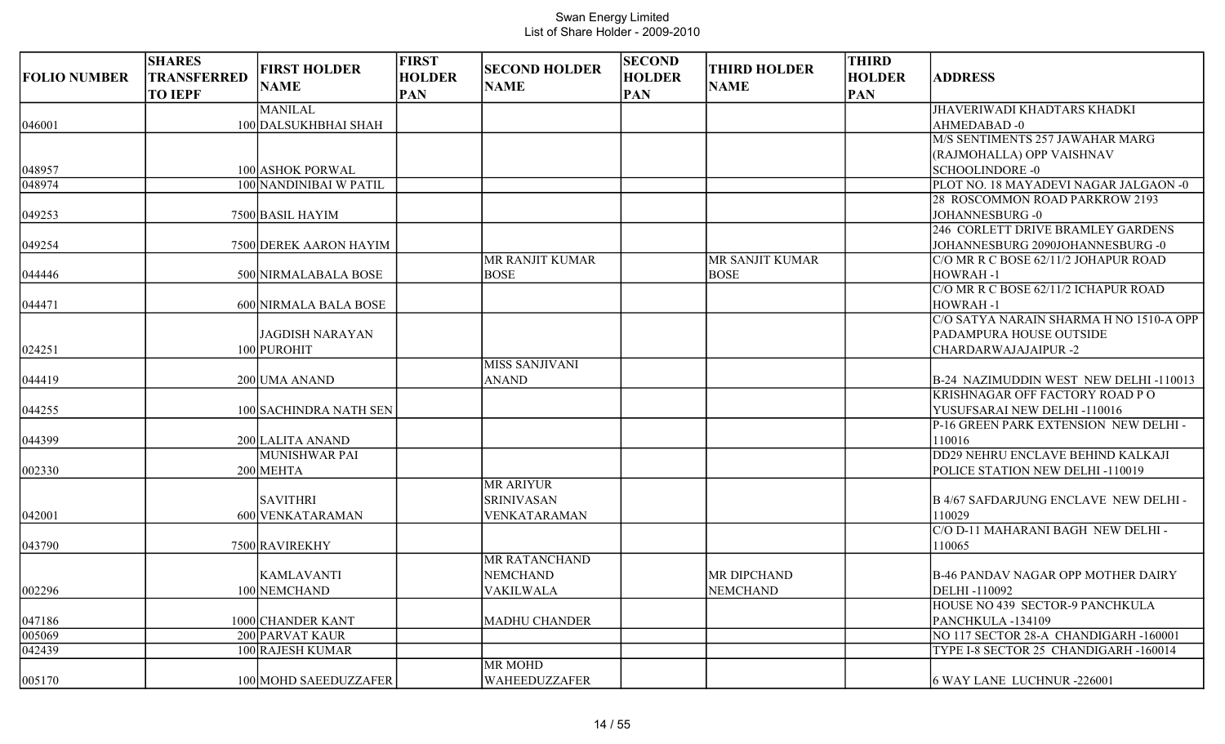| <b>FOLIO NUMBER</b> | <b>SHARES</b><br><b>TRANSFERRED</b><br><b>TO IEPF</b> | <b>FIRST HOLDER</b><br><b>NAME</b> | <b>FIRST</b><br><b>HOLDER</b><br><b>PAN</b> | <b>SECOND HOLDER</b><br><b>NAME</b> | <b>SECOND</b><br><b>HOLDER</b><br><b>PAN</b> | <b>THIRD HOLDER</b><br><b>NAME</b> | <b>THIRD</b><br><b>HOLDER</b><br><b>PAN</b> | <b>ADDRESS</b>                               |
|---------------------|-------------------------------------------------------|------------------------------------|---------------------------------------------|-------------------------------------|----------------------------------------------|------------------------------------|---------------------------------------------|----------------------------------------------|
|                     |                                                       | <b>MANILAL</b>                     |                                             |                                     |                                              |                                    |                                             | <b>JHAVERIWADI KHADTARS KHADKI</b>           |
| 046001              |                                                       | 100 DALSUKHBHAI SHAH               |                                             |                                     |                                              |                                    |                                             | AHMEDABAD-0                                  |
|                     |                                                       |                                    |                                             |                                     |                                              |                                    |                                             | M/S SENTIMENTS 257 JAWAHAR MARG              |
|                     |                                                       |                                    |                                             |                                     |                                              |                                    |                                             | (RAJMOHALLA) OPP VAISHNAV                    |
| 048957              |                                                       | 100 ASHOK PORWAL                   |                                             |                                     |                                              |                                    |                                             | <b>SCHOOLINDORE -0</b>                       |
| 048974              |                                                       | 100 NANDINIBAI W PATIL             |                                             |                                     |                                              |                                    |                                             | PLOT NO. 18 MAYADEVI NAGAR JALGAON -0        |
|                     |                                                       |                                    |                                             |                                     |                                              |                                    |                                             | 28 ROSCOMMON ROAD PARKROW 2193               |
| 049253              |                                                       | 7500 BASIL HAYIM                   |                                             |                                     |                                              |                                    |                                             | <b>JOHANNESBURG-0</b>                        |
|                     |                                                       |                                    |                                             |                                     |                                              |                                    |                                             | 246 CORLETT DRIVE BRAMLEY GARDENS            |
| 049254              |                                                       | 7500 DEREK AARON HAYIM             |                                             |                                     |                                              |                                    |                                             | JOHANNESBURG 2090JOHANNESBURG -0             |
|                     |                                                       |                                    |                                             | MR RANJIT KUMAR                     |                                              | <b>MR SANJIT KUMAR</b>             |                                             | C/O MR R C BOSE 62/11/2 JOHAPUR ROAD         |
| 044446              |                                                       | 500 NIRMALABALA BOSE               |                                             | <b>BOSE</b>                         |                                              | <b>BOSE</b>                        |                                             | HOWRAH-1                                     |
|                     |                                                       |                                    |                                             |                                     |                                              |                                    |                                             | C/O MR R C BOSE 62/11/2 ICHAPUR ROAD         |
| 044471              |                                                       | 600 NIRMALA BALA BOSE              |                                             |                                     |                                              |                                    |                                             | <b>HOWRAH-1</b>                              |
|                     |                                                       |                                    |                                             |                                     |                                              |                                    |                                             | C/O SATYA NARAIN SHARMA H NO 1510-A OPP      |
|                     |                                                       | <b>JAGDISH NARAYAN</b>             |                                             |                                     |                                              |                                    |                                             | PADAMPURA HOUSE OUTSIDE                      |
| 024251              |                                                       | 100 PUROHIT                        |                                             |                                     |                                              |                                    |                                             | <b>CHARDARWAJAJAIPUR-2</b>                   |
|                     |                                                       |                                    |                                             | <b>MISS SANJIVANI</b>               |                                              |                                    |                                             |                                              |
| 044419              |                                                       | 200 UMA ANAND                      |                                             | <b>ANAND</b>                        |                                              |                                    |                                             | B-24 NAZIMUDDIN WEST NEW DELHI-110013        |
|                     |                                                       |                                    |                                             |                                     |                                              |                                    |                                             | KRISHNAGAR OFF FACTORY ROAD PO               |
| 044255              |                                                       | 100 SACHINDRA NATH SEN             |                                             |                                     |                                              |                                    |                                             | YUSUFSARAI NEW DELHI-110016                  |
|                     |                                                       |                                    |                                             |                                     |                                              |                                    |                                             | P-16 GREEN PARK EXTENSION NEW DELHI -        |
| 044399              |                                                       | 200 LALITA ANAND<br>MUNISHWAR PAI  |                                             |                                     |                                              |                                    |                                             | 110016<br>DD29 NEHRU ENCLAVE BEHIND KALKAJI  |
|                     |                                                       | 200 MEHTA                          |                                             |                                     |                                              |                                    |                                             |                                              |
| 002330              |                                                       |                                    |                                             | <b>MR ARIYUR</b>                    |                                              |                                    |                                             | POLICE STATION NEW DELHI-110019              |
|                     |                                                       | <b>SAVITHRI</b>                    |                                             | <b>SRINIVASAN</b>                   |                                              |                                    |                                             | <b>B 4/67 SAFDARJUNG ENCLAVE NEW DELHI -</b> |
| 042001              |                                                       | 600 VENKATARAMAN                   |                                             | <b>VENKATARAMAN</b>                 |                                              |                                    |                                             | 110029                                       |
|                     |                                                       |                                    |                                             |                                     |                                              |                                    |                                             | C/O D-11 MAHARANI BAGH NEW DELHI -           |
| 043790              |                                                       | 7500 RAVIREKHY                     |                                             |                                     |                                              |                                    |                                             | 110065                                       |
|                     |                                                       |                                    |                                             | <b>MR RATANCHAND</b>                |                                              |                                    |                                             |                                              |
|                     |                                                       | <b>KAMLAVANTI</b>                  |                                             | <b>NEMCHAND</b>                     |                                              | <b>MR DIPCHAND</b>                 |                                             | <b>B-46 PANDAV NAGAR OPP MOTHER DAIRY</b>    |
| 002296              |                                                       | 100 NEMCHAND                       |                                             | <b>VAKILWALA</b>                    |                                              | <b>NEMCHAND</b>                    |                                             | DELHI-110092                                 |
|                     |                                                       |                                    |                                             |                                     |                                              |                                    |                                             | HOUSE NO 439 SECTOR-9 PANCHKULA              |
| 047186              |                                                       | 1000 CHANDER KANT                  |                                             | <b>MADHU CHANDER</b>                |                                              |                                    |                                             | PANCHKULA-134109                             |
| 005069              |                                                       | 200 PARVAT KAUR                    |                                             |                                     |                                              |                                    |                                             | NO 117 SECTOR 28-A CHANDIGARH -160001        |
| 042439              |                                                       | 100 RAJESH KUMAR                   |                                             |                                     |                                              |                                    |                                             | TYPE I-8 SECTOR 25 CHANDIGARH -160014        |
|                     |                                                       |                                    |                                             | <b>MR MOHD</b>                      |                                              |                                    |                                             |                                              |
| 005170              |                                                       | 100 MOHD SAEEDUZZAFER              |                                             | <b>WAHEEDUZZAFER</b>                |                                              |                                    |                                             | 6 WAY LANE LUCHNUR -226001                   |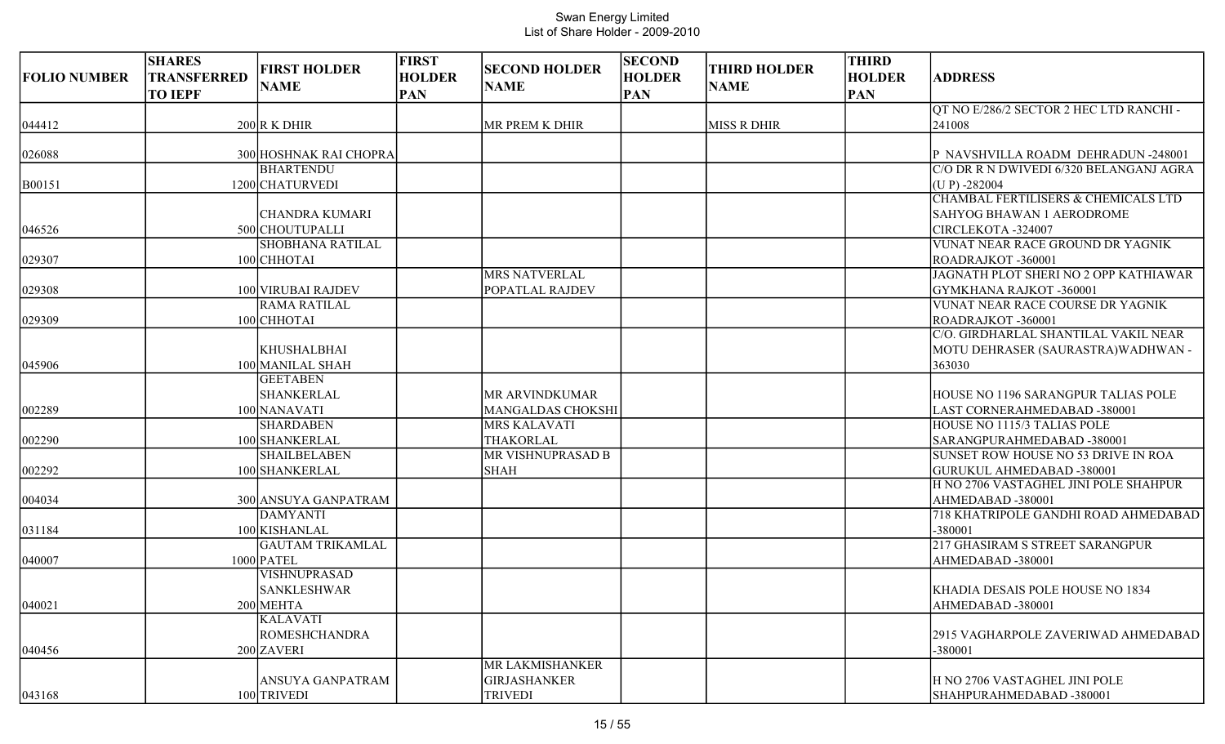| <b>FOLIO NUMBER</b> | <b>SHARES</b><br><b>TRANSFERRED</b><br><b>TO IEPF</b> | <b>FIRST HOLDER</b><br><b>NAME</b>      | <b>FIRST</b><br><b>HOLDER</b><br><b>PAN</b> | <b>SECOND HOLDER</b><br><b>NAME</b> | <b>SECOND</b><br><b>HOLDER</b><br><b>PAN</b> | <b>THIRD HOLDER</b><br><b>NAME</b> | <b>THIRD</b><br><b>HOLDER</b><br><b>PAN</b> | <b>ADDRESS</b>                                                            |
|---------------------|-------------------------------------------------------|-----------------------------------------|---------------------------------------------|-------------------------------------|----------------------------------------------|------------------------------------|---------------------------------------------|---------------------------------------------------------------------------|
| 044412              |                                                       | $200$ R K DHIR                          |                                             | MR PREM K DHIR                      |                                              | <b>MISS R DHIR</b>                 |                                             | QT NO E/286/2 SECTOR 2 HEC LTD RANCHI -<br>241008                         |
|                     |                                                       |                                         |                                             |                                     |                                              |                                    |                                             |                                                                           |
| 026088              |                                                       | 300 HOSHNAK RAI CHOPRA                  |                                             |                                     |                                              |                                    |                                             | P NAVSHVILLA ROADM DEHRADUN -248001                                       |
|                     |                                                       | <b>BHARTENDU</b>                        |                                             |                                     |                                              |                                    |                                             | C/O DR R N DWIVEDI 6/320 BELANGANJ AGRA                                   |
| B00151              |                                                       | 1200 CHATURVEDI                         |                                             |                                     |                                              |                                    |                                             | $(UP) - 282004$                                                           |
|                     |                                                       |                                         |                                             |                                     |                                              |                                    |                                             | CHAMBAL FERTILISERS & CHEMICALS LTD                                       |
|                     |                                                       | <b>CHANDRA KUMARI</b>                   |                                             |                                     |                                              |                                    |                                             | <b>SAHYOG BHAWAN 1 AERODROME</b>                                          |
| 046526              |                                                       | 500 CHOUTUPALLI                         |                                             |                                     |                                              |                                    |                                             | CIRCLEKOTA -324007                                                        |
|                     |                                                       | <b>SHOBHANA RATILAL</b>                 |                                             |                                     |                                              |                                    |                                             | VUNAT NEAR RACE GROUND DR YAGNIK                                          |
| 029307              |                                                       | 100 CHHOTAI                             |                                             |                                     |                                              |                                    |                                             | ROADRAJKOT -360001                                                        |
|                     |                                                       |                                         |                                             | <b>MRS NATVERLAL</b>                |                                              |                                    |                                             | JAGNATH PLOT SHERI NO 2 OPP KATHIAWAR                                     |
| 029308              |                                                       | 100 VIRUBAI RAJDEV                      |                                             | POPATLAL RAJDEV                     |                                              |                                    |                                             | GYMKHANA RAJKOT -360001                                                   |
|                     |                                                       | <b>RAMA RATILAL</b>                     |                                             |                                     |                                              |                                    |                                             | VUNAT NEAR RACE COURSE DR YAGNIK                                          |
| 029309              |                                                       | 100 CHHOTAI                             |                                             |                                     |                                              |                                    |                                             | ROADRAJKOT -360001                                                        |
|                     |                                                       |                                         |                                             |                                     |                                              |                                    |                                             | C/O. GIRDHARLAL SHANTILAL VAKIL NEAR                                      |
|                     |                                                       | <b>KHUSHALBHAI</b>                      |                                             |                                     |                                              |                                    |                                             | MOTU DEHRASER (SAURASTRA) WADHWAN -                                       |
| 045906              |                                                       | 100 MANILAL SHAH                        |                                             |                                     |                                              |                                    |                                             | 363030                                                                    |
|                     |                                                       | <b>GEETABEN</b>                         |                                             |                                     |                                              |                                    |                                             |                                                                           |
|                     |                                                       | SHANKERLAL                              |                                             | MR ARVINDKUMAR                      |                                              |                                    |                                             | <b>HOUSE NO 1196 SARANGPUR TALIAS POLE</b>                                |
| 002289              |                                                       | 100 NANAVATI                            |                                             | <b>MANGALDAS CHOKSHI</b>            |                                              |                                    |                                             | LAST CORNERAHMEDABAD -380001                                              |
|                     |                                                       | <b>SHARDABEN</b>                        |                                             | <b>MRS KALAVATI</b>                 |                                              |                                    |                                             | HOUSE NO 1115/3 TALIAS POLE                                               |
| 002290              |                                                       | 100 SHANKERLAL                          |                                             | THAKORLAL                           |                                              |                                    |                                             | SARANGPURAHMEDABAD -380001                                                |
|                     |                                                       | <b>SHAILBELABEN</b>                     |                                             | <b>MR VISHNUPRASAD B</b>            |                                              |                                    |                                             | SUNSET ROW HOUSE NO 53 DRIVE IN ROA                                       |
| 002292              |                                                       | 100 SHANKERLAL                          |                                             | <b>SHAH</b>                         |                                              |                                    |                                             | <b>GURUKUL AHMEDABAD -380001</b><br>H NO 2706 VASTAGHEL JINI POLE SHAHPUR |
|                     |                                                       |                                         |                                             |                                     |                                              |                                    |                                             |                                                                           |
| 004034              |                                                       | 300 ANSUYA GANPATRAM<br><b>DAMYANTI</b> |                                             |                                     |                                              |                                    |                                             | AHMEDABAD -380001<br>718 KHATRIPOLE GANDHI ROAD AHMEDABAD                 |
| 031184              |                                                       | 100 KISHANLAL                           |                                             |                                     |                                              |                                    |                                             | -380001                                                                   |
|                     |                                                       | <b>GAUTAM TRIKAMLAL</b>                 |                                             |                                     |                                              |                                    |                                             | 217 GHASIRAM S STREET SARANGPUR                                           |
| 040007              |                                                       | $1000$ PATEL                            |                                             |                                     |                                              |                                    |                                             | AHMEDABAD-380001                                                          |
|                     |                                                       | VISHNUPRASAD                            |                                             |                                     |                                              |                                    |                                             |                                                                           |
|                     |                                                       | <b>SANKLESHWAR</b>                      |                                             |                                     |                                              |                                    |                                             | KHADIA DESAIS POLE HOUSE NO 1834                                          |
| 040021              |                                                       | 200 MEHTA                               |                                             |                                     |                                              |                                    |                                             | AHMEDABAD -380001                                                         |
|                     |                                                       | <b>KALAVATI</b>                         |                                             |                                     |                                              |                                    |                                             |                                                                           |
|                     |                                                       | <b>ROMESHCHANDRA</b>                    |                                             |                                     |                                              |                                    |                                             | 2915 VAGHARPOLE ZAVERIWAD AHMEDABAD                                       |
| 040456              |                                                       | 200 ZAVERI                              |                                             |                                     |                                              |                                    |                                             | -380001                                                                   |
|                     |                                                       |                                         |                                             | MR LAKMISHANKER                     |                                              |                                    |                                             |                                                                           |
|                     |                                                       | ANSUYA GANPATRAM                        |                                             | <b>GIRJASHANKER</b>                 |                                              |                                    |                                             | H NO 2706 VASTAGHEL JINI POLE                                             |
| 043168              |                                                       | 100 TRIVEDI                             |                                             | <b>TRIVEDI</b>                      |                                              |                                    |                                             | SHAHPURAHMEDABAD-380001                                                   |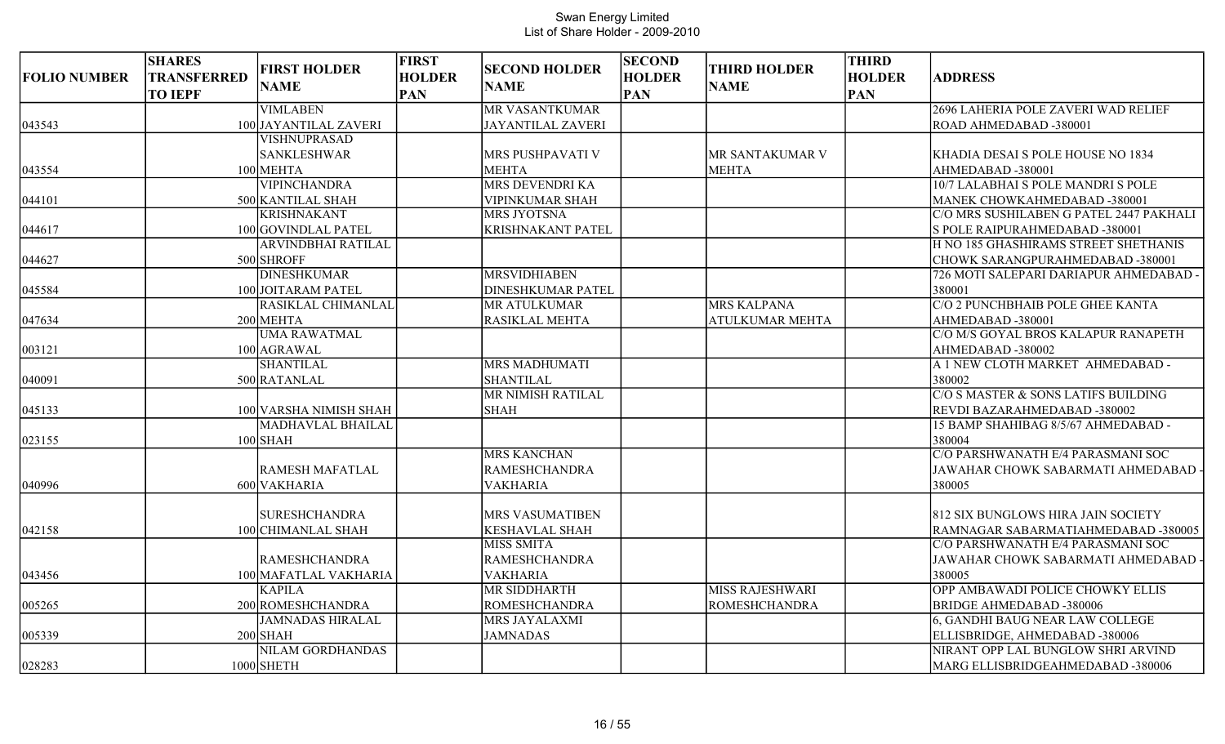| <b>FOLIO NUMBER</b> | <b>SHARES</b><br><b>TRANSFERRED</b><br><b>TO IEPF</b> | <b>FIRST HOLDER</b><br><b>NAME</b> | <b>FIRST</b><br><b>HOLDER</b><br><b>PAN</b> | <b>SECOND HOLDER</b><br><b>NAME</b> | <b>SECOND</b><br><b>HOLDER</b><br><b>PAN</b> | <b>THIRD HOLDER</b><br><b>NAME</b> | <b>THIRD</b><br><b>HOLDER</b><br><b>PAN</b> | <b>ADDRESS</b>                          |
|---------------------|-------------------------------------------------------|------------------------------------|---------------------------------------------|-------------------------------------|----------------------------------------------|------------------------------------|---------------------------------------------|-----------------------------------------|
|                     |                                                       | <b>VIMLABEN</b>                    |                                             | <b>MR VASANTKUMAR</b>               |                                              |                                    |                                             | 2696 LAHERIA POLE ZAVERI WAD RELIEF     |
| 043543              |                                                       | 100 JAYANTILAL ZAVERI              |                                             | <b>JAYANTILAL ZAVERI</b>            |                                              |                                    |                                             | ROAD AHMEDABAD -380001                  |
|                     |                                                       | VISHNUPRASAD                       |                                             |                                     |                                              |                                    |                                             |                                         |
|                     |                                                       | <b>SANKLESHWAR</b>                 |                                             | MRS PUSHPAVATI V                    |                                              | MR SANTAKUMAR V                    |                                             | KHADIA DESAI S POLE HOUSE NO 1834       |
| 043554              |                                                       | 100 MEHTA                          |                                             | <b>MEHTA</b>                        |                                              | <b>MEHTA</b>                       |                                             | AHMEDABAD-380001                        |
|                     |                                                       | <b>VIPINCHANDRA</b>                |                                             | MRS DEVENDRI KA                     |                                              |                                    |                                             | 10/7 LALABHAI S POLE MANDRI S POLE      |
| 044101              |                                                       | 500 KANTILAL SHAH                  |                                             | VIPINKUMAR SHAH                     |                                              |                                    |                                             | MANEK CHOWKAHMEDABAD -380001            |
|                     |                                                       | <b>KRISHNAKANT</b>                 |                                             | <b>MRS JYOTSNA</b>                  |                                              |                                    |                                             | C/O MRS SUSHILABEN G PATEL 2447 PAKHALI |
| 044617              |                                                       | 100 GOVINDLAL PATEL                |                                             | <b>KRISHNAKANT PATEL</b>            |                                              |                                    |                                             | S POLE RAIPURAHMEDABAD -380001          |
|                     |                                                       | <b>ARVINDBHAI RATILAL</b>          |                                             |                                     |                                              |                                    |                                             | H NO 185 GHASHIRAMS STREET SHETHANIS    |
| 044627              |                                                       | 500 SHROFF                         |                                             |                                     |                                              |                                    |                                             | CHOWK SARANGPURAHMEDABAD -380001        |
|                     |                                                       | <b>DINESHKUMAR</b>                 |                                             | <b>MRSVIDHIABEN</b>                 |                                              |                                    |                                             | 726 MOTI SALEPARI DARIAPUR AHMEDABAD -  |
| 045584              |                                                       | 100 JOITARAM PATEL                 |                                             | <b>DINESHKUMAR PATEL</b>            |                                              |                                    |                                             | 380001                                  |
|                     |                                                       | RASIKLAL CHIMANLAL                 |                                             | <b>MR ATULKUMAR</b>                 |                                              | <b>MRS KALPANA</b>                 |                                             | C/O 2 PUNCHBHAIB POLE GHEE KANTA        |
| 047634              |                                                       | 200 MEHTA                          |                                             | <b>RASIKLAL MEHTA</b>               |                                              | <b>ATULKUMAR MEHTA</b>             |                                             | AHMEDABAD -380001                       |
|                     |                                                       | <b>UMA RAWATMAL</b>                |                                             |                                     |                                              |                                    |                                             | C/O M/S GOYAL BROS KALAPUR RANAPETH     |
| 003121              |                                                       | 100 AGRAWAL                        |                                             |                                     |                                              |                                    |                                             | AHMEDABAD-380002                        |
|                     |                                                       | <b>SHANTILAL</b>                   |                                             | <b>MRS MADHUMATI</b>                |                                              |                                    |                                             | A 1 NEW CLOTH MARKET AHMEDABAD -        |
| 040091              |                                                       | 500 RATANLAL                       |                                             | <b>SHANTILAL</b>                    |                                              |                                    |                                             | 380002                                  |
|                     |                                                       |                                    |                                             | MR NIMISH RATILAL                   |                                              |                                    |                                             | C/O S MASTER & SONS LATIFS BUILDING     |
| 045133              |                                                       | 100 VARSHA NIMISH SHAH             |                                             | <b>SHAH</b>                         |                                              |                                    |                                             | REVDI BAZARAHMEDABAD -380002            |
|                     |                                                       | <b>MADHAVLAL BHAILAL</b>           |                                             |                                     |                                              |                                    |                                             | 15 BAMP SHAHIBAG 8/5/67 AHMEDABAD -     |
| 023155              |                                                       | $100$ SHAH                         |                                             |                                     |                                              |                                    |                                             | 380004                                  |
|                     |                                                       |                                    |                                             | <b>MRS KANCHAN</b>                  |                                              |                                    |                                             | C/O PARSHWANATH E/4 PARASMANI SOC       |
|                     |                                                       | <b>RAMESH MAFATLAL</b>             |                                             | <b>RAMESHCHANDRA</b>                |                                              |                                    |                                             | JAWAHAR CHOWK SABARMATI AHMEDABAD ·     |
| 040996              |                                                       | 600 VAKHARIA                       |                                             | <b>VAKHARIA</b>                     |                                              |                                    |                                             | 380005                                  |
|                     |                                                       | <b>SURESHCHANDRA</b>               |                                             | MRS VASUMATIBEN                     |                                              |                                    |                                             | 812 SIX BUNGLOWS HIRA JAIN SOCIETY      |
| 042158              |                                                       | 100 CHIMANLAL SHAH                 |                                             | <b>KESHAVLAL SHAH</b>               |                                              |                                    |                                             | RAMNAGAR SABARMATIAHMEDABAD -380005     |
|                     |                                                       |                                    |                                             | <b>MISS SMITA</b>                   |                                              |                                    |                                             | C/O PARSHWANATH E/4 PARASMANI SOC       |
|                     |                                                       | <b>RAMESHCHANDRA</b>               |                                             | <b>RAMESHCHANDRA</b>                |                                              |                                    |                                             | JAWAHAR CHOWK SABARMATI AHMEDABAD -     |
| 043456              |                                                       | 100 MAFATLAL VAKHARIA              |                                             | <b>VAKHARIA</b>                     |                                              |                                    |                                             | 380005                                  |
|                     |                                                       | <b>KAPILA</b>                      |                                             | <b>MR SIDDHARTH</b>                 |                                              | <b>MISS RAJESHWARI</b>             |                                             | <b>OPP AMBAWADI POLICE CHOWKY ELLIS</b> |
| 005265              |                                                       | 200 ROMESHCHANDRA                  |                                             | <b>ROMESHCHANDRA</b>                |                                              | <b>ROMESHCHANDRA</b>               |                                             | <b>BRIDGE AHMEDABAD -380006</b>         |
|                     |                                                       | <b>JAMNADAS HIRALAL</b>            |                                             | MRS JAYALAXMI                       |                                              |                                    |                                             | <b>6, GANDHI BAUG NEAR LAW COLLEGE</b>  |
| 005339              |                                                       | $200$ SHAH                         |                                             | <b>JAMNADAS</b>                     |                                              |                                    |                                             | ELLISBRIDGE, AHMEDABAD -380006          |
|                     |                                                       | NILAM GORDHANDAS                   |                                             |                                     |                                              |                                    |                                             | NIRANT OPP LAL BUNGLOW SHRI ARVIND      |
| 028283              |                                                       | 1000 SHETH                         |                                             |                                     |                                              |                                    |                                             | MARG ELLISBRIDGEAHMEDABAD -380006       |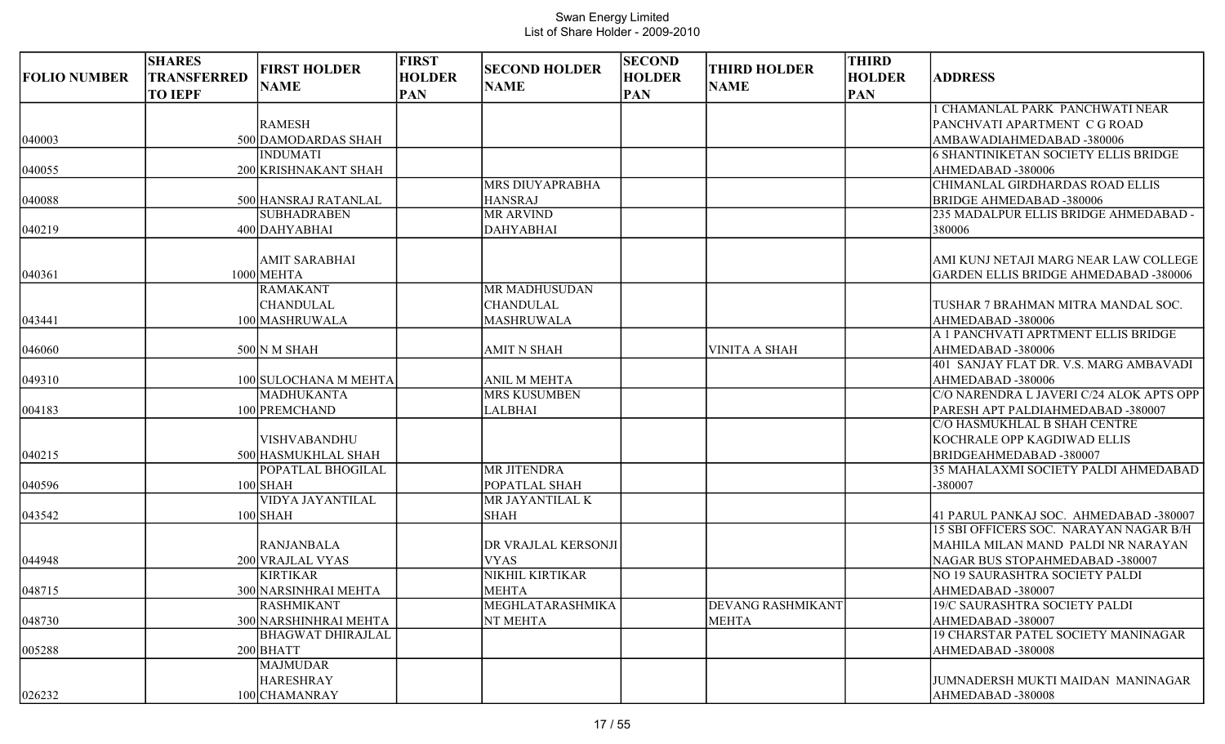| <b>FOLIO NUMBER</b> | <b>SHARES</b><br><b>TRANSFERRED</b><br><b>TO IEPF</b> | <b>FIRST HOLDER</b><br><b>NAME</b> | <b>FIRST</b><br><b>HOLDER</b><br><b>PAN</b> | <b>SECOND HOLDER</b><br><b>NAME</b> | <b>SECOND</b><br><b>HOLDER</b><br><b>PAN</b> | <b>THIRD HOLDER</b><br><b>NAME</b> | <b>THIRD</b><br><b>HOLDER</b><br><b>PAN</b> | <b>ADDRESS</b>                               |
|---------------------|-------------------------------------------------------|------------------------------------|---------------------------------------------|-------------------------------------|----------------------------------------------|------------------------------------|---------------------------------------------|----------------------------------------------|
|                     |                                                       |                                    |                                             |                                     |                                              |                                    |                                             | 1 CHAMANLAL PARK PANCHWATI NEAR              |
|                     |                                                       | <b>RAMESH</b>                      |                                             |                                     |                                              |                                    |                                             | PANCHVATI APARTMENT C G ROAD                 |
| 040003              |                                                       | 500 DAMODARDAS SHAH                |                                             |                                     |                                              |                                    |                                             | AMBAWADIAHMEDABAD -380006                    |
|                     |                                                       | <b>INDUMATI</b>                    |                                             |                                     |                                              |                                    |                                             | <b>6 SHANTINIKETAN SOCIETY ELLIS BRIDGE</b>  |
| 040055              |                                                       | 200 KRISHNAKANT SHAH               |                                             |                                     |                                              |                                    |                                             | AHMEDABAD -380006                            |
|                     |                                                       |                                    |                                             | <b>MRS DIUYAPRABHA</b>              |                                              |                                    |                                             | CHIMANLAL GIRDHARDAS ROAD ELLIS              |
| 040088              |                                                       | 500 HANSRAJ RATANLAL               |                                             | <b>HANSRAJ</b>                      |                                              |                                    |                                             | <b>BRIDGE AHMEDABAD -380006</b>              |
|                     |                                                       | <b>SUBHADRABEN</b>                 |                                             | <b>MR ARVIND</b>                    |                                              |                                    |                                             | 235 MADALPUR ELLIS BRIDGE AHMEDABAD -        |
| 040219              |                                                       | 400 DAHYABHAI                      |                                             | <b>DAHYABHAI</b>                    |                                              |                                    |                                             | 380006                                       |
|                     |                                                       | <b>AMIT SARABHAI</b>               |                                             |                                     |                                              |                                    |                                             | AMI KUNJ NETAJI MARG NEAR LAW COLLEGE        |
| 040361              |                                                       | 1000 MEHTA                         |                                             |                                     |                                              |                                    |                                             | <b>GARDEN ELLIS BRIDGE AHMEDABAD -380006</b> |
|                     |                                                       | <b>RAMAKANT</b>                    |                                             | <b>MR MADHUSUDAN</b>                |                                              |                                    |                                             |                                              |
|                     |                                                       | <b>CHANDULAL</b>                   |                                             | <b>CHANDULAL</b>                    |                                              |                                    |                                             | TUSHAR 7 BRAHMAN MITRA MANDAL SOC.           |
| 043441              |                                                       | 100 MASHRUWALA                     |                                             | <b>MASHRUWALA</b>                   |                                              |                                    |                                             | AHMEDABAD -380006                            |
|                     |                                                       |                                    |                                             |                                     |                                              |                                    |                                             | A 1 PANCHVATI APRTMENT ELLIS BRIDGE          |
| 046060              |                                                       | 500 N M SHAH                       |                                             | <b>AMIT N SHAH</b>                  |                                              | VINITA A SHAH                      |                                             | AHMEDABAD -380006                            |
|                     |                                                       |                                    |                                             |                                     |                                              |                                    |                                             | 401 SANJAY FLAT DR. V.S. MARG AMBAVADI       |
| 049310              |                                                       | 100 SULOCHANA M MEHTA              |                                             | <b>ANIL M MEHTA</b>                 |                                              |                                    |                                             | AHMEDABAD -380006                            |
|                     |                                                       | <b>MADHUKANTA</b>                  |                                             | <b>MRS KUSUMBEN</b>                 |                                              |                                    |                                             | C/O NARENDRA L JAVERI C/24 ALOK APTS OPP     |
| 004183              |                                                       | 100 PREMCHAND                      |                                             | <b>LALBHAI</b>                      |                                              |                                    |                                             | PARESH APT PALDIAHMEDABAD -380007            |
|                     |                                                       |                                    |                                             |                                     |                                              |                                    |                                             | C/O HASMUKHLAL B SHAH CENTRE                 |
|                     |                                                       | <b>VISHVABANDHU</b>                |                                             |                                     |                                              |                                    |                                             | KOCHRALE OPP KAGDIWAD ELLIS                  |
| 040215              |                                                       | 500 HASMUKHLAL SHAH                |                                             |                                     |                                              |                                    |                                             | BRIDGEAHMEDABAD-380007                       |
|                     |                                                       | POPATLAL BHOGILAL                  |                                             | <b>MR JITENDRA</b>                  |                                              |                                    |                                             | 35 MAHALAXMI SOCIETY PALDI AHMEDABAD         |
| 040596              |                                                       | $100$ SHAH                         |                                             | POPATLAL SHAH                       |                                              |                                    |                                             | -380007                                      |
|                     |                                                       | <b>VIDYA JAYANTILAL</b>            |                                             | MR JAYANTILAL K                     |                                              |                                    |                                             |                                              |
| 043542              |                                                       | $100$ SHAH                         |                                             | <b>SHAH</b>                         |                                              |                                    |                                             | 41 PARUL PANKAJ SOC. AHMEDABAD -380007       |
|                     |                                                       |                                    |                                             |                                     |                                              |                                    |                                             | 15 SBI OFFICERS SOC. NARAYAN NAGAR B/H       |
|                     |                                                       | <b>RANJANBALA</b>                  |                                             | DR VRAJLAL KERSONJI                 |                                              |                                    |                                             | MAHILA MILAN MAND PALDI NR NARAYAN           |
| 044948              |                                                       | 200 VRAJLAL VYAS                   |                                             | <b>VYAS</b>                         |                                              |                                    |                                             | NAGAR BUS STOPAHMEDABAD -380007              |
|                     |                                                       | <b>KIRTIKAR</b>                    |                                             | NIKHIL KIRTIKAR                     |                                              |                                    |                                             | NO 19 SAURASHTRA SOCIETY PALDI               |
| 048715              |                                                       | 300 NARSINHRAI MEHTA               |                                             | <b>MEHTA</b>                        |                                              |                                    |                                             | AHMEDABAD -380007                            |
|                     |                                                       | <b>RASHMIKANT</b>                  |                                             | MEGHLATARASHMIKA                    |                                              | <b>DEVANG RASHMIKANT</b>           |                                             | 19/C SAURASHTRA SOCIETY PALDI                |
| 048730              |                                                       | 300 NARSHINHRAI MEHTA              |                                             | NT MEHTA                            |                                              | <b>MEHTA</b>                       |                                             | AHMEDABAD-380007                             |
|                     |                                                       | <b>BHAGWAT DHIRAJLAL</b>           |                                             |                                     |                                              |                                    |                                             | 19 CHARSTAR PATEL SOCIETY MANINAGAR          |
| 005288              |                                                       | $200$ BHATT                        |                                             |                                     |                                              |                                    |                                             | AHMEDABAD -380008                            |
|                     |                                                       | <b>MAJMUDAR</b>                    |                                             |                                     |                                              |                                    |                                             |                                              |
|                     |                                                       | <b>HARESHRAY</b>                   |                                             |                                     |                                              |                                    |                                             | JUMNADERSH MUKTI MAIDAN MANINAGAR            |
| 026232              |                                                       | 100 CHAMANRAY                      |                                             |                                     |                                              |                                    |                                             | AHMEDABAD-380008                             |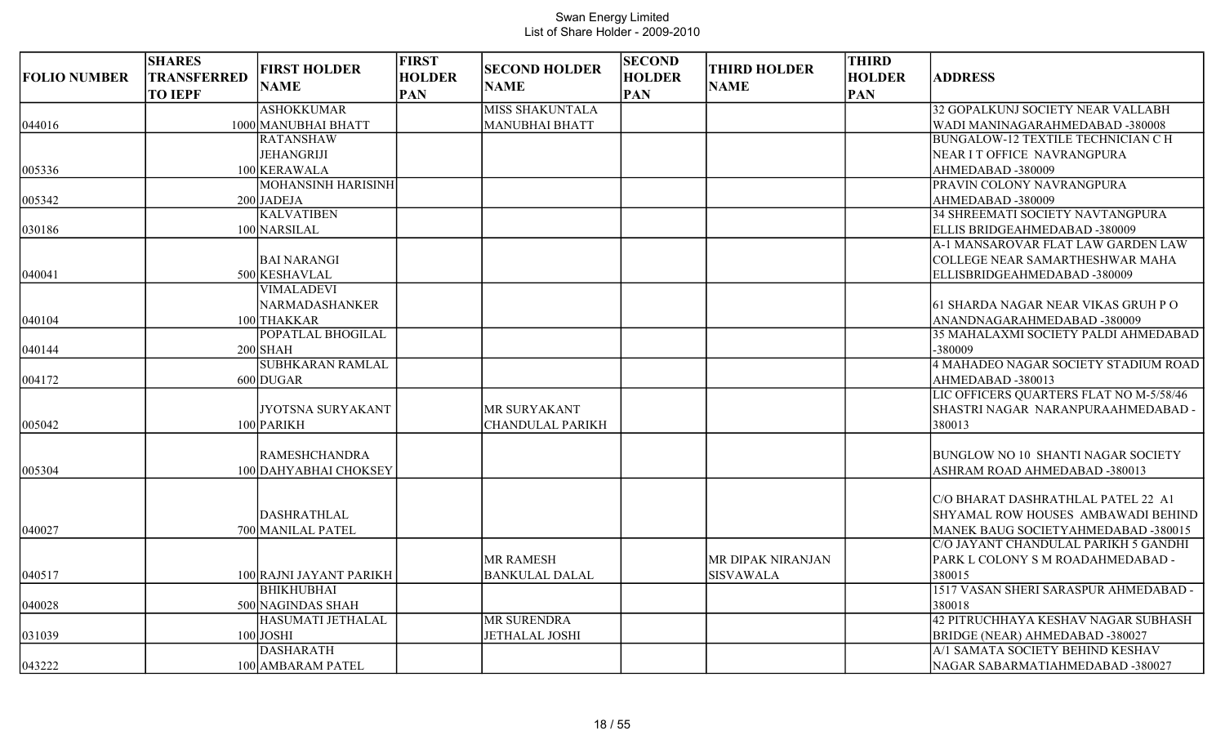| <b>ASHOKKUMAR</b><br><b>MISS SHAKUNTALA</b><br>1000 MANUBHAI BHATT<br>044016<br><b>MANUBHAI BHATT</b><br><b>RATANSHAW</b><br><b>JEHANGRIJI</b><br>NEAR IT OFFICE NAVRANGPURA<br>100 KERAWALA<br>AHMEDABAD -380009<br>005336<br><b>MOHANSINH HARISINH</b><br>PRAVIN COLONY NAVRANGPURA<br>005342<br>$200$ JADEJA<br>AHMEDABAD -380009<br><b>KALVATIBEN</b> | 32 GOPALKUNJ SOCIETY NEAR VALLABH<br>WADI MANINAGARAHMEDABAD -380008<br><b>BUNGALOW-12 TEXTILE TECHNICIAN C H</b><br>34 SHREEMATI SOCIETY NAVTANGPURA   |
|-----------------------------------------------------------------------------------------------------------------------------------------------------------------------------------------------------------------------------------------------------------------------------------------------------------------------------------------------------------|---------------------------------------------------------------------------------------------------------------------------------------------------------|
|                                                                                                                                                                                                                                                                                                                                                           |                                                                                                                                                         |
|                                                                                                                                                                                                                                                                                                                                                           |                                                                                                                                                         |
|                                                                                                                                                                                                                                                                                                                                                           |                                                                                                                                                         |
|                                                                                                                                                                                                                                                                                                                                                           |                                                                                                                                                         |
|                                                                                                                                                                                                                                                                                                                                                           |                                                                                                                                                         |
|                                                                                                                                                                                                                                                                                                                                                           |                                                                                                                                                         |
|                                                                                                                                                                                                                                                                                                                                                           |                                                                                                                                                         |
|                                                                                                                                                                                                                                                                                                                                                           |                                                                                                                                                         |
| 100 NARSILAL<br>ELLIS BRIDGEAHMEDABAD -380009<br>030186                                                                                                                                                                                                                                                                                                   |                                                                                                                                                         |
|                                                                                                                                                                                                                                                                                                                                                           | A-1 MANSAROVAR FLAT LAW GARDEN LAW                                                                                                                      |
| <b>BAI NARANGI</b>                                                                                                                                                                                                                                                                                                                                        | COLLEGE NEAR SAMARTHESHWAR MAHA                                                                                                                         |
| 040041<br>500 KESHAVLAL<br>ELLISBRIDGEAHMEDABAD -380009                                                                                                                                                                                                                                                                                                   |                                                                                                                                                         |
| <b>VIMALADEVI</b>                                                                                                                                                                                                                                                                                                                                         |                                                                                                                                                         |
| NARMADASHANKER                                                                                                                                                                                                                                                                                                                                            | 61 SHARDA NAGAR NEAR VIKAS GRUH PO                                                                                                                      |
| 100 THAKKAR<br>ANANDNAGARAHMEDABAD -380009<br>040104                                                                                                                                                                                                                                                                                                      |                                                                                                                                                         |
| POPATLAL BHOGILAL                                                                                                                                                                                                                                                                                                                                         | 35 MAHALAXMI SOCIETY PALDI AHMEDABAD                                                                                                                    |
| $200$ SHAH<br>-380009<br>040144                                                                                                                                                                                                                                                                                                                           |                                                                                                                                                         |
| <b>SUBHKARAN RAMLAL</b><br>004172<br>$600$ DUGAR<br>AHMEDABAD -380013                                                                                                                                                                                                                                                                                     | 4 MAHADEO NAGAR SOCIETY STADIUM ROAD                                                                                                                    |
| JYOTSNA SURYAKANT<br>MR SURYAKANT<br>100 PARIKH<br>380013<br>005042<br><b>CHANDULAL PARIKH</b>                                                                                                                                                                                                                                                            | LIC OFFICERS QUARTERS FLAT NO M-5/58/46<br>SHASTRI NAGAR NARANPURAAHMEDABAD -                                                                           |
| <b>RAMESHCHANDRA</b><br>005304<br>100 DAHYABHAI CHOKSEY<br>ASHRAM ROAD AHMEDABAD -380013                                                                                                                                                                                                                                                                  | BUNGLOW NO 10 SHANTI NAGAR SOCIETY                                                                                                                      |
| DASHRATHLAL<br>040027<br>700 MANILAL PATEL                                                                                                                                                                                                                                                                                                                | C/O BHARAT DASHRATHLAL PATEL 22 A1<br>SHYAMAL ROW HOUSES AMBAWADI BEHIND<br>MANEK BAUG SOCIETYAHMEDABAD -380015<br>C/O JAYANT CHANDULAL PARIKH 5 GANDHI |
| MR RAMESH<br>MR DIPAK NIRANJAN                                                                                                                                                                                                                                                                                                                            | PARK L COLONY S M ROADAHMEDABAD -                                                                                                                       |
| <b>SISVAWALA</b><br>040517<br>100 RAJNI JAYANT PARIKH<br><b>BANKULAL DALAL</b><br>380015                                                                                                                                                                                                                                                                  |                                                                                                                                                         |
| <b>BHIKHUBHAI</b>                                                                                                                                                                                                                                                                                                                                         | 1517 VASAN SHERI SARASPUR AHMEDABAD -                                                                                                                   |
| 500 NAGINDAS SHAH<br>380018<br>040028                                                                                                                                                                                                                                                                                                                     |                                                                                                                                                         |
| <b>HASUMATI JETHALAL</b><br><b>MR SURENDRA</b>                                                                                                                                                                                                                                                                                                            | 42 PITRUCHHAYA KESHAV NAGAR SUBHASH                                                                                                                     |
| $100$ JOSHI<br><b>JETHALAL JOSHI</b><br>BRIDGE (NEAR) AHMEDABAD -380027<br>031039                                                                                                                                                                                                                                                                         |                                                                                                                                                         |
| <b>DASHARATH</b>                                                                                                                                                                                                                                                                                                                                          | A/1 SAMATA SOCIETY BEHIND KESHAV                                                                                                                        |
| 043222<br>100 AMBARAM PATEL<br>NAGAR SABARMATIAHMEDABAD -380027                                                                                                                                                                                                                                                                                           |                                                                                                                                                         |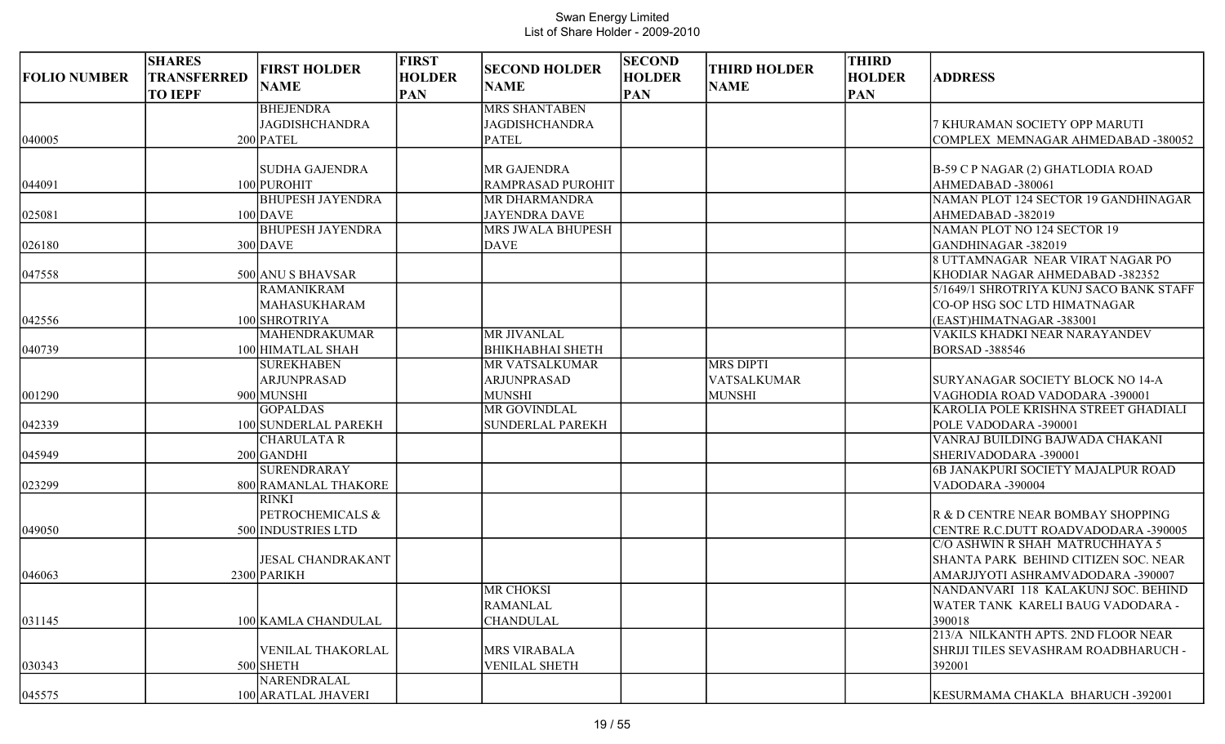| <b>FOLIO NUMBER</b> | <b>SHARES</b><br><b>TRANSFERRED</b><br><b>TO IEPF</b> | <b>FIRST HOLDER</b><br><b>NAME</b> | <b>FIRST</b><br><b>HOLDER</b><br><b>PAN</b> | <b>SECOND HOLDER</b><br><b>NAME</b> | <b>SECOND</b><br><b>HOLDER</b><br><b>PAN</b> | <b>THIRD HOLDER</b><br><b>NAME</b> | <b>THIRD</b><br><b>HOLDER</b><br><b>PAN</b> | <b>ADDRESS</b>                            |
|---------------------|-------------------------------------------------------|------------------------------------|---------------------------------------------|-------------------------------------|----------------------------------------------|------------------------------------|---------------------------------------------|-------------------------------------------|
|                     |                                                       | <b>BHEJENDRA</b>                   |                                             | <b>MRS SHANTABEN</b>                |                                              |                                    |                                             |                                           |
|                     |                                                       | <b>JAGDISHCHANDRA</b>              |                                             | <b>JAGDISHCHANDRA</b>               |                                              |                                    |                                             | 7 KHURAMAN SOCIETY OPP MARUTI             |
| 040005              |                                                       | $200$ PATEL                        |                                             | <b>PATEL</b>                        |                                              |                                    |                                             | COMPLEX MEMNAGAR AHMEDABAD -380052        |
|                     |                                                       | <b>SUDHA GAJENDRA</b>              |                                             | <b>MR GAJENDRA</b>                  |                                              |                                    |                                             | B-59 C P NAGAR (2) GHATLODIA ROAD         |
| 044091              |                                                       | 100 PUROHIT                        |                                             | <b>RAMPRASAD PUROHIT</b>            |                                              |                                    |                                             | AHMEDABAD-380061                          |
|                     |                                                       | <b>BHUPESH JAYENDRA</b>            |                                             | MR DHARMANDRA                       |                                              |                                    |                                             | NAMAN PLOT 124 SECTOR 19 GANDHINAGAR      |
| 025081              |                                                       | $100$ DAVE                         |                                             | <b>JAYENDRA DAVE</b>                |                                              |                                    |                                             | AHMEDABAD-382019                          |
|                     |                                                       | <b>BHUPESH JAYENDRA</b>            |                                             | <b>MRS JWALA BHUPESH</b>            |                                              |                                    |                                             | NAMAN PLOT NO 124 SECTOR 19               |
| 026180              |                                                       | $300$ DAVE                         |                                             | <b>DAVE</b>                         |                                              |                                    |                                             | GANDHINAGAR-382019                        |
|                     |                                                       |                                    |                                             |                                     |                                              |                                    |                                             | 8 UTTAMNAGAR NEAR VIRAT NAGAR PO          |
| 047558              |                                                       | 500 ANU S BHAVSAR                  |                                             |                                     |                                              |                                    |                                             | KHODIAR NAGAR AHMEDABAD -382352           |
|                     |                                                       | <b>RAMANIKRAM</b>                  |                                             |                                     |                                              |                                    |                                             | 5/1649/1 SHROTRIYA KUNJ SACO BANK STAFF   |
|                     |                                                       | MAHASUKHARAM                       |                                             |                                     |                                              |                                    |                                             | CO-OP HSG SOC LTD HIMATNAGAR              |
| 042556              |                                                       | 100 SHROTRIYA                      |                                             |                                     |                                              |                                    |                                             | (EAST)HIMATNAGAR-383001                   |
|                     |                                                       | <b>MAHENDRAKUMAR</b>               |                                             | <b>MR JIVANLAL</b>                  |                                              |                                    |                                             | VAKILS KHADKI NEAR NARAYANDEV             |
| 040739              |                                                       | 100 HIMATLAL SHAH                  |                                             | <b>BHIKHABHAI SHETH</b>             |                                              |                                    |                                             | <b>BORSAD -388546</b>                     |
|                     |                                                       | <b>SUREKHABEN</b>                  |                                             | <b>MR VATSALKUMAR</b>               |                                              | <b>MRS DIPTI</b>                   |                                             |                                           |
|                     |                                                       | <b>ARJUNPRASAD</b>                 |                                             | <b>ARJUNPRASAD</b>                  |                                              | <b>VATSALKUMAR</b>                 |                                             | <b>SURYANAGAR SOCIETY BLOCK NO 14-A</b>   |
| 001290              |                                                       | 900 MUNSHI                         |                                             | <b>MUNSHI</b>                       |                                              | <b>MUNSHI</b>                      |                                             | VAGHODIA ROAD VADODARA -390001            |
|                     |                                                       | <b>GOPALDAS</b>                    |                                             | <b>MR GOVINDLAL</b>                 |                                              |                                    |                                             | KAROLIA POLE KRISHNA STREET GHADIALI      |
| 042339              |                                                       | 100 SUNDERLAL PAREKH               |                                             | <b>SUNDERLAL PAREKH</b>             |                                              |                                    |                                             | POLE VADODARA -390001                     |
|                     |                                                       | <b>CHARULATA R</b>                 |                                             |                                     |                                              |                                    |                                             | VANRAJ BUILDING BAJWADA CHAKANI           |
| 045949              |                                                       | $200$ GANDHI                       |                                             |                                     |                                              |                                    |                                             | SHERIVADODARA -390001                     |
|                     |                                                       | SURENDRARAY                        |                                             |                                     |                                              |                                    |                                             | <b>6B JANAKPURI SOCIETY MAJALPUR ROAD</b> |
| 023299              |                                                       | 800 RAMANLAL THAKORE               |                                             |                                     |                                              |                                    |                                             | VADODARA -390004                          |
|                     |                                                       | <b>RINKI</b>                       |                                             |                                     |                                              |                                    |                                             |                                           |
|                     |                                                       | PETROCHEMICALS &                   |                                             |                                     |                                              |                                    |                                             | R & D CENTRE NEAR BOMBAY SHOPPING         |
| 049050              |                                                       | 500 INDUSTRIES LTD                 |                                             |                                     |                                              |                                    |                                             | CENTRE R.C.DUTT ROADVADODARA -390005      |
|                     |                                                       |                                    |                                             |                                     |                                              |                                    |                                             | C/O ASHWIN R SHAH MATRUCHHAYA 5           |
|                     |                                                       | <b>JESAL CHANDRAKANT</b>           |                                             |                                     |                                              |                                    |                                             | SHANTA PARK BEHIND CITIZEN SOC. NEAR      |
| 046063              |                                                       | 2300 PARIKH                        |                                             |                                     |                                              |                                    |                                             | AMARJJYOTI ASHRAMVADODARA -390007         |
|                     |                                                       |                                    |                                             | <b>MR CHOKSI</b>                    |                                              |                                    |                                             | NANDANVARI 118 KALAKUNJ SOC. BEHIND       |
|                     |                                                       |                                    |                                             | <b>RAMANLAL</b>                     |                                              |                                    |                                             | WATER TANK KARELI BAUG VADODARA -         |
| 031145              |                                                       | 100 KAMLA CHANDULAL                |                                             | <b>CHANDULAL</b>                    |                                              |                                    |                                             | 390018                                    |
|                     |                                                       |                                    |                                             |                                     |                                              |                                    |                                             | 213/A NILKANTH APTS. 2ND FLOOR NEAR       |
|                     |                                                       | VENILAL THAKORLAL                  |                                             | <b>MRS VIRABALA</b>                 |                                              |                                    |                                             | SHRIJI TILES SEVASHRAM ROADBHARUCH -      |
| 030343              |                                                       | 500 SHETH                          |                                             | <b>VENILAL SHETH</b>                |                                              |                                    |                                             | 392001                                    |
|                     |                                                       | NARENDRALAL                        |                                             |                                     |                                              |                                    |                                             |                                           |
| 045575              |                                                       | 100 ARATLAL JHAVERI                |                                             |                                     |                                              |                                    |                                             | KESURMAMA CHAKLA BHARUCH -392001          |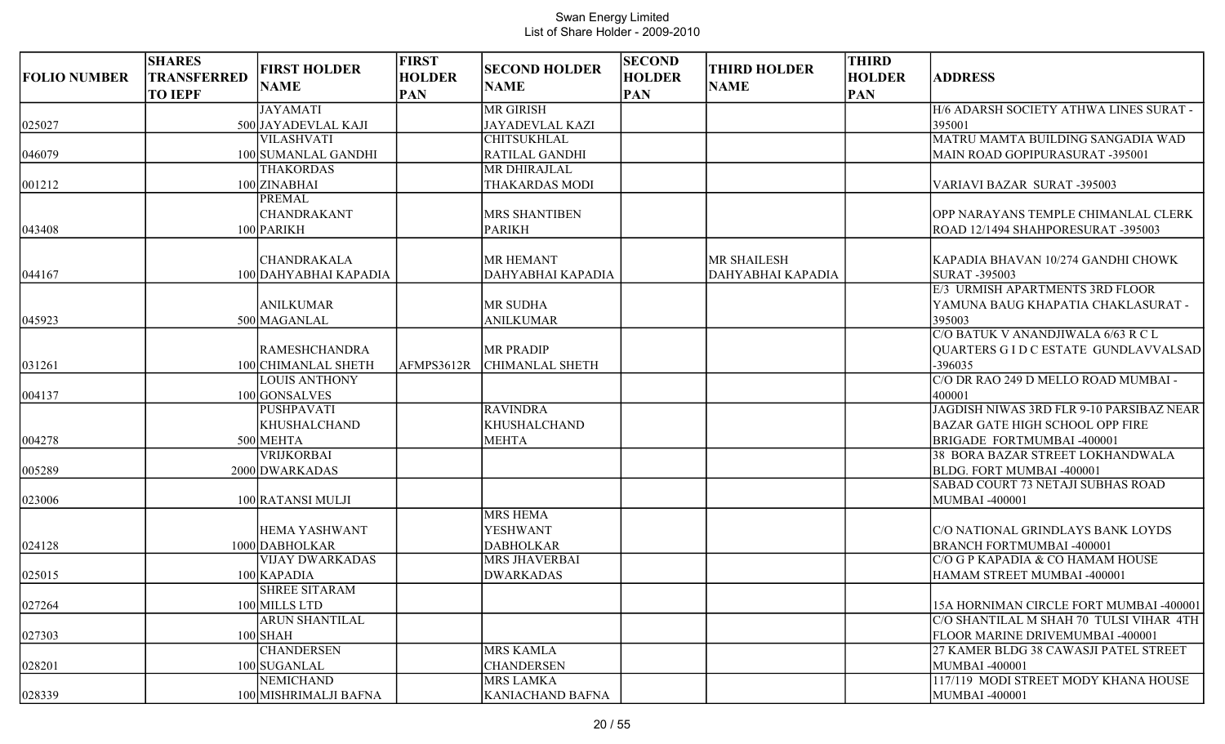| <b>FOLIO NUMBER</b> | <b>SHARES</b><br>TRANSFERRED<br><b>TO IEPF</b> | <b>FIRST HOLDER</b><br><b>NAME</b> | <b>FIRST</b><br><b>HOLDER</b><br><b>PAN</b> | <b>SECOND HOLDER</b><br><b>NAME</b> | <b>SECOND</b><br><b>HOLDER</b><br><b>PAN</b> | <b>THIRD HOLDER</b><br><b>NAME</b> | <b>THIRD</b><br><b>HOLDER</b><br><b>PAN</b> | <b>ADDRESS</b>                                                 |
|---------------------|------------------------------------------------|------------------------------------|---------------------------------------------|-------------------------------------|----------------------------------------------|------------------------------------|---------------------------------------------|----------------------------------------------------------------|
|                     |                                                | <b>JAYAMATI</b>                    |                                             | <b>MR GIRISH</b>                    |                                              |                                    |                                             | H/6 ADARSH SOCIETY ATHWA LINES SURAT -                         |
| 025027              |                                                | 500 JAYADEVLAL KAJI                |                                             | <b>JAYADEVLAL KAZI</b>              |                                              |                                    |                                             | 395001                                                         |
|                     |                                                | <b>VILASHVATI</b>                  |                                             | <b>CHITSUKHLAL</b>                  |                                              |                                    |                                             | MATRU MAMTA BUILDING SANGADIA WAD                              |
| 046079              |                                                | 100 SUMANLAL GANDHI                |                                             | RATILAL GANDHI                      |                                              |                                    |                                             | MAIN ROAD GOPIPURASURAT -395001                                |
|                     |                                                | <b>THAKORDAS</b>                   |                                             | MR DHIRAJLAL                        |                                              |                                    |                                             |                                                                |
| 001212              |                                                | 100 ZINABHAI                       |                                             | THAKARDAS MODI                      |                                              |                                    |                                             | VARIAVI BAZAR SURAT -395003                                    |
|                     |                                                | <b>PREMAL</b>                      |                                             |                                     |                                              |                                    |                                             |                                                                |
|                     |                                                | CHANDRAKANT                        |                                             | MRS SHANTIBEN                       |                                              |                                    |                                             | OPP NARAYANS TEMPLE CHIMANLAL CLERK                            |
| 043408              |                                                | 100 PARIKH                         |                                             | <b>PARIKH</b>                       |                                              |                                    |                                             | ROAD 12/1494 SHAHPORESURAT -395003                             |
|                     |                                                | CHANDRAKALA                        |                                             | <b>MR HEMANT</b>                    |                                              | <b>MR SHAILESH</b>                 |                                             | KAPADIA BHAVAN 10/274 GANDHI CHOWK                             |
| 044167              |                                                | 100 DAHYABHAI KAPADIA              |                                             | DAHYABHAI KAPADIA                   |                                              | DAHYABHAI KAPADIA                  |                                             | SURAT -395003                                                  |
|                     |                                                |                                    |                                             |                                     |                                              |                                    |                                             | E/3 URMISH APARTMENTS 3RD FLOOR                                |
|                     |                                                | <b>ANILKUMAR</b>                   |                                             | MR SUDHA                            |                                              |                                    |                                             | YAMUNA BAUG KHAPATIA CHAKLASURAT -                             |
| 045923              |                                                | 500 MAGANLAL                       |                                             | <b>ANILKUMAR</b>                    |                                              |                                    |                                             | 395003                                                         |
|                     |                                                |                                    |                                             |                                     |                                              |                                    |                                             | CO BATUK V ANANDJIWALA 6/63 R C L                              |
|                     |                                                | <b>RAMESHCHANDRA</b>               |                                             | <b>MR PRADIP</b>                    |                                              |                                    |                                             | QUARTERS G I D C ESTATE GUNDLAVVALSAD                          |
| 031261              |                                                | 100 CHIMANLAL SHETH                | AFMPS3612R                                  | CHIMANLAL SHETH                     |                                              |                                    |                                             | -396035                                                        |
|                     |                                                | <b>LOUIS ANTHONY</b>               |                                             |                                     |                                              |                                    |                                             | C/O DR RAO 249 D MELLO ROAD MUMBAI -                           |
| 004137              |                                                | 100 GONSALVES                      |                                             |                                     |                                              |                                    |                                             | 400001                                                         |
|                     |                                                | <b>PUSHPAVATI</b>                  |                                             | <b>RAVINDRA</b>                     |                                              |                                    |                                             | JAGDISH NIWAS 3RD FLR 9-10 PARSIBAZ NEAR                       |
|                     |                                                | <b>KHUSHALCHAND</b>                |                                             | <b>KHUSHALCHAND</b>                 |                                              |                                    |                                             | <b>BAZAR GATE HIGH SCHOOL OPP FIRE</b>                         |
| 004278              |                                                | 500 MEHTA<br><b>VRIJKORBAI</b>     |                                             | <b>MEHTA</b>                        |                                              |                                    |                                             | BRIGADE FORTMUMBAI -400001<br>38 BORA BAZAR STREET LOKHANDWALA |
| 005289              |                                                | 2000 DWARKADAS                     |                                             |                                     |                                              |                                    |                                             | BLDG. FORT MUMBAI -400001                                      |
|                     |                                                |                                    |                                             |                                     |                                              |                                    |                                             | <b>SABAD COURT 73 NETAJI SUBHAS ROAD</b>                       |
| 023006              |                                                | 100 RATANSI MULJI                  |                                             |                                     |                                              |                                    |                                             | MUMBAI-400001                                                  |
|                     |                                                |                                    |                                             | <b>MRS HEMA</b>                     |                                              |                                    |                                             |                                                                |
|                     |                                                | <b>HEMA YASHWANT</b>               |                                             | YESHWANT                            |                                              |                                    |                                             | C/O NATIONAL GRINDLAYS BANK LOYDS                              |
| 024128              |                                                | 1000 DABHOLKAR                     |                                             | <b>DABHOLKAR</b>                    |                                              |                                    |                                             | <b>BRANCH FORTMUMBAI -400001</b>                               |
|                     |                                                | <b>VIJAY DWARKADAS</b>             |                                             | MRS JHAVERBAI                       |                                              |                                    |                                             | C/O G P KAPADIA & CO HAMAM HOUSE                               |
| 025015              |                                                | 100 KAPADIA                        |                                             | <b>DWARKADAS</b>                    |                                              |                                    |                                             | HAMAM STREET MUMBAI -400001                                    |
|                     |                                                | <b>SHREE SITARAM</b>               |                                             |                                     |                                              |                                    |                                             |                                                                |
| 027264              |                                                | 100 MILLS LTD                      |                                             |                                     |                                              |                                    |                                             | 15A HORNIMAN CIRCLE FORT MUMBAI -400001                        |
|                     |                                                | <b>ARUN SHANTILAL</b>              |                                             |                                     |                                              |                                    |                                             | C/O SHANTILAL M SHAH 70 TULSI VIHAR 4TH                        |
| 027303              |                                                | $100$ SHAH                         |                                             |                                     |                                              |                                    |                                             | <b>FLOOR MARINE DRIVEMUMBAI -400001</b>                        |
|                     |                                                | <b>CHANDERSEN</b>                  |                                             | MRS KAMLA                           |                                              |                                    |                                             | 27 KAMER BLDG 38 CAWASJI PATEL STREET                          |
| 028201              |                                                | 100 SUGANLAL                       |                                             | <b>CHANDERSEN</b>                   |                                              |                                    |                                             | MUMBAI -400001                                                 |
|                     |                                                | <b>NEMICHAND</b>                   |                                             | <b>MRS LAMKA</b>                    |                                              |                                    |                                             | 117/119 MODI STREET MODY KHANA HOUSE                           |
| 028339              |                                                | 100 MISHRIMALJI BAFNA              |                                             | KANIACHAND BAFNA                    |                                              |                                    |                                             | MUMBAI -400001                                                 |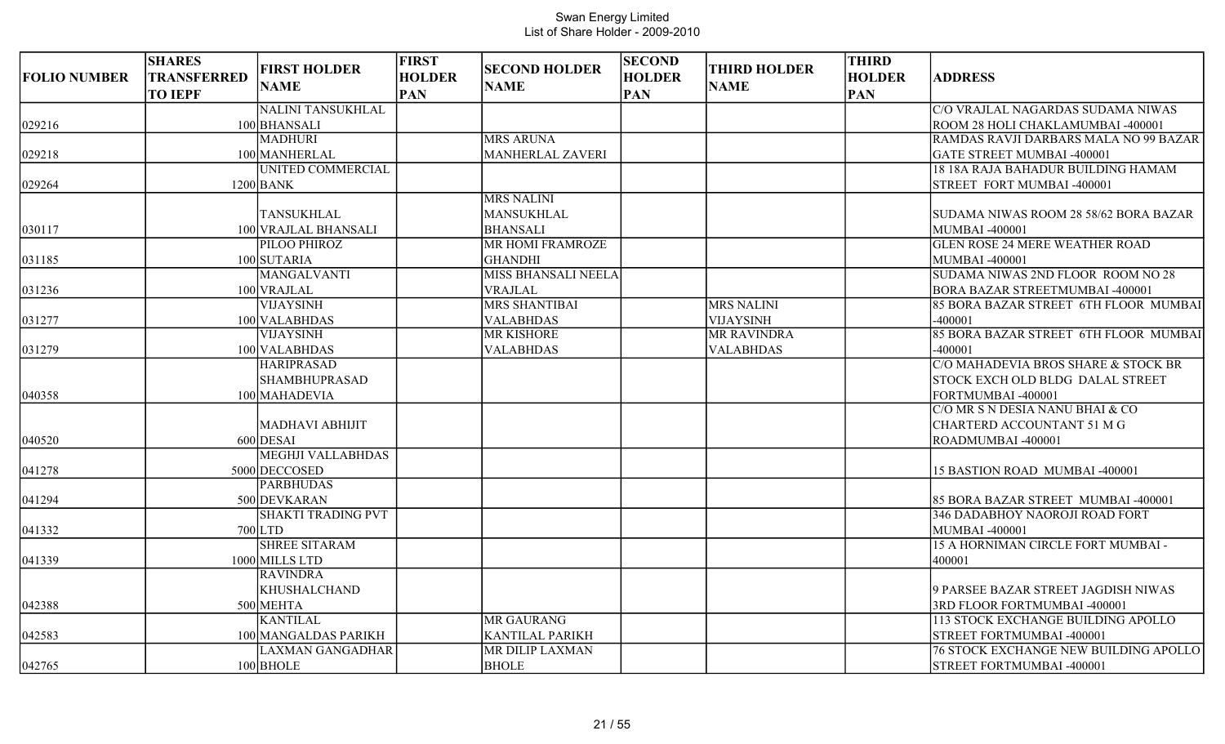| <b>FOLIO NUMBER</b> | <b>SHARES</b><br><b>TRANSFERRED</b><br><b>TO IEPF</b> | <b>FIRST HOLDER</b><br><b>NAME</b> | <b>FIRST</b><br><b>HOLDER</b><br><b>PAN</b> | <b>SECOND HOLDER</b><br><b>NAME</b> | <b>SECOND</b><br><b>HOLDER</b><br><b>PAN</b> | <b>THIRD HOLDER</b><br><b>NAME</b> | <b>THIRD</b><br><b>HOLDER</b><br><b>PAN</b> | <b>ADDRESS</b>                               |
|---------------------|-------------------------------------------------------|------------------------------------|---------------------------------------------|-------------------------------------|----------------------------------------------|------------------------------------|---------------------------------------------|----------------------------------------------|
|                     |                                                       | <b>NALINI TANSUKHLAL</b>           |                                             |                                     |                                              |                                    |                                             | C/O VRAJLAL NAGARDAS SUDAMA NIWAS            |
| 029216              |                                                       | 100 BHANSALI                       |                                             |                                     |                                              |                                    |                                             | ROOM 28 HOLI CHAKLAMUMBAI -400001            |
|                     |                                                       | <b>MADHURI</b>                     |                                             | <b>MRS ARUNA</b>                    |                                              |                                    |                                             | RAMDAS RAVJI DARBARS MALA NO 99 BAZAR        |
| 029218              |                                                       | 100 MANHERLAL                      |                                             | <b>MANHERLAL ZAVERI</b>             |                                              |                                    |                                             | <b>GATE STREET MUMBAI -400001</b>            |
|                     |                                                       | <b>UNITED COMMERCIAL</b>           |                                             |                                     |                                              |                                    |                                             | 18 18A RAJA BAHADUR BUILDING HAMAM           |
| 029264              |                                                       | $1200$ BANK                        |                                             |                                     |                                              |                                    |                                             | STREET FORT MUMBAI -400001                   |
|                     |                                                       |                                    |                                             | <b>MRS NALINI</b>                   |                                              |                                    |                                             |                                              |
|                     |                                                       | <b>TANSUKHLAL</b>                  |                                             | <b>MANSUKHLAL</b>                   |                                              |                                    |                                             | SUDAMA NIWAS ROOM 28 58/62 BORA BAZAR        |
| 030117              |                                                       | 100 VRAJLAL BHANSALI               |                                             | <b>BHANSALI</b>                     |                                              |                                    |                                             | <b>MUMBAI-400001</b>                         |
|                     |                                                       | PILOO PHIROZ                       |                                             | <b>MR HOMI FRAMROZE</b>             |                                              |                                    |                                             | <b>GLEN ROSE 24 MERE WEATHER ROAD</b>        |
| 031185              |                                                       | 100 SUTARIA                        |                                             | <b>GHANDHI</b>                      |                                              |                                    |                                             | <b>MUMBAI-400001</b>                         |
|                     |                                                       | <b>MANGALVANTI</b>                 |                                             | MISS BHANSALI NEELA                 |                                              |                                    |                                             | SUDAMA NIWAS 2ND FLOOR ROOM NO 28            |
| 031236              |                                                       | 100 VRAJLAL                        |                                             | <b>VRAJLAL</b>                      |                                              |                                    |                                             | BORA BAZAR STREETMUMBAI -400001              |
|                     |                                                       | <b>VIJAYSINH</b>                   |                                             | <b>MRS SHANTIBAI</b>                |                                              | <b>MRS NALINI</b>                  |                                             | 85 BORA BAZAR STREET 6TH FLOOR MUMBAI        |
| 031277              |                                                       | 100 VALABHDAS                      |                                             | <b>VALABHDAS</b>                    |                                              | VIJAYSINH                          |                                             | $-400001$                                    |
|                     |                                                       | <b>VIJAYSINH</b>                   |                                             | <b>MR KISHORE</b>                   |                                              | MR RAVINDRA                        |                                             | 85 BORA BAZAR STREET 6TH FLOOR MUMBAI        |
| 031279              |                                                       | 100 VALABHDAS                      |                                             | <b>VALABHDAS</b>                    |                                              | <b>VALABHDAS</b>                   |                                             | $-400001$                                    |
|                     |                                                       | <b>HARIPRASAD</b>                  |                                             |                                     |                                              |                                    |                                             | C/O MAHADEVIA BROS SHARE & STOCK BR          |
|                     |                                                       | <b>SHAMBHUPRASAD</b>               |                                             |                                     |                                              |                                    |                                             | STOCK EXCH OLD BLDG DALAL STREET             |
| 040358              |                                                       | 100 MAHADEVIA                      |                                             |                                     |                                              |                                    |                                             | FORTMUMBAI -400001                           |
|                     |                                                       |                                    |                                             |                                     |                                              |                                    |                                             | C/O MR S N DESIA NANU BHAI & CO              |
|                     |                                                       | <b>MADHAVI ABHIJIT</b>             |                                             |                                     |                                              |                                    |                                             | CHARTERD ACCOUNTANT 51 M G                   |
| 040520              |                                                       | $600$ DESAI                        |                                             |                                     |                                              |                                    |                                             | ROADMUMBAI -400001                           |
|                     |                                                       | <b>MEGHJI VALLABHDAS</b>           |                                             |                                     |                                              |                                    |                                             |                                              |
| 041278              |                                                       | 5000 DECCOSED                      |                                             |                                     |                                              |                                    |                                             | 15 BASTION ROAD MUMBAI -400001               |
|                     |                                                       | <b>PARBHUDAS</b>                   |                                             |                                     |                                              |                                    |                                             |                                              |
| 041294              |                                                       | 500 DEVKARAN                       |                                             |                                     |                                              |                                    |                                             | 85 BORA BAZAR STREET MUMBAI -400001          |
|                     |                                                       | <b>SHAKTI TRADING PVT</b>          |                                             |                                     |                                              |                                    |                                             | 346 DADABHOY NAOROJI ROAD FORT               |
| 041332              |                                                       | $700$ LTD                          |                                             |                                     |                                              |                                    |                                             | <b>MUMBAI-400001</b>                         |
|                     |                                                       | <b>SHREE SITARAM</b>               |                                             |                                     |                                              |                                    |                                             | 15 A HORNIMAN CIRCLE FORT MUMBAI -           |
| 041339              |                                                       | 1000 MILLS LTD                     |                                             |                                     |                                              |                                    |                                             | 400001                                       |
|                     |                                                       | <b>RAVINDRA</b>                    |                                             |                                     |                                              |                                    |                                             |                                              |
|                     |                                                       | <b>KHUSHALCHAND</b>                |                                             |                                     |                                              |                                    |                                             | 9 PARSEE BAZAR STREET JAGDISH NIWAS          |
| 042388              |                                                       | 500 MEHTA                          |                                             |                                     |                                              |                                    |                                             | 3RD FLOOR FORTMUMBAI -400001                 |
|                     |                                                       | <b>KANTILAL</b>                    |                                             | MR GAURANG                          |                                              |                                    |                                             | 113 STOCK EXCHANGE BUILDING APOLLO           |
| 042583              |                                                       | 100 MANGALDAS PARIKH               |                                             | KANTILAL PARIKH                     |                                              |                                    |                                             | STREET FORTMUMBAI -400001                    |
|                     |                                                       | <b>LAXMAN GANGADHAR</b>            |                                             | MR DILIP LAXMAN                     |                                              |                                    |                                             | <b>76 STOCK EXCHANGE NEW BUILDING APOLLO</b> |
| 042765              |                                                       | $100$ BHOLE                        |                                             | <b>BHOLE</b>                        |                                              |                                    |                                             | STREET FORTMUMBAI -400001                    |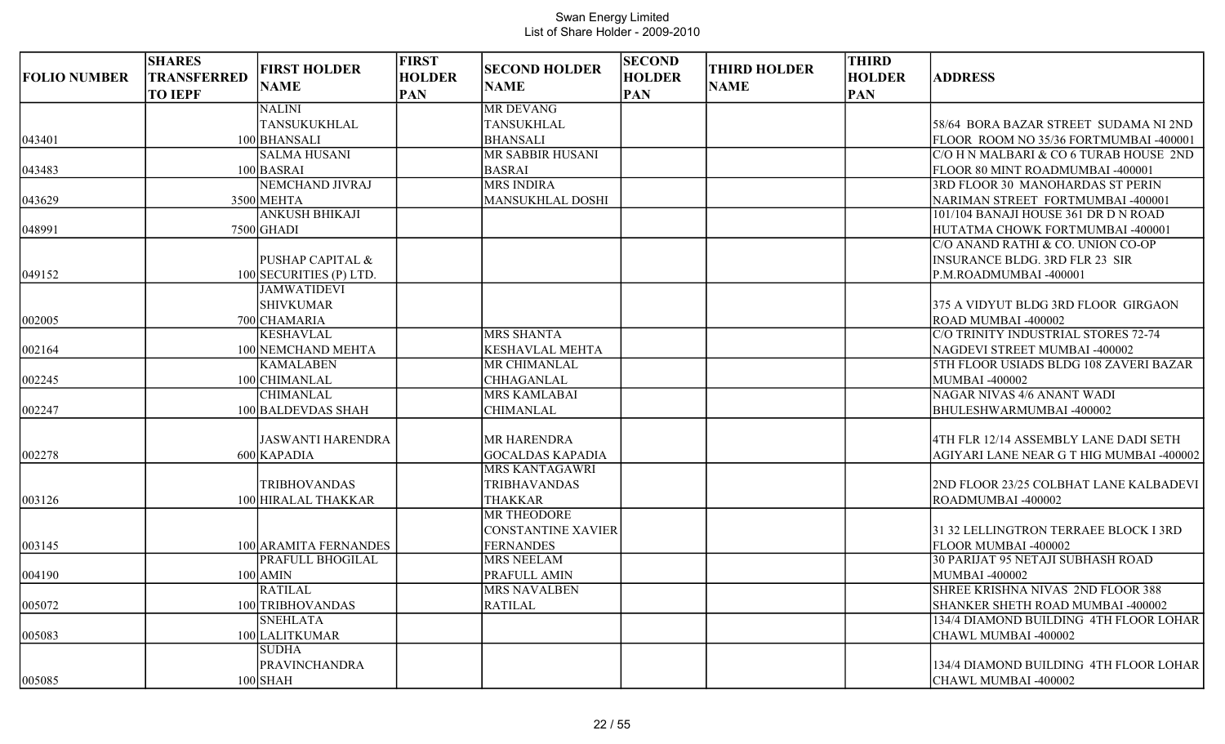| <b>FOLIO NUMBER</b> | <b>SHARES</b><br>TRANSFERRED | <b>FIRST HOLDER</b>         | <b>FIRST</b><br><b>HOLDER</b> | <b>SECOND HOLDER</b>                             | <b>SECOND</b><br><b>HOLDER</b> | <b>THIRD HOLDER</b> | <b>THIRD</b><br><b>HOLDER</b> | <b>ADDRESS</b>                           |
|---------------------|------------------------------|-----------------------------|-------------------------------|--------------------------------------------------|--------------------------------|---------------------|-------------------------------|------------------------------------------|
|                     | <b>TO IEPF</b>               | <b>NAME</b>                 | <b>PAN</b>                    | <b>NAME</b>                                      | <b>PAN</b>                     | <b>NAME</b>         | <b>PAN</b>                    |                                          |
|                     |                              | <b>NALINI</b>               |                               | <b>MR DEVANG</b>                                 |                                |                     |                               |                                          |
|                     |                              | <b>TANSUKUKHLAL</b>         |                               | <b>TANSUKHLAL</b>                                |                                |                     |                               | 58/64 BORA BAZAR STREET SUDAMA NI 2ND    |
| 043401              |                              | 100 BHANSALI                |                               | <b>BHANSALI</b>                                  |                                |                     |                               | FLOOR ROOM NO 35/36 FORTMUMBAI -400001   |
|                     |                              | <b>SALMA HUSANI</b>         |                               | MR SABBIR HUSANI                                 |                                |                     |                               | C/O H N MALBARI & CO 6 TURAB HOUSE 2ND   |
| 043483              |                              | $100$ BASRAI                |                               | <b>BASRAI</b>                                    |                                |                     |                               | <b>FLOOR 80 MINT ROADMUMBAI -400001</b>  |
|                     |                              | <b>NEMCHAND JIVRAJ</b>      |                               | <b>MRS INDIRA</b>                                |                                |                     |                               | 3RD FLOOR 30 MANOHARDAS ST PERIN         |
| 043629              |                              | 3500 MEHTA                  |                               | <b>MANSUKHLAL DOSHI</b>                          |                                |                     |                               | NARIMAN STREET FORTMUMBAI -400001        |
|                     |                              | <b>ANKUSH BHIKAJI</b>       |                               |                                                  |                                |                     |                               | 101/104 BANAJI HOUSE 361 DR D N ROAD     |
| 048991              |                              | $7500$ GHADI                |                               |                                                  |                                |                     |                               | HUTATMA CHOWK FORTMUMBAI -400001         |
|                     |                              |                             |                               |                                                  |                                |                     |                               | C/O ANAND RATHI & CO. UNION CO-OP        |
|                     |                              | <b>PUSHAP CAPITAL &amp;</b> |                               |                                                  |                                |                     |                               | <b>INSURANCE BLDG. 3RD FLR 23 SIR</b>    |
| 049152              |                              | 100 SECURITIES (P) LTD.     |                               |                                                  |                                |                     |                               | P.M.ROADMUMBAI-400001                    |
|                     |                              | <b>JAMWATIDEVI</b>          |                               |                                                  |                                |                     |                               |                                          |
|                     |                              | <b>SHIVKUMAR</b>            |                               |                                                  |                                |                     |                               | 1375 A VIDYUT BLDG 3RD FLOOR GIRGAON     |
| 002005              |                              | 700 CHAMARIA                |                               |                                                  |                                |                     |                               | ROAD MUMBAI -400002                      |
|                     |                              | <b>KESHAVLAL</b>            |                               | <b>MRS SHANTA</b>                                |                                |                     |                               | C/O TRINITY INDUSTRIAL STORES 72-74      |
| 002164              |                              | 100 NEMCHAND MEHTA          |                               | <b>KESHAVLAL MEHTA</b>                           |                                |                     |                               | NAGDEVI STREET MUMBAI -400002            |
|                     |                              | <b>KAMALABEN</b>            |                               | MR CHIMANLAL                                     |                                |                     |                               | 5TH FLOOR USIADS BLDG 108 ZAVERI BAZAR   |
| 002245              |                              | 100 CHIMANLAL               |                               | <b>CHHAGANLAL</b>                                |                                |                     |                               | MUMBAI -400002                           |
|                     |                              | <b>CHIMANLAL</b>            |                               | <b>MRS KAMLABAI</b>                              |                                |                     |                               | NAGAR NIVAS 4/6 ANANT WADI               |
| 002247              |                              | 100 BALDEVDAS SHAH          |                               | <b>CHIMANLAL</b>                                 |                                |                     |                               | BHULESHWARMUMBAI-400002                  |
|                     |                              |                             |                               |                                                  |                                |                     |                               |                                          |
|                     |                              | JASWANTI HARENDRA           |                               | <b>MR HARENDRA</b>                               |                                |                     |                               | 4TH FLR 12/14 ASSEMBLY LANE DADI SETH    |
| 002278              |                              | 600 KAPADIA                 |                               | <b>GOCALDAS KAPADIA</b><br><b>MRS KANTAGAWRI</b> |                                |                     |                               | AGIYARI LANE NEAR G T HIG MUMBAI -400002 |
|                     |                              | <b>TRIBHOVANDAS</b>         |                               | <b>TRIBHAVANDAS</b>                              |                                |                     |                               | 2ND FLOOR 23/25 COLBHAT LANE KALBADEVI   |
|                     |                              | 100 HIRALAL THAKKAR         |                               | <b>THAKKAR</b>                                   |                                |                     |                               |                                          |
| 003126              |                              |                             |                               | <b>MR THEODORE</b>                               |                                |                     |                               | ROADMUMBAI-400002                        |
|                     |                              |                             |                               | CONSTANTINE XAVIER                               |                                |                     |                               | 31 32 LELLINGTRON TERRAEE BLOCK I 3RD    |
| 003145              |                              | 100 ARAMITA FERNANDES       |                               | <b>FERNANDES</b>                                 |                                |                     |                               | FLOOR MUMBAI -400002                     |
|                     |                              | <b>PRAFULL BHOGILAL</b>     |                               | <b>MRS NEELAM</b>                                |                                |                     |                               | <b>30 PARIJAT 95 NETAJI SUBHASH ROAD</b> |
| 004190              |                              | $100$ AMIN                  |                               | PRAFULL AMIN                                     |                                |                     |                               | <b>MUMBAI-400002</b>                     |
|                     |                              | RATILAL                     |                               | MRS NAVALBEN                                     |                                |                     |                               | SHREE KRISHNA NIVAS 2ND FLOOR 388        |
| 005072              |                              | 100 TRIBHOVANDAS            |                               | <b>RATILAL</b>                                   |                                |                     |                               | SHANKER SHETH ROAD MUMBAI -400002        |
|                     |                              | <b>SNEHLATA</b>             |                               |                                                  |                                |                     |                               | 134/4 DIAMOND BUILDING 4TH FLOOR LOHAR   |
| 005083              |                              | 100 LALITKUMAR              |                               |                                                  |                                |                     |                               | CHAWL MUMBAI -400002                     |
|                     |                              | <b>SUDHA</b>                |                               |                                                  |                                |                     |                               |                                          |
|                     |                              | <b>PRAVINCHANDRA</b>        |                               |                                                  |                                |                     |                               | 134/4 DIAMOND BUILDING 4TH FLOOR LOHAR   |
| 005085              |                              | $100$ SHAH                  |                               |                                                  |                                |                     |                               | CHAWL MUMBAI -400002                     |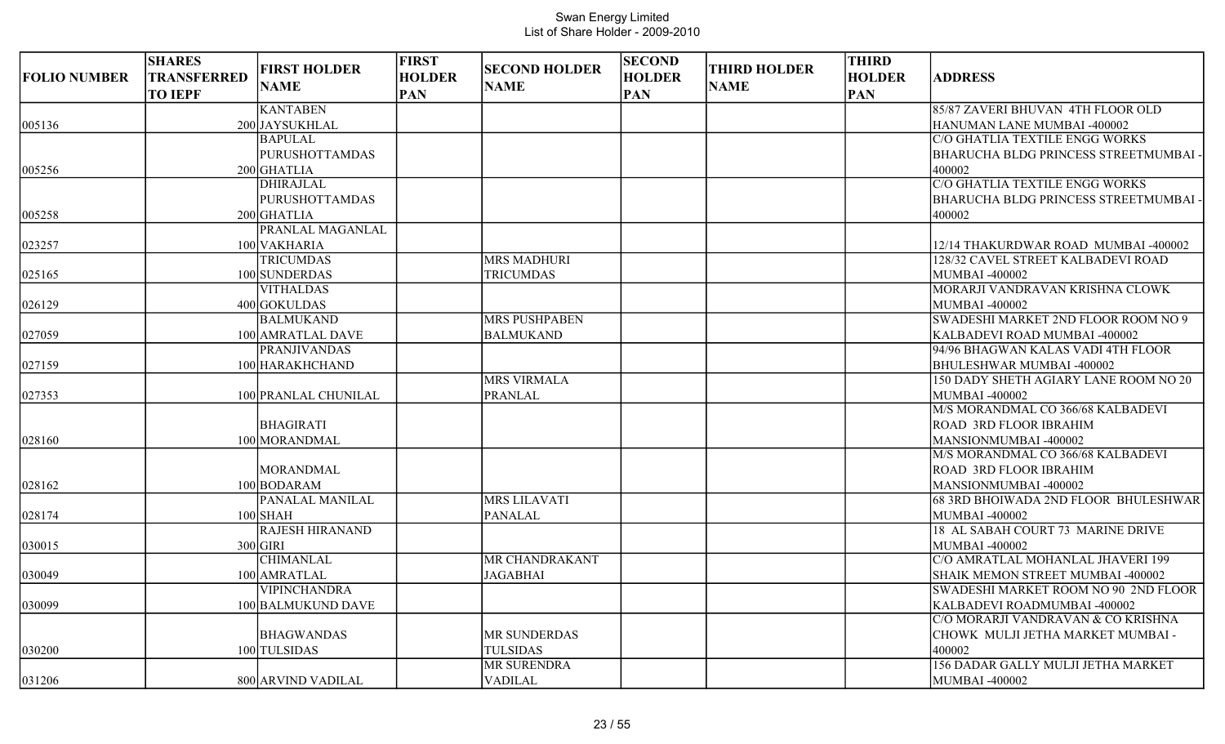| <b>FOLIO NUMBER</b> | <b>SHARES</b><br><b>TRANSFERRED</b><br><b>TO IEPF</b> | <b>FIRST HOLDER</b><br><b>NAME</b> | <b>FIRST</b><br><b>HOLDER</b><br><b>PAN</b> | <b>SECOND HOLDER</b><br><b>NAME</b> | <b>SECOND</b><br><b>HOLDER</b><br><b>PAN</b> | <b>THIRD HOLDER</b><br><b>NAME</b> | <b>THIRD</b><br><b>HOLDER</b><br><b>PAN</b> | <b>ADDRESS</b>                        |
|---------------------|-------------------------------------------------------|------------------------------------|---------------------------------------------|-------------------------------------|----------------------------------------------|------------------------------------|---------------------------------------------|---------------------------------------|
|                     |                                                       | <b>KANTABEN</b>                    |                                             |                                     |                                              |                                    |                                             | 85/87 ZAVERI BHUVAN 4TH FLOOR OLD     |
| 005136              |                                                       | 200 JAYSUKHLAL                     |                                             |                                     |                                              |                                    |                                             | HANUMAN LANE MUMBAI -400002           |
|                     |                                                       | <b>BAPULAL</b>                     |                                             |                                     |                                              |                                    |                                             | C/O GHATLIA TEXTILE ENGG WORKS        |
|                     |                                                       | <b>PURUSHOTTAMDAS</b>              |                                             |                                     |                                              |                                    |                                             | BHARUCHA BLDG PRINCESS STREETMUMBAI   |
| 005256              |                                                       | 200 GHATLIA                        |                                             |                                     |                                              |                                    |                                             | 400002                                |
|                     |                                                       | <b>DHIRAJLAL</b>                   |                                             |                                     |                                              |                                    |                                             | C/O GHATLIA TEXTILE ENGG WORKS        |
|                     |                                                       | <b>PURUSHOTTAMDAS</b>              |                                             |                                     |                                              |                                    |                                             | BHARUCHA BLDG PRINCESS STREETMUMBAI   |
| 005258              |                                                       | $200$ GHATLIA                      |                                             |                                     |                                              |                                    |                                             | 400002                                |
|                     |                                                       | PRANLAL MAGANLAL                   |                                             |                                     |                                              |                                    |                                             |                                       |
| 023257              |                                                       | 100 VAKHARIA                       |                                             |                                     |                                              |                                    |                                             | 12/14 THAKURDWAR ROAD MUMBAI -400002  |
|                     |                                                       | <b>TRICUMDAS</b>                   |                                             | <b>MRS MADHURI</b>                  |                                              |                                    |                                             | 128/32 CAVEL STREET KALBADEVI ROAD    |
| 025165              |                                                       | 100 SUNDERDAS                      |                                             | <b>TRICUMDAS</b>                    |                                              |                                    |                                             | <b>MUMBAI -400002</b>                 |
|                     |                                                       | <b>VITHALDAS</b>                   |                                             |                                     |                                              |                                    |                                             | MORARJI VANDRAVAN KRISHNA CLOWK       |
| 026129              |                                                       | 400 GOKULDAS                       |                                             |                                     |                                              |                                    |                                             | <b>MUMBAI-400002</b>                  |
|                     |                                                       | <b>BALMUKAND</b>                   |                                             | MRS PUSHPABEN                       |                                              |                                    |                                             | SWADESHI MARKET 2ND FLOOR ROOM NO 9   |
| 027059              |                                                       | 100 AMRATLAL DAVE                  |                                             | <b>BALMUKAND</b>                    |                                              |                                    |                                             | KALBADEVI ROAD MUMBAI -400002         |
|                     |                                                       | <b>PRANJIVANDAS</b>                |                                             |                                     |                                              |                                    |                                             | 94/96 BHAGWAN KALAS VADI 4TH FLOOR    |
| 027159              |                                                       | 100 HARAKHCHAND                    |                                             |                                     |                                              |                                    |                                             | BHULESHWAR MUMBAI -400002             |
|                     |                                                       |                                    |                                             | <b>MRS VIRMALA</b>                  |                                              |                                    |                                             | 150 DADY SHETH AGIARY LANE ROOM NO 20 |
| 027353              |                                                       | 100 PRANLAL CHUNILAL               |                                             | <b>PRANLAL</b>                      |                                              |                                    |                                             | <b>MUMBAI -400002</b>                 |
|                     |                                                       |                                    |                                             |                                     |                                              |                                    |                                             | M/S MORANDMAL CO 366/68 KALBADEVI     |
|                     |                                                       | <b>BHAGIRATI</b>                   |                                             |                                     |                                              |                                    |                                             | ROAD 3RD FLOOR IBRAHIM                |
| 028160              |                                                       | 100 MORANDMAL                      |                                             |                                     |                                              |                                    |                                             | MANSIONMUMBAI -400002                 |
|                     |                                                       |                                    |                                             |                                     |                                              |                                    |                                             | M/S MORANDMAL CO 366/68 KALBADEVI     |
|                     |                                                       | <b>MORANDMAL</b>                   |                                             |                                     |                                              |                                    |                                             | <b>ROAD 3RD FLOOR IBRAHIM</b>         |
| 028162              |                                                       | 100 BODARAM                        |                                             |                                     |                                              |                                    |                                             | MANSIONMUMBAI -400002                 |
|                     |                                                       | PANALAL MANILAL                    |                                             | <b>MRS LILAVATI</b>                 |                                              |                                    |                                             | 68 3RD BHOIWADA 2ND FLOOR BHULESHWAR  |
| 028174              |                                                       | $100$ SHAH                         |                                             | <b>PANALAL</b>                      |                                              |                                    |                                             | <b>MUMBAI -400002</b>                 |
|                     |                                                       | <b>RAJESH HIRANAND</b>             |                                             |                                     |                                              |                                    |                                             | 18 AL SABAH COURT 73 MARINE DRIVE     |
| 030015              |                                                       | $300$ GIRI                         |                                             |                                     |                                              |                                    |                                             | <b>MUMBAI-400002</b>                  |
|                     |                                                       | <b>CHIMANLAL</b>                   |                                             | MR CHANDRAKANT                      |                                              |                                    |                                             | C/O AMRATLAL MOHANLAL JHAVERI 199     |
| 030049              |                                                       | 100 AMRATLAL                       |                                             | <b>JAGABHAI</b>                     |                                              |                                    |                                             | SHAIK MEMON STREET MUMBAI -400002     |
|                     |                                                       | <b>VIPINCHANDRA</b>                |                                             |                                     |                                              |                                    |                                             | SWADESHI MARKET ROOM NO 90 2ND FLOOR  |
| 030099              |                                                       | 100 BALMUKUND DAVE                 |                                             |                                     |                                              |                                    |                                             | KALBADEVI ROADMUMBAI -400002          |
|                     |                                                       |                                    |                                             |                                     |                                              |                                    |                                             | C/O MORARJI VANDRAVAN & CO KRISHNA    |
|                     |                                                       | <b>BHAGWANDAS</b>                  |                                             | MR SUNDERDAS                        |                                              |                                    |                                             | CHOWK MULJI JETHA MARKET MUMBAI -     |
| 030200              |                                                       | 100 TULSIDAS                       |                                             | <b>TULSIDAS</b>                     |                                              |                                    |                                             | 400002                                |
|                     |                                                       |                                    |                                             | MR SURENDRA                         |                                              |                                    |                                             | 156 DADAR GALLY MULJI JETHA MARKET    |
| 031206              |                                                       | 800 ARVIND VADILAL                 |                                             | VADILAL                             |                                              |                                    |                                             | <b>MUMBAI -400002</b>                 |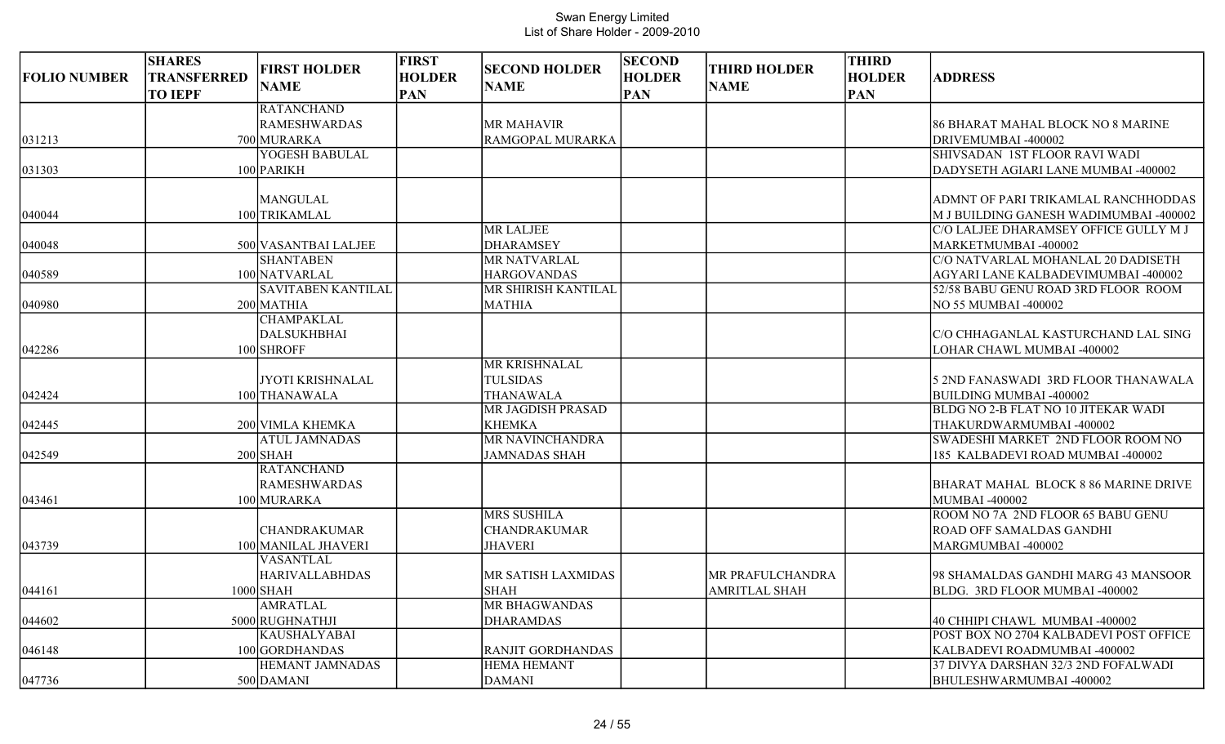|                     | <b>SHARES</b>      |                                    | <b>FIRST</b>  |                                     | <b>SECOND</b> | <b>THIRD HOLDER</b>  | <b>THIRD</b>  |                                        |
|---------------------|--------------------|------------------------------------|---------------|-------------------------------------|---------------|----------------------|---------------|----------------------------------------|
| <b>FOLIO NUMBER</b> | <b>TRANSFERRED</b> | <b>FIRST HOLDER</b><br><b>NAME</b> | <b>HOLDER</b> | <b>SECOND HOLDER</b><br><b>NAME</b> | <b>HOLDER</b> | <b>NAME</b>          | <b>HOLDER</b> | <b>ADDRESS</b>                         |
|                     | <b>TO IEPF</b>     |                                    | <b>PAN</b>    |                                     | <b>PAN</b>    |                      | <b>PAN</b>    |                                        |
|                     |                    | <b>RATANCHAND</b>                  |               |                                     |               |                      |               |                                        |
|                     |                    | <b>RAMESHWARDAS</b>                |               | <b>MR MAHAVIR</b>                   |               |                      |               | 86 BHARAT MAHAL BLOCK NO 8 MARINE      |
| 031213              |                    | 700 MURARKA                        |               | RAMGOPAL MURARKA                    |               |                      |               | DRIVEMUMBAI -400002                    |
|                     |                    | YOGESH BABULAL                     |               |                                     |               |                      |               | <b>SHIVSADAN 1ST FLOOR RAVI WADI</b>   |
| 031303              |                    | 100 PARIKH                         |               |                                     |               |                      |               | DADYSETH AGIARI LANE MUMBAI -400002    |
|                     |                    | <b>MANGULAL</b>                    |               |                                     |               |                      |               | ADMNT OF PARI TRIKAMLAL RANCHHODDAS    |
| 040044              |                    | 100 TRIKAMLAL                      |               |                                     |               |                      |               | M J BUILDING GANESH WADIMUMBAI -400002 |
|                     |                    |                                    |               | <b>MR LALJEE</b>                    |               |                      |               | C/O LALJEE DHARAMSEY OFFICE GULLY M J  |
| 040048              |                    | 500 VASANTBAI LALJEE               |               | <b>DHARAMSEY</b>                    |               |                      |               | MARKETMUMBAI -400002                   |
|                     |                    | <b>SHANTABEN</b>                   |               | MR NATVARLAL                        |               |                      |               | C/O NATVARLAL MOHANLAL 20 DADISETH     |
| 040589              |                    | 100 NATVARLAL                      |               | <b>HARGOVANDAS</b>                  |               |                      |               | AGYARI LANE KALBADEVIMUMBAI -400002    |
|                     |                    | SAVITABEN KANTILAL                 |               | MR SHIRISH KANTILAL                 |               |                      |               | 52/58 BABU GENU ROAD 3RD FLOOR ROOM    |
| 040980              |                    | 200 MATHIA                         |               | <b>MATHIA</b>                       |               |                      |               | NO 55 MUMBAI -400002                   |
|                     |                    | <b>CHAMPAKLAL</b>                  |               |                                     |               |                      |               |                                        |
|                     |                    | <b>DALSUKHBHAI</b>                 |               |                                     |               |                      |               | C/O CHHAGANLAL KASTURCHAND LAL SING    |
| 042286              |                    | 100 SHROFF                         |               |                                     |               |                      |               | LOHAR CHAWL MUMBAI -400002             |
|                     |                    |                                    |               | MR KRISHNALAL                       |               |                      |               |                                        |
|                     |                    | <b>JYOTI KRISHNALAL</b>            |               | <b>TULSIDAS</b>                     |               |                      |               | 5 2ND FANASWADI 3RD FLOOR THANAWALA    |
| 042424              |                    | 100 THANAWALA                      |               | <b>THANAWALA</b>                    |               |                      |               | <b>BUILDING MUMBAI -400002</b>         |
|                     |                    |                                    |               | MR JAGDISH PRASAD                   |               |                      |               | BLDG NO 2-B FLAT NO 10 JITEKAR WADI    |
| 042445              |                    | 200 VIMLA KHEMKA                   |               | <b>KHEMKA</b>                       |               |                      |               | THAKURDWARMUMBAI-400002                |
|                     |                    | <b>ATUL JAMNADAS</b>               |               | <b>MR NAVINCHANDRA</b>              |               |                      |               | SWADESHI MARKET 2ND FLOOR ROOM NO      |
| 042549              |                    | $200$ SHAH                         |               | <b>JAMNADAS SHAH</b>                |               |                      |               | 185 KALBADEVI ROAD MUMBAI -400002      |
|                     |                    | <b>RATANCHAND</b>                  |               |                                     |               |                      |               |                                        |
|                     |                    | <b>RAMESHWARDAS</b>                |               |                                     |               |                      |               | BHARAT MAHAL BLOCK 8 86 MARINE DRIVE   |
| 043461              |                    | 100 MURARKA                        |               |                                     |               |                      |               | MUMBAI -400002                         |
|                     |                    |                                    |               | <b>MRS SUSHILA</b>                  |               |                      |               | ROOM NO 7A 2ND FLOOR 65 BABU GENU      |
|                     |                    | <b>CHANDRAKUMAR</b>                |               | <b>CHANDRAKUMAR</b>                 |               |                      |               | <b>ROAD OFF SAMALDAS GANDHI</b>        |
| 043739              |                    | 100 MANILAL JHAVERI                |               | <b>JHAVERI</b>                      |               |                      |               | MARGMUMBAI -400002                     |
|                     |                    | VASANTLAL                          |               |                                     |               |                      |               |                                        |
|                     |                    | <b>HARIVALLABHDAS</b>              |               | MR SATISH LAXMIDAS                  |               | MR PRAFULCHANDRA     |               | 98 SHAMALDAS GANDHI MARG 43 MANSOOR    |
| 044161              |                    | $1000$ SHAH                        |               | <b>SHAH</b>                         |               | <b>AMRITLAL SHAH</b> |               | BLDG. 3RD FLOOR MUMBAI -400002         |
|                     |                    | <b>AMRATLAL</b>                    |               | MR BHAGWANDAS                       |               |                      |               |                                        |
| 044602              |                    | 5000 RUGHNATHJI                    |               | <b>DHARAMDAS</b>                    |               |                      |               | 40 CHHIPI CHAWL MUMBAI -400002         |
|                     |                    | <b>KAUSHALYABAI</b>                |               |                                     |               |                      |               | POST BOX NO 2704 KALBADEVI POST OFFICE |
| 046148              |                    | 100 GORDHANDAS                     |               | RANJIT GORDHANDAS                   |               |                      |               | KALBADEVI ROADMUMBAI -400002           |
|                     |                    | <b>HEMANT JAMNADAS</b>             |               | <b>HEMA HEMANT</b>                  |               |                      |               | 37 DIVYA DARSHAN 32/3 2ND FOFALWADI    |
| 047736              |                    | 500 DAMANI                         |               | <b>DAMANI</b>                       |               |                      |               | BHULESHWARMUMBAI -400002               |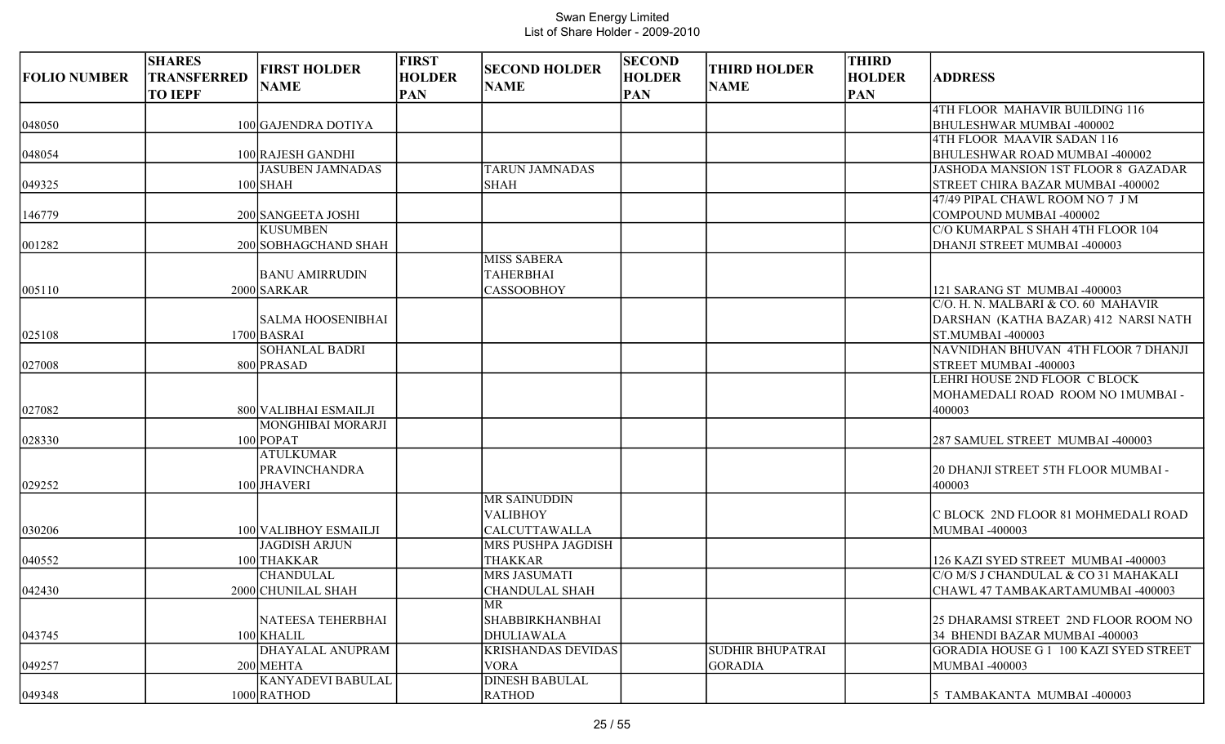|                     | <b>SHARES</b>                        | <b>FIRST HOLDER</b>      | <b>FIRST</b>                | <b>SECOND HOLDER</b>      | <b>SECOND</b>               | <b>THIRD HOLDER</b>     | <b>THIRD</b>                |                                            |
|---------------------|--------------------------------------|--------------------------|-----------------------------|---------------------------|-----------------------------|-------------------------|-----------------------------|--------------------------------------------|
| <b>FOLIO NUMBER</b> | <b>TRANSFERRED</b><br><b>TO IEPF</b> | <b>NAME</b>              | <b>HOLDER</b><br><b>PAN</b> | <b>NAME</b>               | <b>HOLDER</b><br><b>PAN</b> | <b>NAME</b>             | <b>HOLDER</b><br><b>PAN</b> | <b>ADDRESS</b>                             |
|                     |                                      |                          |                             |                           |                             |                         |                             | 4TH FLOOR MAHAVIR BUILDING 116             |
| 048050              |                                      | 100 GAJENDRA DOTIYA      |                             |                           |                             |                         |                             | BHULESHWAR MUMBAI -400002                  |
|                     |                                      |                          |                             |                           |                             |                         |                             | 4TH FLOOR MAAVIR SADAN 116                 |
| 048054              |                                      | 100 RAJESH GANDHI        |                             |                           |                             |                         |                             | BHULESHWAR ROAD MUMBAI -400002             |
|                     |                                      | <b>JASUBEN JAMNADAS</b>  |                             | <b>TARUN JAMNADAS</b>     |                             |                         |                             | <b>JASHODA MANSION 1ST FLOOR 8 GAZADAR</b> |
| 049325              |                                      | $100$ SHAH               |                             | <b>SHAH</b>               |                             |                         |                             | STREET CHIRA BAZAR MUMBAI -400002          |
|                     |                                      |                          |                             |                           |                             |                         |                             | 47/49 PIPAL CHAWL ROOM NO 7 J M            |
| 146779              |                                      | 200 SANGEETA JOSHI       |                             |                           |                             |                         |                             | COMPOUND MUMBAI -400002                    |
|                     |                                      | <b>KUSUMBEN</b>          |                             |                           |                             |                         |                             | C/O KUMARPAL S SHAH 4TH FLOOR 104          |
| 001282              |                                      | 200 SOBHAGCHAND SHAH     |                             |                           |                             |                         |                             | DHANJI STREET MUMBAI -400003               |
|                     |                                      |                          |                             | <b>MISS SABERA</b>        |                             |                         |                             |                                            |
|                     |                                      | <b>BANU AMIRRUDIN</b>    |                             | <b>TAHERBHAI</b>          |                             |                         |                             |                                            |
| 005110              |                                      | 2000 SARKAR              |                             | <b>CASSOOBHOY</b>         |                             |                         |                             | 121 SARANG ST MUMBAI -400003               |
|                     |                                      |                          |                             |                           |                             |                         |                             | C/O. H. N. MALBARI & CO. 60 MAHAVIR        |
|                     |                                      | <b>SALMA HOOSENIBHAI</b> |                             |                           |                             |                         |                             | DARSHAN (KATHA BAZAR) 412 NARSI NATH       |
| 025108              |                                      | 1700 BASRAI              |                             |                           |                             |                         |                             | ST.MUMBAI -400003                          |
|                     |                                      | <b>SOHANLAL BADRI</b>    |                             |                           |                             |                         |                             | NAVNIDHAN BHUVAN 4TH FLOOR 7 DHANJI        |
| 027008              |                                      | 800 PRASAD               |                             |                           |                             |                         |                             | STREET MUMBAI -400003                      |
|                     |                                      |                          |                             |                           |                             |                         |                             | LEHRI HOUSE 2ND FLOOR C BLOCK              |
|                     |                                      |                          |                             |                           |                             |                         |                             | MOHAMEDALI ROAD ROOM NO 1MUMBAI -          |
| 027082              |                                      | 800 VALIBHAI ESMAILJI    |                             |                           |                             |                         |                             | 400003                                     |
|                     |                                      | <b>MONGHIBAI MORARJI</b> |                             |                           |                             |                         |                             |                                            |
| 028330              |                                      | $100$ POPAT              |                             |                           |                             |                         |                             | 287 SAMUEL STREET MUMBAI -400003           |
|                     |                                      | <b>ATULKUMAR</b>         |                             |                           |                             |                         |                             |                                            |
|                     |                                      | <b>PRAVINCHANDRA</b>     |                             |                           |                             |                         |                             | 20 DHANJI STREET 5TH FLOOR MUMBAI -        |
| 029252              |                                      | 100 JHAVERI              |                             |                           |                             |                         |                             | 400003                                     |
|                     |                                      |                          |                             | <b>MR SAINUDDIN</b>       |                             |                         |                             |                                            |
|                     |                                      |                          |                             | <b>VALIBHOY</b>           |                             |                         |                             | C BLOCK 2ND FLOOR 81 MOHMEDALI ROAD        |
| 030206              |                                      | 100 VALIBHOY ESMAILJI    |                             | <b>CALCUTTAWALLA</b>      |                             |                         |                             | <b>MUMBAI-400003</b>                       |
|                     |                                      | <b>JAGDISH ARJUN</b>     |                             | <b>MRS PUSHPA JAGDISH</b> |                             |                         |                             |                                            |
| 040552              |                                      | 100 THAKKAR              |                             | <b>THAKKAR</b>            |                             |                         |                             | 126 KAZI SYED STREET MUMBAI -400003        |
|                     |                                      | <b>CHANDULAL</b>         |                             | <b>MRS JASUMATI</b>       |                             |                         |                             | C/O M/S J CHANDULAL & CO 31 MAHAKALI       |
| $ 042430\rangle$    |                                      | 2000 CHUNILAL SHAH       |                             | <b>CHANDULAL SHAH</b>     |                             |                         |                             | CHAWL 47 TAMBAKARTAMUMBAI -400003          |
|                     |                                      |                          |                             | <b>MR</b>                 |                             |                         |                             |                                            |
|                     |                                      | NATEESA TEHERBHAI        |                             | <b>SHABBIRKHANBHAI</b>    |                             |                         |                             | 25 DHARAMSI STREET 2ND FLOOR ROOM NO       |
| 043745              |                                      | 100 KHALIL               |                             | DHULIAWALA                |                             |                         |                             | 34 BHENDI BAZAR MUMBAI -400003             |
|                     |                                      | DHAYALAL ANUPRAM         |                             | <b>KRISHANDAS DEVIDAS</b> |                             | <b>SUDHIR BHUPATRAI</b> |                             | GORADIA HOUSE G 1 100 KAZI SYED STREET     |
| 049257              |                                      | 200 MEHTA                |                             | <b>VORA</b>               |                             | <b>GORADIA</b>          |                             | <b>MUMBAI -400003</b>                      |
|                     |                                      | <b>KANYADEVI BABULAL</b> |                             | <b>DINESH BABULAL</b>     |                             |                         |                             |                                            |
| 049348              |                                      | 1000 RATHOD              |                             | <b>RATHOD</b>             |                             |                         |                             | 5 TAMBAKANTA MUMBAI -400003                |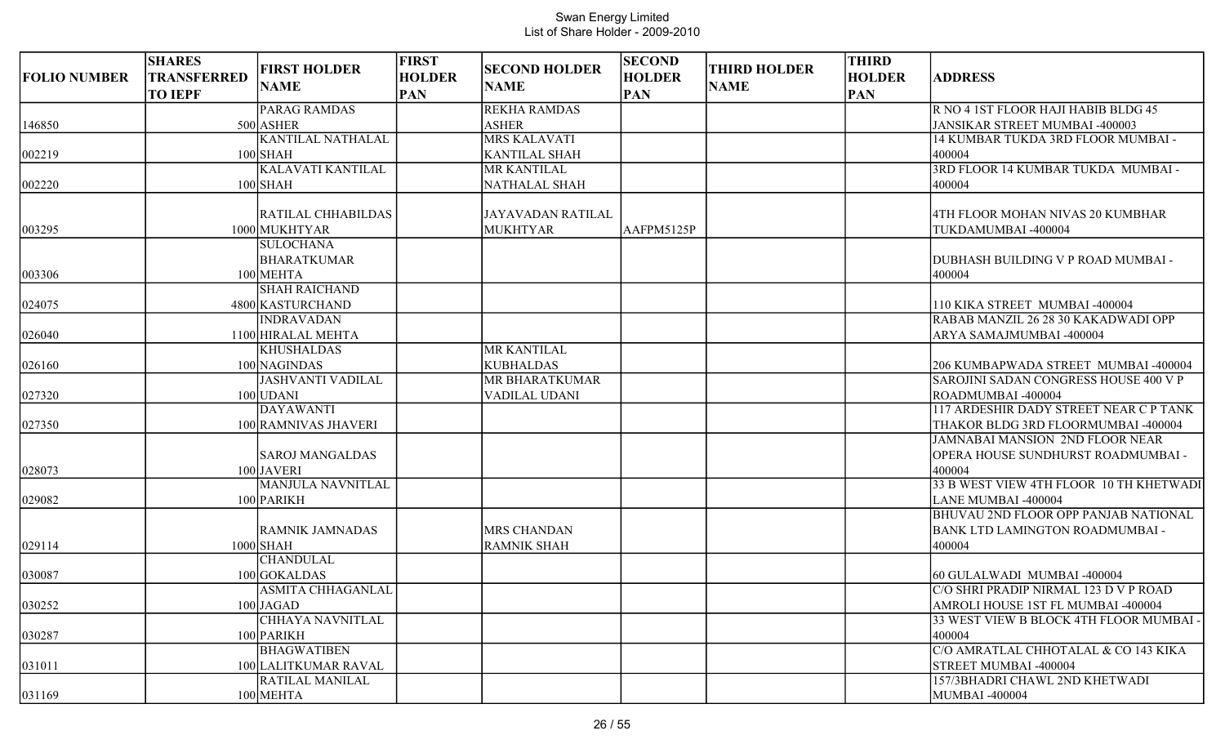|                     | <b>SHARES</b>      |                          | <b>FIRST</b>  |                          | <b>SECOND</b> |                     | <b>THIRD</b>  |                                                                    |
|---------------------|--------------------|--------------------------|---------------|--------------------------|---------------|---------------------|---------------|--------------------------------------------------------------------|
| <b>FOLIO NUMBER</b> | <b>TRANSFERRED</b> | <b>FIRST HOLDER</b>      | <b>HOLDER</b> | <b>SECOND HOLDER</b>     | <b>HOLDER</b> | <b>THIRD HOLDER</b> | <b>HOLDER</b> | <b>ADDRESS</b>                                                     |
|                     | <b>TO IEPF</b>     | <b>NAME</b>              | <b>PAN</b>    | <b>NAME</b>              | <b>PAN</b>    | <b>NAME</b>         | <b>PAN</b>    |                                                                    |
|                     |                    | <b>PARAG RAMDAS</b>      |               | <b>REKHA RAMDAS</b>      |               |                     |               | R NO 4 1ST FLOOR HAJI HABIB BLDG 45                                |
| 146850              |                    | 500 ASHER                |               | <b>ASHER</b>             |               |                     |               | JANSIKAR STREET MUMBAI -400003                                     |
|                     |                    | <b>KANTILAL NATHALAL</b> |               | <b>MRS KALAVATI</b>      |               |                     |               | 14 KUMBAR TUKDA 3RD FLOOR MUMBAI -                                 |
| 002219              |                    | $100$ SHAH               |               | <b>KANTILAL SHAH</b>     |               |                     |               | 400004                                                             |
|                     |                    | <b>KALAVATI KANTILAL</b> |               | MR KANTILAL              |               |                     |               | 3RD FLOOR 14 KUMBAR TUKDA MUMBAI -                                 |
| 002220              |                    | $100$ SHAH               |               | NATHALAL SHAH            |               |                     |               | 400004                                                             |
|                     |                    |                          |               |                          |               |                     |               |                                                                    |
|                     |                    | RATILAL CHHABILDAS       |               | <b>JAYAVADAN RATILAL</b> |               |                     |               | 4TH FLOOR MOHAN NIVAS 20 KUMBHAR                                   |
| 003295              |                    | 1000 MUKHTYAR            |               | <b>MUKHTYAR</b>          | AAFPM5125P    |                     |               | TUKDAMUMBAI -400004                                                |
|                     |                    | <b>SULOCHANA</b>         |               |                          |               |                     |               |                                                                    |
|                     |                    | <b>BHARATKUMAR</b>       |               |                          |               |                     |               | DUBHASH BUILDING V P ROAD MUMBAI -                                 |
| 003306              |                    | 100 MEHTA                |               |                          |               |                     |               | 400004                                                             |
|                     |                    | <b>SHAH RAICHAND</b>     |               |                          |               |                     |               |                                                                    |
| 024075              |                    | 4800 KASTURCHAND         |               |                          |               |                     |               | 110 KIKA STREET MUMBAI -400004                                     |
|                     |                    | <b>INDRAVADAN</b>        |               |                          |               |                     |               | RABAB MANZIL 26 28 30 KAKADWADI OPP                                |
| 026040              |                    | 1100 HIRALAL MEHTA       |               |                          |               |                     |               | ARYA SAMAJMUMBAI -400004                                           |
|                     |                    | <b>KHUSHALDAS</b>        |               | MR KANTILAL              |               |                     |               |                                                                    |
| 026160              |                    | 100 NAGINDAS             |               | <b>KUBHALDAS</b>         |               |                     |               | 206 KUMBAPWADA STREET MUMBAI -400004                               |
|                     |                    | <b>JASHVANTI VADILAL</b> |               | MR BHARATKUMAR           |               |                     |               | SAROJINI SADAN CONGRESS HOUSE 400 V P                              |
| 027320              |                    | $100$ UDANI              |               | <b>VADILAL UDANI</b>     |               |                     |               | ROADMUMBAI -400004                                                 |
|                     |                    | <b>DAYAWANTI</b>         |               |                          |               |                     |               | 117 ARDESHIR DADY STREET NEAR C P TANK                             |
| 027350              |                    | 100 RAMNIVAS JHAVERI     |               |                          |               |                     |               | THAKOR BLDG 3RD FLOORMUMBAI -400004                                |
|                     |                    |                          |               |                          |               |                     |               | JAMNABAI MANSION 2ND FLOOR NEAR                                    |
|                     |                    | <b>SAROJ MANGALDAS</b>   |               |                          |               |                     |               | OPERA HOUSE SUNDHURST ROADMUMBAI -                                 |
| 028073              |                    | 100 JAVERI               |               |                          |               |                     |               | 400004                                                             |
|                     |                    | <b>MANJULA NAVNITLAL</b> |               |                          |               |                     |               | 33 B WEST VIEW 4TH FLOOR 10 TH KHETWADI                            |
| 029082              |                    | 100 PARIKH               |               |                          |               |                     |               | LANE MUMBAI -400004<br><b>BHUVAU 2ND FLOOR OPP PANJAB NATIONAL</b> |
|                     |                    | <b>RAMNIK JAMNADAS</b>   |               | <b>MRS CHANDAN</b>       |               |                     |               | <b>BANK LTD LAMINGTON ROADMUMBAI -</b>                             |
| 029114              |                    | $1000$ SHAH              |               | <b>RAMNIK SHAH</b>       |               |                     |               | 400004                                                             |
|                     |                    | <b>CHANDULAL</b>         |               |                          |               |                     |               |                                                                    |
| 030087              |                    | $100$ GOKALDAS           |               |                          |               |                     |               | 60 GULALWADI MUMBAI -400004                                        |
|                     |                    | <b>ASMITA CHHAGANLAL</b> |               |                          |               |                     |               | C/O SHRI PRADIP NIRMAL 123 D V P ROAD                              |
| 030252              |                    | $100$ JAGAD              |               |                          |               |                     |               | AMROLI HOUSE 1ST FL MUMBAI -400004                                 |
|                     |                    | <b>CHHAYA NAVNITLAL</b>  |               |                          |               |                     |               | 33 WEST VIEW B BLOCK 4TH FLOOR MUMBAI -                            |
| 030287              |                    | 100 PARIKH               |               |                          |               |                     |               | 400004                                                             |
|                     |                    | <b>BHAGWATIBEN</b>       |               |                          |               |                     |               | C/O AMRATLAL CHHOTALAL & CO 143 KIKA                               |
| 031011              |                    | 100 LALITKUMAR RAVAL     |               |                          |               |                     |               | <b>STREET MUMBAI-400004</b>                                        |
|                     |                    | <b>RATILAL MANILAL</b>   |               |                          |               |                     |               | 157/3BHADRI CHAWL 2ND KHETWADI                                     |
| 031169              |                    | 100 MEHTA                |               |                          |               |                     |               | MUMBAI -400004                                                     |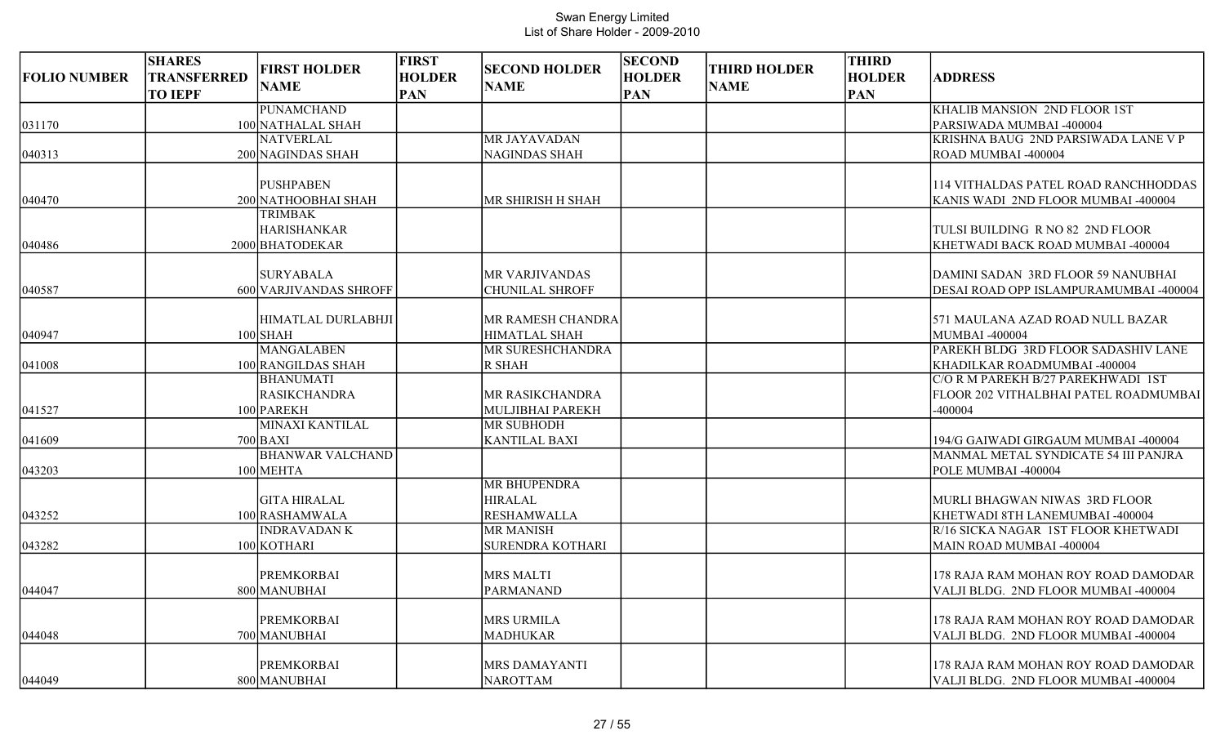| <b>FOLIO NUMBER</b> | <b>SHARES</b><br>TRANSFERRED<br><b>TO IEPF</b> | <b>FIRST HOLDER</b><br><b>NAME</b>                    | <b>FIRST</b><br><b>HOLDER</b><br><b>PAN</b> | <b>SECOND HOLDER</b><br><b>NAME</b>       | <b>SECOND</b><br><b>HOLDER</b><br><b>PAN</b> | <b>THIRD HOLDER</b><br><b>NAME</b> | <b>THIRD</b><br><b>HOLDER</b><br><b>PAN</b> | <b>ADDRESS</b>                                                                         |
|---------------------|------------------------------------------------|-------------------------------------------------------|---------------------------------------------|-------------------------------------------|----------------------------------------------|------------------------------------|---------------------------------------------|----------------------------------------------------------------------------------------|
|                     |                                                | PUNAMCHAND                                            |                                             |                                           |                                              |                                    |                                             | KHALIB MANSION 2ND FLOOR 1ST                                                           |
| 031170              |                                                | 100 NATHALAL SHAH                                     |                                             |                                           |                                              |                                    |                                             | PARSIWADA MUMBAI -400004                                                               |
|                     |                                                | <b>NATVERLAL</b>                                      |                                             | MR JAYAVADAN                              |                                              |                                    |                                             | KRISHNA BAUG 2ND PARSIWADA LANE V P                                                    |
| 040313              |                                                | 200 NAGINDAS SHAH                                     |                                             | <b>NAGINDAS SHAH</b>                      |                                              |                                    |                                             | ROAD MUMBAI -400004                                                                    |
|                     |                                                | <b>PUSHPABEN</b>                                      |                                             |                                           |                                              |                                    |                                             | 114 VITHALDAS PATEL ROAD RANCHHODDAS                                                   |
| 040470              |                                                | 200 NATHOOBHAI SHAH                                   |                                             | MR SHIRISH H SHAH                         |                                              |                                    |                                             | KANIS WADI 2ND FLOOR MUMBAI -400004                                                    |
|                     |                                                | TRIMBAK<br><b>HARISHANKAR</b>                         |                                             |                                           |                                              |                                    |                                             | TULSI BUILDING R NO 82 2ND FLOOR                                                       |
| 040486              |                                                | 2000 BHATODEKAR                                       |                                             |                                           |                                              |                                    |                                             | KHETWADI BACK ROAD MUMBAI -400004                                                      |
| 040587              |                                                | <b>SURYABALA</b><br>600 VARJIVANDAS SHROFF            |                                             | MR VARJIVANDAS<br><b>CHUNILAL SHROFF</b>  |                                              |                                    |                                             | DAMINI SADAN 3RD FLOOR 59 NANUBHAI<br>DESAI ROAD OPP ISLAMPURAMUMBAI -400004           |
| 040947              |                                                | HIMATLAL DURLABHJI<br>$100$ SHAH                      |                                             | MR RAMESH CHANDRA<br><b>HIMATLAL SHAH</b> |                                              |                                    |                                             | 571 MAULANA AZAD ROAD NULL BAZAR<br>MUMBAI -400004                                     |
|                     |                                                | <b>MANGALABEN</b>                                     |                                             | MR SURESHCHANDRA                          |                                              |                                    |                                             | PAREKH BLDG 3RD FLOOR SADASHIV LANE                                                    |
| 041008              |                                                | 100 RANGILDAS SHAH                                    |                                             | <b>R SHAH</b>                             |                                              |                                    |                                             | KHADILKAR ROADMUMBAI -400004                                                           |
| 041527              |                                                | <b>BHANUMATI</b><br><b>RASIKCHANDRA</b><br>100 PAREKH |                                             | MR RASIKCHANDRA<br>MULJIBHAI PAREKH       |                                              |                                    |                                             | C/O R M PAREKH B/27 PAREKHWADI 1ST<br>FLOOR 202 VITHALBHAI PATEL ROADMUMBAI<br>-400004 |
|                     |                                                | <b>MINAXI KANTILAL</b>                                |                                             | <b>MR SUBHODH</b>                         |                                              |                                    |                                             |                                                                                        |
| 041609              |                                                | $700$ BAXI                                            |                                             | <b>KANTILAL BAXI</b>                      |                                              |                                    |                                             | 194/G GAIWADI GIRGAUM MUMBAI -400004                                                   |
| 043203              |                                                | <b>BHANWAR VALCHAND</b><br>100 MEHTA                  |                                             |                                           |                                              |                                    |                                             | MANMAL METAL SYNDICATE 54 III PANJRA<br>POLE MUMBAI -400004                            |
|                     |                                                | <b>GITA HIRALAL</b>                                   |                                             | <b>MR BHUPENDRA</b><br><b>HIRALAL</b>     |                                              |                                    |                                             | MURLI BHAGWAN NIWAS 3RD FLOOR                                                          |
| 043252              |                                                | 100 RASHAMWALA                                        |                                             | <b>RESHAMWALLA</b>                        |                                              |                                    |                                             | KHETWADI 8TH LANEMUMBAI -400004                                                        |
| 043282              |                                                | <b>INDRAVADANK</b><br>100 KOTHARI                     |                                             | <b>MR MANISH</b><br>SURENDRA KOTHARI      |                                              |                                    |                                             | R/16 SICKA NAGAR 1ST FLOOR KHETWADI<br>MAIN ROAD MUMBAI -400004                        |
| 044047              |                                                | <b>PREMKORBAI</b><br>800 MANUBHAI                     |                                             | <b>MRS MALTI</b><br>PARMANAND             |                                              |                                    |                                             | 178 RAJA RAM MOHAN ROY ROAD DAMODAR<br>VALJI BLDG. 2ND FLOOR MUMBAI -400004            |
| 044048              |                                                | <b>PREMKORBAI</b><br>700 MANUBHAI                     |                                             | <b>MRS URMILA</b><br><b>MADHUKAR</b>      |                                              |                                    |                                             | 178 RAJA RAM MOHAN ROY ROAD DAMODAR<br>VALJI BLDG. 2ND FLOOR MUMBAI -400004            |
| 044049              |                                                | <b>PREMKORBAI</b><br>800 MANUBHAI                     |                                             | MRS DAMAYANTI<br><b>NAROTTAM</b>          |                                              |                                    |                                             | 178 RAJA RAM MOHAN ROY ROAD DAMODAR<br>VALJI BLDG. 2ND FLOOR MUMBAI -400004            |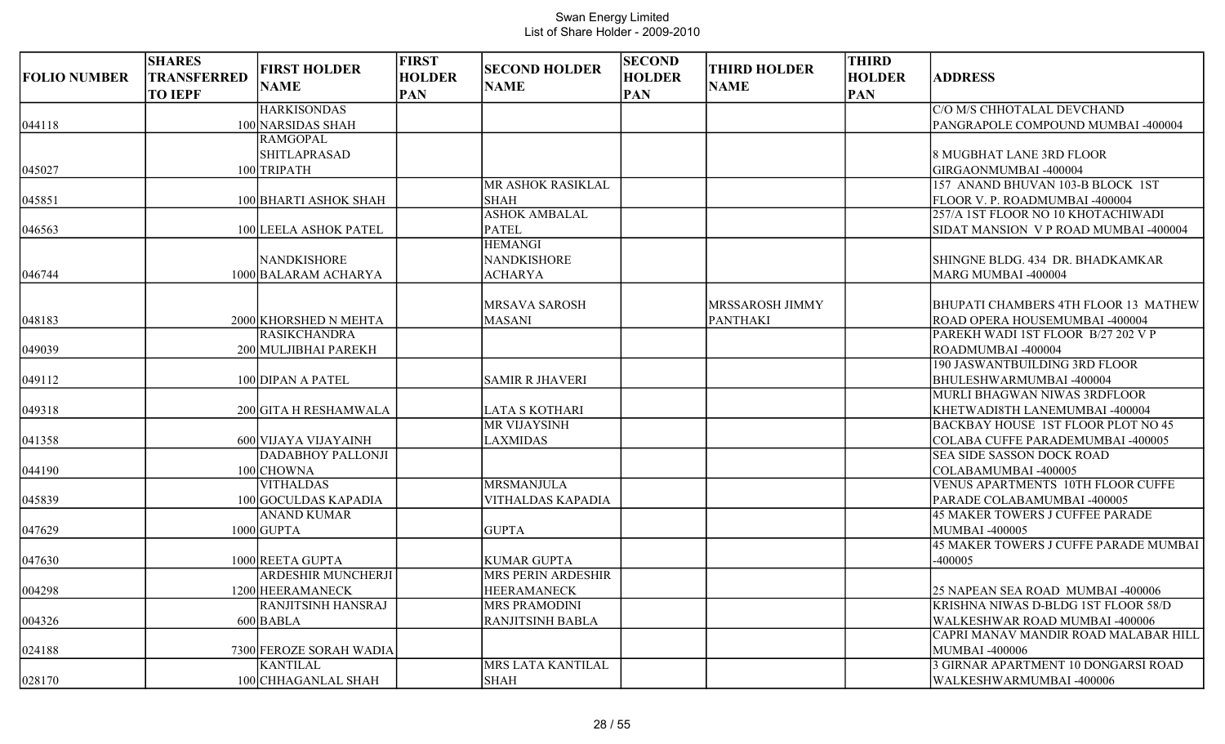|                     | <b>SHARES</b>                        | <b>FIRST HOLDER</b>       | <b>FIRST</b>                | <b>SECOND HOLDER</b>      | <b>SECOND</b>               | <b>THIRD HOLDER</b> | <b>THIRD</b>                |                                                         |
|---------------------|--------------------------------------|---------------------------|-----------------------------|---------------------------|-----------------------------|---------------------|-----------------------------|---------------------------------------------------------|
| <b>FOLIO NUMBER</b> | <b>TRANSFERRED</b><br><b>TO IEPF</b> | <b>NAME</b>               | <b>HOLDER</b><br><b>PAN</b> | <b>NAME</b>               | <b>HOLDER</b><br><b>PAN</b> | <b>NAME</b>         | <b>HOLDER</b><br><b>PAN</b> | <b>ADDRESS</b>                                          |
|                     |                                      | <b>HARKISONDAS</b>        |                             |                           |                             |                     |                             | C/O M/S CHHOTALAL DEVCHAND                              |
| 044118              |                                      | 100 NARSIDAS SHAH         |                             |                           |                             |                     |                             | PANGRAPOLE COMPOUND MUMBAI -400004                      |
|                     |                                      | <b>RAMGOPAL</b>           |                             |                           |                             |                     |                             |                                                         |
|                     |                                      | <b>SHITLAPRASAD</b>       |                             |                           |                             |                     |                             | 8 MUGBHAT LANE 3RD FLOOR                                |
| 045027              |                                      | 100 TRIPATH               |                             |                           |                             |                     |                             | GIRGAONMUMBAI -400004                                   |
|                     |                                      |                           |                             | MR ASHOK RASIKLAL         |                             |                     |                             | 157 ANAND BHUVAN 103-B BLOCK 1ST                        |
| 045851              |                                      | 100 BHARTI ASHOK SHAH     |                             | <b>SHAH</b>               |                             |                     |                             | <b>FLOOR V. P. ROADMUMBAI -400004</b>                   |
|                     |                                      |                           |                             | <b>ASHOK AMBALAL</b>      |                             |                     |                             | 257/A 1ST FLOOR NO 10 KHOTACHIWADI                      |
| 046563              |                                      | 100 LEELA ASHOK PATEL     |                             | <b>PATEL</b>              |                             |                     |                             | SIDAT MANSION V P ROAD MUMBAI -400004                   |
|                     |                                      |                           |                             | <b>HEMANGI</b>            |                             |                     |                             |                                                         |
|                     |                                      | <b>NANDKISHORE</b>        |                             | <b>NANDKISHORE</b>        |                             |                     |                             | SHINGNE BLDG. 434 DR. BHADKAMKAR                        |
| 046744              |                                      | 1000 BALARAM ACHARYA      |                             | <b>ACHARYA</b>            |                             |                     |                             | MARG MUMBAI -400004                                     |
|                     |                                      |                           |                             |                           |                             |                     |                             |                                                         |
|                     |                                      |                           |                             | <b>MRSAVA SAROSH</b>      |                             | MRSSAROSH JIMMY     |                             | BHUPATI CHAMBERS 4TH FLOOR 13 MATHEW                    |
| 048183              |                                      | 2000 KHORSHED N MEHTA     |                             | <b>MASANI</b>             |                             | PANTHAKI            |                             | ROAD OPERA HOUSEMUMBAI -400004                          |
|                     |                                      | <b>RASIKCHANDRA</b>       |                             |                           |                             |                     |                             | PAREKH WADI 1ST FLOOR B/27 202 V P                      |
| 049039              |                                      | 200 MULJIBHAI PAREKH      |                             |                           |                             |                     |                             | ROADMUMBAI-400004                                       |
|                     |                                      |                           |                             |                           |                             |                     |                             | 190 JASWANTBUILDING 3RD FLOOR                           |
| 049112              |                                      | 100 DIPAN A PATEL         |                             | <b>SAMIR R JHAVERI</b>    |                             |                     |                             | BHULESHWARMUMBAI-400004<br>MURLI BHAGWAN NIWAS 3RDFLOOR |
| 049318              |                                      | 200 GITA H RESHAMWALA     |                             | <b>LATA S KOTHARI</b>     |                             |                     |                             | KHETWADI8TH LANEMUMBAI -400004                          |
|                     |                                      |                           |                             | <b>MR VIJAYSINH</b>       |                             |                     |                             | <b>BACKBAY HOUSE 1ST FLOOR PLOT NO 45</b>               |
| 041358              |                                      | 600 VIJAYA VIJAYAINH      |                             | <b>LAXMIDAS</b>           |                             |                     |                             | COLABA CUFFE PARADEMUMBAI -400005                       |
|                     |                                      | <b>DADABHOY PALLONJI</b>  |                             |                           |                             |                     |                             | SEA SIDE SASSON DOCK ROAD                               |
| 044190              |                                      | 100 CHOWNA                |                             |                           |                             |                     |                             | COLABAMUMBAI -400005                                    |
|                     |                                      | <b>VITHALDAS</b>          |                             | <b>MRSMANJULA</b>         |                             |                     |                             | <b>VENUS APARTMENTS 10TH FLOOR CUFFE</b>                |
| 045839              |                                      | 100 GOCULDAS KAPADIA      |                             | <b>VITHALDAS KAPADIA</b>  |                             |                     |                             | PARADE COLABAMUMBAI -400005                             |
|                     |                                      | <b>ANAND KUMAR</b>        |                             |                           |                             |                     |                             | <b>45 MAKER TOWERS J CUFFEE PARADE</b>                  |
| 047629              |                                      | $1000$ GUPTA              |                             | <b>GUPTA</b>              |                             |                     |                             | MUMBAI -400005                                          |
|                     |                                      |                           |                             |                           |                             |                     |                             | 45 MAKER TOWERS J CUFFE PARADE MUMBAI                   |
| 047630              |                                      | 1000 REETA GUPTA          |                             | <b>KUMAR GUPTA</b>        |                             |                     |                             | $-400005$                                               |
|                     |                                      | <b>ARDESHIR MUNCHERJI</b> |                             | <b>MRS PERIN ARDESHIR</b> |                             |                     |                             |                                                         |
| 004298              |                                      | 1200 HEERAMANECK          |                             | <b>HEERAMANECK</b>        |                             |                     |                             | 25 NAPEAN SEA ROAD MUMBAI -400006                       |
|                     |                                      | <b>RANJITSINH HANSRAJ</b> |                             | <b>MRS PRAMODINI</b>      |                             |                     |                             | KRISHNA NIWAS D-BLDG 1ST FLOOR 58/D                     |
| 004326              |                                      | $600$ BABLA               |                             | RANJITSINH BABLA          |                             |                     |                             | WALKESHWAR ROAD MUMBAI -400006                          |
|                     |                                      |                           |                             |                           |                             |                     |                             | CAPRI MANAV MANDIR ROAD MALABAR HILL                    |
| 024188              |                                      | 7300 FEROZE SORAH WADIA   |                             |                           |                             |                     |                             | <b>MUMBAI -400006</b>                                   |
|                     |                                      | <b>KANTILAL</b>           |                             | MRS LATA KANTILAL         |                             |                     |                             | 3 GIRNAR APARTMENT 10 DONGARSI ROAD                     |
| 028170              |                                      | 100 CHHAGANLAL SHAH       |                             | <b>SHAH</b>               |                             |                     |                             | WALKESHWARMUMBAI -400006                                |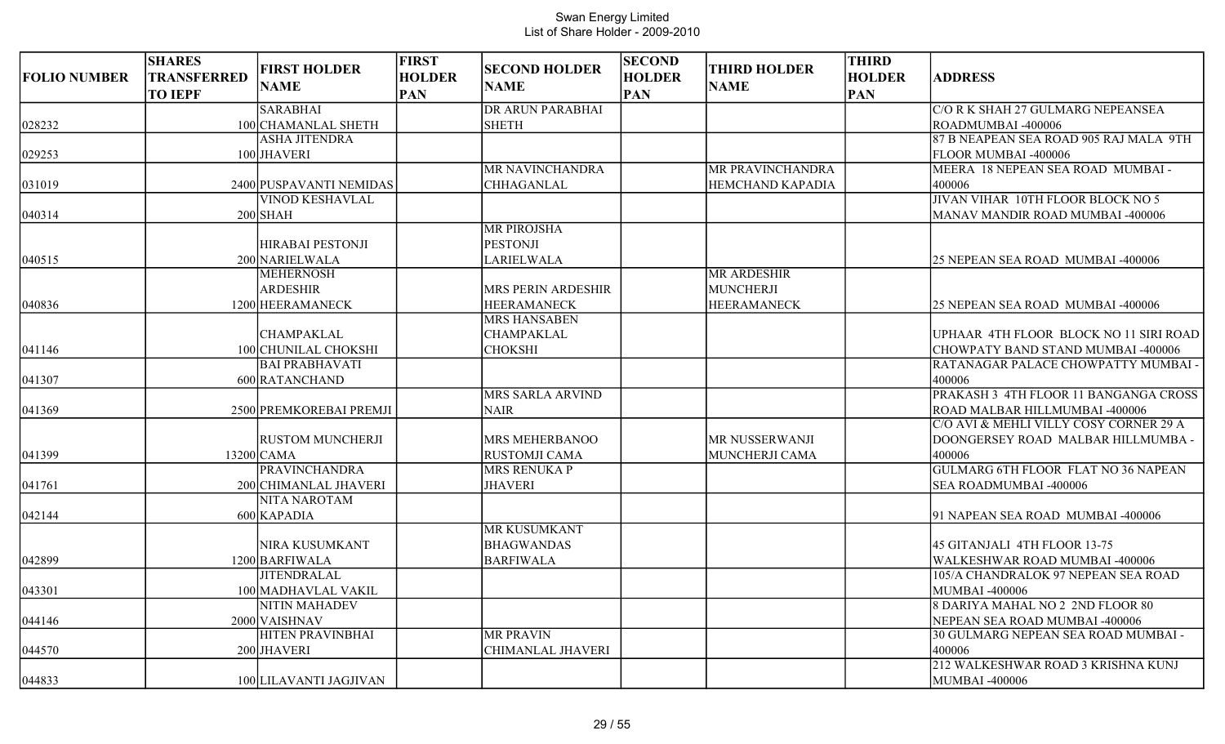| <b>FOLIO NUMBER</b> | <b>SHARES</b><br><b>TRANSFERRED</b><br><b>TO IEPF</b> | <b>FIRST HOLDER</b><br><b>NAME</b> | <b>FIRST</b><br><b>HOLDER</b><br><b>PAN</b> | <b>SECOND HOLDER</b><br><b>NAME</b>       | <b>SECOND</b><br><b>HOLDER</b><br><b>PAN</b> | <b>THIRD HOLDER</b><br><b>NAME</b> | <b>THIRD</b><br><b>HOLDER</b><br><b>PAN</b> | <b>ADDRESS</b>                             |
|---------------------|-------------------------------------------------------|------------------------------------|---------------------------------------------|-------------------------------------------|----------------------------------------------|------------------------------------|---------------------------------------------|--------------------------------------------|
|                     |                                                       | <b>SARABHAI</b>                    |                                             | <b>DR ARUN PARABHAI</b>                   |                                              |                                    |                                             | C/O R K SHAH 27 GULMARG NEPEANSEA          |
| 028232              |                                                       | 100 CHAMANLAL SHETH                |                                             | <b>SHETH</b>                              |                                              |                                    |                                             | ROADMUMBAI-400006                          |
|                     |                                                       | <b>ASHA JITENDRA</b>               |                                             |                                           |                                              |                                    |                                             | 87 B NEAPEAN SEA ROAD 905 RAJ MALA 9TH     |
| 029253              |                                                       | 100 JHAVERI                        |                                             |                                           |                                              |                                    |                                             | FLOOR MUMBAI -400006                       |
|                     |                                                       |                                    |                                             | MR NAVINCHANDRA                           |                                              | <b>MR PRAVINCHANDRA</b>            |                                             | MEERA 18 NEPEAN SEA ROAD MUMBAI -          |
| 031019              |                                                       | 2400 PUSPAVANTI NEMIDAS            |                                             | <b>CHHAGANLAL</b>                         |                                              | <b>HEMCHAND KAPADIA</b>            |                                             | 400006                                     |
|                     |                                                       | <b>VINOD KESHAVLAL</b>             |                                             |                                           |                                              |                                    |                                             | JIVAN VIHAR 10TH FLOOR BLOCK NO 5          |
| 040314              |                                                       | $200$ SHAH                         |                                             |                                           |                                              |                                    |                                             | MANAV MANDIR ROAD MUMBAI -400006           |
|                     |                                                       |                                    |                                             | <b>MR PIROJSHA</b>                        |                                              |                                    |                                             |                                            |
|                     |                                                       | <b>HIRABAI PESTONJI</b>            |                                             | <b>PESTONJI</b>                           |                                              |                                    |                                             |                                            |
| 040515              |                                                       | 200 NARIELWALA                     |                                             | LARIELWALA                                |                                              |                                    |                                             | 25 NEPEAN SEA ROAD MUMBAI -400006          |
|                     |                                                       | <b>MEHERNOSH</b>                   |                                             |                                           |                                              | <b>MR ARDESHIR</b>                 |                                             |                                            |
|                     |                                                       | <b>ARDESHIR</b>                    |                                             | <b>MRS PERIN ARDESHIR</b>                 |                                              | MUNCHERJI                          |                                             |                                            |
| 040836              |                                                       | 1200 HEERAMANECK                   |                                             | <b>HEERAMANECK</b><br><b>MRS HANSABEN</b> |                                              | <b>HEERAMANECK</b>                 |                                             | 25 NEPEAN SEA ROAD MUMBAI -400006          |
|                     |                                                       | <b>CHAMPAKLAL</b>                  |                                             | <b>CHAMPAKLAL</b>                         |                                              |                                    |                                             | UPHAAR 4TH FLOOR BLOCK NO 11 SIRI ROAD     |
| 041146              |                                                       | 100 CHUNILAL CHOKSHI               |                                             | <b>CHOKSHI</b>                            |                                              |                                    |                                             | CHOWPATY BAND STAND MUMBAI -400006         |
|                     |                                                       | <b>BAI PRABHAVATI</b>              |                                             |                                           |                                              |                                    |                                             | RATANAGAR PALACE CHOWPATTY MUMBAI -        |
| 041307              |                                                       | 600 RATANCHAND                     |                                             |                                           |                                              |                                    |                                             | 400006                                     |
|                     |                                                       |                                    |                                             | <b>MRS SARLA ARVIND</b>                   |                                              |                                    |                                             | PRAKASH 3 4TH FLOOR 11 BANGANGA CROSS      |
| 041369              |                                                       | 2500 PREMKOREBAI PREMJI            |                                             | <b>NAIR</b>                               |                                              |                                    |                                             | ROAD MALBAR HILLMUMBAI -400006             |
|                     |                                                       |                                    |                                             |                                           |                                              |                                    |                                             | C/O AVI & MEHLI VILLY COSY CORNER 29 A     |
|                     |                                                       | <b>RUSTOM MUNCHERJI</b>            |                                             | <b>MRS MEHERBANOO</b>                     |                                              | MR NUSSERWANJI                     |                                             | DOONGERSEY ROAD MALBAR HILLMUMBA -         |
| 041399              |                                                       | 13200 CAMA                         |                                             | <b>RUSTOMJI CAMA</b>                      |                                              | MUNCHERJI CAMA                     |                                             | 400006                                     |
|                     |                                                       | <b>PRAVINCHANDRA</b>               |                                             | <b>MRS RENUKA P</b>                       |                                              |                                    |                                             | <b>GULMARG 6TH FLOOR FLAT NO 36 NAPEAN</b> |
| 041761              |                                                       | 200 CHIMANLAL JHAVERI              |                                             | <b>JHAVERI</b>                            |                                              |                                    |                                             | <b>SEA ROADMUMBAI -400006</b>              |
|                     |                                                       | <b>NITA NAROTAM</b>                |                                             |                                           |                                              |                                    |                                             |                                            |
| 042144              |                                                       | 600 KAPADIA                        |                                             |                                           |                                              |                                    |                                             | 91 NAPEAN SEA ROAD MUMBAI -400006          |
|                     |                                                       |                                    |                                             | <b>MR KUSUMKANT</b>                       |                                              |                                    |                                             |                                            |
|                     |                                                       | NIRA KUSUMKANT                     |                                             | <b>BHAGWANDAS</b>                         |                                              |                                    |                                             | 45 GITANJALI 4TH FLOOR 13-75               |
| 042899              |                                                       | 1200 BARFIWALA                     |                                             | <b>BARFIWALA</b>                          |                                              |                                    |                                             | WALKESHWAR ROAD MUMBAI -400006             |
|                     |                                                       | <b>JITENDRALAL</b>                 |                                             |                                           |                                              |                                    |                                             | 105/A CHANDRALOK 97 NEPEAN SEA ROAD        |
| 043301              |                                                       | 100 MADHAVLAL VAKIL                |                                             |                                           |                                              |                                    |                                             | MUMBAI -400006                             |
|                     |                                                       | NITIN MAHADEV                      |                                             |                                           |                                              |                                    |                                             | 8 DARIYA MAHAL NO 2 2ND FLOOR 80           |
| 044146              |                                                       | 2000 VAISHNAV                      |                                             |                                           |                                              |                                    |                                             | NEPEAN SEA ROAD MUMBAI -400006             |
|                     |                                                       | <b>HITEN PRAVINBHAI</b>            |                                             | <b>MR PRAVIN</b>                          |                                              |                                    |                                             | 30 GULMARG NEPEAN SEA ROAD MUMBAI -        |
| 044570              |                                                       | 200 JHAVERI                        |                                             | <b>CHIMANLAL JHAVERI</b>                  |                                              |                                    |                                             | 400006                                     |
|                     |                                                       |                                    |                                             |                                           |                                              |                                    |                                             | 212 WALKESHWAR ROAD 3 KRISHNA KUNJ         |
| 044833              |                                                       | 100 LILAVANTI JAGJIVAN             |                                             |                                           |                                              |                                    |                                             | MUMBAI -400006                             |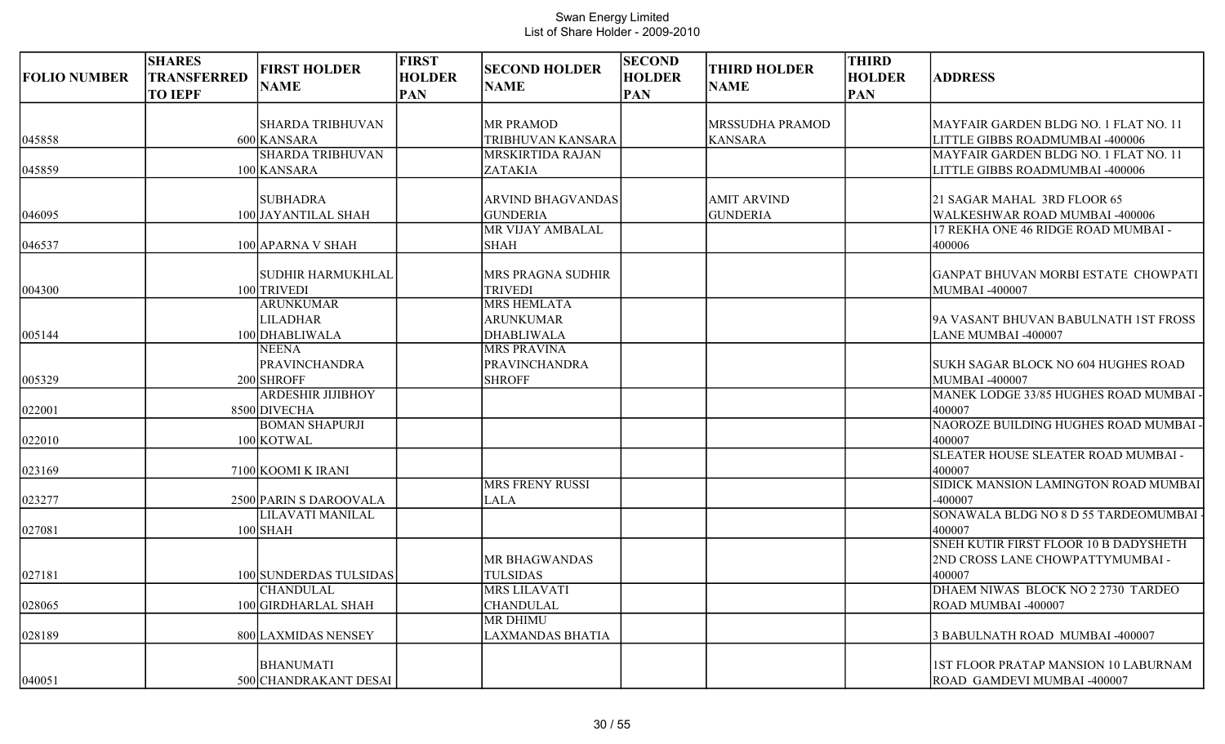| <b>FOLIO NUMBER</b> | <b>SHARES</b><br>TRANSFERRED<br><b>TO IEPF</b> | <b>FIRST HOLDER</b><br><b>NAME</b> | <b>FIRST</b><br><b>HOLDER</b><br><b>PAN</b> | <b>SECOND HOLDER</b><br><b>NAME</b> | <b>SECOND</b><br><b>HOLDER</b><br><b>PAN</b> | <b>THIRD HOLDER</b><br><b>NAME</b> | <b>THIRD</b><br><b>HOLDER</b><br><b>PAN</b> | <b>ADDRESS</b>                                |
|---------------------|------------------------------------------------|------------------------------------|---------------------------------------------|-------------------------------------|----------------------------------------------|------------------------------------|---------------------------------------------|-----------------------------------------------|
|                     |                                                | ISHARDA TRIBHUVAN                  |                                             | <b>MR PRAMOD</b>                    |                                              | <b>MRSSUDHA PRAMOD</b>             |                                             | MAYFAIR GARDEN BLDG NO. 1 FLAT NO. 11         |
| 045858              |                                                | 600 KANSARA                        |                                             | TRIBHUVAN KANSARA                   |                                              | <b>KANSARA</b>                     |                                             | LITTLE GIBBS ROADMUMBAI -400006               |
|                     |                                                | <b>SHARDA TRIBHUVAN</b>            |                                             | <b>MRSKIRTIDA RAJAN</b>             |                                              |                                    |                                             | MAYFAIR GARDEN BLDG NO. 1 FLAT NO. 11         |
| 045859              |                                                | 100 KANSARA                        |                                             | ZATAKIA                             |                                              |                                    |                                             | LITTLE GIBBS ROADMUMBAI -400006               |
|                     |                                                | <b>SUBHADRA</b>                    |                                             | ARVIND BHAGVANDAS                   |                                              | <b>AMIT ARVIND</b>                 |                                             | 21 SAGAR MAHAL 3RD FLOOR 65                   |
| 046095              |                                                | 100 JAYANTILAL SHAH                |                                             | <b>GUNDERIA</b>                     |                                              | <b>GUNDERIA</b>                    |                                             | WALKESHWAR ROAD MUMBAI -400006                |
|                     |                                                |                                    |                                             | MR VIJAY AMBALAL                    |                                              |                                    |                                             | 17 REKHA ONE 46 RIDGE ROAD MUMBAI -           |
| 046537              |                                                | 100 APARNA V SHAH                  |                                             | <b>SHAH</b>                         |                                              |                                    |                                             | 400006                                        |
|                     |                                                | SUDHIR HARMUKHLAL                  |                                             | MRS PRAGNA SUDHIR                   |                                              |                                    |                                             | GANPAT BHUVAN MORBI ESTATE CHOWPATI           |
| 004300              |                                                | 100 TRIVEDI                        |                                             | <b>TRIVEDI</b>                      |                                              |                                    |                                             | MUMBAI-400007                                 |
|                     |                                                | <b>ARUNKUMAR</b>                   |                                             | <b>MRS HEMLATA</b>                  |                                              |                                    |                                             |                                               |
|                     |                                                | <b>LILADHAR</b>                    |                                             | <b>ARUNKUMAR</b>                    |                                              |                                    |                                             | 9A VASANT BHUVAN BABULNATH 1ST FROSS          |
| 005144              |                                                | 100 DHABLIWALA                     |                                             | DHABLIWALA                          |                                              |                                    |                                             | LANE MUMBAI -400007                           |
|                     |                                                | <b>NEENA</b>                       |                                             | <b>MRS PRAVINA</b>                  |                                              |                                    |                                             |                                               |
|                     |                                                | <b>PRAVINCHANDRA</b>               |                                             | PRAVINCHANDRA                       |                                              |                                    |                                             | SUKH SAGAR BLOCK NO 604 HUGHES ROAD           |
| 005329              |                                                | 200 SHROFF                         |                                             | <b>SHROFF</b>                       |                                              |                                    |                                             | MUMBAI-400007                                 |
|                     |                                                | <b>ARDESHIR JIJIBHOY</b>           |                                             |                                     |                                              |                                    |                                             | MANEK LODGE 33/85 HUGHES ROAD MUMBAI          |
| 022001              |                                                | 8500 DIVECHA                       |                                             |                                     |                                              |                                    |                                             | 400007                                        |
|                     |                                                | <b>BOMAN SHAPURJI</b>              |                                             |                                     |                                              |                                    |                                             | NAOROZE BUILDING HUGHES ROAD MUMBAI           |
| 022010              |                                                | 100 KOTWAL                         |                                             |                                     |                                              |                                    |                                             | 400007                                        |
| 023169              |                                                | 7100 KOOMI K IRANI                 |                                             |                                     |                                              |                                    |                                             | SLEATER HOUSE SLEATER ROAD MUMBAI -<br>400007 |
|                     |                                                |                                    |                                             | <b>MRS FRENY RUSSI</b>              |                                              |                                    |                                             | SIDICK MANSION LAMINGTON ROAD MUMBAI          |
| 023277              |                                                | 2500 PARIN S DAROOVALA             |                                             | <b>LALA</b>                         |                                              |                                    |                                             | -400007                                       |
|                     |                                                | LILAVATI MANILAL                   |                                             |                                     |                                              |                                    |                                             | SONAWALA BLDG NO 8 D 55 TARDEOMUMBAI          |
| 027081              |                                                | $100$ SHAH                         |                                             |                                     |                                              |                                    |                                             | 400007                                        |
|                     |                                                |                                    |                                             |                                     |                                              |                                    |                                             | <b>SNEH KUTIR FIRST FLOOR 10 B DADYSHETH</b>  |
|                     |                                                |                                    |                                             | MR BHAGWANDAS                       |                                              |                                    |                                             | 2ND CROSS LANE CHOWPATTYMUMBAI -              |
| 027181              |                                                | 100 SUNDERDAS TULSIDAS             |                                             | <b>TULSIDAS</b>                     |                                              |                                    |                                             | 400007                                        |
|                     |                                                | <b>CHANDULAL</b>                   |                                             | MRS LILAVATI                        |                                              |                                    |                                             | DHAEM NIWAS BLOCK NO 2 2730 TARDEO            |
| 028065              |                                                | 100 GIRDHARLAL SHAH                |                                             | <b>CHANDULAL</b>                    |                                              |                                    |                                             | ROAD MUMBAI -400007                           |
| 028189              |                                                | 800 LAXMIDAS NENSEY                |                                             | <b>MR DHIMU</b><br>LAXMANDAS BHATIA |                                              |                                    |                                             | 3 BABULNATH ROAD MUMBAI -400007               |
|                     |                                                |                                    |                                             |                                     |                                              |                                    |                                             |                                               |
|                     |                                                | <b>BHANUMATI</b>                   |                                             |                                     |                                              |                                    |                                             | 1ST FLOOR PRATAP MANSION 10 LABURNAM          |
| 040051              |                                                | 500 CHANDRAKANT DESAI              |                                             |                                     |                                              |                                    |                                             | ROAD GAMDEVI MUMBAI -400007                   |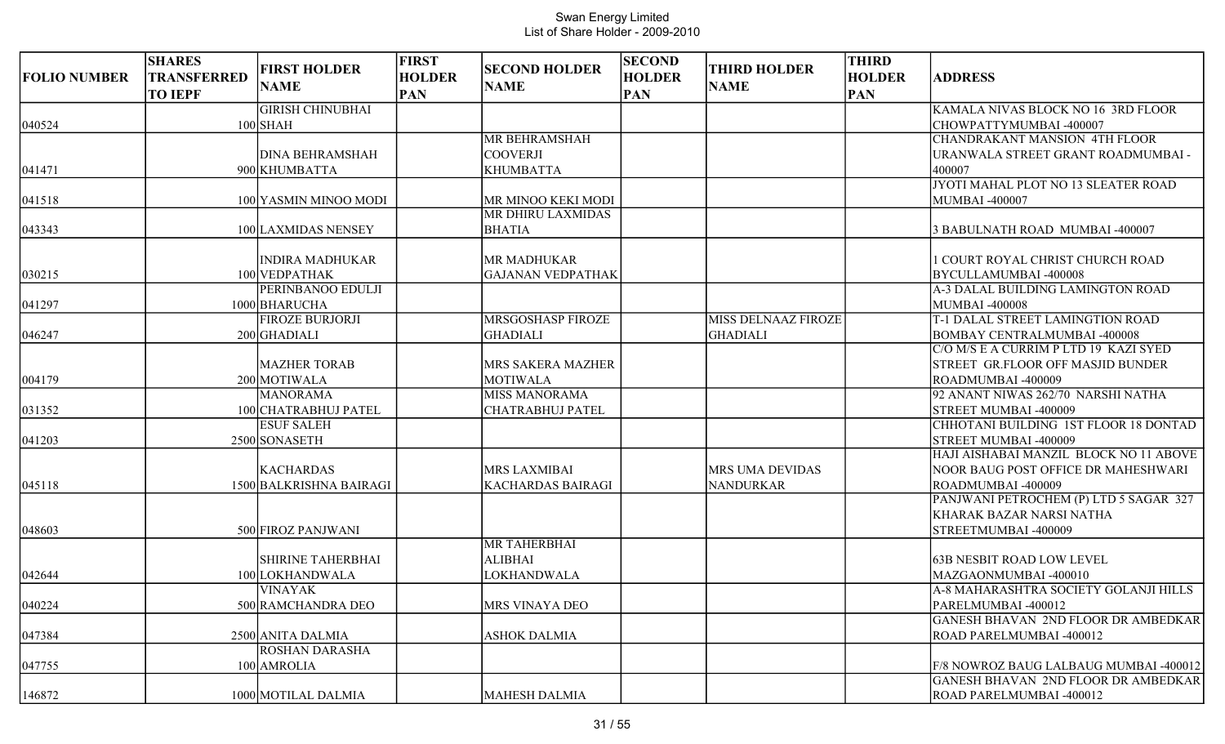| <b>FOLIO NUMBER</b> | <b>SHARES</b><br><b>TRANSFERRED</b><br><b>TO IEPF</b> | <b>FIRST HOLDER</b><br><b>NAME</b> | <b>FIRST</b><br><b>HOLDER</b><br><b>PAN</b> | <b>SECOND HOLDER</b><br><b>NAME</b> | <b>SECOND</b><br><b>HOLDER</b><br><b>PAN</b> | <b>THIRD HOLDER</b><br><b>NAME</b> | <b>THIRD</b><br><b>HOLDER</b><br><b>PAN</b> | <b>ADDRESS</b>                                              |
|---------------------|-------------------------------------------------------|------------------------------------|---------------------------------------------|-------------------------------------|----------------------------------------------|------------------------------------|---------------------------------------------|-------------------------------------------------------------|
|                     |                                                       | <b>GIRISH CHINUBHAI</b>            |                                             |                                     |                                              |                                    |                                             | KAMALA NIVAS BLOCK NO 16 3RD FLOOR                          |
| 040524              |                                                       | $100$ SHAH                         |                                             |                                     |                                              |                                    |                                             | CHOWPATTYMUMBAI-400007                                      |
|                     |                                                       |                                    |                                             | <b>MR BEHRAMSHAH</b>                |                                              |                                    |                                             | <b>CHANDRAKANT MANSION 4TH FLOOR</b>                        |
|                     |                                                       | <b>DINA BEHRAMSHAH</b>             |                                             | <b>COOVERJI</b>                     |                                              |                                    |                                             | URANWALA STREET GRANT ROADMUMBAI -                          |
| 041471              |                                                       | 900 KHUMBATTA                      |                                             | <b>KHUMBATTA</b>                    |                                              |                                    |                                             | 400007                                                      |
|                     |                                                       | 100 YASMIN MINOO MODI              |                                             | MR MINOO KEKI MODI                  |                                              |                                    |                                             | JYOTI MAHAL PLOT NO 13 SLEATER ROAD<br><b>MUMBAI-400007</b> |
| 041518              |                                                       |                                    |                                             | MR DHIRU LAXMIDAS                   |                                              |                                    |                                             |                                                             |
|                     |                                                       |                                    |                                             | <b>BHATIA</b>                       |                                              |                                    |                                             |                                                             |
| 043343              |                                                       | 100 LAXMIDAS NENSEY                |                                             |                                     |                                              |                                    |                                             | 3 BABULNATH ROAD MUMBAI -400007                             |
|                     |                                                       | <b>INDIRA MADHUKAR</b>             |                                             | MR MADHUKAR                         |                                              |                                    |                                             | 1 COURT ROYAL CHRIST CHURCH ROAD                            |
| 030215              |                                                       | 100 VEDPATHAK                      |                                             | <b>GAJANAN VEDPATHAK</b>            |                                              |                                    |                                             | BYCULLAMUMBAI -400008                                       |
|                     |                                                       | PERINBANOO EDULJI                  |                                             |                                     |                                              |                                    |                                             | A-3 DALAL BUILDING LAMINGTON ROAD                           |
| 041297              |                                                       | 1000 BHARUCHA                      |                                             |                                     |                                              |                                    |                                             | <b>MUMBAI -400008</b>                                       |
|                     |                                                       | <b>FIROZE BURJORJI</b>             |                                             | MRSGOSHASP FIROZE                   |                                              | MISS DELNAAZ FIROZE                |                                             | T-1 DALAL STREET LAMINGTION ROAD                            |
| 046247              |                                                       | 200 GHADIALI                       |                                             | <b>GHADIALI</b>                     |                                              | <b>GHADIALI</b>                    |                                             | BOMBAY CENTRALMUMBAI -400008                                |
|                     |                                                       |                                    |                                             |                                     |                                              |                                    |                                             | C/O M/S E A CURRIM P LTD 19 KAZI SYED                       |
|                     |                                                       | <b>MAZHER TORAB</b>                |                                             | MRS SAKERA MAZHER                   |                                              |                                    |                                             | STREET GR.FLOOR OFF MASJID BUNDER                           |
| 004179              |                                                       | 200 MOTIWALA                       |                                             | <b>MOTIWALA</b>                     |                                              |                                    |                                             | ROADMUMBAI -400009                                          |
|                     |                                                       | <b>MANORAMA</b>                    |                                             | <b>MISS MANORAMA</b>                |                                              |                                    |                                             | 92 ANANT NIWAS 262/70 NARSHI NATHA                          |
| 031352              |                                                       | 100 CHATRABHUJ PATEL               |                                             | <b>CHATRABHUJ PATEL</b>             |                                              |                                    |                                             | STREET MUMBAI -400009                                       |
|                     |                                                       | <b>ESUF SALEH</b>                  |                                             |                                     |                                              |                                    |                                             | CHHOTANI BUILDING 1ST FLOOR 18 DONTAD                       |
| 041203              |                                                       | 2500 SONASETH                      |                                             |                                     |                                              |                                    |                                             | STREET MUMBAI -400009                                       |
|                     |                                                       |                                    |                                             |                                     |                                              |                                    |                                             | HAJI AISHABAI MANZIL BLOCK NO 11 ABOVE                      |
|                     |                                                       | <b>KACHARDAS</b>                   |                                             | MRS LAXMIBAI                        |                                              | <b>MRS UMA DEVIDAS</b>             |                                             | NOOR BAUG POST OFFICE DR MAHESHWARI                         |
| 045118              |                                                       | 1500 BALKRISHNA BAIRAGI            |                                             | <b>KACHARDAS BAIRAGI</b>            |                                              | <b>NANDURKAR</b>                   |                                             | ROADMUMBAI -400009                                          |
|                     |                                                       |                                    |                                             |                                     |                                              |                                    |                                             | PANJWANI PETROCHEM (P) LTD 5 SAGAR 327                      |
|                     |                                                       |                                    |                                             |                                     |                                              |                                    |                                             | KHARAK BAZAR NARSI NATHA                                    |
| 048603              |                                                       | 500 FIROZ PANJWANI                 |                                             |                                     |                                              |                                    |                                             | STREETMUMBAI -400009                                        |
|                     |                                                       |                                    |                                             | <b>MR TAHERBHAI</b>                 |                                              |                                    |                                             |                                                             |
|                     |                                                       | SHIRINE TAHERBHAI                  |                                             | <b>ALIBHAI</b>                      |                                              |                                    |                                             | <b>63B NESBIT ROAD LOW LEVEL</b>                            |
| 042644              |                                                       | 100 LOKHANDWALA                    |                                             | <b>LOKHANDWALA</b>                  |                                              |                                    |                                             | MAZGAONMUMBAI -400010                                       |
|                     |                                                       | <b>VINAYAK</b>                     |                                             |                                     |                                              |                                    |                                             | A-8 MAHARASHTRA SOCIETY GOLANJI HILLS                       |
| 040224              |                                                       | 500 RAMCHANDRA DEO                 |                                             | MRS VINAYA DEO                      |                                              |                                    |                                             | PARELMUMBAI -400012                                         |
|                     |                                                       |                                    |                                             |                                     |                                              |                                    |                                             | <b>GANESH BHAVAN 2ND FLOOR DR AMBEDKAR</b>                  |
| 047384              |                                                       | 2500 ANITA DALMIA                  |                                             | <b>ASHOK DALMIA</b>                 |                                              |                                    |                                             | ROAD PARELMUMBAI -400012                                    |
|                     |                                                       | ROSHAN DARASHA                     |                                             |                                     |                                              |                                    |                                             |                                                             |
| 047755              |                                                       | 100 AMROLIA                        |                                             |                                     |                                              |                                    |                                             | F/8 NOWROZ BAUG LALBAUG MUMBAI -400012                      |
|                     |                                                       |                                    |                                             |                                     |                                              |                                    |                                             | <b>GANESH BHAVAN 2ND FLOOR DR AMBEDKAR</b>                  |
| 146872              |                                                       | 1000 MOTILAL DALMIA                |                                             | MAHESH DALMIA                       |                                              |                                    |                                             | ROAD PARELMUMBAI -400012                                    |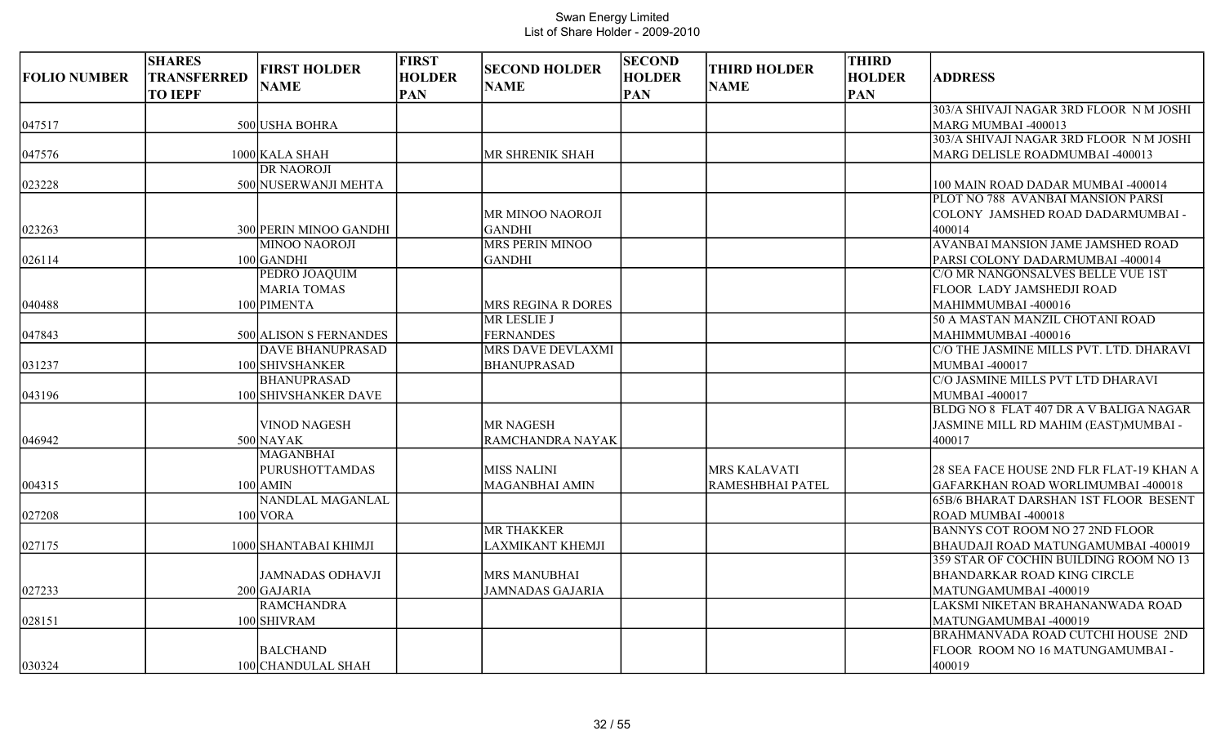| <b>FOLIO NUMBER</b> | <b>SHARES</b><br><b>TRANSFERRED</b><br><b>TO IEPF</b> | <b>FIRST HOLDER</b><br><b>NAME</b> | <b>FIRST</b><br><b>HOLDER</b><br><b>PAN</b> | <b>SECOND HOLDER</b><br><b>NAME</b> | <b>SECOND</b><br><b>HOLDER</b><br><b>PAN</b> | <b>THIRD HOLDER</b><br><b>NAME</b> | <b>THIRD</b><br><b>HOLDER</b><br><b>PAN</b> | <b>ADDRESS</b>                               |
|---------------------|-------------------------------------------------------|------------------------------------|---------------------------------------------|-------------------------------------|----------------------------------------------|------------------------------------|---------------------------------------------|----------------------------------------------|
|                     |                                                       |                                    |                                             |                                     |                                              |                                    |                                             | 303/A SHIVAJI NAGAR 3RD FLOOR N M JOSHI      |
| 047517              |                                                       | 500 USHA BOHRA                     |                                             |                                     |                                              |                                    |                                             | MARG MUMBAI -400013                          |
|                     |                                                       |                                    |                                             |                                     |                                              |                                    |                                             | 303/A SHIVAJI NAGAR 3RD FLOOR NM JOSHI       |
| 047576              |                                                       | 1000 KALA SHAH                     |                                             | MR SHRENIK SHAH                     |                                              |                                    |                                             | MARG DELISLE ROADMUMBAI -400013              |
|                     |                                                       | <b>DR NAOROJI</b>                  |                                             |                                     |                                              |                                    |                                             |                                              |
| 023228              |                                                       | 500 NUSERWANJI MEHTA               |                                             |                                     |                                              |                                    |                                             | 100 MAIN ROAD DADAR MUMBAI -400014           |
|                     |                                                       |                                    |                                             |                                     |                                              |                                    |                                             | PLOT NO 788 AVANBAI MANSION PARSI            |
|                     |                                                       |                                    |                                             | MR MINOO NAOROJI                    |                                              |                                    |                                             | COLONY JAMSHED ROAD DADARMUMBAI -            |
| 023263              |                                                       | 300 PERIN MINOO GANDHI             |                                             | <b>GANDHI</b>                       |                                              |                                    |                                             | 400014                                       |
|                     |                                                       | <b>MINOO NAOROJI</b>               |                                             | <b>MRS PERIN MINOO</b>              |                                              |                                    |                                             | AVANBAI MANSION JAME JAMSHED ROAD            |
| 026114              |                                                       | 100 GANDHI                         |                                             | <b>GANDHI</b>                       |                                              |                                    |                                             | PARSI COLONY DADARMUMBAI -400014             |
|                     |                                                       | PEDRO JOAQUIM                      |                                             |                                     |                                              |                                    |                                             | C/O MR NANGONSALVES BELLE VUE 1ST            |
|                     |                                                       | <b>MARIA TOMAS</b>                 |                                             |                                     |                                              |                                    |                                             | FLOOR LADY JAMSHEDJI ROAD                    |
| 040488              |                                                       | 100 PIMENTA                        |                                             | MRS REGINA R DORES                  |                                              |                                    |                                             | MAHIMMUMBAI -400016                          |
|                     |                                                       |                                    |                                             | <b>MR LESLIE J</b>                  |                                              |                                    |                                             | 50 A MASTAN MANZIL CHOTANI ROAD              |
| 047843              |                                                       | 500 ALISON S FERNANDES             |                                             | <b>FERNANDES</b>                    |                                              |                                    |                                             | MAHIMMUMBAI -400016                          |
|                     |                                                       | <b>DAVE BHANUPRASAD</b>            |                                             | MRS DAVE DEVLAXMI                   |                                              |                                    |                                             | C/O THE JASMINE MILLS PVT. LTD. DHARAVI      |
| 031237              |                                                       | 100 SHIVSHANKER                    |                                             | <b>BHANUPRASAD</b>                  |                                              |                                    |                                             | <b>MUMBAI-400017</b>                         |
|                     |                                                       | <b>BHANUPRASAD</b>                 |                                             |                                     |                                              |                                    |                                             | C/O JASMINE MILLS PVT LTD DHARAVI            |
| 043196              |                                                       | 100 SHIVSHANKER DAVE               |                                             |                                     |                                              |                                    |                                             | MUMBAI -400017                               |
|                     |                                                       |                                    |                                             |                                     |                                              |                                    |                                             | BLDG NO 8 FLAT 407 DR A V BALIGA NAGAR       |
|                     |                                                       | <b>VINOD NAGESH</b>                |                                             | <b>MR NAGESH</b>                    |                                              |                                    |                                             | JASMINE MILL RD MAHIM (EAST)MUMBAI -         |
| 046942              |                                                       | $500$ NAYAK                        |                                             | RAMCHANDRA NAYAK                    |                                              |                                    |                                             | 400017                                       |
|                     |                                                       | <b>MAGANBHAI</b>                   |                                             |                                     |                                              |                                    |                                             |                                              |
|                     |                                                       | <b>PURUSHOTTAMDAS</b>              |                                             | <b>MISS NALINI</b>                  |                                              | <b>MRS KALAVATI</b>                |                                             | 28 SEA FACE HOUSE 2ND FLR FLAT-19 KHAN A     |
| 004315              |                                                       | $100$ AMIN                         |                                             | MAGANBHAI AMIN                      |                                              | RAMESHBHAI PATEL                   |                                             | GAFARKHAN ROAD WORLIMUMBAI -400018           |
|                     |                                                       | NANDLAL MAGANLAL                   |                                             |                                     |                                              |                                    |                                             | <b>65B/6 BHARAT DARSHAN 1ST FLOOR BESENT</b> |
| 027208              |                                                       | $100$ VORA                         |                                             |                                     |                                              |                                    |                                             | ROAD MUMBAI -400018                          |
|                     |                                                       |                                    |                                             | <b>MR THAKKER</b>                   |                                              |                                    |                                             | <b>BANNYS COT ROOM NO 27 2ND FLOOR</b>       |
| 027175              |                                                       | 1000 SHANTABAI KHIMJI              |                                             | <b>LAXMIKANT KHEMJI</b>             |                                              |                                    |                                             | BHAUDAJI ROAD MATUNGAMUMBAI -400019          |
|                     |                                                       |                                    |                                             |                                     |                                              |                                    |                                             | 359 STAR OF COCHIN BUILDING ROOM NO 13       |
|                     |                                                       | <b>JAMNADAS ODHAVJI</b>            |                                             | <b>MRS MANUBHAI</b>                 |                                              |                                    |                                             | <b>BHANDARKAR ROAD KING CIRCLE</b>           |
| 027233              |                                                       | $200$ GAJARIA                      |                                             | <b>JAMNADAS GAJARIA</b>             |                                              |                                    |                                             | MATUNGAMUMBAI -400019                        |
|                     |                                                       | <b>RAMCHANDRA</b>                  |                                             |                                     |                                              |                                    |                                             | LAKSMI NIKETAN BRAHANANWADA ROAD             |
| 028151              |                                                       | 100 SHIVRAM                        |                                             |                                     |                                              |                                    |                                             | MATUNGAMUMBAI -400019                        |
|                     |                                                       |                                    |                                             |                                     |                                              |                                    |                                             | <b>BRAHMANVADA ROAD CUTCHI HOUSE 2ND</b>     |
|                     |                                                       | <b>BALCHAND</b>                    |                                             |                                     |                                              |                                    |                                             | FLOOR ROOM NO 16 MATUNGAMUMBAI -             |
| 030324              |                                                       | 100 CHANDULAL SHAH                 |                                             |                                     |                                              |                                    |                                             | 400019                                       |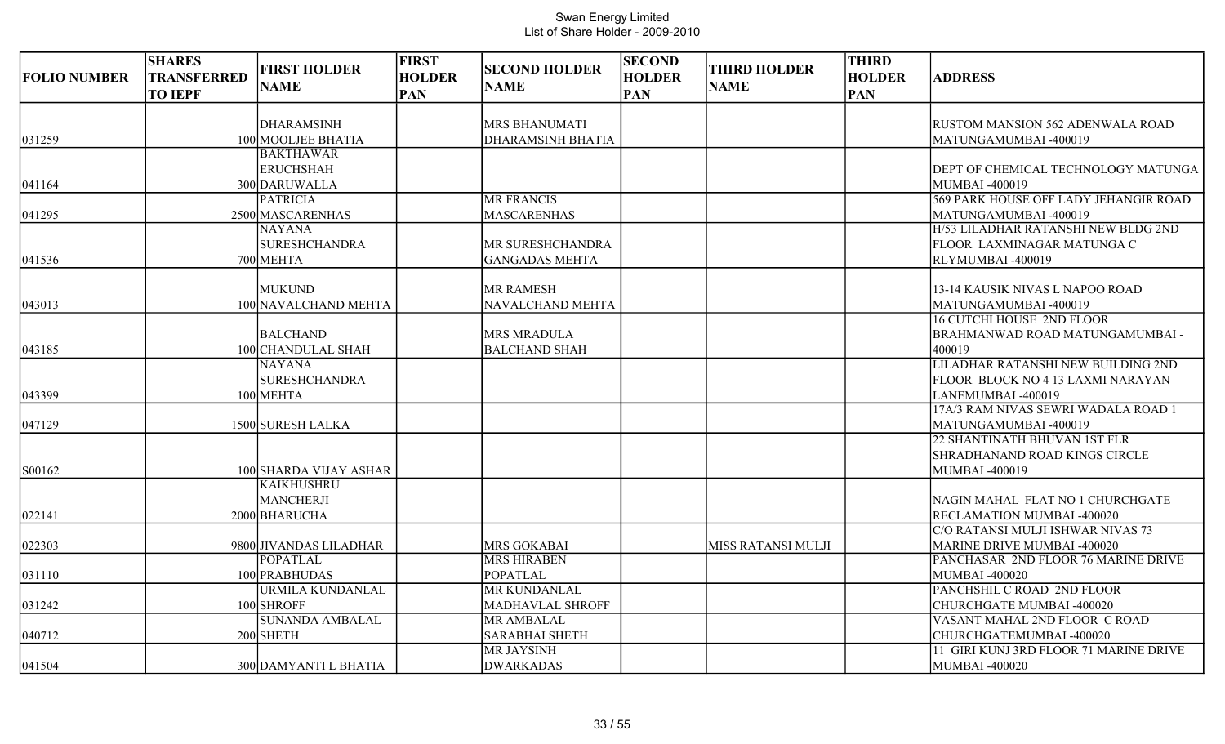| <b>FOLIO NUMBER</b> | <b>SHARES</b><br><b>TRANSFERRED</b><br><b>TO IEPF</b> | <b>FIRST HOLDER</b><br><b>NAME</b>                    | <b>FIRST</b><br><b>HOLDER</b><br><b>PAN</b> | <b>SECOND HOLDER</b><br><b>NAME</b>              | <b>SECOND</b><br><b>HOLDER</b><br><b>PAN</b> | <b>THIRD HOLDER</b><br><b>NAME</b> | <b>THIRD</b><br><b>HOLDER</b><br><b>PAN</b> | <b>ADDRESS</b>                                                                                                 |
|---------------------|-------------------------------------------------------|-------------------------------------------------------|---------------------------------------------|--------------------------------------------------|----------------------------------------------|------------------------------------|---------------------------------------------|----------------------------------------------------------------------------------------------------------------|
| 031259              |                                                       | <b>DHARAMSINH</b><br>100 MOOLJEE BHATIA               |                                             | <b>MRS BHANUMATI</b><br><b>DHARAMSINH BHATIA</b> |                                              |                                    |                                             | RUSTOM MANSION 562 ADENWALA ROAD<br>MATUNGAMUMBAI -400019                                                      |
| 041164              |                                                       | <b>BAKTHAWAR</b><br><b>ERUCHSHAH</b><br>300 DARUWALLA |                                             |                                                  |                                              |                                    |                                             | DEPT OF CHEMICAL TECHNOLOGY MATUNGA<br>MUMBAI -400019                                                          |
| 041295              |                                                       | <b>PATRICIA</b><br>2500 MASCARENHAS<br><b>NAYANA</b>  |                                             | <b>MR FRANCIS</b><br><b>MASCARENHAS</b>          |                                              |                                    |                                             | 569 PARK HOUSE OFF LADY JEHANGIR ROAD<br>MATUNGAMUMBAI -400019<br>H/53 LILADHAR RATANSHI NEW BLDG 2ND          |
| 041536              |                                                       | <b>SURESHCHANDRA</b><br>700 MEHTA                     |                                             | MR SURESHCHANDRA<br><b>GANGADAS MEHTA</b>        |                                              |                                    |                                             | FLOOR LAXMINAGAR MATUNGA C<br>RLYMUMBAI -400019                                                                |
| 043013              |                                                       | <b>MUKUND</b><br>100 NAVALCHAND MEHTA                 |                                             | <b>MR RAMESH</b><br>NAVALCHAND MEHTA             |                                              |                                    |                                             | 13-14 KAUSIK NIVAS L NAPOO ROAD<br>MATUNGAMUMBAI -400019<br><b>16 CUTCHI HOUSE 2ND FLOOR</b>                   |
| 043185              |                                                       | <b>BALCHAND</b><br>100 CHANDULAL SHAH                 |                                             | <b>MRS MRADULA</b><br><b>BALCHAND SHAH</b>       |                                              |                                    |                                             | BRAHMANWAD ROAD MATUNGAMUMBAI -<br>400019                                                                      |
| 043399              |                                                       | NAYANA<br><b>SURESHCHANDRA</b><br>100 MEHTA           |                                             |                                                  |                                              |                                    |                                             | LILADHAR RATANSHI NEW BUILDING 2ND<br>FLOOR BLOCK NO 4 13 LAXMI NARAYAN<br>LANEMUMBAI -400019                  |
| 047129              |                                                       | 1500 SURESH LALKA                                     |                                             |                                                  |                                              |                                    |                                             | 17A/3 RAM NIVAS SEWRI WADALA ROAD 1<br>MATUNGAMUMBAI -400019<br><b>22 SHANTINATH BHUVAN 1ST FLR</b>            |
| S00162              |                                                       | 100 SHARDA VIJAY ASHAR<br><b>KAIKHUSHRU</b>           |                                             |                                                  |                                              |                                    |                                             | <b>SHRADHANAND ROAD KINGS CIRCLE</b><br>MUMBAI -400019                                                         |
| 022141              |                                                       | MANCHERJI<br>2000 BHARUCHA                            |                                             |                                                  |                                              |                                    |                                             | NAGIN MAHAL FLAT NO 1 CHURCHGATE<br>RECLAMATION MUMBAI -400020                                                 |
| 022303              |                                                       | 9800 JIVANDAS LILADHAR<br><b>POPATLAL</b>             |                                             | <b>MRS GOKABAI</b><br><b>MRS HIRABEN</b>         |                                              | MISS RATANSI MULJI                 |                                             | C/O RATANSI MULJI ISHWAR NIVAS 73<br><b>MARINE DRIVE MUMBAI -400020</b><br>PANCHASAR 2ND FLOOR 76 MARINE DRIVE |
| 031110              |                                                       | 100 PRABHUDAS<br><b>URMILA KUNDANLAL</b>              |                                             | <b>POPATLAL</b><br><b>MR KUNDANLAL</b>           |                                              |                                    |                                             | MUMBAI -400020<br>PANCHSHIL C ROAD 2ND FLOOR                                                                   |
| 031242              |                                                       | 100 SHROFF<br><b>SUNANDA AMBALAL</b>                  |                                             | MADHAVLAL SHROFF<br><b>MR AMBALAL</b>            |                                              |                                    |                                             | CHURCHGATE MUMBAI -400020<br>VASANT MAHAL 2ND FLOOR C ROAD                                                     |
| 040712              |                                                       | $200$ SHETH                                           |                                             | SARABHAI SHETH<br>MR JAYSINH                     |                                              |                                    |                                             | CHURCHGATEMUMBAI -400020<br>11 GIRI KUNJ 3RD FLOOR 71 MARINE DRIVE                                             |
| 041504              |                                                       | 300 DAMYANTI L BHATIA                                 |                                             | <b>DWARKADAS</b>                                 |                                              |                                    |                                             | MUMBAI -400020                                                                                                 |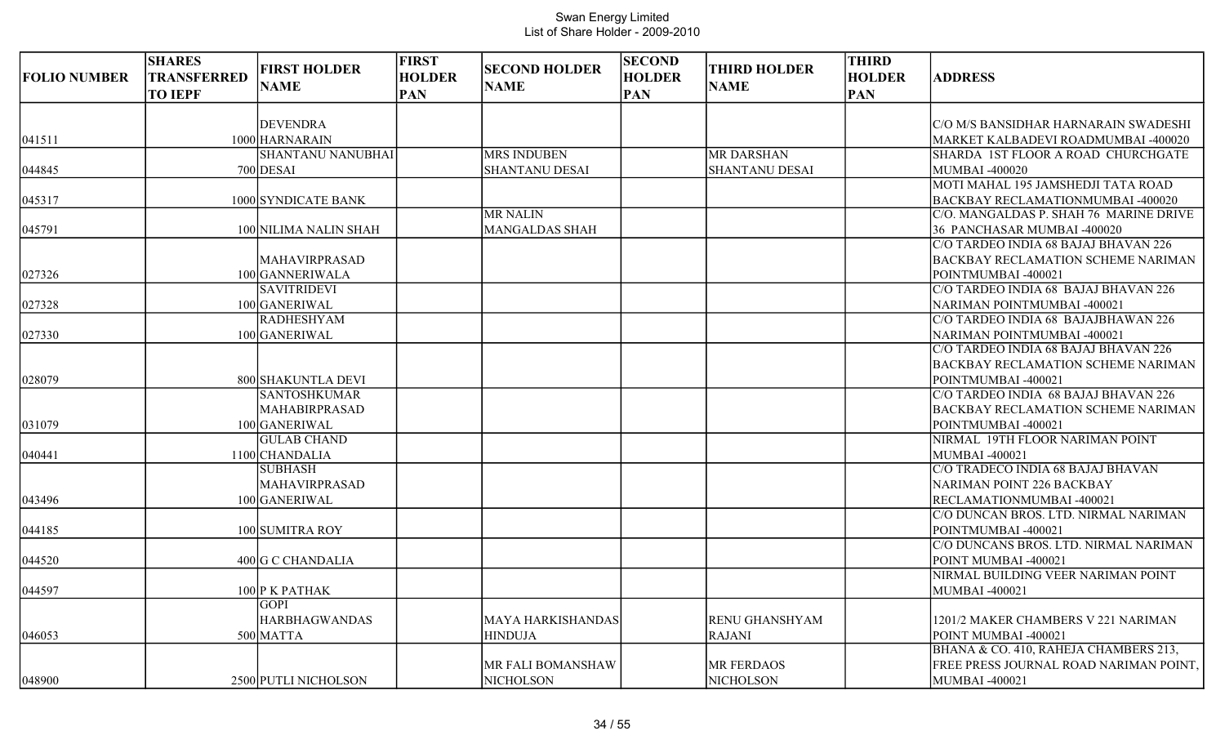| <b>FOLIO NUMBER</b> | <b>SHARES</b><br>TRANSFERRED<br><b>TO IEPF</b> | <b>FIRST HOLDER</b><br><b>NAME</b> | <b>FIRST</b><br><b>HOLDER</b><br><b>PAN</b> | <b>SECOND HOLDER</b><br><b>NAME</b> | <b>SECOND</b><br><b>HOLDER</b><br><b>PAN</b> | <b>THIRD HOLDER</b><br><b>NAME</b> | <b>THIRD</b><br><b>HOLDER</b><br><b>PAN</b> | <b>ADDRESS</b>                            |
|---------------------|------------------------------------------------|------------------------------------|---------------------------------------------|-------------------------------------|----------------------------------------------|------------------------------------|---------------------------------------------|-------------------------------------------|
|                     |                                                | <b>DEVENDRA</b>                    |                                             |                                     |                                              |                                    |                                             | C/O M/S BANSIDHAR HARNARAIN SWADESHI      |
|                     |                                                | 1000 HARNARAIN                     |                                             |                                     |                                              |                                    |                                             | MARKET KALBADEVI ROADMUMBAI -400020       |
| 041511              |                                                | <b>SHANTANU NANUBHAI</b>           |                                             | <b>MRS INDUBEN</b>                  |                                              | <b>MR DARSHAN</b>                  |                                             | SHARDA 1ST FLOOR A ROAD CHURCHGATE        |
| 044845              |                                                | 700 DESAI                          |                                             | <b>SHANTANU DESAI</b>               |                                              | <b>SHANTANU DESAI</b>              |                                             | <b>MUMBAI -400020</b>                     |
|                     |                                                |                                    |                                             |                                     |                                              |                                    |                                             | MOTI MAHAL 195 JAMSHEDJI TATA ROAD        |
| 045317              |                                                | 1000 SYNDICATE BANK                |                                             |                                     |                                              |                                    |                                             | BACKBAY RECLAMATIONMUMBAI -400020         |
|                     |                                                |                                    |                                             | <b>MR NALIN</b>                     |                                              |                                    |                                             | C/O. MANGALDAS P. SHAH 76 MARINE DRIVE    |
| 045791              |                                                | 100 NILIMA NALIN SHAH              |                                             | <b>MANGALDAS SHAH</b>               |                                              |                                    |                                             | 36 PANCHASAR MUMBAI -400020               |
|                     |                                                |                                    |                                             |                                     |                                              |                                    |                                             | C/O TARDEO INDIA 68 BAJAJ BHAVAN 226      |
|                     |                                                | MAHAVIRPRASAD                      |                                             |                                     |                                              |                                    |                                             | <b>BACKBAY RECLAMATION SCHEME NARIMAN</b> |
| 027326              |                                                | 100 GANNERIWALA                    |                                             |                                     |                                              |                                    |                                             | POINTMUMBAI -400021                       |
|                     |                                                | <b>SAVITRIDEVI</b>                 |                                             |                                     |                                              |                                    |                                             | C/O TARDEO INDIA 68 BAJAJ BHAVAN 226      |
| 027328              |                                                | 100 GANERIWAL                      |                                             |                                     |                                              |                                    |                                             | NARIMAN POINTMUMBAI -400021               |
|                     |                                                | <b>RADHESHYAM</b>                  |                                             |                                     |                                              |                                    |                                             | C/O TARDEO INDIA 68 BAJAJBHAWAN 226       |
| 027330              |                                                | 100 GANERIWAL                      |                                             |                                     |                                              |                                    |                                             | NARIMAN POINTMUMBAI -400021               |
|                     |                                                |                                    |                                             |                                     |                                              |                                    |                                             | C/O TARDEO INDIA 68 BAJAJ BHAVAN 226      |
|                     |                                                |                                    |                                             |                                     |                                              |                                    |                                             | <b>BACKBAY RECLAMATION SCHEME NARIMAN</b> |
| 028079              |                                                | 800 SHAKUNTLA DEVI                 |                                             |                                     |                                              |                                    |                                             | POINTMUMBAI -400021                       |
|                     |                                                | <b>SANTOSHKUMAR</b>                |                                             |                                     |                                              |                                    |                                             | C/O TARDEO INDIA 68 BAJAJ BHAVAN 226      |
|                     |                                                | <b>MAHABIRPRASAD</b>               |                                             |                                     |                                              |                                    |                                             | <b>BACKBAY RECLAMATION SCHEME NARIMAN</b> |
| 031079              |                                                | 100 GANERIWAL                      |                                             |                                     |                                              |                                    |                                             | POINTMUMBAI -400021                       |
|                     |                                                | <b>GULAB CHAND</b>                 |                                             |                                     |                                              |                                    |                                             | NIRMAL 19TH FLOOR NARIMAN POINT           |
| 040441              |                                                | 1100 CHANDALIA                     |                                             |                                     |                                              |                                    |                                             | MUMBAI -400021                            |
|                     |                                                | <b>SUBHASH</b>                     |                                             |                                     |                                              |                                    |                                             | C/O TRADECO INDIA 68 BAJAJ BHAVAN         |
|                     |                                                | MAHAVIRPRASAD                      |                                             |                                     |                                              |                                    |                                             | NARIMAN POINT 226 BACKBAY                 |
| 043496              |                                                | 100 GANERIWAL                      |                                             |                                     |                                              |                                    |                                             | RECLAMATIONMUMBAI -400021                 |
|                     |                                                |                                    |                                             |                                     |                                              |                                    |                                             | C/O DUNCAN BROS. LTD. NIRMAL NARIMAN      |
| 044185              |                                                | 100 SUMITRA ROY                    |                                             |                                     |                                              |                                    |                                             | POINTMUMBAI -400021                       |
|                     |                                                |                                    |                                             |                                     |                                              |                                    |                                             | C/O DUNCANS BROS. LTD. NIRMAL NARIMAN     |
| 044520              |                                                | 400 G C CHANDALIA                  |                                             |                                     |                                              |                                    |                                             | POINT MUMBAI -400021                      |
|                     |                                                |                                    |                                             |                                     |                                              |                                    |                                             | NIRMAL BUILDING VEER NARIMAN POINT        |
| 044597              |                                                | 100 P K PATHAK                     |                                             |                                     |                                              |                                    |                                             | MUMBAI -400021                            |
|                     |                                                | <b>GOPI</b>                        |                                             |                                     |                                              |                                    |                                             |                                           |
|                     |                                                | <b>HARBHAGWANDAS</b>               |                                             | MAYA HARKISHANDAS                   |                                              | <b>RENU GHANSHYAM</b>              |                                             | 1201/2 MAKER CHAMBERS V 221 NARIMAN       |
| 046053              |                                                | 500 MATTA                          |                                             | <b>HINDUJA</b>                      |                                              | <b>RAJANI</b>                      |                                             | POINT MUMBAI -400021                      |
|                     |                                                |                                    |                                             |                                     |                                              |                                    |                                             | BHANA & CO. 410, RAHEJA CHAMBERS 213,     |
|                     |                                                |                                    |                                             | MR FALI BOMANSHAW                   |                                              | <b>MR FERDAOS</b>                  |                                             | FREE PRESS JOURNAL ROAD NARIMAN POINT,    |
| 048900              |                                                | 2500 PUTLI NICHOLSON               |                                             | <b>NICHOLSON</b>                    |                                              | NICHOLSON                          |                                             | MUMBAI -400021                            |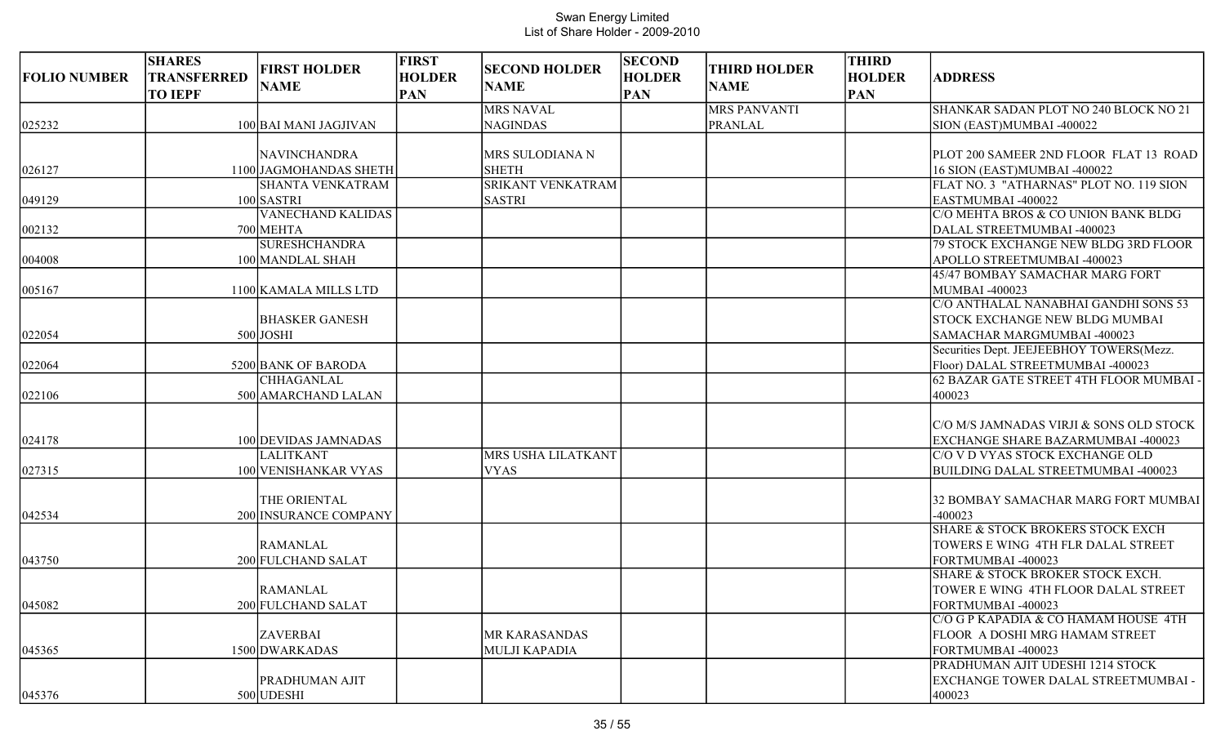| <b>FOLIO NUMBER</b> | <b>SHARES</b><br>TRANSFERRED<br><b>TO IEPF</b> | <b>FIRST HOLDER</b><br><b>NAME</b>                                | <b>FIRST</b><br><b>HOLDER</b><br><b>PAN</b> | <b>SECOND HOLDER</b><br><b>NAME</b>                  | <b>SECOND</b><br><b>HOLDER</b><br><b>PAN</b> | <b>THIRD HOLDER</b><br><b>NAME</b> | <b>THIRD</b><br><b>HOLDER</b><br><b>PAN</b> | <b>ADDRESS</b>                                                                                                                                          |
|---------------------|------------------------------------------------|-------------------------------------------------------------------|---------------------------------------------|------------------------------------------------------|----------------------------------------------|------------------------------------|---------------------------------------------|---------------------------------------------------------------------------------------------------------------------------------------------------------|
| 025232              |                                                | 100 BAI MANI JAGJIVAN                                             |                                             | <b>MRS NAVAL</b><br><b>NAGINDAS</b>                  |                                              | <b>MRS PANVANTI</b><br>PRANLAL     |                                             | SHANKAR SADAN PLOT NO 240 BLOCK NO 21<br>SION (EAST)MUMBAI -400022                                                                                      |
| 026127              |                                                | NAVINCHANDRA<br>1100 JAGMOHANDAS SHETH<br><b>SHANTA VENKATRAM</b> |                                             | MRS SULODIANA N<br><b>SHETH</b><br>SRIKANT VENKATRAM |                                              |                                    |                                             | PLOT 200 SAMEER 2ND FLOOR FLAT 13 ROAD<br>16 SION (EAST)MUMBAI -400022<br>FLAT NO. 3 "ATHARNAS" PLOT NO. 119 SION                                       |
| 049129<br>002132    |                                                | $100$ SASTRI<br><b>VANECHAND KALIDAS</b><br>700 MEHTA             |                                             | <b>SASTRI</b>                                        |                                              |                                    |                                             | EASTMUMBAI -400022<br>C/O MEHTA BROS & CO UNION BANK BLDG<br>DALAL STREETMUMBAI -400023                                                                 |
| 004008              |                                                | <b>SURESHCHANDRA</b><br>100 MANDLAL SHAH                          |                                             |                                                      |                                              |                                    |                                             | 79 STOCK EXCHANGE NEW BLDG 3RD FLOOR<br>APOLLO STREETMUMBAI -400023<br>45/47 BOMBAY SAMACHAR MARG FORT                                                  |
| 005167              |                                                | 1100 KAMALA MILLS LTD<br><b>BHASKER GANESH</b>                    |                                             |                                                      |                                              |                                    |                                             | MUMBAI -400023<br>C/O ANTHALAL NANABHAI GANDHI SONS 53<br><b>STOCK EXCHANGE NEW BLDG MUMBAI</b>                                                         |
| 022054<br>022064    |                                                | $500$ JOSHI<br>5200 BANK OF BARODA<br><b>CHHAGANLAL</b>           |                                             |                                                      |                                              |                                    |                                             | SAMACHAR MARGMUMBAI -400023<br>Securities Dept. JEEJEEBHOY TOWERS(Mezz.<br>Floor) DALAL STREETMUMBAI -400023<br>62 BAZAR GATE STREET 4TH FLOOR MUMBAI - |
| 022106              |                                                | 500 AMARCHAND LALAN                                               |                                             |                                                      |                                              |                                    |                                             | 400023                                                                                                                                                  |
| 024178              |                                                | 100 DEVIDAS JAMNADAS                                              |                                             |                                                      |                                              |                                    |                                             | C/O M/S JAMNADAS VIRJI & SONS OLD STOCK<br>EXCHANGE SHARE BAZARMUMBAI -400023                                                                           |
| 027315              |                                                | <b>LALITKANT</b><br>100 VENISHANKAR VYAS                          |                                             | MRS USHA LILATKANT<br><b>VYAS</b>                    |                                              |                                    |                                             | C/O V D VYAS STOCK EXCHANGE OLD<br>BUILDING DALAL STREETMUMBAI -400023                                                                                  |
| 042534              |                                                | THE ORIENTAL<br>200 INSURANCE COMPANY                             |                                             |                                                      |                                              |                                    |                                             | 32 BOMBAY SAMACHAR MARG FORT MUMBAI<br>$-400023$<br><b>SHARE &amp; STOCK BROKERS STOCK EXCH</b>                                                         |
| 043750              |                                                | <b>RAMANLAL</b><br>200 FULCHAND SALAT                             |                                             |                                                      |                                              |                                    |                                             | TOWERS E WING 4TH FLR DALAL STREET<br>FORTMUMBAI -400023                                                                                                |
| 045082              |                                                | <b>RAMANLAL</b><br>200 FULCHAND SALAT                             |                                             |                                                      |                                              |                                    |                                             | SHARE & STOCK BROKER STOCK EXCH.<br>TOWER E WING 4TH FLOOR DALAL STREET<br>FORTMUMBAI -400023                                                           |
| 045365              |                                                | <b>ZAVERBAI</b><br>1500 DWARKADAS                                 |                                             | MR KARASANDAS<br>MULJI KAPADIA                       |                                              |                                    |                                             | C/O G P KAPADIA & CO HAMAM HOUSE 4TH<br>FLOOR A DOSHI MRG HAMAM STREET<br>FORTMUMBAI -400023<br>PRADHUMAN AJIT UDESHI 1214 STOCK                        |
| 045376              |                                                | PRADHUMAN AJIT<br>500 UDESHI                                      |                                             |                                                      |                                              |                                    |                                             | <b>EXCHANGE TOWER DALAL STREETMUMBAI -</b><br>400023                                                                                                    |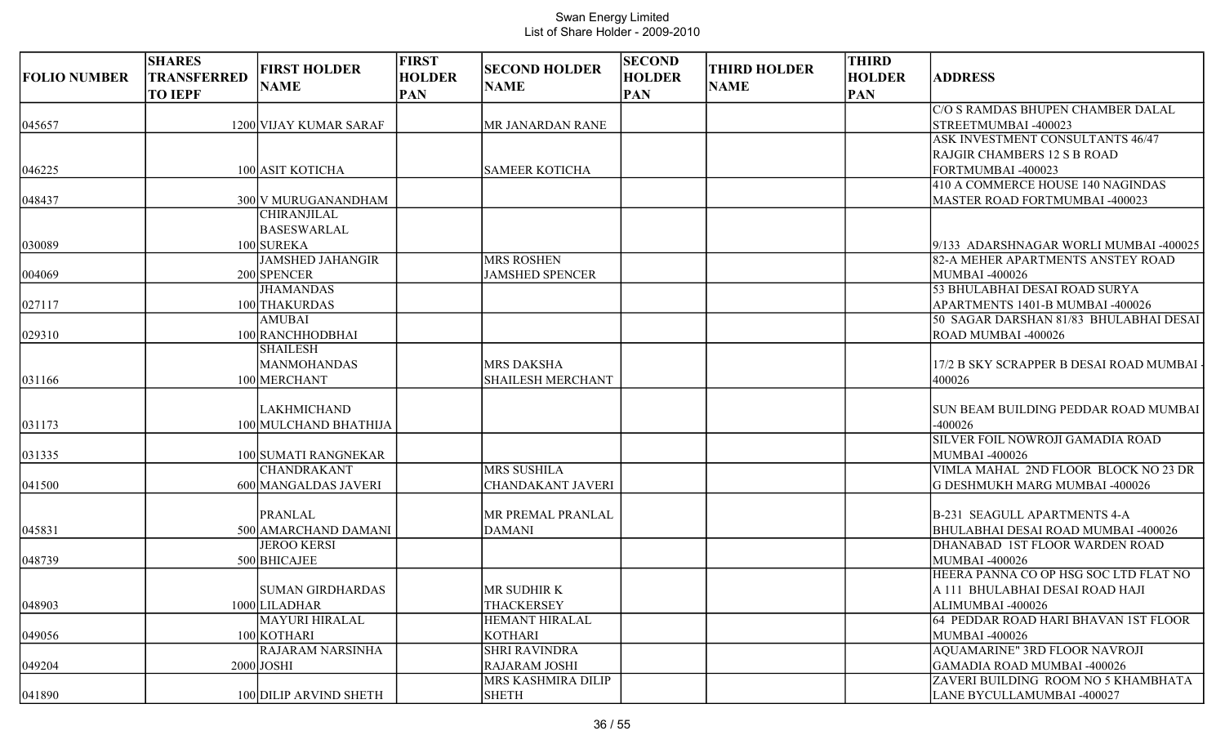| <b>FOLIO NUMBER</b> | <b>SHARES</b><br><b>TRANSFERRED</b> | <b>FIRST HOLDER</b>                       | <b>FIRST</b><br><b>HOLDER</b> | <b>SECOND HOLDER</b>      | <b>SECOND</b><br><b>HOLDER</b> | <b>THIRD HOLDER</b> | <b>THIRD</b><br><b>HOLDER</b> | <b>ADDRESS</b>                                          |
|---------------------|-------------------------------------|-------------------------------------------|-------------------------------|---------------------------|--------------------------------|---------------------|-------------------------------|---------------------------------------------------------|
|                     | <b>TO IEPF</b>                      | <b>NAME</b>                               | <b>PAN</b>                    | <b>NAME</b>               | <b>PAN</b>                     | <b>NAME</b>         | <b>PAN</b>                    |                                                         |
|                     |                                     |                                           |                               |                           |                                |                     |                               | C/O S RAMDAS BHUPEN CHAMBER DALAL                       |
| 045657              |                                     | 1200 VIJAY KUMAR SARAF                    |                               | <b>MR JANARDAN RANE</b>   |                                |                     |                               | STREETMUMBAI -400023                                    |
|                     |                                     |                                           |                               |                           |                                |                     |                               | ASK INVESTMENT CONSULTANTS 46/47                        |
|                     |                                     |                                           |                               |                           |                                |                     |                               | <b>RAJGIR CHAMBERS 12 S B ROAD</b>                      |
| 046225              |                                     | 100 ASIT KOTICHA                          |                               | <b>SAMEER KOTICHA</b>     |                                |                     |                               | FORTMUMBAI -400023                                      |
|                     |                                     |                                           |                               |                           |                                |                     |                               | 410 A COMMERCE HOUSE 140 NAGINDAS                       |
| 048437              |                                     | 300 V MURUGANANDHAM<br><b>CHIRANJILAL</b> |                               |                           |                                |                     |                               | MASTER ROAD FORTMUMBAI -400023                          |
|                     |                                     | <b>BASESWARLAL</b>                        |                               |                           |                                |                     |                               |                                                         |
| 030089              |                                     | 100 SUREKA                                |                               |                           |                                |                     |                               | 9/133 ADARSHNAGAR WORLI MUMBAI -400025                  |
|                     |                                     | <b>JAMSHED JAHANGIR</b>                   |                               | <b>MRS ROSHEN</b>         |                                |                     |                               | 82-A MEHER APARTMENTS ANSTEY ROAD                       |
| 004069              |                                     | 200 SPENCER                               |                               | <b>JAMSHED SPENCER</b>    |                                |                     |                               | <b>MUMBAI -400026</b>                                   |
|                     |                                     | <b>JHAMANDAS</b>                          |                               |                           |                                |                     |                               | 53 BHULABHAI DESAI ROAD SURYA                           |
| 027117              |                                     | 100 THAKURDAS                             |                               |                           |                                |                     |                               | APARTMENTS 1401-B MUMBAI -400026                        |
|                     |                                     | <b>AMUBAI</b>                             |                               |                           |                                |                     |                               | 50 SAGAR DARSHAN 81/83 BHULABHAI DESAI                  |
| 029310              |                                     | 100 RANCHHODBHAI                          |                               |                           |                                |                     |                               | ROAD MUMBAI -400026                                     |
|                     |                                     | <b>SHAILESH</b>                           |                               |                           |                                |                     |                               |                                                         |
|                     |                                     | <b>MANMOHANDAS</b>                        |                               | <b>MRS DAKSHA</b>         |                                |                     |                               | 17/2 B SKY SCRAPPER B DESAI ROAD MUMBAI                 |
| 031166              |                                     | 100 MERCHANT                              |                               | <b>SHAILESH MERCHANT</b>  |                                |                     |                               | 400026                                                  |
|                     |                                     | <b>LAKHMICHAND</b>                        |                               |                           |                                |                     |                               | SUN BEAM BUILDING PEDDAR ROAD MUMBAI                    |
| 031173              |                                     | 100 MULCHAND BHATHIJA                     |                               |                           |                                |                     |                               | $-400026$                                               |
|                     |                                     |                                           |                               |                           |                                |                     |                               | SILVER FOIL NOWROJI GAMADIA ROAD                        |
| 031335              |                                     | 100 SUMATI RANGNEKAR                      |                               |                           |                                |                     |                               | <b>MUMBAI -400026</b>                                   |
|                     |                                     | <b>CHANDRAKANT</b>                        |                               | <b>MRS SUSHILA</b>        |                                |                     |                               | VIMLA MAHAL 2ND FLOOR BLOCK NO 23 DR                    |
| 041500              |                                     | 600 MANGALDAS JAVERI                      |                               | <b>CHANDAKANT JAVERI</b>  |                                |                     |                               | G DESHMUKH MARG MUMBAI -400026                          |
|                     |                                     |                                           |                               |                           |                                |                     |                               |                                                         |
|                     |                                     | <b>PRANLAL</b>                            |                               | MR PREMAL PRANLAL         |                                |                     |                               | B-231 SEAGULL APARTMENTS 4-A                            |
| 045831              |                                     | 500 AMARCHAND DAMANI                      |                               | <b>DAMANI</b>             |                                |                     |                               | BHULABHAI DESAI ROAD MUMBAI -400026                     |
|                     |                                     | <b>JEROO KERSI</b>                        |                               |                           |                                |                     |                               | DHANABAD 1ST FLOOR WARDEN ROAD                          |
| 048739              |                                     | 500 BHICAJEE                              |                               |                           |                                |                     |                               | MUMBAI -400026<br>HEERA PANNA CO OP HSG SOC LTD FLAT NO |
|                     |                                     | <b>SUMAN GIRDHARDAS</b>                   |                               | MR SUDHIR K               |                                |                     |                               | A 111 BHULABHAI DESAI ROAD HAJI                         |
| 048903              |                                     | 1000 LILADHAR                             |                               | <b>THACKERSEY</b>         |                                |                     |                               | ALIMUMBAI -400026                                       |
|                     |                                     | <b>MAYURI HIRALAL</b>                     |                               | <b>HEMANT HIRALAL</b>     |                                |                     |                               | 64 PEDDAR ROAD HARI BHAVAN 1ST FLOOR                    |
| 049056              |                                     | 100 KOTHARI                               |                               | <b>KOTHARI</b>            |                                |                     |                               | <b>MUMBAI -400026</b>                                   |
|                     |                                     | RAJARAM NARSINHA                          |                               | <b>SHRI RAVINDRA</b>      |                                |                     |                               | <b>AQUAMARINE" 3RD FLOOR NAVROJI</b>                    |
| 049204              |                                     | $2000$ JOSHI                              |                               | <b>RAJARAM JOSHI</b>      |                                |                     |                               | GAMADIA ROAD MUMBAI -400026                             |
|                     |                                     |                                           |                               | <b>MRS KASHMIRA DILIP</b> |                                |                     |                               | ZAVERI BUILDING ROOM NO 5 KHAMBHATA                     |
| 041890              |                                     | 100 DILIP ARVIND SHETH                    |                               | <b>SHETH</b>              |                                |                     |                               | LANE BYCULLAMUMBAI -400027                              |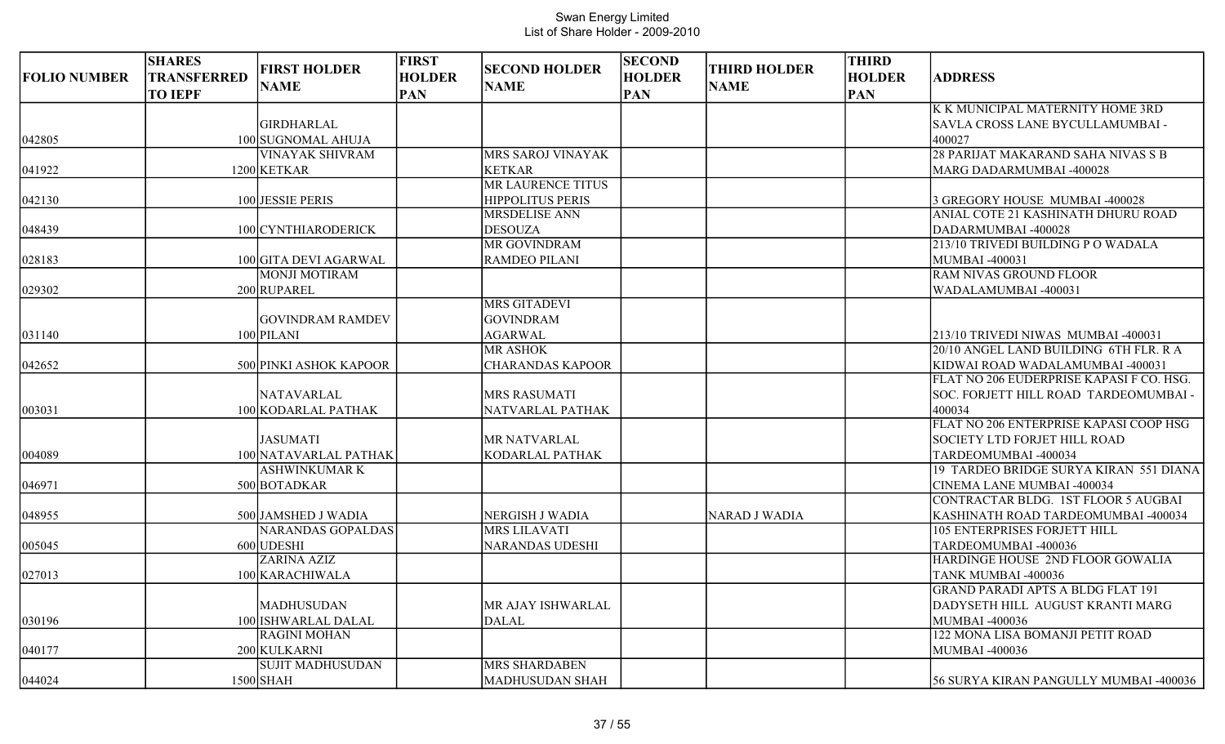|                     | <b>SHARES</b>                        | <b>FIRST HOLDER</b>                        | <b>FIRST</b>                | <b>SECOND HOLDER</b>     | <b>SECOND</b>               | <b>THIRD HOLDER</b>  | <b>THIRD</b>                |                                                           |
|---------------------|--------------------------------------|--------------------------------------------|-----------------------------|--------------------------|-----------------------------|----------------------|-----------------------------|-----------------------------------------------------------|
| <b>FOLIO NUMBER</b> | <b>TRANSFERRED</b><br><b>TO IEPF</b> | <b>NAME</b>                                | <b>HOLDER</b><br><b>PAN</b> | <b>NAME</b>              | <b>HOLDER</b><br><b>PAN</b> | <b>NAME</b>          | <b>HOLDER</b><br><b>PAN</b> | <b>ADDRESS</b>                                            |
|                     |                                      |                                            |                             |                          |                             |                      |                             | K K MUNICIPAL MATERNITY HOME 3RD                          |
|                     |                                      | <b>GIRDHARLAL</b>                          |                             |                          |                             |                      |                             | SAVLA CROSS LANE BYCULLAMUMBAI -                          |
| 042805              |                                      | 100 SUGNOMAL AHUJA                         |                             |                          |                             |                      |                             | 400027                                                    |
|                     |                                      | <b>VINAYAK SHIVRAM</b>                     |                             | MRS SAROJ VINAYAK        |                             |                      |                             | 28 PARIJAT MAKARAND SAHA NIVAS S B                        |
| 041922              |                                      | 1200 KETKAR                                |                             | <b>KETKAR</b>            |                             |                      |                             | <b>MARG DADARMUMBAI -400028</b>                           |
|                     |                                      |                                            |                             | <b>MR LAURENCE TITUS</b> |                             |                      |                             |                                                           |
| 042130              |                                      | 100 JESSIE PERIS                           |                             | <b>HIPPOLITUS PERIS</b>  |                             |                      |                             | 3 GREGORY HOUSE MUMBAI -400028                            |
|                     |                                      |                                            |                             | <b>MRSDELISE ANN</b>     |                             |                      |                             | ANIAL COTE 21 KASHINATH DHURU ROAD                        |
| 048439              |                                      | 100 CYNTHIARODERICK                        |                             | <b>DESOUZA</b>           |                             |                      |                             | DADARMUMBAI -400028                                       |
|                     |                                      |                                            |                             | <b>MR GOVINDRAM</b>      |                             |                      |                             | 213/10 TRIVEDI BUILDING P O WADALA                        |
| 028183              |                                      | 100 GITA DEVI AGARWAL                      |                             | <b>RAMDEO PILANI</b>     |                             |                      |                             | MUMBAI -400031                                            |
|                     |                                      | <b>MONJI MOTIRAM</b>                       |                             |                          |                             |                      |                             | RAM NIVAS GROUND FLOOR                                    |
| 029302              |                                      | 200 RUPAREL                                |                             |                          |                             |                      |                             | WADALAMUMBAI -400031                                      |
|                     |                                      |                                            |                             | <b>MRS GITADEVI</b>      |                             |                      |                             |                                                           |
|                     |                                      | <b>GOVINDRAM RAMDEV</b>                    |                             | <b>GOVINDRAM</b>         |                             |                      |                             |                                                           |
| 031140              |                                      | 100 PILANI                                 |                             | <b>AGARWAL</b>           |                             |                      |                             | 213/10 TRIVEDI NIWAS MUMBAI -400031                       |
|                     |                                      |                                            |                             | <b>MR ASHOK</b>          |                             |                      |                             | 20/10 ANGEL LAND BUILDING 6TH FLR. R A                    |
| 042652              |                                      | 500 PINKI ASHOK KAPOOR                     |                             | <b>CHARANDAS KAPOOR</b>  |                             |                      |                             | KIDWAI ROAD WADALAMUMBAI -400031                          |
|                     |                                      |                                            |                             |                          |                             |                      |                             | FLAT NO 206 EUDERPRISE KAPASI F CO. HSG.                  |
|                     |                                      | <b>NATAVARLAL</b>                          |                             | <b>MRS RASUMATI</b>      |                             |                      |                             | SOC. FORJETT HILL ROAD TARDEOMUMBAI -                     |
| 003031              |                                      | 100 KODARLAL PATHAK                        |                             | NATVARLAL PATHAK         |                             |                      |                             | 400034                                                    |
|                     |                                      |                                            |                             |                          |                             |                      |                             | FLAT NO 206 ENTERPRISE KAPASI COOP HSG                    |
|                     |                                      | <b>JASUMATI</b>                            |                             | MR NATVARLAL             |                             |                      |                             | SOCIETY LTD FORJET HILL ROAD                              |
| 004089              |                                      | 100 NATAVARLAL PATHAK                      |                             | KODARLAL PATHAK          |                             |                      |                             | TARDEOMUMBAI -400034                                      |
|                     |                                      | <b>ASHWINKUMAR K</b>                       |                             |                          |                             |                      |                             | 19 TARDEO BRIDGE SURYA KIRAN 551 DIANA                    |
| 046971              |                                      | 500 BOTADKAR                               |                             |                          |                             |                      |                             | CINEMA LANE MUMBAI -400034                                |
|                     |                                      |                                            |                             |                          |                             |                      |                             | CONTRACTAR BLDG. 1ST FLOOR 5 AUGBAI                       |
| 048955              |                                      | 500 JAMSHED J WADIA                        |                             | NERGISH J WADIA          |                             | <b>NARAD J WADIA</b> |                             | KASHINATH ROAD TARDEOMUMBAI -400034                       |
|                     |                                      | <b>NARANDAS GOPALDAS</b>                   |                             | <b>MRS LILAVATI</b>      |                             |                      |                             | <b>105 ENTERPRISES FORJETT HILL</b>                       |
| 005045              |                                      | 600 UDESHI                                 |                             | NARANDAS UDESHI          |                             |                      |                             | TARDEOMUMBAI -400036                                      |
|                     |                                      | <b>ZARINA AZIZ</b>                         |                             |                          |                             |                      |                             | HARDINGE HOUSE 2ND FLOOR GOWALIA                          |
| 027013              |                                      | 100 KARACHIWALA                            |                             |                          |                             |                      |                             | TANK MUMBAI -400036                                       |
|                     |                                      |                                            |                             |                          |                             |                      |                             | <b>GRAND PARADI APTS A BLDG FLAT 191</b>                  |
|                     |                                      | MADHUSUDAN                                 |                             | MR AJAY ISHWARLAL        |                             |                      |                             | DADYSETH HILL AUGUST KRANTI MARG                          |
| 030196              |                                      | 100 ISHWARLAL DALAL<br><b>RAGINI MOHAN</b> |                             | <b>DALAL</b>             |                             |                      |                             | <b>MUMBAI -400036</b><br>122 MONA LISA BOMANJI PETIT ROAD |
|                     |                                      |                                            |                             |                          |                             |                      |                             |                                                           |
| 040177              |                                      | 200 KULKARNI<br><b>SUJIT MADHUSUDAN</b>    |                             | <b>MRS SHARDABEN</b>     |                             |                      |                             | <b>MUMBAI -400036</b>                                     |
|                     |                                      |                                            |                             |                          |                             |                      |                             |                                                           |
| 044024              |                                      | $1500$ SHAH                                |                             | MADHUSUDAN SHAH          |                             |                      |                             | 56 SURYA KIRAN PANGULLY MUMBAI -400036                    |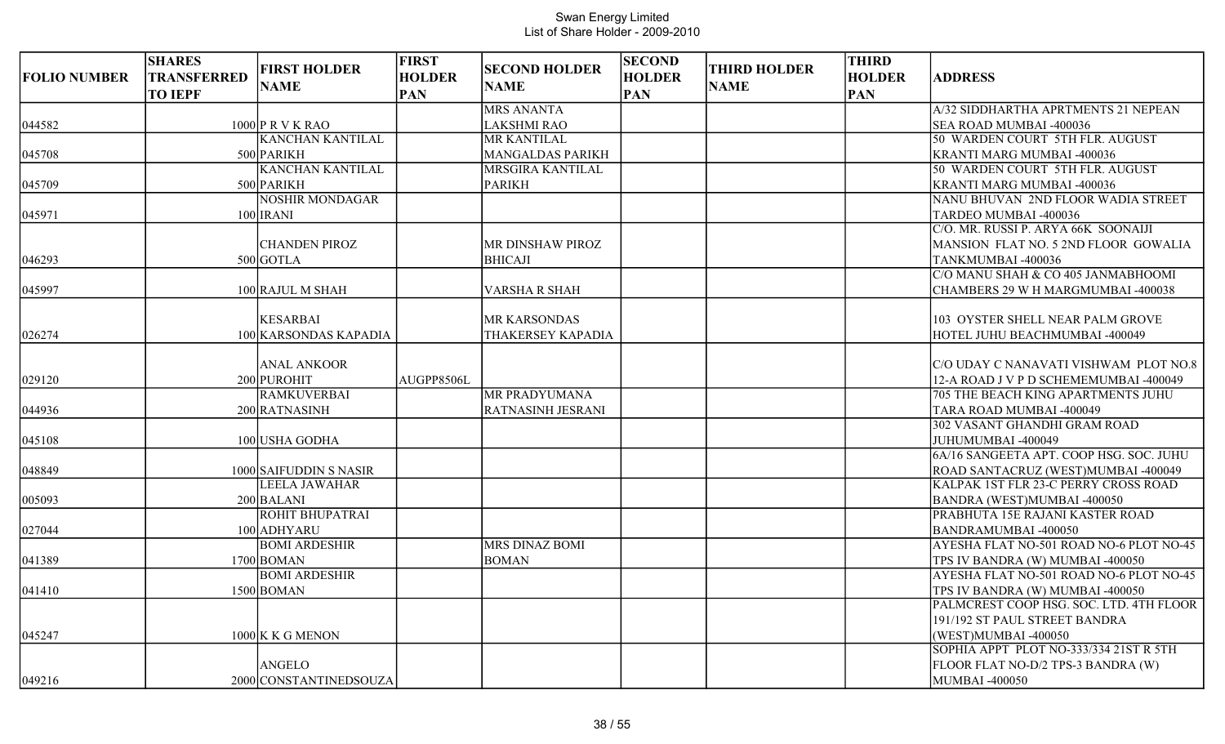| <b>FOLIO NUMBER</b> | <b>SHARES</b><br>TRANSFERRED<br><b>TO IEPF</b> | <b>FIRST HOLDER</b><br><b>NAME</b>       | <b>FIRST</b><br><b>HOLDER</b><br><b>PAN</b> | <b>SECOND HOLDER</b><br><b>NAME</b> | <b>SECOND</b><br><b>HOLDER</b><br><b>PAN</b> | <b>THIRD HOLDER</b><br><b>NAME</b> | <b>THIRD</b><br><b>HOLDER</b><br><b>PAN</b> | <b>ADDRESS</b>                                                                   |
|---------------------|------------------------------------------------|------------------------------------------|---------------------------------------------|-------------------------------------|----------------------------------------------|------------------------------------|---------------------------------------------|----------------------------------------------------------------------------------|
|                     |                                                |                                          |                                             | <b>MRS ANANTA</b>                   |                                              |                                    |                                             | A/32 SIDDHARTHA APRTMENTS 21 NEPEAN                                              |
| 044582              |                                                | $1000$ P R V K RAO                       |                                             | <b>LAKSHMI RAO</b>                  |                                              |                                    |                                             | <b>SEA ROAD MUMBAI -400036</b>                                                   |
|                     |                                                | <b>KANCHAN KANTILAL</b>                  |                                             | <b>MR KANTILAL</b>                  |                                              |                                    |                                             | 50 WARDEN COURT 5TH FLR. AUGUST                                                  |
| 045708              |                                                | 500 PARIKH                               |                                             | <b>MANGALDAS PARIKH</b>             |                                              |                                    |                                             | <b>KRANTI MARG MUMBAI -400036</b>                                                |
|                     |                                                | <b>KANCHAN KANTILAL</b>                  |                                             | MRSGIRA KANTILAL                    |                                              |                                    |                                             | 50 WARDEN COURT 5TH FLR. AUGUST                                                  |
| 045709              |                                                | 500 PARIKH                               |                                             | <b>PARIKH</b>                       |                                              |                                    |                                             | KRANTI MARG MUMBAI -400036                                                       |
|                     |                                                | <b>NOSHIR MONDAGAR</b>                   |                                             |                                     |                                              |                                    |                                             | NANU BHUVAN 2ND FLOOR WADIA STREET                                               |
| 045971              |                                                | $100$ IRANI                              |                                             |                                     |                                              |                                    |                                             | TARDEO MUMBAI -400036                                                            |
|                     |                                                |                                          |                                             |                                     |                                              |                                    |                                             | C/O. MR. RUSSI P. ARYA 66K SOONAIJI                                              |
|                     |                                                | <b>CHANDEN PIROZ</b>                     |                                             | MR DINSHAW PIROZ                    |                                              |                                    |                                             | MANSION FLAT NO. 5 2ND FLOOR GOWALIA                                             |
| 046293              |                                                | $500$ GOTLA                              |                                             | <b>BHICAJI</b>                      |                                              |                                    |                                             | TANKMUMBAI-400036                                                                |
|                     |                                                |                                          |                                             |                                     |                                              |                                    |                                             | C/O MANU SHAH & CO 405 JANMABHOOMI                                               |
| 045997              |                                                | 100 RAJUL M SHAH                         |                                             | <b>VARSHA R SHAH</b>                |                                              |                                    |                                             | CHAMBERS 29 W H MARGMUMBAI -400038                                               |
| 026274              |                                                | <b>KESARBAI</b><br>100 KARSONDAS KAPADIA |                                             | MR KARSONDAS<br>THAKERSEY KAPADIA   |                                              |                                    |                                             | 103 OYSTER SHELL NEAR PALM GROVE<br>HOTEL JUHU BEACHMUMBAI -400049               |
| 029120              |                                                | <b>ANAL ANKOOR</b><br>200 PUROHIT        | AUGPP8506L                                  |                                     |                                              |                                    |                                             | IC/O UDAY C NANAVATI VISHWAM PLOT NO.8<br>12-A ROAD J V P D SCHEMEMUMBAI -400049 |
|                     |                                                | <b>RAMKUVERBAI</b>                       |                                             | <b>MR PRADYUMANA</b>                |                                              |                                    |                                             | 705 THE BEACH KING APARTMENTS JUHU                                               |
| 044936              |                                                | 200 RATNASINH                            |                                             | RATNASINH JESRANI                   |                                              |                                    |                                             | TARA ROAD MUMBAI -400049                                                         |
| 045108              |                                                | 100 USHA GODHA                           |                                             |                                     |                                              |                                    |                                             | 302 VASANT GHANDHI GRAM ROAD<br>JUHUMUMBAI -400049                               |
| 048849              |                                                | 1000 SAIFUDDIN S NASIR                   |                                             |                                     |                                              |                                    |                                             | 6A/16 SANGEETA APT. COOP HSG. SOC. JUHU<br>ROAD SANTACRUZ (WEST)MUMBAI -400049   |
| 005093              |                                                | <b>LEELA JAWAHAR</b><br>$200$ BALANI     |                                             |                                     |                                              |                                    |                                             | KALPAK 1ST FLR 23-C PERRY CROSS ROAD<br>BANDRA (WEST)MUMBAI -400050              |
| 027044              |                                                | <b>ROHIT BHUPATRAI</b><br>100 ADHYARU    |                                             |                                     |                                              |                                    |                                             | PRABHUTA 15E RAJANI KASTER ROAD<br>BANDRAMUMBAI-400050                           |
| 041389              |                                                | <b>BOMI ARDESHIR</b><br>$1700$ BOMAN     |                                             | MRS DINAZ BOMI<br><b>BOMAN</b>      |                                              |                                    |                                             | AYESHA FLAT NO-501 ROAD NO-6 PLOT NO-45<br>TPS IV BANDRA (W) MUMBAI -400050      |
|                     |                                                | <b>BOMI ARDESHIR</b>                     |                                             |                                     |                                              |                                    |                                             | AYESHA FLAT NO-501 ROAD NO-6 PLOT NO-45                                          |
| 041410              |                                                | 1500 BOMAN                               |                                             |                                     |                                              |                                    |                                             | TPS IV BANDRA (W) MUMBAI -400050                                                 |
|                     |                                                |                                          |                                             |                                     |                                              |                                    |                                             | PALMCREST COOP HSG. SOC. LTD. 4TH FLOOR<br>191/192 ST PAUL STREET BANDRA         |
| 045247              |                                                | $1000$ K K G MENON                       |                                             |                                     |                                              |                                    |                                             | (WEST)MUMBAI -400050                                                             |
|                     |                                                | <b>ANGELO</b>                            |                                             |                                     |                                              |                                    |                                             | SOPHIA APPT PLOT NO-333/334 21ST R 5TH<br>FLOOR FLAT NO-D/2 TPS-3 BANDRA (W)     |
| 049216              |                                                | 2000 CONSTANTINEDSOUZA                   |                                             |                                     |                                              |                                    |                                             | MUMBAI -400050                                                                   |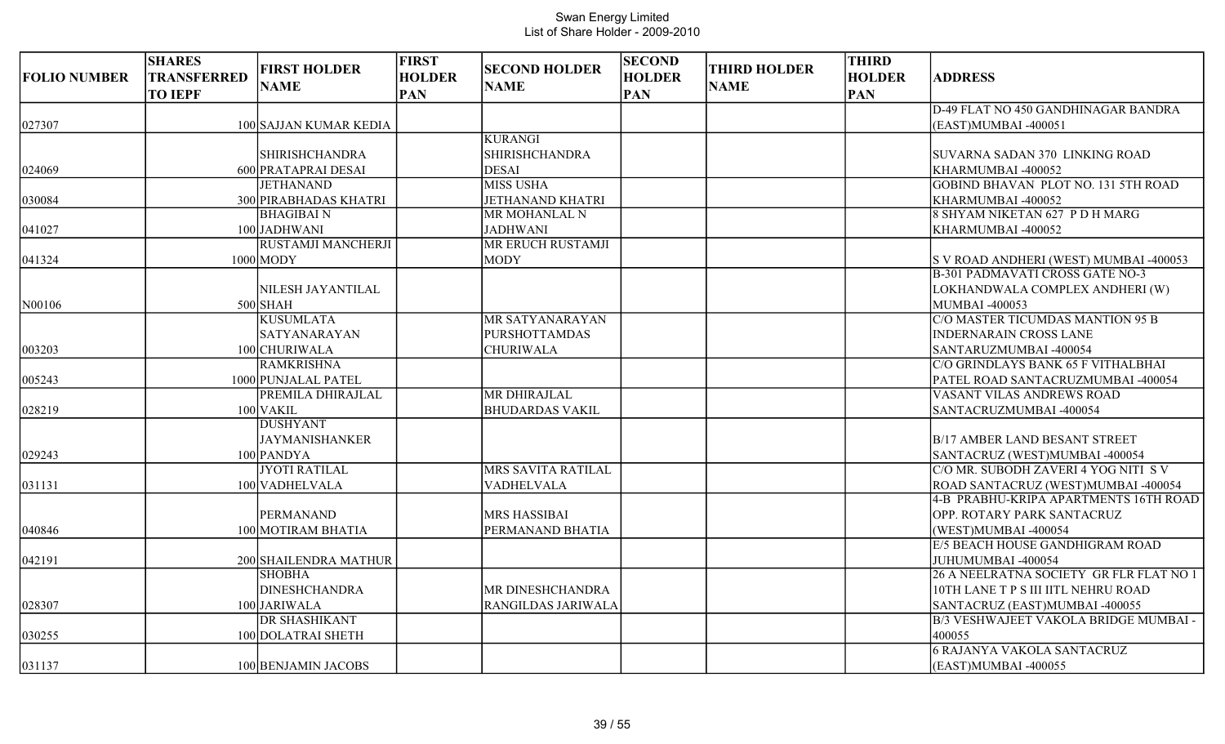| <b>FOLIO NUMBER</b> | <b>SHARES</b><br><b>TRANSFERRED</b><br><b>TO IEPF</b> | <b>FIRST HOLDER</b><br><b>NAME</b> | <b>FIRST</b><br><b>HOLDER</b><br><b>PAN</b> | <b>SECOND HOLDER</b><br><b>NAME</b> | <b>SECOND</b><br><b>HOLDER</b><br><b>PAN</b> | <b>THIRD HOLDER</b><br><b>NAME</b> | <b>THIRD</b><br><b>HOLDER</b><br><b>PAN</b> | <b>ADDRESS</b>                             |
|---------------------|-------------------------------------------------------|------------------------------------|---------------------------------------------|-------------------------------------|----------------------------------------------|------------------------------------|---------------------------------------------|--------------------------------------------|
|                     |                                                       |                                    |                                             |                                     |                                              |                                    |                                             | D-49 FLAT NO 450 GANDHINAGAR BANDRA        |
| 027307              |                                                       | 100 SAJJAN KUMAR KEDIA             |                                             |                                     |                                              |                                    |                                             | (EAST)MUMBAI -400051                       |
|                     |                                                       |                                    |                                             | <b>KURANGI</b>                      |                                              |                                    |                                             |                                            |
|                     |                                                       | <b>SHIRISHCHANDRA</b>              |                                             | <b>SHIRISHCHANDRA</b>               |                                              |                                    |                                             | SUVARNA SADAN 370 LINKING ROAD             |
| 024069              |                                                       | 600 PRATAPRAI DESAI                |                                             | <b>DESAI</b>                        |                                              |                                    |                                             | KHARMUMBAI-400052                          |
|                     |                                                       | <b>JETHANAND</b>                   |                                             | <b>MISS USHA</b>                    |                                              |                                    |                                             | <b>GOBIND BHAVAN PLOT NO. 131 5TH ROAD</b> |
| 030084              |                                                       | 300 PIRABHADAS KHATRI              |                                             | <b>JETHANAND KHATRI</b>             |                                              |                                    |                                             | KHARMUMBAI -400052                         |
|                     |                                                       | <b>BHAGIBAIN</b>                   |                                             | MR MOHANLAL N                       |                                              |                                    |                                             | 8 SHYAM NIKETAN 627 P D H MARG             |
| 041027              |                                                       | 100 JADHWANI                       |                                             | <b>JADHWANI</b>                     |                                              |                                    |                                             | KHARMUMBAI -400052                         |
|                     |                                                       | <b>RUSTAMJI MANCHERJI</b>          |                                             | MR ERUCH RUSTAMJI                   |                                              |                                    |                                             |                                            |
| 041324              |                                                       | $1000$ MODY                        |                                             | <b>MODY</b>                         |                                              |                                    |                                             | S V ROAD ANDHERI (WEST) MUMBAI -400053     |
|                     |                                                       |                                    |                                             |                                     |                                              |                                    |                                             | <b>B-301 PADMAVATI CROSS GATE NO-3</b>     |
|                     |                                                       | NILESH JAYANTILAL                  |                                             |                                     |                                              |                                    |                                             | LOKHANDWALA COMPLEX ANDHERI (W)            |
| N00106              |                                                       | $500$ SHAH                         |                                             |                                     |                                              |                                    |                                             | <b>MUMBAI-400053</b>                       |
|                     |                                                       | <b>KUSUMLATA</b>                   |                                             | MR SATYANARAYAN                     |                                              |                                    |                                             | C/O MASTER TICUMDAS MANTION 95 B           |
|                     |                                                       | <b>SATYANARAYAN</b>                |                                             | <b>PURSHOTTAMDAS</b>                |                                              |                                    |                                             | <b>INDERNARAIN CROSS LANE</b>              |
| 003203              |                                                       | 100 CHURIWALA                      |                                             | <b>CHURIWALA</b>                    |                                              |                                    |                                             | SANTARUZMUMBAI -400054                     |
|                     |                                                       | <b>RAMKRISHNA</b>                  |                                             |                                     |                                              |                                    |                                             | C/O GRINDLAYS BANK 65 F VITHALBHAI         |
| 005243              |                                                       | 1000 PUNJALAL PATEL                |                                             |                                     |                                              |                                    |                                             | PATEL ROAD SANTACRUZMUMBAI -400054         |
|                     |                                                       | PREMILA DHIRAJLAL                  |                                             | <b>MR DHIRAJLAL</b>                 |                                              |                                    |                                             | VASANT VILAS ANDREWS ROAD                  |
| 028219              |                                                       | $100$ VAKIL                        |                                             | <b>BHUDARDAS VAKIL</b>              |                                              |                                    |                                             | SANTACRUZMUMBAI -400054                    |
|                     |                                                       | <b>DUSHYANT</b>                    |                                             |                                     |                                              |                                    |                                             |                                            |
|                     |                                                       | <b>JAYMANISHANKER</b>              |                                             |                                     |                                              |                                    |                                             | <b>B/17 AMBER LAND BESANT STREET</b>       |
| 029243              |                                                       | 100 PANDYA                         |                                             |                                     |                                              |                                    |                                             | SANTACRUZ (WEST)MUMBAI -400054             |
|                     |                                                       | <b>JYOTI RATILAL</b>               |                                             | <b>MRS SAVITA RATILAL</b>           |                                              |                                    |                                             | C/O MR. SUBODH ZAVERI 4 YOG NITI S V       |
| 031131              |                                                       | 100 VADHELVALA                     |                                             | VADHELVALA                          |                                              |                                    |                                             | ROAD SANTACRUZ (WEST)MUMBAI -400054        |
|                     |                                                       |                                    |                                             |                                     |                                              |                                    |                                             | 4-B PRABHU-KRIPA APARTMENTS 16TH ROAD      |
|                     |                                                       | <b>PERMANAND</b>                   |                                             | <b>MRS HASSIBAI</b>                 |                                              |                                    |                                             | OPP. ROTARY PARK SANTACRUZ                 |
| 040846              |                                                       | 100 MOTIRAM BHATIA                 |                                             | PERMANAND BHATIA                    |                                              |                                    |                                             | (WEST)MUMBAI -400054                       |
|                     |                                                       |                                    |                                             |                                     |                                              |                                    |                                             | E/5 BEACH HOUSE GANDHIGRAM ROAD            |
| 042191              |                                                       | 200 SHAILENDRA MATHUR              |                                             |                                     |                                              |                                    |                                             | JUHUMUMBAI -400054                         |
|                     |                                                       | <b>SHOBHA</b>                      |                                             |                                     |                                              |                                    |                                             | 26 A NEELRATNA SOCIETY GR FLR FLAT NO 1    |
|                     |                                                       | <b>DINESHCHANDRA</b>               |                                             | MR DINESHCHANDRA                    |                                              |                                    |                                             | 10TH LANE T P S III IITL NEHRU ROAD        |
| 028307              |                                                       | 100 JARIWALA                       |                                             | RANGILDAS JARIWALA                  |                                              |                                    |                                             | SANTACRUZ (EAST)MUMBAI -400055             |
|                     |                                                       | <b>DR SHASHIKANT</b>               |                                             |                                     |                                              |                                    |                                             | B/3 VESHWAJEET VAKOLA BRIDGE MUMBAI -      |
| 030255              |                                                       | 100 DOLATRAI SHETH                 |                                             |                                     |                                              |                                    |                                             | 400055                                     |
|                     |                                                       |                                    |                                             |                                     |                                              |                                    |                                             | <b>6 RAJANYA VAKOLA SANTACRUZ</b>          |
| 031137              |                                                       | 100 BENJAMIN JACOBS                |                                             |                                     |                                              |                                    |                                             | (EAST)MUMBAI -400055                       |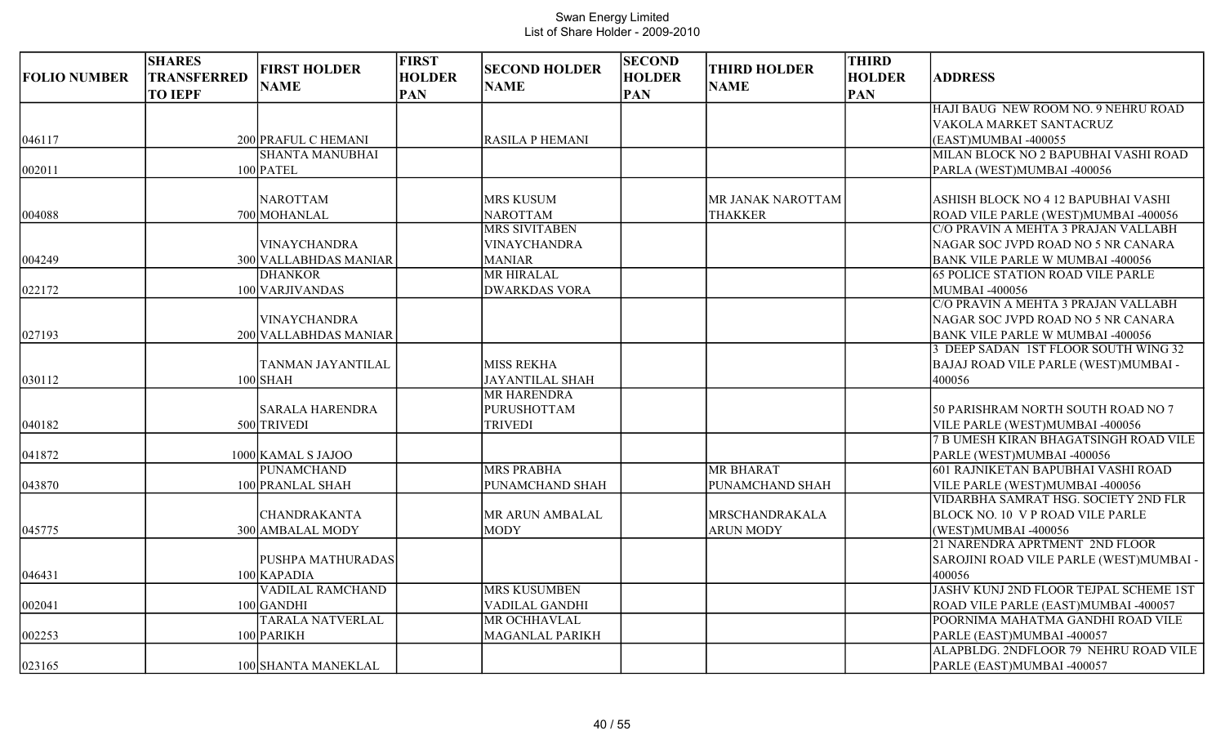| <b>FOLIO NUMBER</b> | <b>SHARES</b><br><b>TRANSFERRED</b><br><b>TO IEPF</b> | <b>FIRST HOLDER</b><br><b>NAME</b> | <b>FIRST</b><br><b>HOLDER</b><br><b>PAN</b> | <b>SECOND HOLDER</b><br><b>NAME</b> | <b>SECOND</b><br><b>HOLDER</b><br><b>PAN</b> | <b>THIRD HOLDER</b><br><b>NAME</b> | <b>THIRD</b><br><b>HOLDER</b><br><b>PAN</b> | <b>ADDRESS</b>                                         |
|---------------------|-------------------------------------------------------|------------------------------------|---------------------------------------------|-------------------------------------|----------------------------------------------|------------------------------------|---------------------------------------------|--------------------------------------------------------|
|                     |                                                       |                                    |                                             |                                     |                                              |                                    |                                             | HAJI BAUG NEW ROOM NO. 9 NEHRU ROAD                    |
|                     |                                                       |                                    |                                             |                                     |                                              |                                    |                                             | VAKOLA MARKET SANTACRUZ                                |
| 046117              |                                                       | 200 PRAFUL C HEMANI                |                                             | <b>RASILA P HEMANI</b>              |                                              |                                    |                                             | (EAST)MUMBAI -400055                                   |
|                     |                                                       | <b>SHANTA MANUBHAI</b>             |                                             |                                     |                                              |                                    |                                             | MILAN BLOCK NO 2 BAPUBHAI VASHI ROAD                   |
| 002011              |                                                       | $100$ PATEL                        |                                             |                                     |                                              |                                    |                                             | PARLA (WEST)MUMBAI -400056                             |
|                     |                                                       | <b>NAROTTAM</b>                    |                                             | <b>MRS KUSUM</b>                    |                                              | MR JANAK NAROTTAM                  |                                             | ASHISH BLOCK NO 4 12 BAPUBHAI VASHI                    |
| 004088              |                                                       | 700 MOHANLAL                       |                                             | <b>NAROTTAM</b>                     |                                              | <b>THAKKER</b>                     |                                             | ROAD VILE PARLE (WEST)MUMBAI -400056                   |
|                     |                                                       |                                    |                                             | <b>MRS SIVITABEN</b>                |                                              |                                    |                                             | C/O PRAVIN A MEHTA 3 PRAJAN VALLABH                    |
|                     |                                                       | <b>VINAYCHANDRA</b>                |                                             | <b>VINAYCHANDRA</b>                 |                                              |                                    |                                             | NAGAR SOC JVPD ROAD NO 5 NR CANARA                     |
| 004249              |                                                       | 300 VALLABHDAS MANIAR              |                                             | <b>MANIAR</b>                       |                                              |                                    |                                             | <b>BANK VILE PARLE W MUMBAI -400056</b>                |
|                     |                                                       | <b>DHANKOR</b>                     |                                             | <b>MR HIRALAL</b>                   |                                              |                                    |                                             | <b>65 POLICE STATION ROAD VILE PARLE</b>               |
| 022172              |                                                       | 100 VARJIVANDAS                    |                                             | <b>DWARKDAS VORA</b>                |                                              |                                    |                                             | <b>MUMBAI -400056</b>                                  |
|                     |                                                       |                                    |                                             |                                     |                                              |                                    |                                             | C/O PRAVIN A MEHTA 3 PRAJAN VALLABH                    |
|                     |                                                       | <b>VINAYCHANDRA</b>                |                                             |                                     |                                              |                                    |                                             | NAGAR SOC JVPD ROAD NO 5 NR CANARA                     |
| 027193              |                                                       | 200 VALLABHDAS MANIAR              |                                             |                                     |                                              |                                    |                                             | <b>BANK VILE PARLE W MUMBAI -400056</b>                |
|                     |                                                       |                                    |                                             |                                     |                                              |                                    |                                             | 3 DEEP SADAN 1ST FLOOR SOUTH WING 32                   |
|                     |                                                       | TANMAN JAYANTILAL                  |                                             | <b>MISS REKHA</b>                   |                                              |                                    |                                             | BAJAJ ROAD VILE PARLE (WEST)MUMBAI -                   |
| 030112              |                                                       | $100$ SHAH                         |                                             | <b>JAYANTILAL SHAH</b>              |                                              |                                    |                                             | 400056                                                 |
|                     |                                                       |                                    |                                             | <b>MR HARENDRA</b>                  |                                              |                                    |                                             |                                                        |
|                     |                                                       | <b>SARALA HARENDRA</b>             |                                             | <b>PURUSHOTTAM</b>                  |                                              |                                    |                                             | 50 PARISHRAM NORTH SOUTH ROAD NO 7                     |
| 040182              |                                                       | 500 TRIVEDI                        |                                             | <b>TRIVEDI</b>                      |                                              |                                    |                                             | VILE PARLE (WEST)MUMBAI -400056                        |
|                     |                                                       |                                    |                                             |                                     |                                              |                                    |                                             | 7 B UMESH KIRAN BHAGATSINGH ROAD VILE                  |
| 041872              |                                                       | 1000 KAMAL S JAJOO                 |                                             |                                     |                                              |                                    |                                             | PARLE (WEST)MUMBAI -400056                             |
|                     |                                                       | <b>PUNAMCHAND</b>                  |                                             | <b>MRS PRABHA</b>                   |                                              | <b>MR BHARAT</b>                   |                                             | 601 RAJNIKETAN BAPUBHAI VASHI ROAD                     |
| 043870              |                                                       | 100 PRANLAL SHAH                   |                                             | PUNAMCHAND SHAH                     |                                              | PUNAMCHAND SHAH                    |                                             | VILE PARLE (WEST)MUMBAI -400056                        |
|                     |                                                       | <b>CHANDRAKANTA</b>                |                                             |                                     |                                              | <b>MRSCHANDRAKALA</b>              |                                             | VIDARBHA SAMRAT HSG. SOCIETY 2ND FLR                   |
|                     |                                                       |                                    |                                             | MR ARUN AMBALAL<br><b>MODY</b>      |                                              |                                    |                                             | BLOCK NO. 10 V P ROAD VILE PARLE                       |
| 045775              |                                                       | 300 AMBALAL MODY                   |                                             |                                     |                                              | <b>ARUN MODY</b>                   |                                             | (WEST)MUMBAI -400056<br>21 NARENDRA APRTMENT 2ND FLOOR |
|                     |                                                       | PUSHPA MATHURADAS                  |                                             |                                     |                                              |                                    |                                             | SAROJINI ROAD VILE PARLE (WEST)MUMBAI -                |
| 046431              |                                                       | $100$ KAPADIA                      |                                             |                                     |                                              |                                    |                                             | 400056                                                 |
|                     |                                                       | <b>VADILAL RAMCHAND</b>            |                                             | <b>MRS KUSUMBEN</b>                 |                                              |                                    |                                             | JASHV KUNJ 2ND FLOOR TEJPAL SCHEME 1ST                 |
| 002041              |                                                       | $100$ GANDHI                       |                                             | <b>VADILAL GANDHI</b>               |                                              |                                    |                                             | ROAD VILE PARLE (EAST)MUMBAI -400057                   |
|                     |                                                       | <b>TARALA NATVERLAL</b>            |                                             | MR OCHHAVLAL                        |                                              |                                    |                                             | POORNIMA MAHATMA GANDHI ROAD VILE                      |
| 002253              |                                                       | 100 PARIKH                         |                                             | MAGANLAL PARIKH                     |                                              |                                    |                                             | PARLE (EAST)MUMBAI -400057                             |
|                     |                                                       |                                    |                                             |                                     |                                              |                                    |                                             | ALAPBLDG. 2NDFLOOR 79 NEHRU ROAD VILE                  |
| 023165              |                                                       | 100 SHANTA MANEKLAL                |                                             |                                     |                                              |                                    |                                             | PARLE (EAST)MUMBAI -400057                             |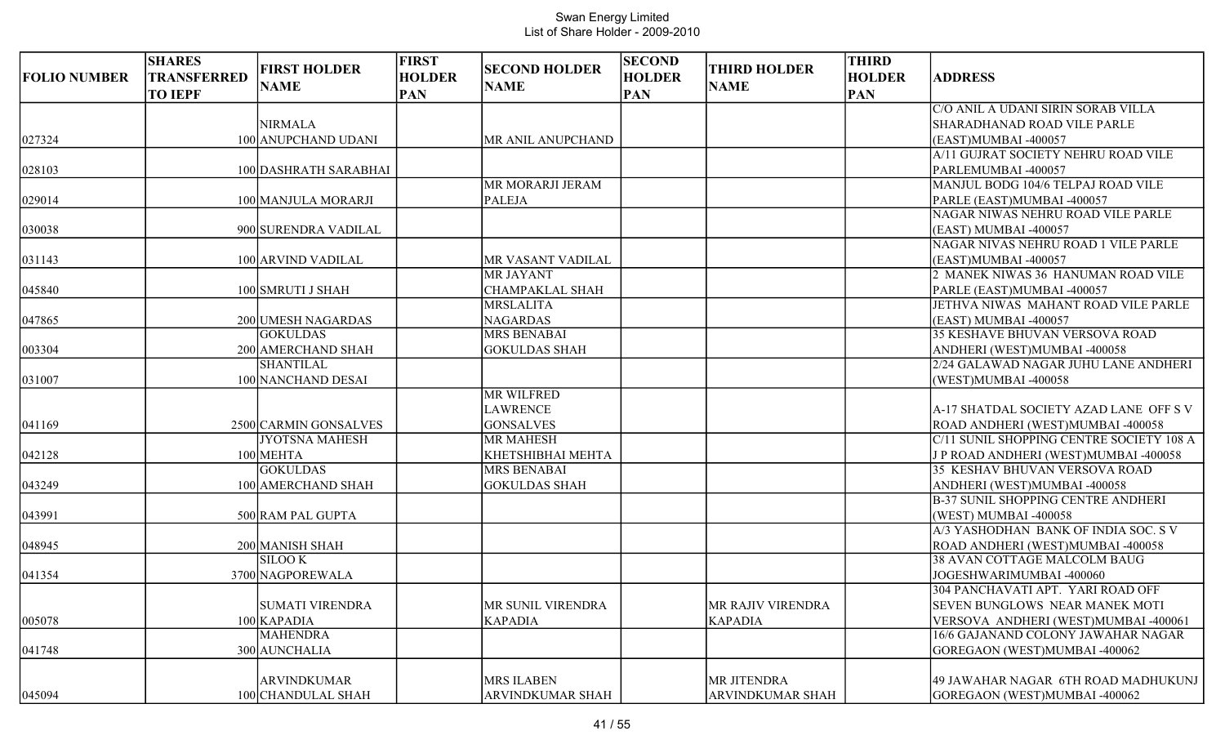| <b>FOLIO NUMBER</b> | <b>SHARES</b><br><b>TRANSFERRED</b><br><b>TO IEPF</b> | <b>FIRST HOLDER</b><br><b>NAME</b> | <b>FIRST</b><br><b>HOLDER</b><br><b>PAN</b> | <b>SECOND HOLDER</b><br><b>NAME</b>   | <b>SECOND</b><br><b>HOLDER</b><br><b>PAN</b> | <b>THIRD HOLDER</b><br><b>NAME</b> | <b>THIRD</b><br><b>HOLDER</b><br><b>PAN</b> | <b>ADDRESS</b>                                               |
|---------------------|-------------------------------------------------------|------------------------------------|---------------------------------------------|---------------------------------------|----------------------------------------------|------------------------------------|---------------------------------------------|--------------------------------------------------------------|
|                     |                                                       |                                    |                                             |                                       |                                              |                                    |                                             | C/O ANIL A UDANI SIRIN SORAB VILLA                           |
|                     |                                                       | <b>NIRMALA</b>                     |                                             |                                       |                                              |                                    |                                             | SHARADHANAD ROAD VILE PARLE                                  |
| 027324              |                                                       | 100 ANUPCHAND UDANI                |                                             | MR ANIL ANUPCHAND                     |                                              |                                    |                                             | (EAST)MUMBAI -400057                                         |
|                     |                                                       |                                    |                                             |                                       |                                              |                                    |                                             | A/11 GUJRAT SOCIETY NEHRU ROAD VILE                          |
| 028103              |                                                       | 100 DASHRATH SARABHAI              |                                             |                                       |                                              |                                    |                                             | PARLEMUMBAI -400057                                          |
|                     |                                                       |                                    |                                             | MR MORARJI JERAM                      |                                              |                                    |                                             | MANJUL BODG 104/6 TELPAJ ROAD VILE                           |
| 029014              |                                                       | 100 MANJULA MORARJI                |                                             | <b>PALEJA</b>                         |                                              |                                    |                                             | PARLE (EAST)MUMBAI -400057                                   |
|                     |                                                       |                                    |                                             |                                       |                                              |                                    |                                             | NAGAR NIWAS NEHRU ROAD VILE PARLE                            |
| 030038              |                                                       | 900 SURENDRA VADILAL               |                                             |                                       |                                              |                                    |                                             | (EAST) MUMBAI -400057<br>NAGAR NIVAS NEHRU ROAD 1 VILE PARLE |
|                     |                                                       | 100 ARVIND VADILAL                 |                                             |                                       |                                              |                                    |                                             | (EAST)MUMBAI -400057                                         |
| 031143              |                                                       |                                    |                                             | MR VASANT VADILAL<br><b>MR JAYANT</b> |                                              |                                    |                                             | 2 MANEK NIWAS 36 HANUMAN ROAD VILE                           |
| 045840              |                                                       | 100 SMRUTI J SHAH                  |                                             | <b>CHAMPAKLAL SHAH</b>                |                                              |                                    |                                             | PARLE (EAST)MUMBAI -400057                                   |
|                     |                                                       |                                    |                                             | <b>MRSLALITA</b>                      |                                              |                                    |                                             | JETHVA NIWAS MAHANT ROAD VILE PARLE                          |
| 047865              |                                                       | 200 UMESH NAGARDAS                 |                                             | <b>NAGARDAS</b>                       |                                              |                                    |                                             | (EAST) MUMBAI -400057                                        |
|                     |                                                       | <b>GOKULDAS</b>                    |                                             | <b>MRS BENABAI</b>                    |                                              |                                    |                                             | 35 KESHAVE BHUVAN VERSOVA ROAD                               |
| 003304              |                                                       | 200 AMERCHAND SHAH                 |                                             | <b>GOKULDAS SHAH</b>                  |                                              |                                    |                                             | ANDHERI (WEST)MUMBAI -400058                                 |
|                     |                                                       | <b>SHANTILAL</b>                   |                                             |                                       |                                              |                                    |                                             | 2/24 GALAWAD NAGAR JUHU LANE ANDHERI                         |
| 031007              |                                                       | 100 NANCHAND DESAI                 |                                             |                                       |                                              |                                    |                                             | (WEST)MUMBAI -400058                                         |
|                     |                                                       |                                    |                                             | <b>MR WILFRED</b>                     |                                              |                                    |                                             |                                                              |
|                     |                                                       |                                    |                                             | <b>LAWRENCE</b>                       |                                              |                                    |                                             | A-17 SHATDAL SOCIETY AZAD LANE OFF S V                       |
| 041169              |                                                       | 2500 CARMIN GONSALVES              |                                             | <b>GONSALVES</b>                      |                                              |                                    |                                             | ROAD ANDHERI (WEST)MUMBAI -400058                            |
|                     |                                                       | <b>JYOTSNA MAHESH</b>              |                                             | <b>MR MAHESH</b>                      |                                              |                                    |                                             | C/11 SUNIL SHOPPING CENTRE SOCIETY 108 A                     |
| 042128              |                                                       | 100 MEHTA                          |                                             | KHETSHIBHAI MEHTA                     |                                              |                                    |                                             | J P ROAD ANDHERI (WEST)MUMBAI -400058                        |
|                     |                                                       | <b>GOKULDAS</b>                    |                                             | <b>MRS BENABAI</b>                    |                                              |                                    |                                             | 35 KESHAV BHUVAN VERSOVA ROAD                                |
| 043249              |                                                       | 100 AMERCHAND SHAH                 |                                             | <b>GOKULDAS SHAH</b>                  |                                              |                                    |                                             | ANDHERI (WEST)MUMBAI -400058                                 |
|                     |                                                       |                                    |                                             |                                       |                                              |                                    |                                             | <b>B-37 SUNIL SHOPPING CENTRE ANDHERI</b>                    |
| 043991              |                                                       | 500 RAM PAL GUPTA                  |                                             |                                       |                                              |                                    |                                             | (WEST) MUMBAI -400058                                        |
|                     |                                                       |                                    |                                             |                                       |                                              |                                    |                                             | A/3 YASHODHAN BANK OF INDIA SOC. S V                         |
| 048945              |                                                       | 200 MANISH SHAH                    |                                             |                                       |                                              |                                    |                                             | ROAD ANDHERI (WEST)MUMBAI -400058                            |
|                     |                                                       | <b>SILOOK</b>                      |                                             |                                       |                                              |                                    |                                             | 38 AVAN COTTAGE MALCOLM BAUG                                 |
| 041354              |                                                       | 3700 NAGPOREWALA                   |                                             |                                       |                                              |                                    |                                             | JOGESHWARIMUMBAI -400060                                     |
|                     |                                                       |                                    |                                             |                                       |                                              |                                    |                                             | 304 PANCHAVATI APT. YARI ROAD OFF                            |
|                     |                                                       | <b>SUMATI VIRENDRA</b>             |                                             | MR SUNIL VIRENDRA                     |                                              | MR RAJIV VIRENDRA                  |                                             | SEVEN BUNGLOWS NEAR MANEK MOTI                               |
| 005078              |                                                       | $100$ KAPADIA                      |                                             | <b>KAPADIA</b>                        |                                              | <b>KAPADIA</b>                     |                                             | VERSOVA ANDHERI (WEST)MUMBAI -400061                         |
|                     |                                                       | <b>MAHENDRA</b>                    |                                             |                                       |                                              |                                    |                                             | 16/6 GAJANAND COLONY JAWAHAR NAGAR                           |
| 041748              |                                                       | 300 AUNCHALIA                      |                                             |                                       |                                              |                                    |                                             | GOREGAON (WEST)MUMBAI-400062                                 |
|                     |                                                       |                                    |                                             |                                       |                                              |                                    |                                             |                                                              |
|                     |                                                       | <b>ARVINDKUMAR</b>                 |                                             | <b>MRS ILABEN</b>                     |                                              | MR JITENDRA                        |                                             | 49 JAWAHAR NAGAR 6TH ROAD MADHUKUNJ                          |
| 045094              |                                                       | 100 CHANDULAL SHAH                 |                                             | ARVINDKUMAR SHAH                      |                                              | ARVINDKUMAR SHAH                   |                                             | GOREGAON (WEST)MUMBAI -400062                                |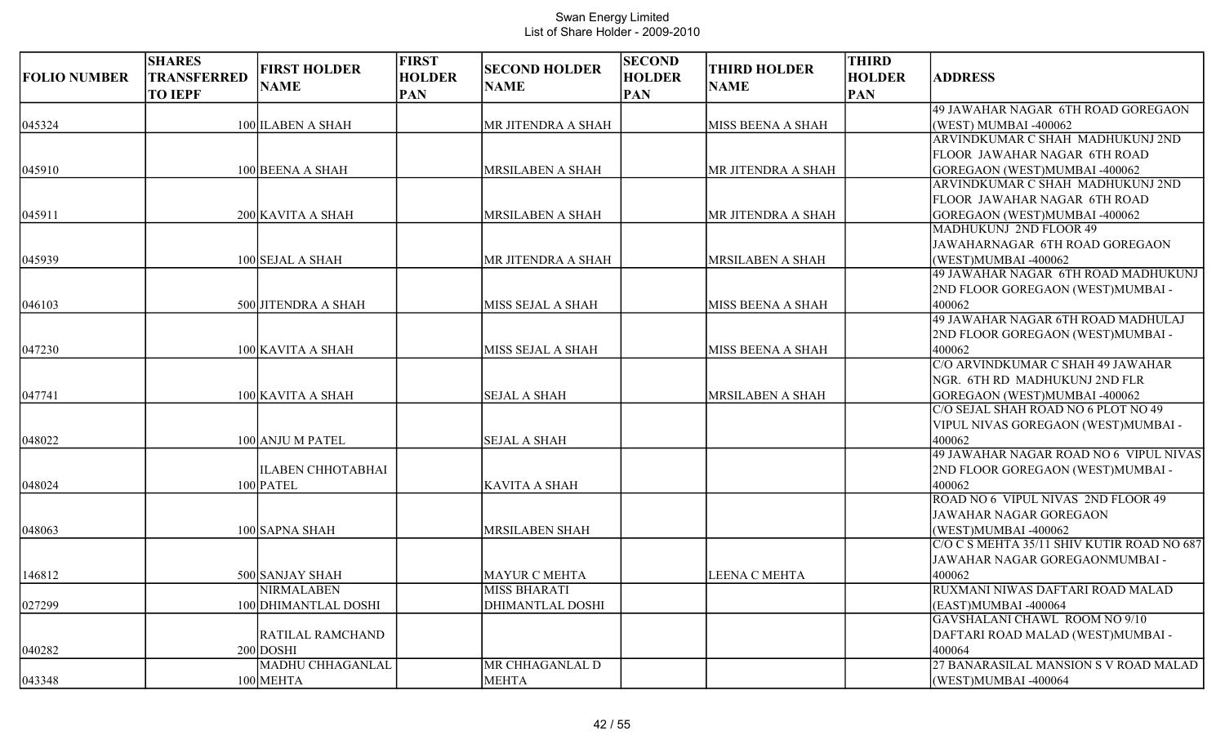| <b>FOLIO NUMBER</b> | <b>SHARES</b><br>TRANSFERRED<br><b>TO IEPF</b> | <b>FIRST HOLDER</b><br><b>NAME</b> | <b>FIRST</b><br><b>HOLDER</b><br><b>PAN</b> | <b>SECOND HOLDER</b><br><b>NAME</b> | <b>SECOND</b><br><b>HOLDER</b><br><b>PAN</b> | <b>THIRD HOLDER</b><br><b>NAME</b> | <b>THIRD</b><br><b>HOLDER</b><br><b>PAN</b> | <b>ADDRESS</b>                             |
|---------------------|------------------------------------------------|------------------------------------|---------------------------------------------|-------------------------------------|----------------------------------------------|------------------------------------|---------------------------------------------|--------------------------------------------|
|                     |                                                |                                    |                                             |                                     |                                              |                                    |                                             | 49 JAWAHAR NAGAR 6TH ROAD GOREGAON         |
| 045324              |                                                | 100 ILABEN A SHAH                  |                                             | MR JITENDRA A SHAH                  |                                              | MISS BEENA A SHAH                  |                                             | (WEST) MUMBAI -400062                      |
|                     |                                                |                                    |                                             |                                     |                                              |                                    |                                             | ARVINDKUMAR C SHAH MADHUKUNJ 2ND           |
|                     |                                                |                                    |                                             |                                     |                                              |                                    |                                             | FLOOR JAWAHAR NAGAR 6TH ROAD               |
| 045910              |                                                | 100 BEENA A SHAH                   |                                             | <b>MRSILABEN A SHAH</b>             |                                              | MR JITENDRA A SHAH                 |                                             | GOREGAON (WEST)MUMBAI -400062              |
|                     |                                                |                                    |                                             |                                     |                                              |                                    |                                             | ARVINDKUMAR C SHAH MADHUKUNJ 2ND           |
|                     |                                                |                                    |                                             |                                     |                                              |                                    |                                             | FLOOR JAWAHAR NAGAR 6TH ROAD               |
| 045911              |                                                | 200 KAVITA A SHAH                  |                                             | MRSILABEN A SHAH                    |                                              | MR JITENDRA A SHAH                 |                                             | GOREGAON (WEST)MUMBAI -400062              |
|                     |                                                |                                    |                                             |                                     |                                              |                                    |                                             | MADHUKUNJ 2ND FLOOR 49                     |
|                     |                                                |                                    |                                             |                                     |                                              |                                    |                                             | JAWAHARNAGAR 6TH ROAD GOREGAON             |
| 045939              |                                                | 100 SEJAL A SHAH                   |                                             | MR JITENDRA A SHAH                  |                                              | <b>MRSILABEN A SHAH</b>            |                                             | (WEST)MUMBAI -400062                       |
|                     |                                                |                                    |                                             |                                     |                                              |                                    |                                             | 49 JAWAHAR NAGAR 6TH ROAD MADHUKUNJ        |
|                     |                                                |                                    |                                             |                                     |                                              |                                    |                                             | 2ND FLOOR GOREGAON (WEST)MUMBAI -          |
| 046103              |                                                | 500 JITENDRA A SHAH                |                                             | MISS SEJAL A SHAH                   |                                              | MISS BEENA A SHAH                  |                                             | 400062                                     |
|                     |                                                |                                    |                                             |                                     |                                              |                                    |                                             | 49 JAWAHAR NAGAR 6TH ROAD MADHULAJ         |
|                     |                                                |                                    |                                             |                                     |                                              |                                    |                                             | 2ND FLOOR GOREGAON (WEST)MUMBAI -          |
| 047230              |                                                | 100 KAVITA A SHAH                  |                                             | MISS SEJAL A SHAH                   |                                              | MISS BEENA A SHAH                  |                                             | 400062                                     |
|                     |                                                |                                    |                                             |                                     |                                              |                                    |                                             | C/O ARVINDKUMAR C SHAH 49 JAWAHAR          |
|                     |                                                |                                    |                                             |                                     |                                              |                                    |                                             | NGR. 6TH RD MADHUKUNJ 2ND FLR              |
| 047741              |                                                | 100 KAVITA A SHAH                  |                                             | <b>SEJAL A SHAH</b>                 |                                              | MRSILABEN A SHAH                   |                                             | GOREGAON (WEST)MUMBAI-400062               |
|                     |                                                |                                    |                                             |                                     |                                              |                                    |                                             | C/O SEJAL SHAH ROAD NO 6 PLOT NO 49        |
|                     |                                                |                                    |                                             |                                     |                                              |                                    |                                             | VIPUL NIVAS GOREGAON (WEST)MUMBAI -        |
| 048022              |                                                | 100 ANJU M PATEL                   |                                             | <b>SEJAL A SHAH</b>                 |                                              |                                    |                                             | 400062                                     |
|                     |                                                |                                    |                                             |                                     |                                              |                                    |                                             | 49 JAWAHAR NAGAR ROAD NO 6 VIPUL NIVAS     |
|                     |                                                | <b>ILABEN CHHOTABHAI</b>           |                                             |                                     |                                              |                                    |                                             | 2ND FLOOR GOREGAON (WEST)MUMBAI -          |
| 048024              |                                                | $100$ PATEL                        |                                             | <b>KAVITA A SHAH</b>                |                                              |                                    |                                             | 400062                                     |
|                     |                                                |                                    |                                             |                                     |                                              |                                    |                                             | ROAD NO 6 VIPUL NIVAS 2ND FLOOR 49         |
|                     |                                                |                                    |                                             |                                     |                                              |                                    |                                             | JAWAHAR NAGAR GOREGAON                     |
| 048063              |                                                | 100 SAPNA SHAH                     |                                             | <b>MRSILABEN SHAH</b>               |                                              |                                    |                                             | (WEST)MUMBAI -400062                       |
|                     |                                                |                                    |                                             |                                     |                                              |                                    |                                             | C/O C S MEHTA 35/11 SHIV KUTIR ROAD NO 687 |
|                     |                                                |                                    |                                             |                                     |                                              |                                    |                                             | JAWAHAR NAGAR GOREGAONMUMBAI -             |
| 146812              |                                                | 500 SANJAY SHAH                    |                                             | <b>MAYUR C MEHTA</b>                |                                              | LEENA C MEHTA                      |                                             | 400062                                     |
|                     |                                                | <b>NIRMALABEN</b>                  |                                             | <b>MISS BHARATI</b>                 |                                              |                                    |                                             | RUXMANI NIWAS DAFTARI ROAD MALAD           |
| 027299              |                                                | 100 DHIMANTLAL DOSHI               |                                             | <b>DHIMANTLAL DOSHI</b>             |                                              |                                    |                                             | (EAST)MUMBAI -400064                       |
|                     |                                                |                                    |                                             |                                     |                                              |                                    |                                             | GAVSHALANI CHAWL ROOM NO 9/10              |
|                     |                                                | <b>RATILAL RAMCHAND</b>            |                                             |                                     |                                              |                                    |                                             | DAFTARI ROAD MALAD (WEST)MUMBAI -          |
| 040282              |                                                | $200$ DOSHI                        |                                             |                                     |                                              |                                    |                                             | 400064                                     |
|                     |                                                | MADHU CHHAGANLAL                   |                                             | MR CHHAGANLAL D                     |                                              |                                    |                                             | 27 BANARASILAL MANSION S V ROAD MALAD      |
| 043348              |                                                | 100 MEHTA                          |                                             | <b>MEHTA</b>                        |                                              |                                    |                                             | (WEST)MUMBAI -400064                       |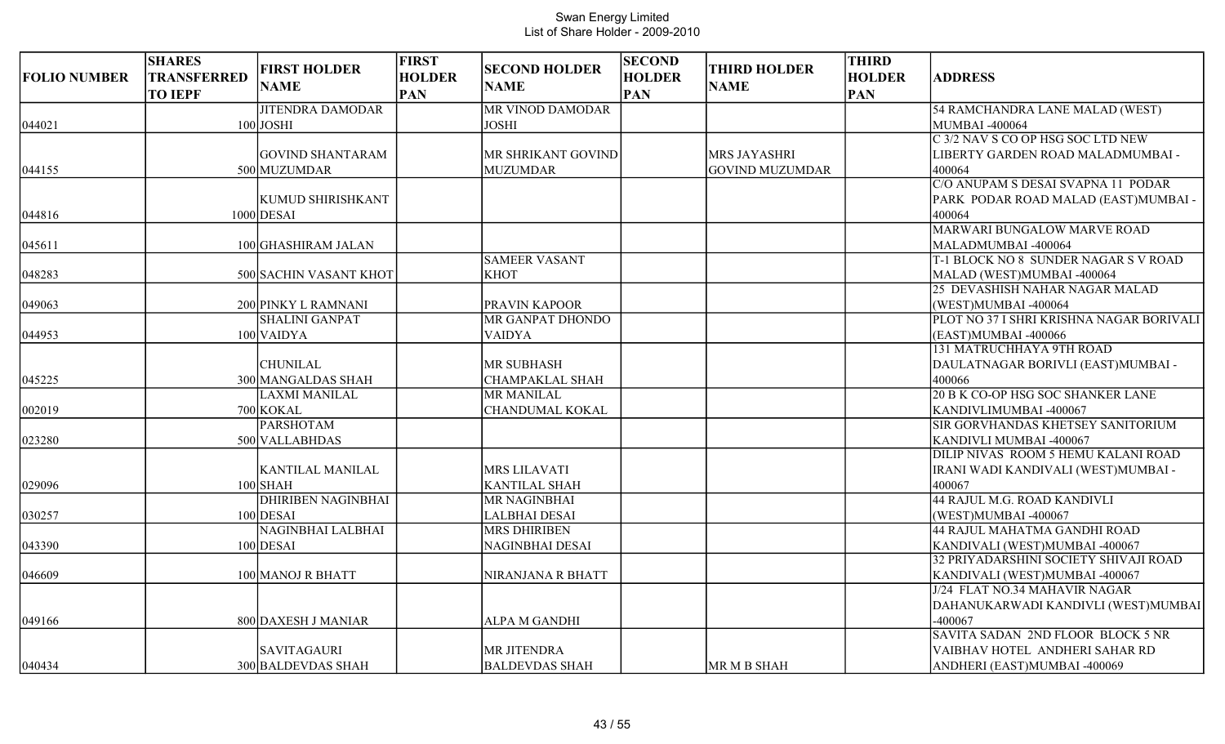| <b>FOLIO NUMBER</b> | <b>SHARES</b><br>TRANSFERRED<br><b>TO IEPF</b> | <b>FIRST HOLDER</b><br><b>NAME</b> | <b>FIRST</b><br><b>HOLDER</b><br><b>PAN</b> | <b>SECOND HOLDER</b><br><b>NAME</b> | <b>SECOND</b><br><b>HOLDER</b><br><b>PAN</b> | <b>THIRD HOLDER</b><br><b>NAME</b> | <b>THIRD</b><br><b>HOLDER</b><br><b>PAN</b> | <b>ADDRESS</b>                           |
|---------------------|------------------------------------------------|------------------------------------|---------------------------------------------|-------------------------------------|----------------------------------------------|------------------------------------|---------------------------------------------|------------------------------------------|
|                     |                                                | <b>JITENDRA DAMODAR</b>            |                                             | MR VINOD DAMODAR                    |                                              |                                    |                                             | 54 RAMCHANDRA LANE MALAD (WEST)          |
| 044021              |                                                | $100$ JOSHI                        |                                             | <b>JOSHI</b>                        |                                              |                                    |                                             | MUMBAI -400064                           |
|                     |                                                |                                    |                                             |                                     |                                              |                                    |                                             | C 3/2 NAV S CO OP HSG SOC LTD NEW        |
|                     |                                                | <b>GOVIND SHANTARAM</b>            |                                             | MR SHRIKANT GOVIND                  |                                              | <b>MRS JAYASHRI</b>                |                                             | LIBERTY GARDEN ROAD MALADMUMBAI -        |
| 044155              |                                                | 500 MUZUMDAR                       |                                             | <b>MUZUMDAR</b>                     |                                              | GOVIND MUZUMDAR                    |                                             | 400064                                   |
|                     |                                                |                                    |                                             |                                     |                                              |                                    |                                             | C/O ANUPAM S DESAI SVAPNA 11 PODAR       |
|                     |                                                | KUMUD SHIRISHKANT                  |                                             |                                     |                                              |                                    |                                             | PARK PODAR ROAD MALAD (EAST)MUMBAI-      |
| 044816              |                                                | $1000$ DESAI                       |                                             |                                     |                                              |                                    |                                             | 400064                                   |
|                     |                                                |                                    |                                             |                                     |                                              |                                    |                                             | MARWARI BUNGALOW MARVE ROAD              |
| 045611              |                                                | 100 GHASHIRAM JALAN                |                                             |                                     |                                              |                                    |                                             | MALADMUMBAI -400064                      |
|                     |                                                |                                    |                                             | <b>SAMEER VASANT</b>                |                                              |                                    |                                             | T-1 BLOCK NO 8 SUNDER NAGAR S V ROAD     |
| 048283              |                                                | 500 SACHIN VASANT KHOT             |                                             | <b>KHOT</b>                         |                                              |                                    |                                             | MALAD (WEST)MUMBAI -400064               |
|                     |                                                |                                    |                                             |                                     |                                              |                                    |                                             | 25 DEVASHISH NAHAR NAGAR MALAD           |
| 049063              |                                                | 200 PINKY L RAMNANI                |                                             | PRAVIN KAPOOR                       |                                              |                                    |                                             | (WEST)MUMBAI -400064                     |
|                     |                                                | <b>SHALINI GANPAT</b>              |                                             | MR GANPAT DHONDO                    |                                              |                                    |                                             | PLOT NO 37 I SHRI KRISHNA NAGAR BORIVALI |
| 044953              |                                                | $100$ VAIDYA                       |                                             | <b>VAIDYA</b>                       |                                              |                                    |                                             | (EAST)MUMBAI -400066                     |
|                     |                                                |                                    |                                             |                                     |                                              |                                    |                                             | 131 MATRUCHHAYA 9TH ROAD                 |
|                     |                                                | <b>CHUNILAL</b>                    |                                             | <b>MR SUBHASH</b>                   |                                              |                                    |                                             | DAULATNAGAR BORIVLI (EAST)MUMBAI -       |
| 045225              |                                                | 300 MANGALDAS SHAH                 |                                             | <b>CHAMPAKLAL SHAH</b>              |                                              |                                    |                                             | 400066                                   |
|                     |                                                | <b>LAXMI MANILAL</b>               |                                             | <b>MR MANILAL</b>                   |                                              |                                    |                                             | <b>20 B K CO-OP HSG SOC SHANKER LANE</b> |
| 002019              |                                                | 700 KOKAL                          |                                             | <b>CHANDUMAL KOKAL</b>              |                                              |                                    |                                             | KANDIVLIMUMBAI -400067                   |
|                     |                                                | <b>PARSHOTAM</b>                   |                                             |                                     |                                              |                                    |                                             | SIR GORVHANDAS KHETSEY SANITORIUM        |
| 023280              |                                                | 500 VALLABHDAS                     |                                             |                                     |                                              |                                    |                                             | KANDIVLI MUMBAI -400067                  |
|                     |                                                |                                    |                                             |                                     |                                              |                                    |                                             | DILIP NIVAS ROOM 5 HEMU KALANI ROAD      |
|                     |                                                | <b>KANTILAL MANILAL</b>            |                                             | <b>MRS LILAVATI</b>                 |                                              |                                    |                                             | IRANI WADI KANDIVALI (WEST)MUMBAI -      |
| 029096              |                                                | $100$ SHAH                         |                                             | <b>KANTILAL SHAH</b>                |                                              |                                    |                                             | 400067                                   |
|                     |                                                | <b>DHIRIBEN NAGINBHAI</b>          |                                             | <b>MR NAGINBHAI</b>                 |                                              |                                    |                                             | 44 RAJUL M.G. ROAD KANDIVLI              |
| 030257              |                                                | $100$ DESAI                        |                                             | LALBHAI DESAI                       |                                              |                                    |                                             | (WEST)MUMBAI -400067                     |
|                     |                                                | <b>NAGINBHAI LALBHAI</b>           |                                             | <b>MRS DHIRIBEN</b>                 |                                              |                                    |                                             | 44 RAJUL MAHATMA GANDHI ROAD             |
| 043390              |                                                | $100$ DESAI                        |                                             | NAGINBHAI DESAI                     |                                              |                                    |                                             | KANDIVALI (WEST)MUMBAI -400067           |
|                     |                                                |                                    |                                             |                                     |                                              |                                    |                                             | 32 PRIYADARSHINI SOCIETY SHIVAJI ROAD    |
| 046609              |                                                | 100 MANOJ R BHATT                  |                                             | NIRANJANA R BHATT                   |                                              |                                    |                                             | KANDIVALI (WEST)MUMBAI -400067           |
|                     |                                                |                                    |                                             |                                     |                                              |                                    |                                             | J/24 FLAT NO.34 MAHAVIR NAGAR            |
|                     |                                                |                                    |                                             |                                     |                                              |                                    |                                             | DAHANUKARWADI KANDIVLI (WEST)MUMBAI      |
| 049166              |                                                | 800 DAXESH J MANIAR                |                                             | ALPA M GANDHI                       |                                              |                                    |                                             | $-400067$                                |
|                     |                                                |                                    |                                             |                                     |                                              |                                    |                                             | SAVITA SADAN 2ND FLOOR BLOCK 5 NR        |
|                     |                                                | <b>SAVITAGAURI</b>                 |                                             | MR JITENDRA                         |                                              |                                    |                                             | VAIBHAV HOTEL ANDHERI SAHAR RD           |
| 040434              |                                                | 300 BALDEVDAS SHAH                 |                                             | <b>BALDEVDAS SHAH</b>               |                                              | MR M B SHAH                        |                                             | ANDHERI (EAST)MUMBAI -400069             |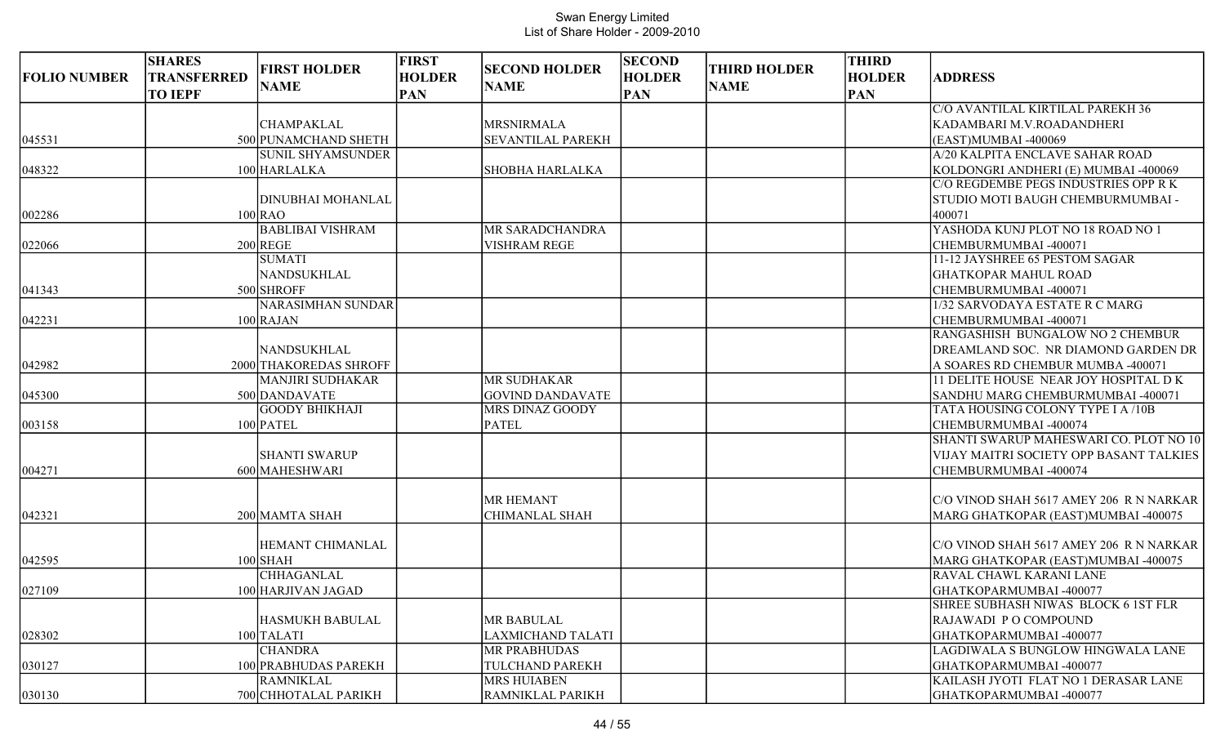| <b>FOLIO NUMBER</b> | <b>SHARES</b><br><b>TRANSFERRED</b><br><b>TO IEPF</b> | <b>FIRST HOLDER</b><br><b>NAME</b>              | <b>FIRST</b><br><b>HOLDER</b><br><b>PAN</b> | <b>SECOND HOLDER</b><br><b>NAME</b> | <b>SECOND</b><br><b>HOLDER</b><br><b>PAN</b> | <b>THIRD HOLDER</b><br><b>NAME</b> | <b>THIRD</b><br><b>HOLDER</b><br><b>PAN</b> | <b>ADDRESS</b>                              |
|---------------------|-------------------------------------------------------|-------------------------------------------------|---------------------------------------------|-------------------------------------|----------------------------------------------|------------------------------------|---------------------------------------------|---------------------------------------------|
|                     |                                                       |                                                 |                                             |                                     |                                              |                                    |                                             | C/O AVANTILAL KIRTILAL PAREKH 36            |
|                     |                                                       | <b>CHAMPAKLAL</b>                               |                                             | <b>MRSNIRMALA</b>                   |                                              |                                    |                                             | KADAMBARI M.V.ROADANDHERI                   |
| 045531              |                                                       | 500 PUNAMCHAND SHETH                            |                                             | SEVANTILAL PAREKH                   |                                              |                                    |                                             | (EAST)MUMBAI -400069                        |
|                     |                                                       | <b>SUNIL SHYAMSUNDER</b>                        |                                             |                                     |                                              |                                    |                                             | A/20 KALPITA ENCLAVE SAHAR ROAD             |
| 048322              |                                                       | 100 HARLALKA                                    |                                             | <b>SHOBHA HARLALKA</b>              |                                              |                                    |                                             | KOLDONGRI ANDHERI (E) MUMBAI -400069        |
|                     |                                                       |                                                 |                                             |                                     |                                              |                                    |                                             | C/O REGDEMBE PEGS INDUSTRIES OPP R K        |
|                     |                                                       | DINUBHAI MOHANLAL                               |                                             |                                     |                                              |                                    |                                             | STUDIO MOTI BAUGH CHEMBURMUMBAI -           |
| 002286              |                                                       | $100$ <sub>RAO</sub><br><b>BABLIBAI VISHRAM</b> |                                             | MR SARADCHANDRA                     |                                              |                                    |                                             | 400071<br>YASHODA KUNJ PLOT NO 18 ROAD NO 1 |
| 022066              |                                                       | $200$ REGE                                      |                                             | <b>VISHRAM REGE</b>                 |                                              |                                    |                                             | CHEMBURMUMBAI -400071                       |
|                     |                                                       | <b>SUMATI</b>                                   |                                             |                                     |                                              |                                    |                                             | 11-12 JAYSHREE 65 PESTOM SAGAR              |
|                     |                                                       | NANDSUKHLAL                                     |                                             |                                     |                                              |                                    |                                             | <b>GHATKOPAR MAHUL ROAD</b>                 |
| 041343              |                                                       | 500 SHROFF                                      |                                             |                                     |                                              |                                    |                                             | CHEMBURMUMBAI -400071                       |
|                     |                                                       | <b>NARASIMHAN SUNDAR</b>                        |                                             |                                     |                                              |                                    |                                             | 1/32 SARVODAYA ESTATE R C MARG              |
| 042231              |                                                       | 100 RAJAN                                       |                                             |                                     |                                              |                                    |                                             | CHEMBURMUMBAI -400071                       |
|                     |                                                       |                                                 |                                             |                                     |                                              |                                    |                                             | RANGASHISH BUNGALOW NO 2 CHEMBUR            |
|                     |                                                       | NANDSUKHLAL                                     |                                             |                                     |                                              |                                    |                                             | DREAMLAND SOC. NR DIAMOND GARDEN DR         |
| 042982              |                                                       | 2000 THAKOREDAS SHROFF                          |                                             |                                     |                                              |                                    |                                             | A SOARES RD CHEMBUR MUMBA -400071           |
|                     |                                                       | <b>MANJIRI SUDHAKAR</b>                         |                                             | MR SUDHAKAR                         |                                              |                                    |                                             | 11 DELITE HOUSE NEAR JOY HOSPITAL DK        |
| 045300              |                                                       | 500 DANDAVATE                                   |                                             | <b>GOVIND DANDAVATE</b>             |                                              |                                    |                                             | SANDHU MARG CHEMBURMUMBAI -400071           |
|                     |                                                       | <b>GOODY BHIKHAJI</b>                           |                                             | MRS DINAZ GOODY                     |                                              |                                    |                                             | TATA HOUSING COLONY TYPE I A /10B           |
| 003158              |                                                       | 100 PATEL                                       |                                             | <b>PATEL</b>                        |                                              |                                    |                                             | CHEMBURMUMBAI -400074                       |
|                     |                                                       |                                                 |                                             |                                     |                                              |                                    |                                             | SHANTI SWARUP MAHESWARI CO. PLOT NO 10      |
|                     |                                                       | <b>SHANTI SWARUP</b>                            |                                             |                                     |                                              |                                    |                                             | VIJAY MAITRI SOCIETY OPP BASANT TALKIES     |
| 004271              |                                                       | 600 MAHESHWARI                                  |                                             |                                     |                                              |                                    |                                             | CHEMBURMUMBAI -400074                       |
|                     |                                                       |                                                 |                                             |                                     |                                              |                                    |                                             |                                             |
|                     |                                                       |                                                 |                                             | <b>MR HEMANT</b>                    |                                              |                                    |                                             | C/O VINOD SHAH 5617 AMEY 206 R N NARKAR     |
| 042321              |                                                       | 200 MAMTA SHAH                                  |                                             | <b>CHIMANLAL SHAH</b>               |                                              |                                    |                                             | MARG GHATKOPAR (EAST)MUMBAI -400075         |
|                     |                                                       |                                                 |                                             |                                     |                                              |                                    |                                             |                                             |
|                     |                                                       | HEMANT CHIMANLAL                                |                                             |                                     |                                              |                                    |                                             | C/O VINOD SHAH 5617 AMEY 206 R N NARKAR     |
| 042595              |                                                       | $100$ SHAH                                      |                                             |                                     |                                              |                                    |                                             | MARG GHATKOPAR (EAST)MUMBAI -400075         |
|                     |                                                       | <b>CHHAGANLAL</b>                               |                                             |                                     |                                              |                                    |                                             | RAVAL CHAWL KARANI LANE                     |
| 027109              |                                                       | 100 HARJIVAN JAGAD                              |                                             |                                     |                                              |                                    |                                             | GHATKOPARMUMBAI-400077                      |
|                     |                                                       |                                                 |                                             |                                     |                                              |                                    |                                             | SHREE SUBHASH NIWAS BLOCK 6 1ST FLR         |
|                     |                                                       | <b>HASMUKH BABULAL</b>                          |                                             | <b>MR BABULAL</b>                   |                                              |                                    |                                             | RAJAWADI PO COMPOUND                        |
| 028302              |                                                       | 100 TALATI                                      |                                             | <b>LAXMICHAND TALATI</b>            |                                              |                                    |                                             | GHATKOPARMUMBAI-400077                      |
|                     |                                                       | <b>CHANDRA</b>                                  |                                             | <b>MR PRABHUDAS</b>                 |                                              |                                    |                                             | LAGDIWALA S BUNGLOW HINGWALA LANE           |
| 030127              |                                                       | 100 PRABHUDAS PAREKH                            |                                             | TULCHAND PAREKH                     |                                              |                                    |                                             | GHATKOPARMUMBAI-400077                      |
|                     |                                                       | <b>RAMNIKLAL</b>                                |                                             | <b>MRS HUIABEN</b>                  |                                              |                                    |                                             | KAILASH JYOTI FLAT NO 1 DERASAR LANE        |
| 030130              |                                                       | 700 CHHOTALAL PARIKH                            |                                             | <b>RAMNIKLAL PARIKH</b>             |                                              |                                    |                                             | GHATKOPARMUMBAI-400077                      |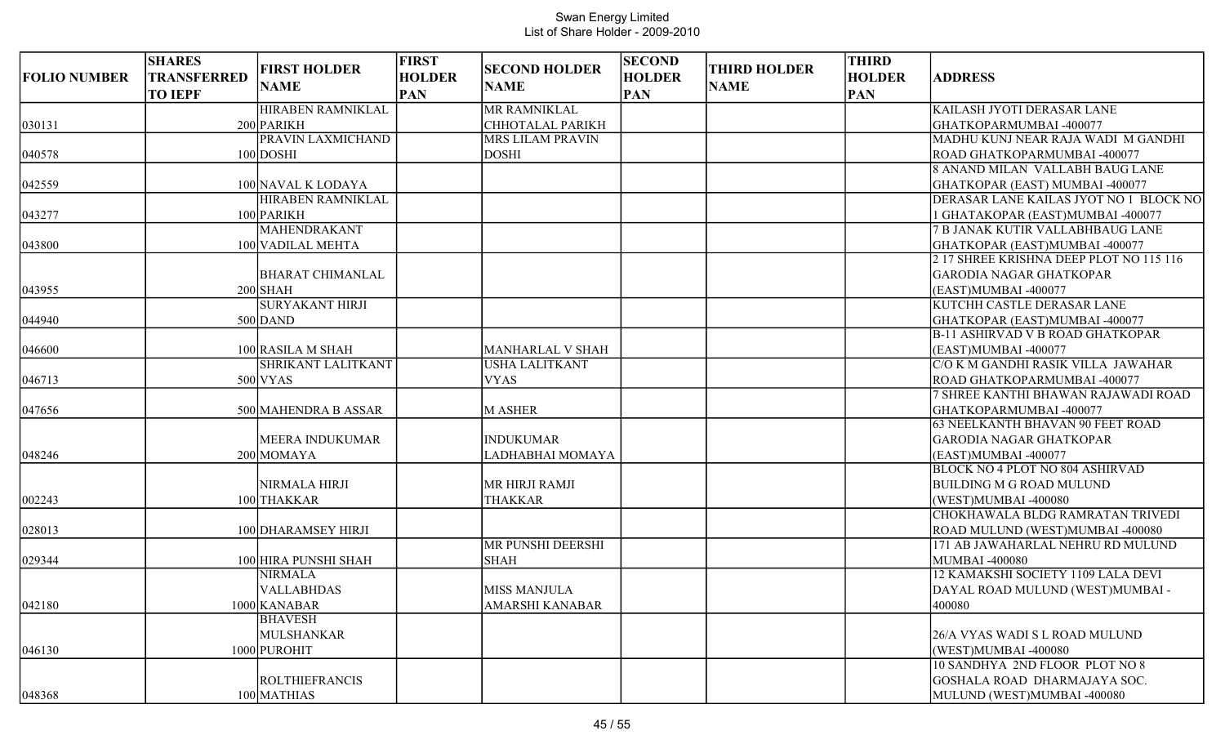| <b>FOLIO NUMBER</b> | <b>SHARES</b><br><b>TRANSFERRED</b><br><b>TO IEPF</b> | <b>FIRST HOLDER</b><br><b>NAME</b> | <b>FIRST</b><br><b>HOLDER</b><br><b>PAN</b> | <b>SECOND HOLDER</b><br><b>NAME</b> | <b>SECOND</b><br><b>HOLDER</b><br><b>PAN</b> | <b>THIRD HOLDER</b><br><b>NAME</b> | <b>THIRD</b><br><b>HOLDER</b><br><b>PAN</b> | <b>ADDRESS</b>                          |
|---------------------|-------------------------------------------------------|------------------------------------|---------------------------------------------|-------------------------------------|----------------------------------------------|------------------------------------|---------------------------------------------|-----------------------------------------|
|                     |                                                       | HIRABEN RAMNIKLAL                  |                                             | <b>MR RAMNIKLAL</b>                 |                                              |                                    |                                             | KAILASH JYOTI DERASAR LANE              |
| 030131              |                                                       | 200 PARIKH                         |                                             | <b>CHHOTALAL PARIKH</b>             |                                              |                                    |                                             | GHATKOPARMUMBAI -400077                 |
|                     |                                                       | PRAVIN LAXMICHAND                  |                                             | <b>MRS LILAM PRAVIN</b>             |                                              |                                    |                                             | MADHU KUNJ NEAR RAJA WADI M GANDHI      |
| 040578              |                                                       | 100 DOSHI                          |                                             | <b>DOSHI</b>                        |                                              |                                    |                                             | ROAD GHATKOPARMUMBAI -400077            |
|                     |                                                       |                                    |                                             |                                     |                                              |                                    |                                             | <b>8 ANAND MILAN VALLABH BAUG LANE</b>  |
| 042559              |                                                       | 100 NAVAL K LODAYA                 |                                             |                                     |                                              |                                    |                                             | GHATKOPAR (EAST) MUMBAI -400077         |
|                     |                                                       | HIRABEN RAMNIKLAL                  |                                             |                                     |                                              |                                    |                                             | DERASAR LANE KAILAS JYOT NO 1 BLOCK NO  |
| 043277              |                                                       | 100 PARIKH                         |                                             |                                     |                                              |                                    |                                             | GHATAKOPAR (EAST)MUMBAI -400077         |
|                     |                                                       | <b>MAHENDRAKANT</b>                |                                             |                                     |                                              |                                    |                                             | 7 B JANAK KUTIR VALLABHBAUG LANE        |
| 043800              |                                                       | 100 VADILAL MEHTA                  |                                             |                                     |                                              |                                    |                                             | GHATKOPAR (EAST)MUMBAI -400077          |
|                     |                                                       |                                    |                                             |                                     |                                              |                                    |                                             | 2 17 SHREE KRISHNA DEEP PLOT NO 115 116 |
|                     |                                                       | <b>BHARAT CHIMANLAL</b>            |                                             |                                     |                                              |                                    |                                             | <b>GARODIA NAGAR GHATKOPAR</b>          |
| 043955              |                                                       | $200$ SHAH                         |                                             |                                     |                                              |                                    |                                             | (EAST)MUMBAI -400077                    |
|                     |                                                       | <b>SURYAKANT HIRJI</b>             |                                             |                                     |                                              |                                    |                                             | KUTCHH CASTLE DERASAR LANE              |
| 044940              |                                                       | $500$ DAND                         |                                             |                                     |                                              |                                    |                                             | GHATKOPAR (EAST)MUMBAI -400077          |
|                     |                                                       |                                    |                                             |                                     |                                              |                                    |                                             | <b>B-11 ASHIRVAD V B ROAD GHATKOPAR</b> |
| 046600              |                                                       | 100 RASILA M SHAH                  |                                             | <b>MANHARLAL V SHAH</b>             |                                              |                                    |                                             | (EAST)MUMBAI -400077                    |
|                     |                                                       | SHRIKANT LALITKANT                 |                                             | USHA LALITKANT                      |                                              |                                    |                                             | C/O K M GANDHI RASIK VILLA JAWAHAR      |
| 046713              |                                                       | $500$ VYAS                         |                                             | <b>VYAS</b>                         |                                              |                                    |                                             | ROAD GHATKOPARMUMBAI -400077            |
|                     |                                                       |                                    |                                             |                                     |                                              |                                    |                                             | 7 SHREE KANTHI BHAWAN RAJAWADI ROAD     |
| 047656              |                                                       | 500 MAHENDRA B ASSAR               |                                             | M ASHER                             |                                              |                                    |                                             | GHATKOPARMUMBAI-400077                  |
|                     |                                                       |                                    |                                             |                                     |                                              |                                    |                                             | <b>63 NEELKANTH BHAVAN 90 FEET ROAD</b> |
|                     |                                                       | <b>MEERA INDUKUMAR</b>             |                                             | <b>INDUKUMAR</b>                    |                                              |                                    |                                             | <b>GARODIA NAGAR GHATKOPAR</b>          |
| 048246              |                                                       | 200 MOMAYA                         |                                             | LADHABHAI MOMAYA                    |                                              |                                    |                                             | (EAST)MUMBAI -400077                    |
|                     |                                                       |                                    |                                             |                                     |                                              |                                    |                                             | <b>BLOCK NO 4 PLOT NO 804 ASHIRVAD</b>  |
|                     |                                                       | NIRMALA HIRJI                      |                                             | MR HIRJI RAMJI                      |                                              |                                    |                                             | <b>BUILDING M G ROAD MULUND</b>         |
| 002243              |                                                       | 100 THAKKAR                        |                                             | <b>THAKKAR</b>                      |                                              |                                    |                                             | (WEST)MUMBAI -400080                    |
|                     |                                                       |                                    |                                             |                                     |                                              |                                    |                                             | CHOKHAWALA BLDG RAMRATAN TRIVEDI        |
| 028013              |                                                       | 100 DHARAMSEY HIRJI                |                                             |                                     |                                              |                                    |                                             | ROAD MULUND (WEST)MUMBAI -400080        |
|                     |                                                       |                                    |                                             | <b>MR PUNSHI DEERSHI</b>            |                                              |                                    |                                             | 171 AB JAWAHARLAL NEHRU RD MULUND       |
| 029344              |                                                       | 100 HIRA PUNSHI SHAH               |                                             | <b>SHAH</b>                         |                                              |                                    |                                             | MUMBAI -400080                          |
|                     |                                                       | NIRMALA                            |                                             |                                     |                                              |                                    |                                             | 12 KAMAKSHI SOCIETY 1109 LALA DEVI      |
|                     |                                                       | <b>VALLABHDAS</b>                  |                                             | <b>MISS MANJULA</b>                 |                                              |                                    |                                             | DAYAL ROAD MULUND (WEST)MUMBAI -        |
| 042180              |                                                       | 1000 KANABAR                       |                                             | <b>AMARSHI KANABAR</b>              |                                              |                                    |                                             | 400080                                  |
|                     |                                                       | <b>BHAVESH</b>                     |                                             |                                     |                                              |                                    |                                             |                                         |
|                     |                                                       | <b>MULSHANKAR</b>                  |                                             |                                     |                                              |                                    |                                             | 26/A VYAS WADI S L ROAD MULUND          |
| 046130              |                                                       | 1000 PUROHIT                       |                                             |                                     |                                              |                                    |                                             | (WEST)MUMBAI -400080                    |
|                     |                                                       |                                    |                                             |                                     |                                              |                                    |                                             | 10 SANDHYA 2ND FLOOR PLOT NO 8          |
|                     |                                                       | <b>ROLTHIEFRANCIS</b>              |                                             |                                     |                                              |                                    |                                             | GOSHALA ROAD DHARMAJAYA SOC.            |
| 048368              |                                                       | 100 MATHIAS                        |                                             |                                     |                                              |                                    |                                             | MULUND (WEST)MUMBAI -400080             |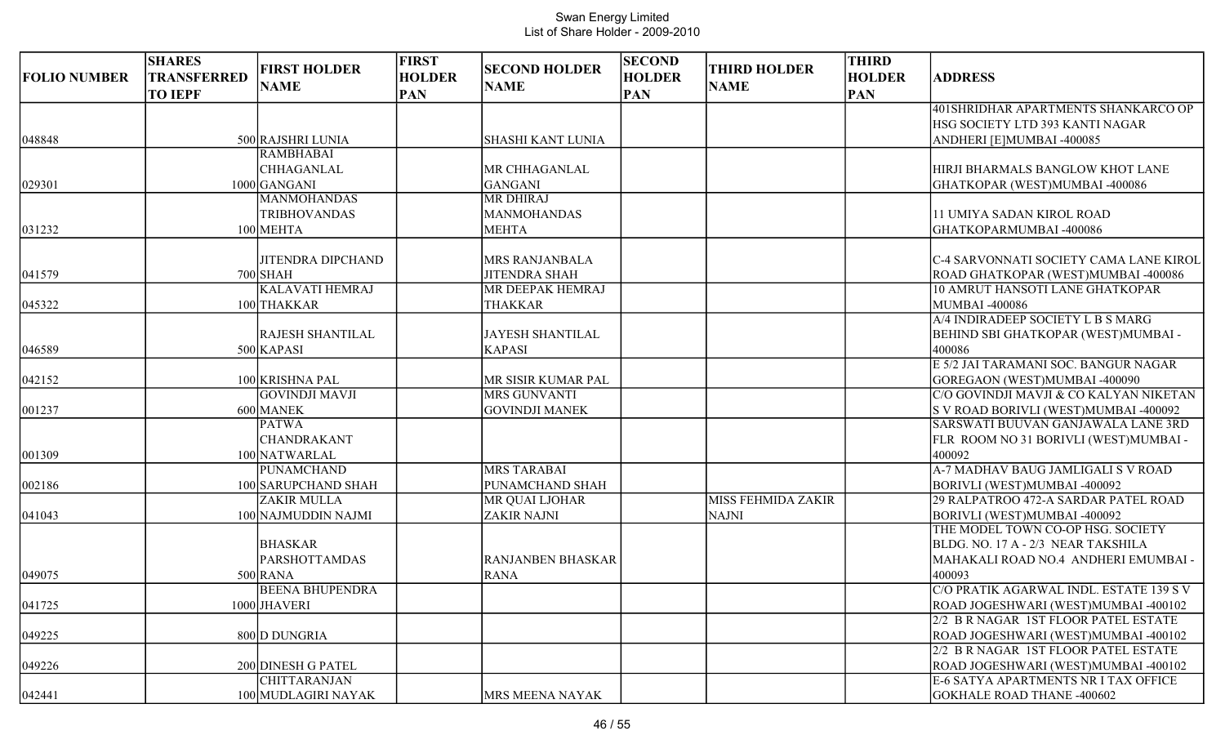| <b>FOLIO NUMBER</b> | <b>SHARES</b><br><b>TRANSFERRED</b><br><b>TO IEPF</b> | <b>FIRST HOLDER</b><br><b>NAME</b>                     | <b>FIRST</b><br><b>HOLDER</b><br><b>PAN</b> | <b>SECOND HOLDER</b><br><b>NAME</b>                    | <b>SECOND</b><br><b>HOLDER</b><br><b>PAN</b> | <b>THIRD HOLDER</b><br><b>NAME</b>        | <b>THIRD</b><br><b>HOLDER</b><br><b>PAN</b> | <b>ADDRESS</b>                                                                                                        |
|---------------------|-------------------------------------------------------|--------------------------------------------------------|---------------------------------------------|--------------------------------------------------------|----------------------------------------------|-------------------------------------------|---------------------------------------------|-----------------------------------------------------------------------------------------------------------------------|
|                     |                                                       |                                                        |                                             |                                                        |                                              |                                           |                                             | 401 SHRIDHAR APARTMENTS SHANKARCO OP<br>HSG SOCIETY LTD 393 KANTI NAGAR                                               |
| 048848              |                                                       | 500 RAJSHRI LUNIA                                      |                                             | <b>SHASHI KANT LUNIA</b>                               |                                              |                                           |                                             | ANDHERI [E]MUMBAI -400085                                                                                             |
| 029301              |                                                       | <b>RAMBHABAI</b><br>CHHAGANLAL<br>1000 GANGANI         |                                             | MR CHHAGANLAL<br><b>GANGANI</b>                        |                                              |                                           |                                             | HIRJI BHARMALS BANGLOW KHOT LANE<br>GHATKOPAR (WEST)MUMBAI -400086                                                    |
| 031232              |                                                       | <b>MANMOHANDAS</b><br><b>TRIBHOVANDAS</b><br>100 MEHTA |                                             | <b>MR DHIRAJ</b><br><b>MANMOHANDAS</b><br><b>MEHTA</b> |                                              |                                           |                                             | 11 UMIYA SADAN KIROL ROAD<br>GHATKOPARMUMBAI -400086                                                                  |
|                     |                                                       |                                                        |                                             |                                                        |                                              |                                           |                                             |                                                                                                                       |
| 041579              |                                                       | <b>JITENDRA DIPCHAND</b><br>$700$ SHAH                 |                                             | <b>MRS RANJANBALA</b><br><b>JITENDRA SHAH</b>          |                                              |                                           |                                             | C-4 SARVONNATI SOCIETY CAMA LANE KIROL<br>ROAD GHATKOPAR (WEST)MUMBAI -400086                                         |
| 045322              |                                                       | <b>KALAVATI HEMRAJ</b><br>100 THAKKAR                  |                                             | MR DEEPAK HEMRAJ<br><b>THAKKAR</b>                     |                                              |                                           |                                             | 10 AMRUT HANSOTI LANE GHATKOPAR<br><b>MUMBAI -400086</b>                                                              |
| 046589              |                                                       | <b>RAJESH SHANTILAL</b><br>500 KAPASI                  |                                             | <b>JAYESH SHANTILAL</b><br><b>KAPASI</b>               |                                              |                                           |                                             | A/4 INDIRADEEP SOCIETY L B S MARG<br>BEHIND SBI GHATKOPAR (WEST)MUMBAI -<br>400086                                    |
| 042152              |                                                       | 100 KRISHNA PAL                                        |                                             | MR SISIR KUMAR PAL                                     |                                              |                                           |                                             | E 5/2 JAI TARAMANI SOC. BANGUR NAGAR<br>GOREGAON (WEST)MUMBAI -400090                                                 |
| 001237              |                                                       | <b>GOVINDJI MAVJI</b><br>600 MANEK<br><b>PATWA</b>     |                                             | <b>MRS GUNVANTI</b><br><b>GOVINDJI MANEK</b>           |                                              |                                           |                                             | C/O GOVINDJI MAVJI & CO KALYAN NIKETAN<br>S V ROAD BORIVLI (WEST)MUMBAI -400092<br>SARSWATI BUUVAN GANJAWALA LANE 3RD |
| 001309              |                                                       | <b>CHANDRAKANT</b><br>100 NATWARLAL                    |                                             |                                                        |                                              |                                           |                                             | FLR ROOM NO 31 BORIVLI (WEST)MUMBAI -<br>400092                                                                       |
| 002186              |                                                       | PUNAMCHAND<br>100 SARUPCHAND SHAH                      |                                             | <b>MRS TARABAI</b><br>PUNAMCHAND SHAH                  |                                              |                                           |                                             | A-7 MADHAV BAUG JAMLIGALI S V ROAD<br>BORIVLI (WEST)MUMBAI -400092                                                    |
| 041043              |                                                       | <b>ZAKIR MULLA</b><br>100 NAJMUDDIN NAJMI              |                                             | MR QUAI LJOHAR<br><b>ZAKIR NAJNI</b>                   |                                              | <b>MISS FEHMIDA ZAKIR</b><br><b>NAJNI</b> |                                             | 29 RALPATROO 472-A SARDAR PATEL ROAD<br>BORIVLI (WEST)MUMBAI -400092<br>THE MODEL TOWN CO-OP HSG. SOCIETY             |
|                     |                                                       | <b>BHASKAR</b><br><b>PARSHOTTAMDAS</b>                 |                                             | <b>RANJANBEN BHASKAR</b>                               |                                              |                                           |                                             | BLDG. NO. 17 A - 2/3 NEAR TAKSHILA<br>MAHAKALI ROAD NO.4 ANDHERI EMUMBAI -                                            |
| 049075              |                                                       | 500 RANA                                               |                                             | <b>RANA</b>                                            |                                              |                                           |                                             | 400093                                                                                                                |
| 041725              |                                                       | <b>BEENA BHUPENDRA</b><br>1000 JHAVERI                 |                                             |                                                        |                                              |                                           |                                             | C/O PRATIK AGARWAL INDL. ESTATE 139 S V<br>ROAD JOGESHWARI (WEST)MUMBAI -400102                                       |
| 049225              |                                                       | 800 D DUNGRIA                                          |                                             |                                                        |                                              |                                           |                                             | 2/2 B R NAGAR 1ST FLOOR PATEL ESTATE<br>ROAD JOGESHWARI (WEST)MUMBAI -400102                                          |
| 049226              |                                                       | 200 DINESH G PATEL<br><b>CHITTARANJAN</b>              |                                             |                                                        |                                              |                                           |                                             | 2/2 B R NAGAR 1ST FLOOR PATEL ESTATE<br>ROAD JOGESHWARI (WEST)MUMBAI -400102<br>E-6 SATYA APARTMENTS NR I TAX OFFICE  |
| 042441              |                                                       | 100 MUDLAGIRI NAYAK                                    |                                             | MRS MEENA NAYAK                                        |                                              |                                           |                                             | <b>GOKHALE ROAD THANE -400602</b>                                                                                     |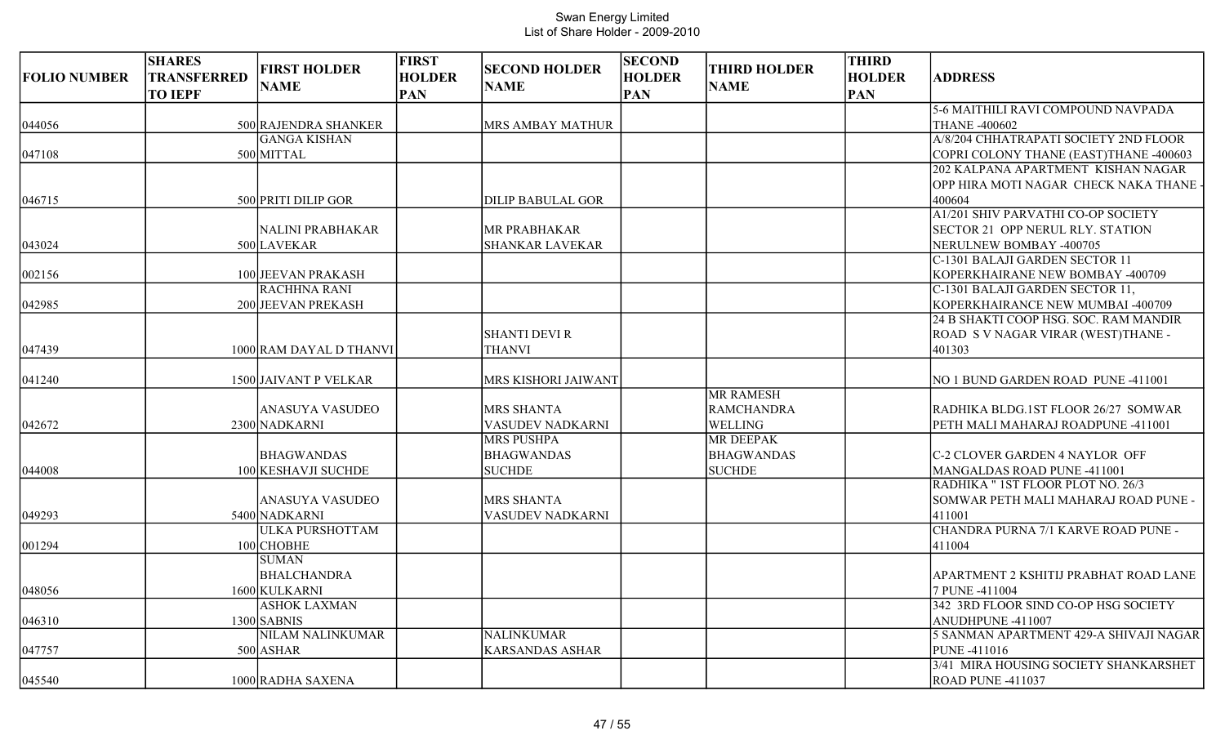| <b>FOLIO NUMBER</b> | <b>SHARES</b><br><b>TRANSFERRED</b><br><b>TO IEPF</b> | <b>FIRST HOLDER</b><br><b>NAME</b> | <b>FIRST</b><br><b>HOLDER</b><br><b>PAN</b> | <b>SECOND HOLDER</b><br><b>NAME</b>   | <b>SECOND</b><br><b>HOLDER</b><br><b>PAN</b> | <b>THIRD HOLDER</b><br><b>NAME</b> | <b>THIRD</b><br><b>HOLDER</b><br><b>PAN</b> | <b>ADDRESS</b>                          |
|---------------------|-------------------------------------------------------|------------------------------------|---------------------------------------------|---------------------------------------|----------------------------------------------|------------------------------------|---------------------------------------------|-----------------------------------------|
|                     |                                                       |                                    |                                             |                                       |                                              |                                    |                                             | 5-6 MAITHILI RAVI COMPOUND NAVPADA      |
| 044056              |                                                       | 500 RAJENDRA SHANKER               |                                             | <b>MRS AMBAY MATHUR</b>               |                                              |                                    |                                             | <b>THANE -400602</b>                    |
|                     |                                                       | <b>GANGA KISHAN</b>                |                                             |                                       |                                              |                                    |                                             | A/8/204 CHHATRAPATI SOCIETY 2ND FLOOR   |
| 047108              |                                                       | 500 MITTAL                         |                                             |                                       |                                              |                                    |                                             | COPRI COLONY THANE (EAST)THANE -400603  |
|                     |                                                       |                                    |                                             |                                       |                                              |                                    |                                             | 202 KALPANA APARTMENT KISHAN NAGAR      |
|                     |                                                       |                                    |                                             |                                       |                                              |                                    |                                             | OPP HIRA MOTI NAGAR CHECK NAKA THANE -  |
| 046715              |                                                       | 500 PRITI DILIP GOR                |                                             | <b>DILIP BABULAL GOR</b>              |                                              |                                    |                                             | 400604                                  |
|                     |                                                       |                                    |                                             |                                       |                                              |                                    |                                             | A1/201 SHIV PARVATHI CO-OP SOCIETY      |
|                     |                                                       | <b>NALINI PRABHAKAR</b>            |                                             | MR PRABHAKAR                          |                                              |                                    |                                             | <b>SECTOR 21 OPP NERUL RLY. STATION</b> |
| 043024              |                                                       | 500 LAVEKAR                        |                                             | <b>SHANKAR LAVEKAR</b>                |                                              |                                    |                                             | NERULNEW BOMBAY -400705                 |
|                     |                                                       |                                    |                                             |                                       |                                              |                                    |                                             | C-1301 BALAJI GARDEN SECTOR 11          |
| 002156              |                                                       | 100 JEEVAN PRAKASH                 |                                             |                                       |                                              |                                    |                                             | KOPERKHAIRANE NEW BOMBAY -400709        |
|                     |                                                       | <b>RACHHNA RANI</b>                |                                             |                                       |                                              |                                    |                                             | C-1301 BALAJI GARDEN SECTOR 11,         |
| 042985              |                                                       | 200 JEEVAN PREKASH                 |                                             |                                       |                                              |                                    |                                             | KOPERKHAIRANCE NEW MUMBAI -400709       |
|                     |                                                       |                                    |                                             |                                       |                                              |                                    |                                             | 24 B SHAKTI COOP HSG. SOC. RAM MANDIR   |
|                     |                                                       |                                    |                                             | <b>SHANTI DEVI R</b>                  |                                              |                                    |                                             | ROAD S V NAGAR VIRAR (WEST)THANE -      |
| 047439              |                                                       | 1000 RAM DAYAL D THANVI            |                                             | <b>THANVI</b>                         |                                              |                                    |                                             | 401303                                  |
|                     |                                                       |                                    |                                             |                                       |                                              |                                    |                                             |                                         |
| 041240              |                                                       | 1500 JAIVANT P VELKAR              |                                             | MRS KISHORI JAIWANT                   |                                              | <b>MR RAMESH</b>                   |                                             | NO 1 BUND GARDEN ROAD PUNE -411001      |
|                     |                                                       | <b>ANASUYA VASUDEO</b>             |                                             | <b>MRS SHANTA</b>                     |                                              | <b>RAMCHANDRA</b>                  |                                             | RADHIKA BLDG.1ST FLOOR 26/27 SOMWAR     |
|                     |                                                       |                                    |                                             |                                       |                                              |                                    |                                             |                                         |
| 042672              |                                                       | 2300 NADKARNI                      |                                             | VASUDEV NADKARNI<br><b>MRS PUSHPA</b> |                                              | WELLING<br><b>MR DEEPAK</b>        |                                             | PETH MALI MAHARAJ ROADPUNE -411001      |
|                     |                                                       | <b>BHAGWANDAS</b>                  |                                             | <b>BHAGWANDAS</b>                     |                                              | <b>BHAGWANDAS</b>                  |                                             | C-2 CLOVER GARDEN 4 NAYLOR OFF          |
| 044008              |                                                       | 100 KESHAVJI SUCHDE                |                                             | <b>SUCHDE</b>                         |                                              | <b>SUCHDE</b>                      |                                             | MANGALDAS ROAD PUNE -411001             |
|                     |                                                       |                                    |                                             |                                       |                                              |                                    |                                             | RADHIKA " 1ST FLOOR PLOT NO. 26/3       |
|                     |                                                       | <b>ANASUYA VASUDEO</b>             |                                             | MRS SHANTA                            |                                              |                                    |                                             | SOMWAR PETH MALI MAHARAJ ROAD PUNE -    |
| 049293              |                                                       | 5400 NADKARNI                      |                                             | VASUDEV NADKARNI                      |                                              |                                    |                                             | 411001                                  |
|                     |                                                       | ULKA PURSHOTTAM                    |                                             |                                       |                                              |                                    |                                             | CHANDRA PURNA 7/1 KARVE ROAD PUNE -     |
| 001294              |                                                       | 100 CHOBHE                         |                                             |                                       |                                              |                                    |                                             | 411004                                  |
|                     |                                                       | <b>SUMAN</b>                       |                                             |                                       |                                              |                                    |                                             |                                         |
|                     |                                                       | <b>BHALCHANDRA</b>                 |                                             |                                       |                                              |                                    |                                             | APARTMENT 2 KSHITIJ PRABHAT ROAD LANE   |
| 048056              |                                                       | 1600 KULKARNI                      |                                             |                                       |                                              |                                    |                                             | 7 PUNE -411004                          |
|                     |                                                       | <b>ASHOK LAXMAN</b>                |                                             |                                       |                                              |                                    |                                             | 342 3RD FLOOR SIND CO-OP HSG SOCIETY    |
| 046310              |                                                       | $1300$ SABNIS                      |                                             |                                       |                                              |                                    |                                             | ANUDHPUNE -411007                       |
|                     |                                                       | <b>NILAM NALINKUMAR</b>            |                                             | <b>NALINKUMAR</b>                     |                                              |                                    |                                             | 5 SANMAN APARTMENT 429-A SHIVAJI NAGAR  |
| 047757              |                                                       | 500 ASHAR                          |                                             | <b>KARSANDAS ASHAR</b>                |                                              |                                    |                                             | PUNE -411016                            |
|                     |                                                       |                                    |                                             |                                       |                                              |                                    |                                             | 3/41 MIRA HOUSING SOCIETY SHANKARSHET   |
| 045540              |                                                       | 1000 RADHA SAXENA                  |                                             |                                       |                                              |                                    |                                             | ROAD PUNE -411037                       |
|                     |                                                       |                                    |                                             |                                       |                                              |                                    |                                             |                                         |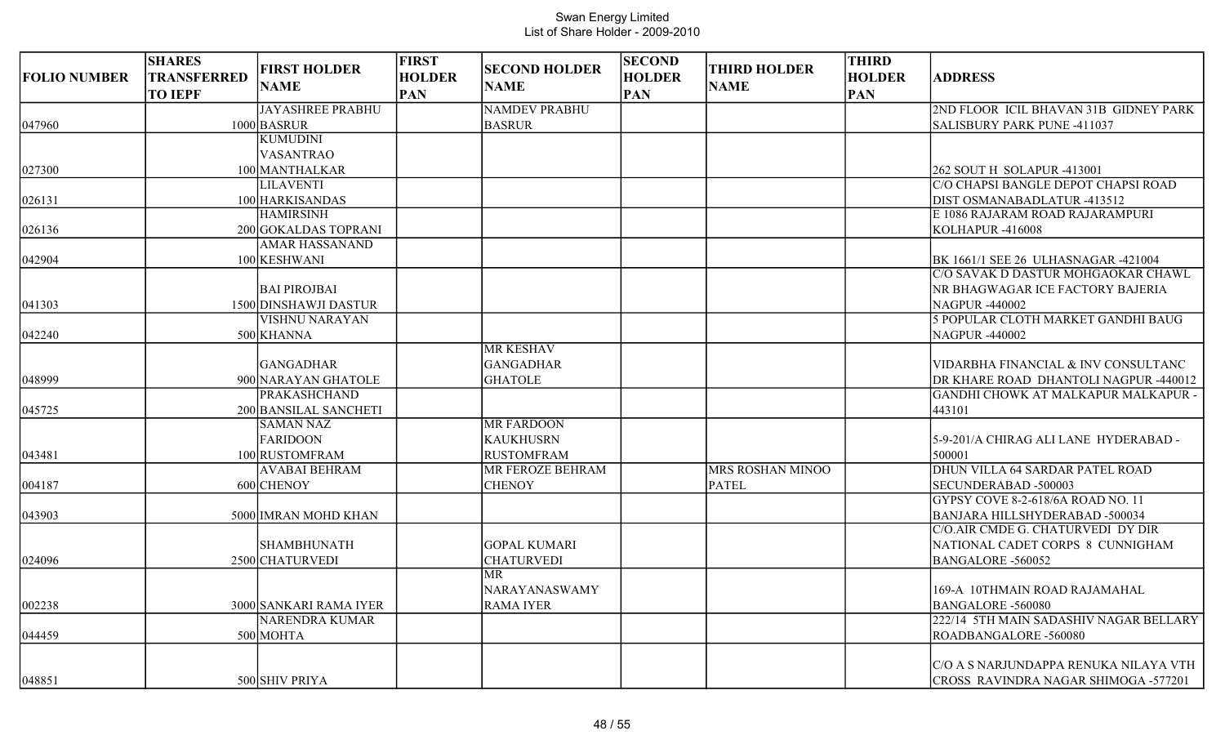| <b>FOLIO NUMBER</b> | <b>SHARES</b><br><b>TRANSFERRED</b> | <b>FIRST HOLDER</b>                        | <b>FIRST</b><br><b>HOLDER</b> | <b>SECOND HOLDER</b>    | <b>SECOND</b><br><b>HOLDER</b> | <b>THIRD HOLDER</b> | <b>THIRD</b><br><b>HOLDER</b> | <b>ADDRESS</b>                                                               |
|---------------------|-------------------------------------|--------------------------------------------|-------------------------------|-------------------------|--------------------------------|---------------------|-------------------------------|------------------------------------------------------------------------------|
|                     | <b>TO IEPF</b>                      | <b>NAME</b>                                | <b>PAN</b>                    | <b>NAME</b>             | <b>PAN</b>                     | <b>NAME</b>         | <b>PAN</b>                    |                                                                              |
|                     |                                     | <b>JAYASHREE PRABHU</b>                    |                               | <b>NAMDEV PRABHU</b>    |                                |                     |                               | 2ND FLOOR ICIL BHAVAN 31B GIDNEY PARK                                        |
| 047960              |                                     | 1000 BASRUR                                |                               | <b>BASRUR</b>           |                                |                     |                               | SALISBURY PARK PUNE -411037                                                  |
|                     |                                     | <b>KUMUDINI</b>                            |                               |                         |                                |                     |                               |                                                                              |
|                     |                                     | <b>VASANTRAO</b>                           |                               |                         |                                |                     |                               |                                                                              |
| 027300              |                                     | 100 MANTHALKAR                             |                               |                         |                                |                     |                               | 262 SOUT H SOLAPUR -413001                                                   |
|                     |                                     | <b>LILAVENTI</b>                           |                               |                         |                                |                     |                               | C/O CHAPSI BANGLE DEPOT CHAPSI ROAD                                          |
| 026131              |                                     | 100 HARKISANDAS                            |                               |                         |                                |                     |                               | DIST OSMANABADLATUR -413512                                                  |
|                     |                                     | <b>HAMIRSINH</b>                           |                               |                         |                                |                     |                               | E 1086 RAJARAM ROAD RAJARAMPURI                                              |
| 026136              |                                     | 200 GOKALDAS TOPRANI                       |                               |                         |                                |                     |                               | KOLHAPUR-416008                                                              |
|                     |                                     | <b>AMAR HASSANAND</b>                      |                               |                         |                                |                     |                               |                                                                              |
| 042904              |                                     | 100 KESHWANI                               |                               |                         |                                |                     |                               | BK 1661/1 SEE 26 ULHASNAGAR -421004                                          |
|                     |                                     |                                            |                               |                         |                                |                     |                               | C/O SAVAK D DASTUR MOHGAOKAR CHAWL                                           |
|                     |                                     | <b>BAI PIROJBAI</b>                        |                               |                         |                                |                     |                               | NR BHAGWAGAR ICE FACTORY BAJERIA                                             |
| 041303              |                                     | 1500 DINSHAWJI DASTUR                      |                               |                         |                                |                     |                               | <b>NAGPUR-440002</b>                                                         |
|                     |                                     | VISHNU NARAYAN                             |                               |                         |                                |                     |                               | 5 POPULAR CLOTH MARKET GANDHI BAUG                                           |
| 042240              |                                     | 500 KHANNA                                 |                               |                         |                                |                     |                               | <b>NAGPUR-440002</b>                                                         |
|                     |                                     |                                            |                               | <b>MR KESHAV</b>        |                                |                     |                               |                                                                              |
|                     |                                     | <b>GANGADHAR</b>                           |                               | <b>GANGADHAR</b>        |                                |                     |                               | VIDARBHA FINANCIAL & INV CONSULTANC                                          |
| 048999              |                                     | 900 NARAYAN GHATOLE<br><b>PRAKASHCHAND</b> |                               | <b>GHATOLE</b>          |                                |                     |                               | DR KHARE ROAD DHANTOLI NAGPUR -440012<br>GANDHI CHOWK AT MALKAPUR MALKAPUR - |
| 045725              |                                     | 200 BANSILAL SANCHETI                      |                               |                         |                                |                     |                               | 443101                                                                       |
|                     |                                     | <b>SAMAN NAZ</b>                           |                               | <b>MR FARDOON</b>       |                                |                     |                               |                                                                              |
|                     |                                     | <b>FARIDOON</b>                            |                               | <b>KAUKHUSRN</b>        |                                |                     |                               | 15-9-201/A CHIRAG ALI LANE HYDERABAD -                                       |
| 043481              |                                     | 100 RUSTOMFRAM                             |                               | <b>RUSTOMFRAM</b>       |                                |                     |                               | 500001                                                                       |
|                     |                                     | <b>AVABAI BEHRAM</b>                       |                               | <b>MR FEROZE BEHRAM</b> |                                | MRS ROSHAN MINOO    |                               | DHUN VILLA 64 SARDAR PATEL ROAD                                              |
| 004187              |                                     | 600 CHENOY                                 |                               | <b>CHENOY</b>           |                                | <b>PATEL</b>        |                               | SECUNDERABAD -500003                                                         |
|                     |                                     |                                            |                               |                         |                                |                     |                               | GYPSY COVE 8-2-618/6A ROAD NO. 11                                            |
| 043903              |                                     | 5000 IMRAN MOHD KHAN                       |                               |                         |                                |                     |                               | BANJARA HILLSHYDERABAD -500034                                               |
|                     |                                     |                                            |                               |                         |                                |                     |                               | C/O.AIR CMDE G. CHATURVEDI DY DIR                                            |
|                     |                                     | <b>SHAMBHUNATH</b>                         |                               | <b>GOPAL KUMARI</b>     |                                |                     |                               | NATIONAL CADET CORPS 8 CUNNIGHAM                                             |
| 024096              |                                     | 2500 CHATURVEDI                            |                               | <b>CHATURVEDI</b>       |                                |                     |                               | BANGALORE -560052                                                            |
|                     |                                     |                                            |                               | <b>MR</b>               |                                |                     |                               |                                                                              |
|                     |                                     |                                            |                               | <b>NARAYANASWAMY</b>    |                                |                     |                               | 169-A 10THMAIN ROAD RAJAMAHAL                                                |
| 002238              |                                     | 3000 SANKARI RAMA IYER                     |                               | <b>RAMA IYER</b>        |                                |                     |                               | <b>BANGALORE -560080</b>                                                     |
|                     |                                     | <b>NARENDRA KUMAR</b>                      |                               |                         |                                |                     |                               | 222/14 5TH MAIN SADASHIV NAGAR BELLARY                                       |
| 044459              |                                     | 500 MOHTA                                  |                               |                         |                                |                     |                               | ROADBANGALORE -560080                                                        |
|                     |                                     |                                            |                               |                         |                                |                     |                               |                                                                              |
|                     |                                     |                                            |                               |                         |                                |                     |                               | C/O A S NARJUNDAPPA RENUKA NILAYA VTH                                        |
| 048851              |                                     | 500 SHIV PRIYA                             |                               |                         |                                |                     |                               | CROSS RAVINDRA NAGAR SHIMOGA -577201                                         |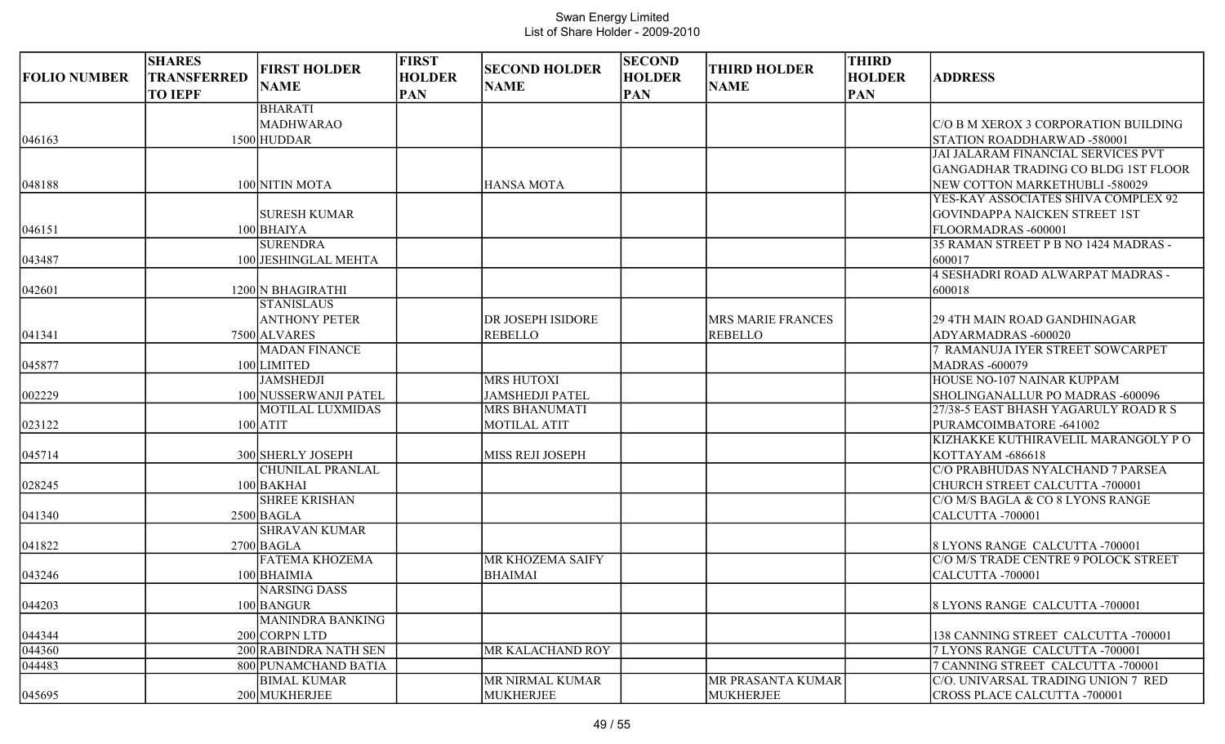| <b>FOLIO NUMBER</b> | <b>SHARES</b><br>TRANSFERRED<br><b>TO IEPF</b> | <b>FIRST HOLDER</b><br><b>NAME</b> | <b>FIRST</b><br><b>HOLDER</b><br><b>PAN</b> | <b>SECOND HOLDER</b><br><b>NAME</b> | <b>SECOND</b><br><b>HOLDER</b><br><b>PAN</b> | <b>THIRD HOLDER</b><br><b>NAME</b> | <b>THIRD</b><br><b>HOLDER</b><br><b>PAN</b> | <b>ADDRESS</b>                              |
|---------------------|------------------------------------------------|------------------------------------|---------------------------------------------|-------------------------------------|----------------------------------------------|------------------------------------|---------------------------------------------|---------------------------------------------|
|                     |                                                | <b>BHARATI</b>                     |                                             |                                     |                                              |                                    |                                             |                                             |
|                     |                                                | MADHWARAO                          |                                             |                                     |                                              |                                    |                                             | IC/O B M XEROX 3 CORPORATION BUILDING       |
| 046163              |                                                | 1500 HUDDAR                        |                                             |                                     |                                              |                                    |                                             | STATION ROADDHARWAD -580001                 |
|                     |                                                |                                    |                                             |                                     |                                              |                                    |                                             | JAI JALARAM FINANCIAL SERVICES PVT          |
|                     |                                                |                                    |                                             |                                     |                                              |                                    |                                             | GANGADHAR TRADING CO BLDG 1ST FLOOR         |
| 048188              |                                                | 100 NITIN MOTA                     |                                             | <b>HANSA MOTA</b>                   |                                              |                                    |                                             | NEW COTTON MARKETHUBLI -580029              |
|                     |                                                |                                    |                                             |                                     |                                              |                                    |                                             | YES-KAY ASSOCIATES SHIVA COMPLEX 92         |
|                     |                                                | <b>SURESH KUMAR</b>                |                                             |                                     |                                              |                                    |                                             | <b>GOVINDAPPA NAICKEN STREET 1ST</b>        |
| 046151              |                                                | $100$ BHAIYA                       |                                             |                                     |                                              |                                    |                                             | FLOORMADRAS-600001                          |
|                     |                                                | <b>SURENDRA</b>                    |                                             |                                     |                                              |                                    |                                             | 35 RAMAN STREET P B NO 1424 MADRAS -        |
| 043487              |                                                | 100 JESHINGLAL MEHTA               |                                             |                                     |                                              |                                    |                                             | 600017<br>4 SESHADRI ROAD ALWARPAT MADRAS - |
|                     |                                                | 1200 N BHAGIRATHI                  |                                             |                                     |                                              |                                    |                                             |                                             |
| 042601              |                                                | <b>STANISLAUS</b>                  |                                             |                                     |                                              |                                    |                                             | 600018                                      |
|                     |                                                | <b>ANTHONY PETER</b>               |                                             | DR JOSEPH ISIDORE                   |                                              | <b>MRS MARIE FRANCES</b>           |                                             | 29 4TH MAIN ROAD GANDHINAGAR                |
| 041341              |                                                | 7500 ALVARES                       |                                             | <b>REBELLO</b>                      |                                              | <b>REBELLO</b>                     |                                             | ADYARMADRAS -600020                         |
|                     |                                                | <b>MADAN FINANCE</b>               |                                             |                                     |                                              |                                    |                                             | <b>RAMANUJA IYER STREET SOWCARPET</b>       |
| 045877              |                                                | 100 LIMITED                        |                                             |                                     |                                              |                                    |                                             | <b>MADRAS -600079</b>                       |
|                     |                                                | <b>JAMSHEDJI</b>                   |                                             | <b>MRS HUTOXI</b>                   |                                              |                                    |                                             | HOUSE NO-107 NAINAR KUPPAM                  |
| 002229              |                                                | 100 NUSSERWANJI PATEL              |                                             | <b>JAMSHEDJI PATEL</b>              |                                              |                                    |                                             | SHOLINGANALLUR PO MADRAS -600096            |
|                     |                                                | <b>MOTILAL LUXMIDAS</b>            |                                             | <b>MRS BHANUMATI</b>                |                                              |                                    |                                             | 27/38-5 EAST BHASH YAGARULY ROAD R S        |
| 023122              |                                                | $100$ ATIT                         |                                             | <b>MOTILAL ATIT</b>                 |                                              |                                    |                                             | PURAMCOIMBATORE -641002                     |
|                     |                                                |                                    |                                             |                                     |                                              |                                    |                                             | KIZHAKKE KUTHIRAVELIL MARANGOLY PO          |
| 045714              |                                                | 300 SHERLY JOSEPH                  |                                             | MISS REJI JOSEPH                    |                                              |                                    |                                             | KOTTAYAM -686618                            |
|                     |                                                | <b>CHUNILAL PRANLAL</b>            |                                             |                                     |                                              |                                    |                                             | C/O PRABHUDAS NYALCHAND 7 PARSEA            |
| 028245              |                                                | 100 BAKHAI                         |                                             |                                     |                                              |                                    |                                             | CHURCH STREET CALCUTTA -700001              |
|                     |                                                | <b>SHREE KRISHAN</b>               |                                             |                                     |                                              |                                    |                                             | C/O M/S BAGLA & CO 8 LYONS RANGE            |
| 041340              |                                                | $2500$ BAGLA                       |                                             |                                     |                                              |                                    |                                             | CALCUTTA-700001                             |
|                     |                                                | <b>SHRAVAN KUMAR</b>               |                                             |                                     |                                              |                                    |                                             |                                             |
| 041822              |                                                | $2700$ BAGLA                       |                                             |                                     |                                              |                                    |                                             | 8 LYONS RANGE CALCUTTA -700001              |
|                     |                                                | <b>FATEMA KHOZEMA</b>              |                                             | MR KHOZEMA SAIFY                    |                                              |                                    |                                             | C/O M/S TRADE CENTRE 9 POLOCK STREET        |
| 043246              |                                                | 100 BHAIMIA                        |                                             | <b>BHAIMAI</b>                      |                                              |                                    |                                             | CALCUTTA -700001                            |
|                     |                                                | NARSING DASS                       |                                             |                                     |                                              |                                    |                                             |                                             |
| 044203              |                                                | 100 BANGUR                         |                                             |                                     |                                              |                                    |                                             | 8 LYONS RANGE CALCUTTA -700001              |
|                     |                                                | <b>MANINDRA BANKING</b>            |                                             |                                     |                                              |                                    |                                             |                                             |
| 044344              |                                                | 200 CORPN LTD                      |                                             |                                     |                                              |                                    |                                             | 138 CANNING STREET CALCUTTA -700001         |
| 044360              |                                                | 200 RABINDRA NATH SEN              |                                             | MR KALACHAND ROY                    |                                              |                                    |                                             | 7 LYONS RANGE CALCUTTA -700001              |
| 044483              |                                                | 800 PUNAMCHAND BATIA               |                                             |                                     |                                              |                                    |                                             | 7 CANNING STREET CALCUTTA -700001           |
|                     |                                                | <b>BIMAL KUMAR</b>                 |                                             | MR NIRMAL KUMAR                     |                                              | MR PRASANTA KUMAR                  |                                             | C/O. UNIVARSAL TRADING UNION 7 RED          |
| 045695              |                                                | 200 MUKHERJEE                      |                                             | <b>MUKHERJEE</b>                    |                                              | MUKHERJEE                          |                                             | CROSS PLACE CALCUTTA -700001                |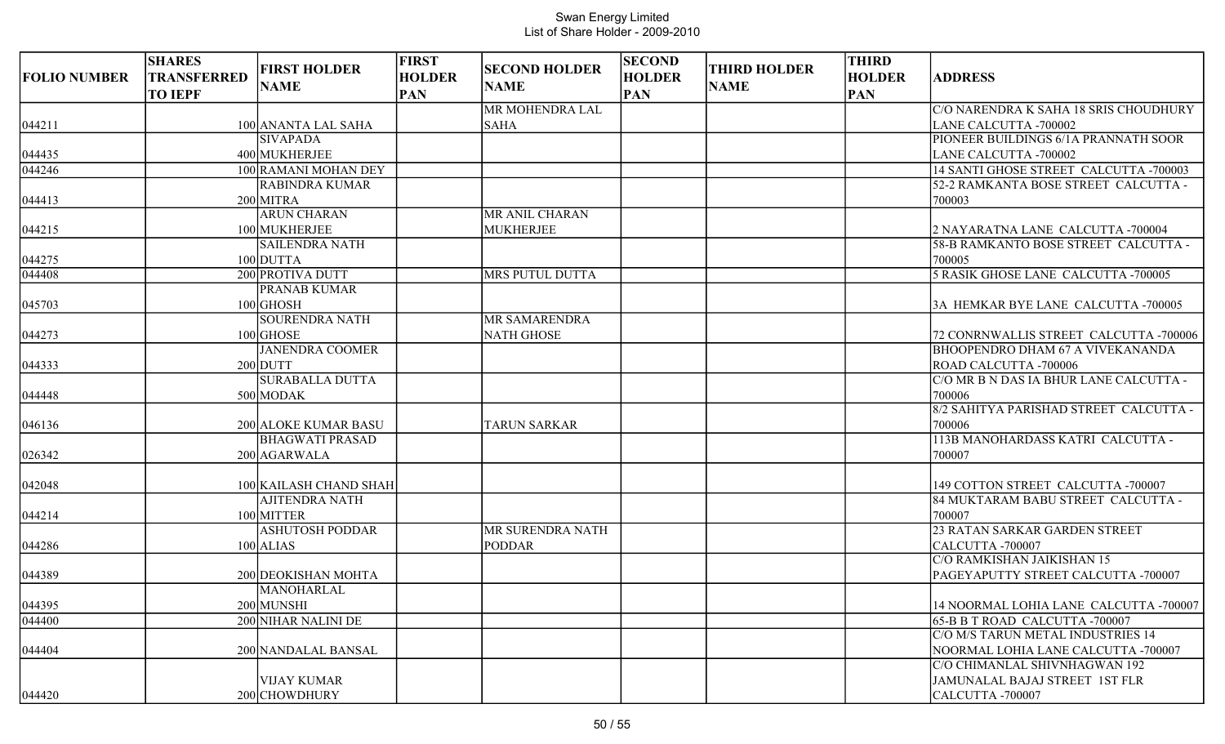| <b>FOLIO NUMBER</b> | <b>SHARES</b><br><b>TRANSFERRED</b><br><b>TO IEPF</b> | <b>FIRST HOLDER</b><br><b>NAME</b> | <b>FIRST</b><br><b>HOLDER</b><br><b>PAN</b> | <b>SECOND HOLDER</b><br><b>NAME</b> | <b>SECOND</b><br><b>HOLDER</b><br><b>PAN</b> | <b>THIRD HOLDER</b><br><b>NAME</b> | <b>THIRD</b><br><b>HOLDER</b><br><b>PAN</b> | <b>ADDRESS</b>                          |
|---------------------|-------------------------------------------------------|------------------------------------|---------------------------------------------|-------------------------------------|----------------------------------------------|------------------------------------|---------------------------------------------|-----------------------------------------|
|                     |                                                       |                                    |                                             | MR MOHENDRA LAL                     |                                              |                                    |                                             | C/O NARENDRA K SAHA 18 SRIS CHOUDHURY   |
| 044211              |                                                       | 100 ANANTA LAL SAHA                |                                             | <b>SAHA</b>                         |                                              |                                    |                                             | LANE CALCUTTA -700002                   |
|                     |                                                       | <b>SIVAPADA</b>                    |                                             |                                     |                                              |                                    |                                             | PIONEER BUILDINGS 6/1A PRANNATH SOOR    |
| 044435              |                                                       | 400 MUKHERJEE                      |                                             |                                     |                                              |                                    |                                             | LANE CALCUTTA -700002                   |
| 044246              |                                                       | 100 RAMANI MOHAN DEY               |                                             |                                     |                                              |                                    |                                             | 14 SANTI GHOSE STREET CALCUTTA -700003  |
|                     |                                                       | <b>RABINDRA KUMAR</b>              |                                             |                                     |                                              |                                    |                                             | 52-2 RAMKANTA BOSE STREET CALCUTTA -    |
| 044413              |                                                       | $200$ MITRA                        |                                             |                                     |                                              |                                    |                                             | 700003                                  |
|                     |                                                       | <b>ARUN CHARAN</b>                 |                                             | MR ANIL CHARAN                      |                                              |                                    |                                             |                                         |
| 044215              |                                                       | 100 MUKHERJEE                      |                                             | <b>MUKHERJEE</b>                    |                                              |                                    |                                             | 2 NAYARATNA LANE CALCUTTA -700004       |
|                     |                                                       | <b>SAILENDRA NATH</b>              |                                             |                                     |                                              |                                    |                                             | 58-B RAMKANTO BOSE STREET CALCUTTA -    |
| 044275              |                                                       | 100 DUTTA                          |                                             |                                     |                                              |                                    |                                             | 700005                                  |
| $\sqrt{044408}$     |                                                       | 200 PROTIVA DUTT                   |                                             | <b>MRS PUTUL DUTTA</b>              |                                              |                                    |                                             | 5 RASIK GHOSE LANE CALCUTTA -700005     |
|                     |                                                       | <b>PRANAB KUMAR</b>                |                                             |                                     |                                              |                                    |                                             |                                         |
| 045703              |                                                       | 100 GHOSH                          |                                             |                                     |                                              |                                    |                                             | 3A HEMKAR BYE LANE CALCUTTA -700005     |
|                     |                                                       | <b>SOURENDRA NATH</b>              |                                             | MR SAMARENDRA                       |                                              |                                    |                                             |                                         |
| 044273              |                                                       | $100$ GHOSE                        |                                             | <b>NATH GHOSE</b>                   |                                              |                                    |                                             | 72 CONRNWALLIS STREET CALCUTTA -700006  |
|                     |                                                       | <b>JANENDRA COOMER</b>             |                                             |                                     |                                              |                                    |                                             | <b>BHOOPENDRO DHAM 67 A VIVEKANANDA</b> |
| 044333              |                                                       | $200$ DUTT                         |                                             |                                     |                                              |                                    |                                             | ROAD CALCUTTA -700006                   |
|                     |                                                       | <b>SURABALLA DUTTA</b>             |                                             |                                     |                                              |                                    |                                             | C/O MR B N DAS IA BHUR LANE CALCUTTA -  |
| 044448              |                                                       | 500 MODAK                          |                                             |                                     |                                              |                                    |                                             | 700006                                  |
|                     |                                                       |                                    |                                             |                                     |                                              |                                    |                                             | 8/2 SAHITYA PARISHAD STREET CALCUTTA -  |
| 046136              |                                                       | 200 ALOKE KUMAR BASU               |                                             | <b>TARUN SARKAR</b>                 |                                              |                                    |                                             | 700006                                  |
|                     |                                                       | <b>BHAGWATI PRASAD</b>             |                                             |                                     |                                              |                                    |                                             | 113B MANOHARDASS KATRI CALCUTTA -       |
| 026342              |                                                       | 200 AGARWALA                       |                                             |                                     |                                              |                                    |                                             | 700007                                  |
|                     |                                                       |                                    |                                             |                                     |                                              |                                    |                                             |                                         |
| 042048              |                                                       | 100 KAILASH CHAND SHAH             |                                             |                                     |                                              |                                    |                                             | 149 COTTON STREET CALCUTTA -700007      |
|                     |                                                       | <b>AJITENDRA NATH</b>              |                                             |                                     |                                              |                                    |                                             | 84 MUKTARAM BABU STREET CALCUTTA -      |
| 044214              |                                                       | 100 MITTER                         |                                             |                                     |                                              |                                    |                                             | 700007                                  |
|                     |                                                       | <b>ASHUTOSH PODDAR</b>             |                                             | MR SURENDRA NATH                    |                                              |                                    |                                             | 23 RATAN SARKAR GARDEN STREET           |
| 044286              |                                                       | $100$ ALIAS                        |                                             | <b>PODDAR</b>                       |                                              |                                    |                                             | CALCUTTA-700007                         |
|                     |                                                       |                                    |                                             |                                     |                                              |                                    |                                             | C/O RAMKISHAN JAIKISHAN 15              |
| 044389              |                                                       | 200 DEOKISHAN MOHTA                |                                             |                                     |                                              |                                    |                                             | PAGEYAPUTTY STREET CALCUTTA -700007     |
|                     |                                                       | MANOHARLAL                         |                                             |                                     |                                              |                                    |                                             |                                         |
| 044395              |                                                       | 200 MUNSHI                         |                                             |                                     |                                              |                                    |                                             | 14 NOORMAL LOHIA LANE CALCUTTA -700007  |
| 044400              |                                                       | 200 NIHAR NALINI DE                |                                             |                                     |                                              |                                    |                                             | 65-B B T ROAD CALCUTTA -700007          |
|                     |                                                       |                                    |                                             |                                     |                                              |                                    |                                             | C/O M/S TARUN METAL INDUSTRIES 14       |
| 044404              |                                                       | 200 NANDALAL BANSAL                |                                             |                                     |                                              |                                    |                                             | NOORMAL LOHIA LANE CALCUTTA -700007     |
|                     |                                                       |                                    |                                             |                                     |                                              |                                    |                                             | C/O CHIMANLAL SHIVNHAGWAN 192           |
|                     |                                                       | <b>VIJAY KUMAR</b>                 |                                             |                                     |                                              |                                    |                                             | JAMUNALAL BAJAJ STREET 1ST FLR          |
| 044420              |                                                       | 200 CHOWDHURY                      |                                             |                                     |                                              |                                    |                                             | CALCUTTA -700007                        |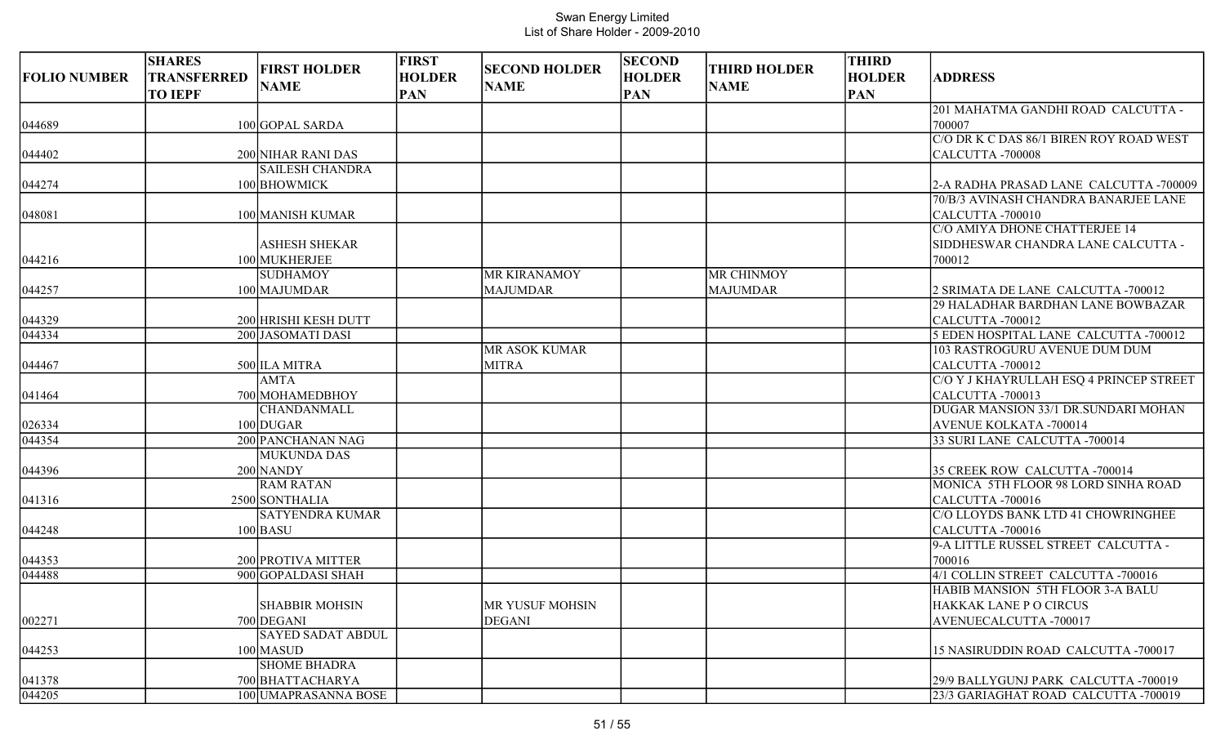| <b>FOLIO NUMBER</b>       | <b>SHARES</b><br><b>TRANSFERRED</b><br><b>TO IEPF</b> | <b>FIRST HOLDER</b><br><b>NAME</b>                           | <b>FIRST</b><br><b>HOLDER</b><br><b>PAN</b> | <b>SECOND HOLDER</b><br><b>NAME</b>    | <b>SECOND</b><br><b>HOLDER</b><br><b>PAN</b> | <b>THIRD HOLDER</b><br><b>NAME</b>   | <b>THIRD</b><br><b>HOLDER</b><br><b>PAN</b> | <b>ADDRESS</b>                                                                |
|---------------------------|-------------------------------------------------------|--------------------------------------------------------------|---------------------------------------------|----------------------------------------|----------------------------------------------|--------------------------------------|---------------------------------------------|-------------------------------------------------------------------------------|
| 044689                    |                                                       | 100 GOPAL SARDA                                              |                                             |                                        |                                              |                                      |                                             | 201 MAHATMA GANDHI ROAD CALCUTTA -<br>700007                                  |
| 044402                    |                                                       | 200 NIHAR RANI DAS                                           |                                             |                                        |                                              |                                      |                                             | C/O DR K C DAS 86/1 BIREN ROY ROAD WEST<br>CALCUTTA-700008                    |
| 044274                    |                                                       | <b>SAILESH CHANDRA</b><br>100 BHOWMICK                       |                                             |                                        |                                              |                                      |                                             | 2-A RADHA PRASAD LANE CALCUTTA -700009                                        |
| 048081                    |                                                       | 100 MANISH KUMAR                                             |                                             |                                        |                                              |                                      |                                             | 70/B/3 AVINASH CHANDRA BANARJEE LANE<br>CALCUTTA-700010                       |
| 044216                    |                                                       | <b>ASHESH SHEKAR</b><br>100 MUKHERJEE                        |                                             |                                        |                                              |                                      |                                             | C/O AMIYA DHONE CHATTERJEE 14<br>SIDDHESWAR CHANDRA LANE CALCUTTA -<br>700012 |
| 044257                    |                                                       | <b>SUDHAMOY</b><br>100 MAJUMDAR                              |                                             | <b>MR KIRANAMOY</b><br><b>MAJUMDAR</b> |                                              | <b>MR CHINMOY</b><br><b>MAJUMDAR</b> |                                             | 2 SRIMATA DE LANE CALCUTTA -700012                                            |
| 044329                    |                                                       | 200 HRISHI KESH DUTT                                         |                                             |                                        |                                              |                                      |                                             | 29 HALADHAR BARDHAN LANE BOWBAZAR<br>CALCUTTA -700012                         |
| 044334                    |                                                       | 200 JASOMATI DASI                                            |                                             | <b>MR ASOK KUMAR</b>                   |                                              |                                      |                                             | 5 EDEN HOSPITAL LANE CALCUTTA -700012<br>103 RASTROGURU AVENUE DUM DUM        |
| 044467                    |                                                       | 500 ILA MITRA<br><b>AMTA</b>                                 |                                             | <b>MITRA</b>                           |                                              |                                      |                                             | CALCUTTA -700012<br>C/O Y J KHAYRULLAH ESQ 4 PRINCEP STREET                   |
| 041464                    |                                                       | 700 MOHAMEDBHOY<br><b>CHANDANMALL</b>                        |                                             |                                        |                                              |                                      |                                             | CALCUTTA-700013<br>DUGAR MANSION 33/1 DR.SUNDARI MOHAN                        |
| 026334                    |                                                       | 100 DUGAR                                                    |                                             |                                        |                                              |                                      |                                             | <b>AVENUE KOLKATA -700014</b>                                                 |
| 044354                    |                                                       | 200 PANCHANAN NAG<br><b>MUKUNDA DAS</b>                      |                                             |                                        |                                              |                                      |                                             | 33 SURI LANE CALCUTTA -700014                                                 |
| 044396                    |                                                       | 200 NANDY<br><b>RAM RATAN</b>                                |                                             |                                        |                                              |                                      |                                             | 35 CREEK ROW CALCUTTA -700014<br>MONICA 5TH FLOOR 98 LORD SINHA ROAD          |
| 041316                    |                                                       | 2500 SONTHALIA<br><b>SATYENDRA KUMAR</b>                     |                                             |                                        |                                              |                                      |                                             | CALCUTTA-700016<br>C/O LLOYDS BANK LTD 41 CHOWRINGHEE                         |
| 044248                    |                                                       | $100$ BASU                                                   |                                             |                                        |                                              |                                      |                                             | CALCUTTA -700016<br>9-A LITTLE RUSSEL STREET CALCUTTA -                       |
| 044353                    |                                                       | 200 PROTIVA MITTER                                           |                                             |                                        |                                              |                                      |                                             | 700016                                                                        |
| 044488                    |                                                       | 900 GOPALDASI SHAH                                           |                                             |                                        |                                              |                                      |                                             | 4/1 COLLIN STREET CALCUTTA -700016<br>HABIB MANSION 5TH FLOOR 3-A BALU        |
| 002271                    |                                                       | <b>SHABBIR MOHSIN</b><br>700 DEGANI                          |                                             | MR YUSUF MOHSIN<br><b>DEGANI</b>       |                                              |                                      |                                             | <b>HAKKAK LANE P O CIRCUS</b><br>AVENUECALCUTTA -700017                       |
| 044253                    |                                                       | <b>SAYED SADAT ABDUL</b><br>100 MASUD<br><b>SHOME BHADRA</b> |                                             |                                        |                                              |                                      |                                             | 15 NASIRUDDIN ROAD CALCUTTA -700017                                           |
| 041378<br>$\sqrt{044205}$ |                                                       | 700 BHATTACHARYA<br>100 UMAPRASANNA BOSE                     |                                             |                                        |                                              |                                      |                                             | 29/9 BALLYGUNJ PARK CALCUTTA -700019<br>23/3 GARIAGHAT ROAD CALCUTTA -700019  |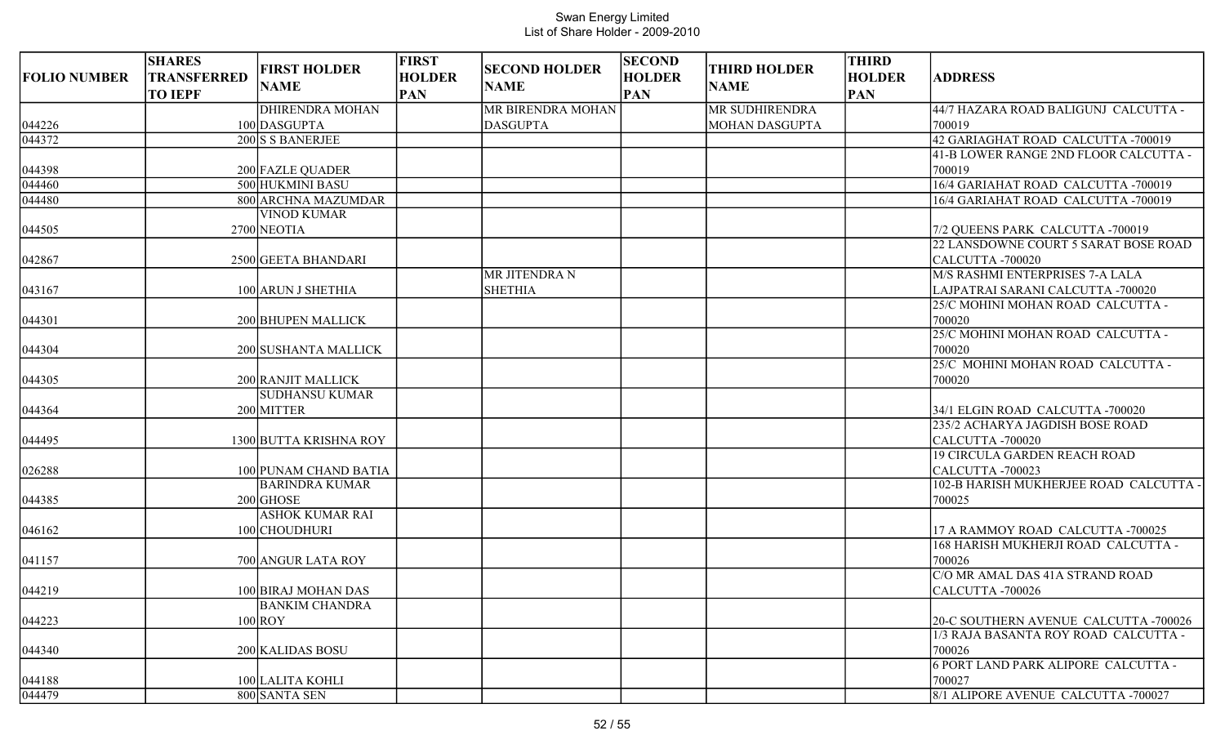| <b>FOLIO NUMBER</b> | <b>SHARES</b><br><b>TRANSFERRED</b><br><b>TO IEPF</b> | <b>FIRST HOLDER</b><br><b>NAME</b> | <b>FIRST</b><br><b>HOLDER</b><br><b>PAN</b> | <b>SECOND HOLDER</b><br><b>NAME</b> | <b>SECOND</b><br><b>HOLDER</b><br><b>PAN</b> | <b>THIRD HOLDER</b><br><b>NAME</b> | <b>THIRD</b><br><b>HOLDER</b><br><b>PAN</b> | <b>ADDRESS</b>                                                      |
|---------------------|-------------------------------------------------------|------------------------------------|---------------------------------------------|-------------------------------------|----------------------------------------------|------------------------------------|---------------------------------------------|---------------------------------------------------------------------|
|                     |                                                       | <b>DHIRENDRA MOHAN</b>             |                                             | MR BIRENDRA MOHAN                   |                                              | MR SUDHIRENDRA                     |                                             | 44/7 HAZARA ROAD BALIGUNJ CALCUTTA -                                |
| 044226              |                                                       | 100 DASGUPTA                       |                                             | <b>DASGUPTA</b>                     |                                              | <b>MOHAN DASGUPTA</b>              |                                             | 700019                                                              |
| 044372              |                                                       | 200 S S BANERJEE                   |                                             |                                     |                                              |                                    |                                             | 42 GARIAGHAT ROAD CALCUTTA -700019                                  |
|                     |                                                       |                                    |                                             |                                     |                                              |                                    |                                             | 41-B LOWER RANGE 2ND FLOOR CALCUTTA -                               |
| 044398              |                                                       | 200 FAZLE QUADER                   |                                             |                                     |                                              |                                    |                                             | 700019                                                              |
| 044460              |                                                       | 500 HUKMINI BASU                   |                                             |                                     |                                              |                                    |                                             | 16/4 GARIAHAT ROAD CALCUTTA -700019                                 |
| 044480              |                                                       | 800 ARCHNA MAZUMDAR                |                                             |                                     |                                              |                                    |                                             | 16/4 GARIAHAT ROAD CALCUTTA -700019                                 |
|                     |                                                       | <b>VINOD KUMAR</b>                 |                                             |                                     |                                              |                                    |                                             |                                                                     |
| 044505              |                                                       | 2700 NEOTIA                        |                                             |                                     |                                              |                                    |                                             | 7/2 QUEENS PARK CALCUTTA -700019                                    |
|                     |                                                       |                                    |                                             |                                     |                                              |                                    |                                             | 22 LANSDOWNE COURT 5 SARAT BOSE ROAD                                |
| 042867              |                                                       | 2500 GEETA BHANDARI                |                                             |                                     |                                              |                                    |                                             | CALCUTTA-700020                                                     |
|                     |                                                       |                                    |                                             | <b>MR JITENDRA N</b>                |                                              |                                    |                                             | M/S RASHMI ENTERPRISES 7-A LALA                                     |
| 043167              |                                                       | 100 ARUN J SHETHIA                 |                                             | <b>SHETHIA</b>                      |                                              |                                    |                                             | LAJPATRAI SARANI CALCUTTA -700020                                   |
|                     |                                                       |                                    |                                             |                                     |                                              |                                    |                                             | 25/C MOHINI MOHAN ROAD CALCUTTA -                                   |
| 044301              |                                                       | 200 BHUPEN MALLICK                 |                                             |                                     |                                              |                                    |                                             | 700020                                                              |
|                     |                                                       |                                    |                                             |                                     |                                              |                                    |                                             | 25/C MOHINI MOHAN ROAD CALCUTTA -                                   |
| 044304              |                                                       | 200 SUSHANTA MALLICK               |                                             |                                     |                                              |                                    |                                             | 700020                                                              |
|                     |                                                       |                                    |                                             |                                     |                                              |                                    |                                             | 25/C MOHINI MOHAN ROAD CALCUTTA -                                   |
| 044305              |                                                       | 200 RANJIT MALLICK                 |                                             |                                     |                                              |                                    |                                             | 700020                                                              |
|                     |                                                       | <b>SUDHANSU KUMAR</b>              |                                             |                                     |                                              |                                    |                                             |                                                                     |
| 044364              |                                                       | 200 MITTER                         |                                             |                                     |                                              |                                    |                                             | 34/1 ELGIN ROAD CALCUTTA -700020<br>235/2 ACHARYA JAGDISH BOSE ROAD |
| 044495              |                                                       | 1300 BUTTA KRISHNA ROY             |                                             |                                     |                                              |                                    |                                             | CALCUTTA-700020                                                     |
|                     |                                                       |                                    |                                             |                                     |                                              |                                    |                                             | <b>19 CIRCULA GARDEN REACH ROAD</b>                                 |
| 026288              |                                                       | 100 PUNAM CHAND BATIA              |                                             |                                     |                                              |                                    |                                             | CALCUTTA -700023                                                    |
|                     |                                                       | <b>BARINDRA KUMAR</b>              |                                             |                                     |                                              |                                    |                                             | 102-B HARISH MUKHERJEE ROAD CALCUTTA -                              |
| 044385              |                                                       | $200$ GHOSE                        |                                             |                                     |                                              |                                    |                                             | 700025                                                              |
|                     |                                                       | <b>ASHOK KUMAR RAI</b>             |                                             |                                     |                                              |                                    |                                             |                                                                     |
| 046162              |                                                       | 100 CHOUDHURI                      |                                             |                                     |                                              |                                    |                                             | 17 A RAMMOY ROAD CALCUTTA -700025                                   |
|                     |                                                       |                                    |                                             |                                     |                                              |                                    |                                             | 168 HARISH MUKHERJI ROAD CALCUTTA -                                 |
| 041157              |                                                       | 700 ANGUR LATA ROY                 |                                             |                                     |                                              |                                    |                                             | 700026                                                              |
|                     |                                                       |                                    |                                             |                                     |                                              |                                    |                                             | C/O MR AMAL DAS 41A STRAND ROAD                                     |
| 044219              |                                                       | 100 BIRAJ MOHAN DAS                |                                             |                                     |                                              |                                    |                                             | CALCUTTA -700026                                                    |
|                     |                                                       | <b>BANKIM CHANDRA</b>              |                                             |                                     |                                              |                                    |                                             |                                                                     |
| 044223              |                                                       | $100$ ROY                          |                                             |                                     |                                              |                                    |                                             | 20-C SOUTHERN AVENUE CALCUTTA -700026                               |
|                     |                                                       |                                    |                                             |                                     |                                              |                                    |                                             | 1/3 RAJA BASANTA ROY ROAD CALCUTTA -                                |
| 044340              |                                                       | 200 KALIDAS BOSU                   |                                             |                                     |                                              |                                    |                                             | 700026                                                              |
|                     |                                                       |                                    |                                             |                                     |                                              |                                    |                                             | <b>6 PORT LAND PARK ALIPORE CALCUTTA -</b>                          |
| 044188              |                                                       | 100 LALITA KOHLI                   |                                             |                                     |                                              |                                    |                                             | 700027                                                              |
| 044479              |                                                       | 800 SANTA SEN                      |                                             |                                     |                                              |                                    |                                             | 8/1 ALIPORE AVENUE CALCUTTA -700027                                 |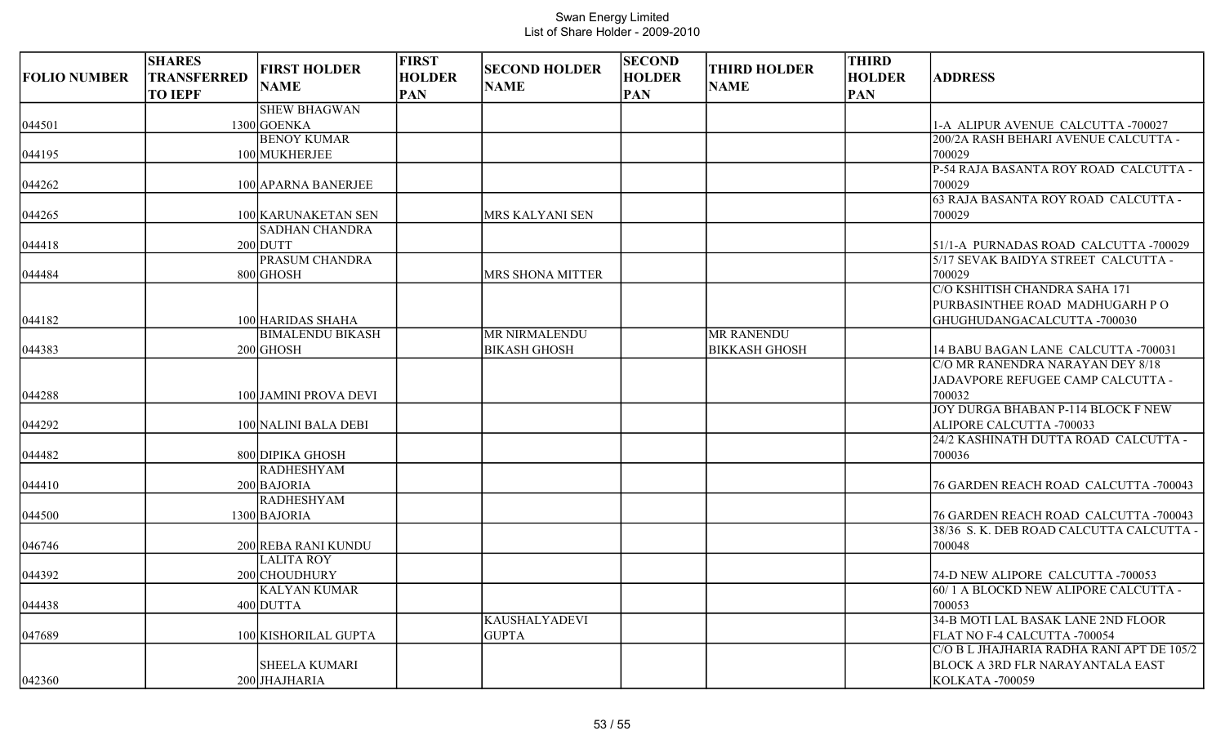| <b>FOLIO NUMBER</b> | <b>SHARES</b><br><b>TRANSFERRED</b><br><b>TO IEPF</b> | <b>FIRST HOLDER</b><br><b>NAME</b> | <b>FIRST</b><br><b>HOLDER</b><br><b>PAN</b> | <b>SECOND HOLDER</b><br><b>NAME</b> | <b>SECOND</b><br><b>HOLDER</b><br><b>PAN</b> | <b>THIRD HOLDER</b><br><b>NAME</b> | <b>THIRD</b><br><b>HOLDER</b><br><b>PAN</b> | <b>ADDRESS</b>                                                            |
|---------------------|-------------------------------------------------------|------------------------------------|---------------------------------------------|-------------------------------------|----------------------------------------------|------------------------------------|---------------------------------------------|---------------------------------------------------------------------------|
|                     |                                                       | <b>SHEW BHAGWAN</b>                |                                             |                                     |                                              |                                    |                                             |                                                                           |
| 044501              |                                                       | 1300 GOENKA                        |                                             |                                     |                                              |                                    |                                             | 1-A ALIPUR AVENUE CALCUTTA -700027                                        |
|                     |                                                       | <b>BENOY KUMAR</b>                 |                                             |                                     |                                              |                                    |                                             | 200/2A RASH BEHARI AVENUE CALCUTTA -                                      |
| 044195              |                                                       | 100 MUKHERJEE                      |                                             |                                     |                                              |                                    |                                             | 700029                                                                    |
|                     |                                                       |                                    |                                             |                                     |                                              |                                    |                                             | P-54 RAJA BASANTA ROY ROAD CALCUTTA -                                     |
| 044262              |                                                       | 100 APARNA BANERJEE                |                                             |                                     |                                              |                                    |                                             | 700029<br>63 RAJA BASANTA ROY ROAD CALCUTTA -                             |
| 044265              |                                                       | 100 KARUNAKETAN SEN                |                                             | MRS KALYANI SEN                     |                                              |                                    |                                             | 700029                                                                    |
|                     |                                                       | <b>SADHAN CHANDRA</b>              |                                             |                                     |                                              |                                    |                                             |                                                                           |
| 044418              |                                                       | $200$ DUTT                         |                                             |                                     |                                              |                                    |                                             | 51/1-A PURNADAS ROAD CALCUTTA -700029                                     |
|                     |                                                       | PRASUM CHANDRA                     |                                             |                                     |                                              |                                    |                                             | 5/17 SEVAK BAIDYA STREET CALCUTTA -                                       |
| 044484              |                                                       | 800 GHOSH                          |                                             | MRS SHONA MITTER                    |                                              |                                    |                                             | 700029                                                                    |
|                     |                                                       |                                    |                                             |                                     |                                              |                                    |                                             | C/O KSHITISH CHANDRA SAHA 171                                             |
|                     |                                                       |                                    |                                             |                                     |                                              |                                    |                                             | PURBASINTHEE ROAD MADHUGARH PO                                            |
| 044182              |                                                       | 100 HARIDAS SHAHA                  |                                             |                                     |                                              |                                    |                                             | GHUGHUDANGACALCUTTA -700030                                               |
|                     |                                                       | <b>BIMALENDU BIKASH</b>            |                                             | MR NIRMALENDU                       |                                              | <b>MR RANENDU</b>                  |                                             |                                                                           |
| 044383              |                                                       | $200$ GHOSH                        |                                             | <b>BIKASH GHOSH</b>                 |                                              | <b>BIKKASH GHOSH</b>               |                                             | 14 BABU BAGAN LANE CALCUTTA -700031                                       |
|                     |                                                       |                                    |                                             |                                     |                                              |                                    |                                             | C/O MR RANENDRA NARAYAN DEY 8/18                                          |
|                     |                                                       |                                    |                                             |                                     |                                              |                                    |                                             | JADAVPORE REFUGEE CAMP CALCUTTA -                                         |
| 044288              |                                                       | 100 JAMINI PROVA DEVI              |                                             |                                     |                                              |                                    |                                             | 700032                                                                    |
|                     |                                                       |                                    |                                             |                                     |                                              |                                    |                                             | <b>JOY DURGA BHABAN P-114 BLOCK F NEW</b>                                 |
| 044292              |                                                       | 100 NALINI BALA DEBI               |                                             |                                     |                                              |                                    |                                             | ALIPORE CALCUTTA -700033                                                  |
|                     |                                                       |                                    |                                             |                                     |                                              |                                    |                                             | 24/2 KASHINATH DUTTA ROAD CALCUTTA -                                      |
| 044482              |                                                       | 800 DIPIKA GHOSH                   |                                             |                                     |                                              |                                    |                                             | 700036                                                                    |
|                     |                                                       | <b>RADHESHYAM</b>                  |                                             |                                     |                                              |                                    |                                             |                                                                           |
| 044410              |                                                       | 200 BAJORIA                        |                                             |                                     |                                              |                                    |                                             | 76 GARDEN REACH ROAD CALCUTTA -700043                                     |
|                     |                                                       | <b>RADHESHYAM</b>                  |                                             |                                     |                                              |                                    |                                             |                                                                           |
| 044500              |                                                       | 1300 BAJORIA                       |                                             |                                     |                                              |                                    |                                             | 76 GARDEN REACH ROAD CALCUTTA -700043                                     |
|                     |                                                       |                                    |                                             |                                     |                                              |                                    |                                             | 38/36 S. K. DEB ROAD CALCUTTA CALCUTTA -                                  |
| 046746              |                                                       | 200 REBA RANI KUNDU                |                                             |                                     |                                              |                                    |                                             | 700048                                                                    |
|                     |                                                       | <b>LALITA ROY</b>                  |                                             |                                     |                                              |                                    |                                             |                                                                           |
| 044392              |                                                       | 200 CHOUDHURY                      |                                             |                                     |                                              |                                    |                                             | 74-D NEW ALIPORE CALCUTTA -700053                                         |
|                     |                                                       | <b>KALYAN KUMAR</b>                |                                             |                                     |                                              |                                    |                                             | 60/1 A BLOCKD NEW ALIPORE CALCUTTA -                                      |
| 044438              |                                                       | 400 DUTTA                          |                                             |                                     |                                              |                                    |                                             | 700053                                                                    |
|                     |                                                       |                                    |                                             | <b>KAUSHALYADEVI</b>                |                                              |                                    |                                             | 34-B MOTI LAL BASAK LANE 2ND FLOOR                                        |
| 047689              |                                                       | 100 KISHORILAL GUPTA               |                                             | <b>GUPTA</b>                        |                                              |                                    |                                             | FLAT NO F-4 CALCUTTA -700054<br>C/O B L JHAJHARIA RADHA RANI APT DE 105/2 |
|                     |                                                       |                                    |                                             |                                     |                                              |                                    |                                             |                                                                           |
|                     |                                                       | <b>SHEELA KUMARI</b>               |                                             |                                     |                                              |                                    |                                             | <b>BLOCK A 3RD FLR NARAYANTALA EAST</b>                                   |
| 042360              |                                                       | 200 JHAJHARIA                      |                                             |                                     |                                              |                                    |                                             | KOLKATA -700059                                                           |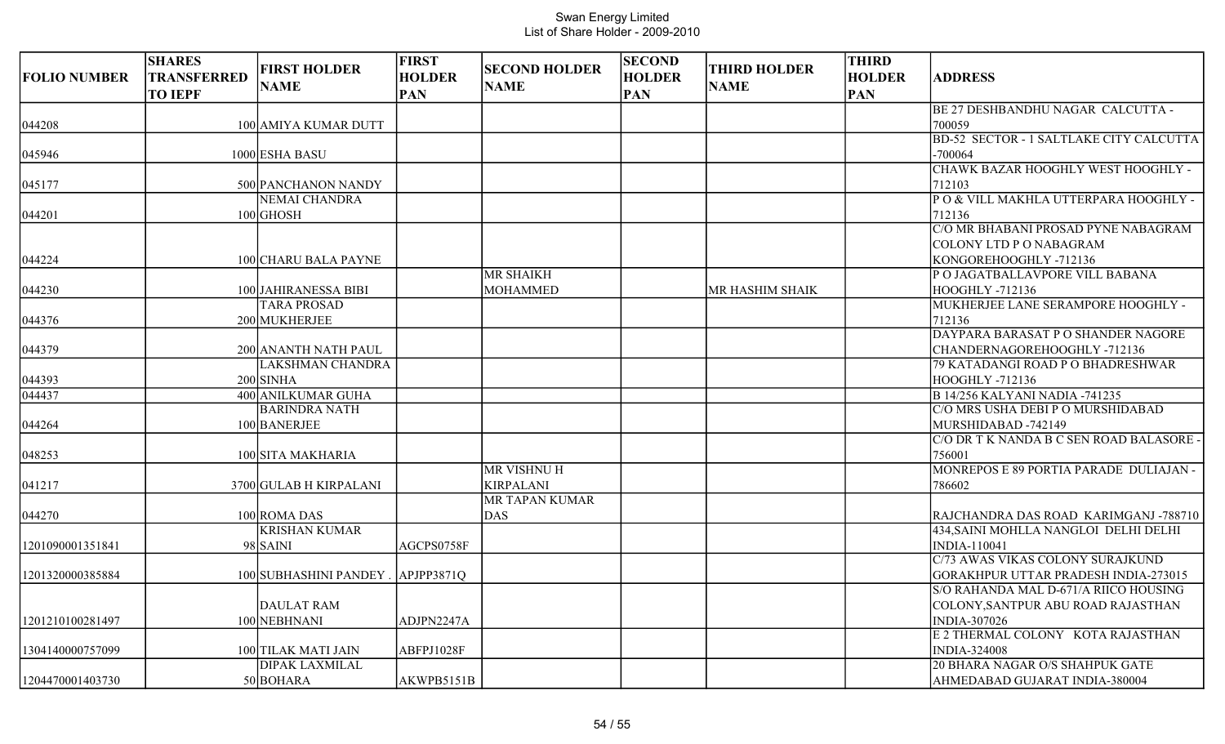| <b>FOLIO NUMBER</b> | <b>SHARES</b><br><b>TRANSFERRED</b><br><b>TO IEPF</b> | <b>FIRST HOLDER</b><br><b>NAME</b>         | <b>FIRST</b><br><b>HOLDER</b><br><b>PAN</b> | <b>SECOND HOLDER</b><br><b>NAME</b>    | <b>SECOND</b><br><b>HOLDER</b><br><b>PAN</b> | <b>THIRD HOLDER</b><br><b>NAME</b> | <b>THIRD</b><br><b>HOLDER</b><br><b>PAN</b> | <b>ADDRESS</b>                                                                                                    |
|---------------------|-------------------------------------------------------|--------------------------------------------|---------------------------------------------|----------------------------------------|----------------------------------------------|------------------------------------|---------------------------------------------|-------------------------------------------------------------------------------------------------------------------|
| 044208              |                                                       | 100 AMIYA KUMAR DUTT                       |                                             |                                        |                                              |                                    |                                             | BE 27 DESHBANDHU NAGAR CALCUTTA -<br>700059                                                                       |
| 045946              |                                                       | 1000 ESHA BASU                             |                                             |                                        |                                              |                                    |                                             | BD-52 SECTOR - 1 SALTLAKE CITY CALCUTTA<br>$-700064$                                                              |
| 045177              |                                                       | 500 PANCHANON NANDY                        |                                             |                                        |                                              |                                    |                                             | CHAWK BAZAR HOOGHLY WEST HOOGHLY -<br>712103                                                                      |
| 044201              |                                                       | <b>NEMAI CHANDRA</b><br>$100$ GHOSH        |                                             |                                        |                                              |                                    |                                             | PO & VILL MAKHLA UTTERPARA HOOGHLY -<br>712136                                                                    |
| 044224              |                                                       | 100 CHARU BALA PAYNE                       |                                             |                                        |                                              |                                    |                                             | C/O MR BHABANI PROSAD PYNE NABAGRAM<br>COLONY LTD P O NABAGRAM<br>KONGOREHOOGHLY-712136                           |
| 044230              |                                                       | 100 JAHIRANESSA BIBI<br><b>TARA PROSAD</b> |                                             | <b>MR SHAIKH</b><br><b>MOHAMMED</b>    |                                              | MR HASHIM SHAIK                    |                                             | P O JAGATBALLAVPORE VILL BABANA<br><b>HOOGHLY -712136</b><br>MUKHERJEE LANE SERAMPORE HOOGHLY -                   |
| 044376              |                                                       | 200 MUKHERJEE                              |                                             |                                        |                                              |                                    |                                             | 712136<br>DAYPARA BARASAT P O SHANDER NAGORE                                                                      |
| 044379              |                                                       | 200 ANANTH NATH PAUL                       |                                             |                                        |                                              |                                    |                                             | CHANDERNAGOREHOOGHLY-712136                                                                                       |
| 044393              |                                                       | <b>LAKSHMAN CHANDRA</b><br>$200$ SINHA     |                                             |                                        |                                              |                                    |                                             | 79 KATADANGI ROAD P O BHADRESHWAR<br>HOOGHLY -712136                                                              |
| 044437              |                                                       | 400 ANILKUMAR GUHA<br><b>BARINDRA NATH</b> |                                             |                                        |                                              |                                    |                                             | <b>B 14/256 KALYANI NADIA -741235</b><br>C/O MRS USHA DEBI P O MURSHIDABAD                                        |
| 044264<br>048253    |                                                       | 100 BANERJEE<br>100 SITA MAKHARIA          |                                             |                                        |                                              |                                    |                                             | MURSHIDABAD -742149<br>C/O DR T K NANDA B C SEN ROAD BALASORE<br>756001                                           |
| 041217              |                                                       | 3700 GULAB H KIRPALANI                     |                                             | <b>MR VISHNU H</b><br><b>KIRPALANI</b> |                                              |                                    |                                             | MONREPOS E 89 PORTIA PARADE DULIAJAN -<br>786602                                                                  |
| 044270              |                                                       | 100 ROMA DAS                               |                                             | MR TAPAN KUMAR<br><b>DAS</b>           |                                              |                                    |                                             | RAJCHANDRA DAS ROAD KARIMGANJ-788710                                                                              |
| 1201090001351841    |                                                       | <b>KRISHAN KUMAR</b><br>98 SAINI           | AGCPS0758F                                  |                                        |                                              |                                    |                                             | 434, SAINI MOHLLA NANGLOI DELHI DELHI<br>INDIA-110041                                                             |
| 1201320000385884    |                                                       | 100 SUBHASHINI PANDEY                      | APJPP3871Q                                  |                                        |                                              |                                    |                                             | C/73 AWAS VIKAS COLONY SURAJKUND<br>GORAKHPUR UTTAR PRADESH INDIA-273015<br>S/O RAHANDA MAL D-671/A RIICO HOUSING |
| 1201210100281497    |                                                       | <b>DAULAT RAM</b><br>100 NEBHNANI          | ADJPN2247A                                  |                                        |                                              |                                    |                                             | COLONY,SANTPUR ABU ROAD RAJASTHAN<br>INDIA-307026                                                                 |
| 1304140000757099    |                                                       | 100 TILAK MATI JAIN                        | ABFPJ1028F                                  |                                        |                                              |                                    |                                             | E 2 THERMAL COLONY KOTA RAJASTHAN<br><b>INDIA-324008</b>                                                          |
| 1204470001403730    |                                                       | <b>DIPAK LAXMILAL</b><br>50 BOHARA         | AKWPB5151B                                  |                                        |                                              |                                    |                                             | 20 BHARA NAGAR O/S SHAHPUK GATE<br>AHMEDABAD GUJARAT INDIA-380004                                                 |